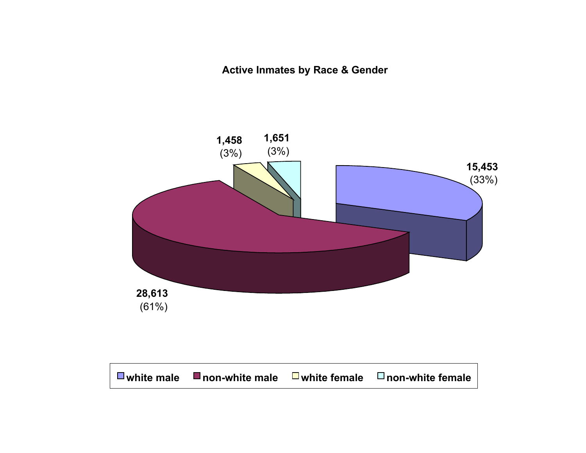**Active Inmates by Race & Gender**

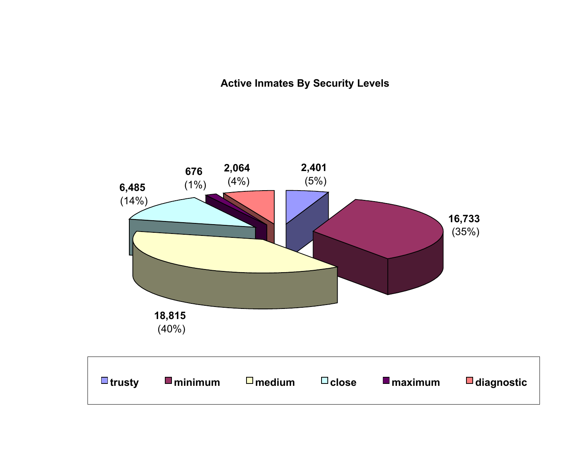**Active Inmates By Security Levels**

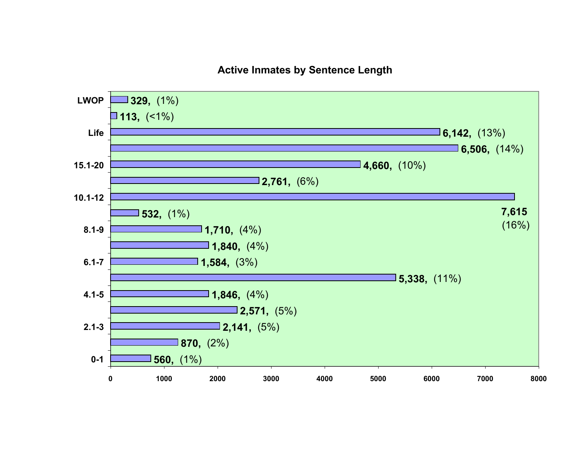#### **Active Inmates by Sentence Length**

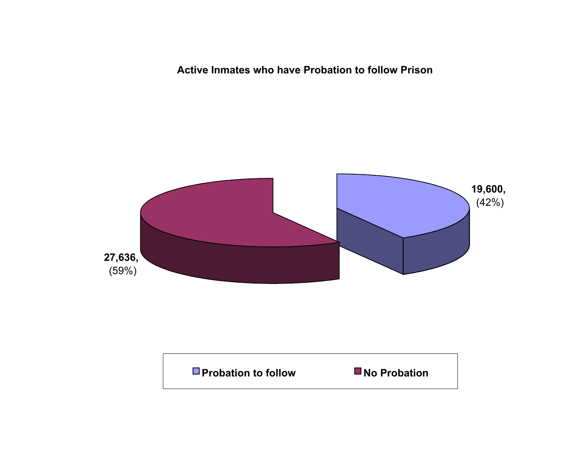**Active Inmates who have Probation to follow Prison**



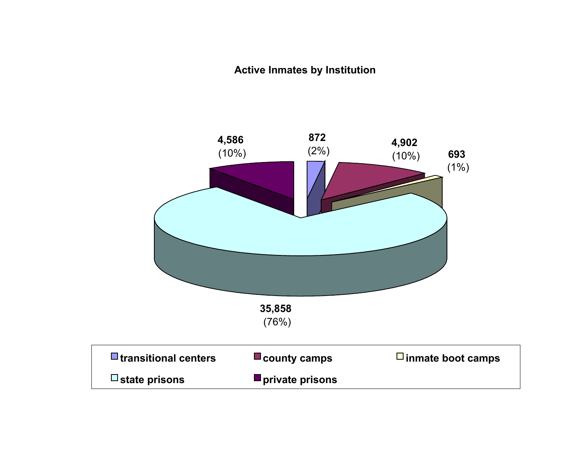### **Active Inmates by Institution**

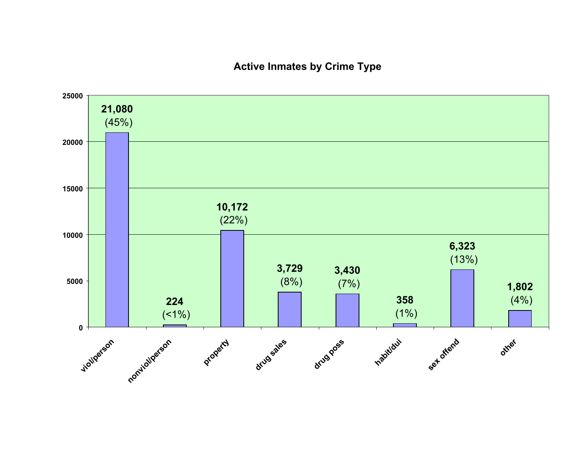### **Active Inmates by Crime Type**

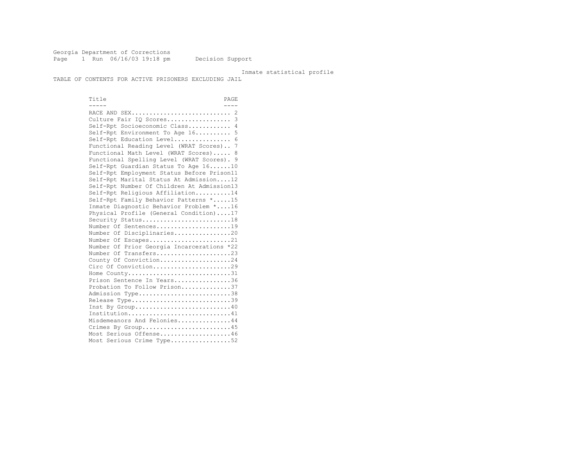Georgia Department of Corrections Page 1 Run 06/16/03 19:18 pm Decision Support

#### Inmate statistical profile

TABLE OF CONTENTS FOR ACTIVE PRISONERS EXCLUDING JAIL

Title PAGE ----- ---- RACE AND SEX............................ 2 Culture Fair IQ Scores.................. 3 Self-Rpt Socioeconomic Class............ 4 Self-Rpt Environment To Age 16.......... 5 Self-Rpt Education Level................ 6 Functional Reading Level (WRAT Scores).. 7 Functional Math Level (WRAT Scores)..... 8 Functional Spelling Level (WRAT Scores). 9 Self-Rpt Guardian Status To Age 16......10 Self-Rpt Employment Status Before Prison11 Self-Rpt Marital Status At Admission....12 Self-Rpt Number Of Children At Admission13 Self-Rpt Religious Affiliation..........14 Self-Rpt Family Behavior Patterns \*.....15 Inmate Diagnostic Behavior Problem \*....16 Physical Profile (General Condition)....17 Security Status..........................18 Number Of Sentences.....................19 Number Of Disciplinaries................20 Number Of Escapes........................21 Number Of Prior Georgia Incarcerations \*22 Number Of Transfers.....................23 County Of Conviction....................24 Circ Of Conviction........................29 Home County...............................31 Prison Sentence In Years.................36 Probation To Follow Prison..............37 Admission Type.............................38 Release Type..............................39 Inst By Group.............................40 Institution.............................41 Misdemeanors And Felonies...............44 Crimes By Group..........................45 Most Serious Offense....................46 Most Serious Crime Type..................52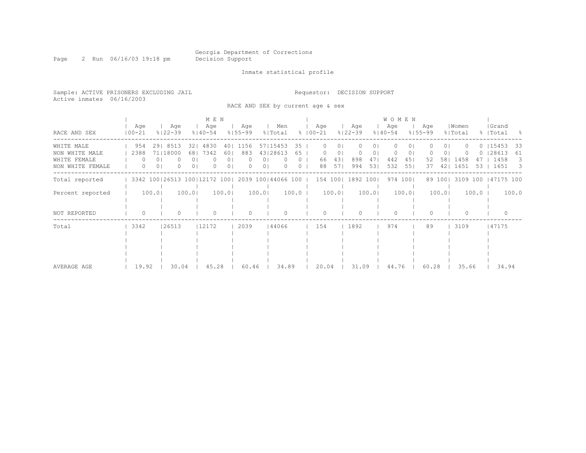Page 2 Run 06/16/03 19:18 pm Decision Support

Inmate statistical profile

Sample: ACTIVE PRISONERS EXCLUDING JAIL Requestor: DECISION SUPPORT Active inmates 06/16/2003

RACE AND SEX by current age & sex

|                                                                  |                                     |                                                   | M E N                                                  |                                                                |                                                          |                     |                                   |                            |                                       |                        | <b>WOMEN</b>                                                     |                    |                                         |          |                                            |                               |
|------------------------------------------------------------------|-------------------------------------|---------------------------------------------------|--------------------------------------------------------|----------------------------------------------------------------|----------------------------------------------------------|---------------------|-----------------------------------|----------------------------|---------------------------------------|------------------------|------------------------------------------------------------------|--------------------|-----------------------------------------|----------|--------------------------------------------|-------------------------------|
| RACE AND SEX                                                     | Age<br>$100 - 21$                   | Age<br>$8122 - 39$                                | Age<br>$8140 - 54$                                     | Aqe<br>$8155 - 99$                                             | Men<br>% Total                                           |                     | Aqe<br>$8100 - 21$                |                            | Aqe<br>$8122 - 39$                    | Aqe<br>$8140 - 54$     |                                                                  | Aqe<br>$8155 - 99$ | Women<br>% Total                        |          | Grand<br>%   Total                         | $\sim$ $\approx$              |
| WHITE MALE<br>NON WHITE MALE<br>WHITE FEMALE<br>NON WHITE FEMALE | 954<br>2388<br>$\Omega$<br>$\Omega$ | 29 8513<br>71 18000<br>0 <sub>1</sub><br>$\Omega$ | 4830<br>321<br>681<br>7342<br>0 <sub>1</sub><br>$\cap$ | 1156<br>401<br>883<br>601<br>0 <sub>1</sub><br>$\Omega$<br>0 I | 57115453<br>43128613<br>0 <sup>1</sup><br>0 <sub>1</sub> | 35<br>65<br>$\circ$ | 0<br>$\left( \right)$<br>66<br>88 | 01<br>$\circ$<br>43 <br>57 | $\mathbf{0}$<br>$\circ$<br>898<br>994 | 01<br>01<br>471<br>531 | $\Omega$<br>0<br>$\Omega$<br>$\circ$<br>442<br>451<br>551<br>532 | 52<br>37           | 01<br>0 I<br>1458<br>581<br>1651<br>421 | 47<br>53 | $0$ $15453$<br>$0$   28613<br>1458<br>1651 | 33<br>61<br>3<br>$\mathbf{B}$ |
| Total reported                                                   |                                     |                                                   | 3342 100 26513 100 12172 100                           |                                                                | 2039 100 44066 100                                       |                     | 154 100                           |                            | 1892 1001                             |                        | 974 1001                                                         | 89 100             | 3109 100                                |          | 47175 100                                  |                               |
| Percent reported                                                 |                                     | 100.0                                             | 100.0                                                  | 100.0                                                          | 100.0                                                    | 100.0               |                                   | 100.0                      |                                       | 100.0                  | 100.0                                                            |                    | 100.0                                   | $100.0$  |                                            | 100.0                         |
| NOT REPORTED                                                     |                                     |                                                   |                                                        |                                                                |                                                          |                     | O                                 |                            |                                       |                        | $\cap$                                                           |                    |                                         |          |                                            |                               |
| Total                                                            | 3342                                | 26513                                             | 12172                                                  | 2039                                                           | 144066                                                   |                     | 154                               |                            | 1892                                  |                        | 974                                                              | 89                 | 3109                                    |          | 47175                                      |                               |
| AVERAGE AGE                                                      | 19.92                               | 30.04                                             | 45.28                                                  | 60.46                                                          | 34.89                                                    |                     | 20.04                             |                            | 31.09                                 |                        | 44.76                                                            | 60.28              | 35.66                                   |          | 34.94                                      |                               |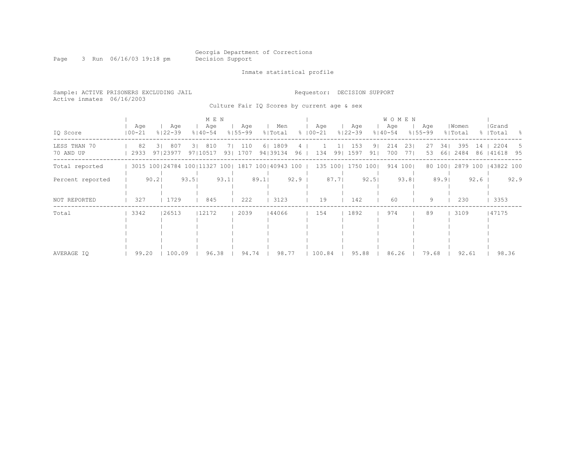Page 3 Run 06/16/03 19:18 pm Decision Support

Inmate statistical profile

| Sample: ACTIVE PRISONERS EXCLUDING JAIL<br>Active inmates | 06/16/2003     |                       |                                                         |                                             |                      |        | Requestor:       | DECISION SUPPORT                 |                      |                                    |            |                       |                  |      |                    |         |
|-----------------------------------------------------------|----------------|-----------------------|---------------------------------------------------------|---------------------------------------------|----------------------|--------|------------------|----------------------------------|----------------------|------------------------------------|------------|-----------------------|------------------|------|--------------------|---------|
|                                                           |                |                       |                                                         | Culture Fair IQ Scores by current age & sex |                      |        |                  |                                  |                      |                                    |            |                       |                  |      |                    |         |
| IQ Score                                                  | Age<br>  00-21 | Age<br>$8122 - 39$    | MEN<br>Age<br>$8140 - 54$                               | Age<br>୫∣55-99                              | Men<br>% Total       |        | Age<br>୫   00−21 | Age<br>$8122 - 39$               |                      | <b>WOMEN</b><br>Age<br>$8140 - 54$ | ୫∣55-99    | Aqe                   | Women<br>% Total |      | Grand<br>%   Total | - 옹     |
| LESS THAN 70<br>70 AND UP                                 | 82<br>2933     | 807<br>31<br>97123977 | 810<br>31<br>97   10517                                 | 7   110<br>93  1707                         | 6   1809<br>94 39134 | 41     | 96   134         | 153<br>1 <sup>1</sup><br>99 1597 | 9 <sub>1</sub><br>91 | 214<br>700                         | 231<br>771 | 27<br>34<br>661<br>53 | 395<br>2484      | 14   | 2204<br>86   41618 | 5<br>95 |
| Total reported                                            |                |                       | 3015 100   24784 100   11327 100   1817 100   40943 100 |                                             |                      |        |                  | 135 100  1750                    | 1001                 | 914 1001                           |            | 80 100                | 2879 100         |      | 143822 100         |         |
| Percent reported                                          |                | 90.21                 | 93.51                                                   | $93.1$                                      | 89.1                 | $92.9$ |                  | 87.7                             | 92.5                 |                                    | 93.81      | 89.9                  |                  | 92.6 |                    | 92.9    |
| NOT REPORTED                                              | 327            | 1729                  | 845                                                     | 222                                         | 3123                 |        | 19               | 142                              |                      | 60                                 |            | 9                     | 230              |      | 3353               |         |
| Total                                                     | 3342           | 26513                 | 12172                                                   | 2039                                        | 44066                |        | 154              | 1892                             |                      | 974                                |            | 89                    | 3109             |      | 47175              |         |

 | | | | | | | | | | | | | | | | | | | | | | AVERAGE IQ | 99.20 | 100.09 | 96.38 | 94.74 | 98.77 | 100.84 | 95.88 | 86.26 | 79.68 | 92.61 | 98.36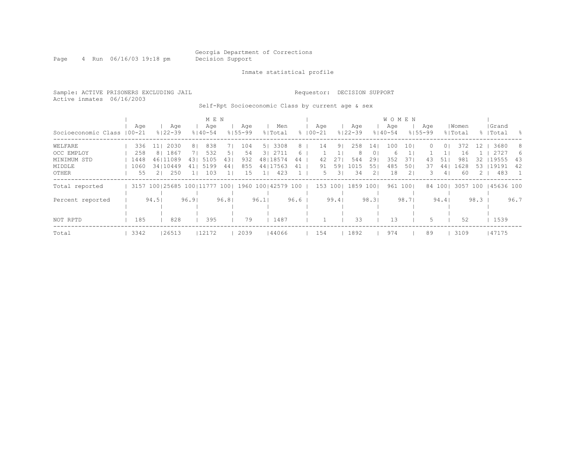Page 4 Run 06/16/03 19:18 pm Decision Support

Inmate statistical profile

Sample: ACTIVE PRISONERS EXCLUDING JAIL Requestor: DECISION SUPPORT Active inmates 06/16/2003 Self-Rpt Socioeconomic Class by current age & sex

|                            |      |                          |       |                | M E N |       |             |      |                    |      |             |                     |             |                | <b>WOMEN</b> |          |             |         |          |      |           |      |
|----------------------------|------|--------------------------|-------|----------------|-------|-------|-------------|------|--------------------|------|-------------|---------------------|-------------|----------------|--------------|----------|-------------|---------|----------|------|-----------|------|
|                            | Aqe  |                          | Aqe   |                | Age   |       | Age         |      | Men                |      | Age         |                     | Age         |                | Age          |          | Aqe         |         | Women    |      | Grand     |      |
| Socioeconomic Class 100-21 |      | $8122 - 39$              |       | $8140 - 54$    |       |       | $8155 - 99$ |      | % Total            |      | $8100 - 21$ |                     | $8122 - 39$ |                | $8140 - 54$  |          | $8155 - 99$ |         | % Total  |      | %   Total | - 옹  |
| WELFARE                    | 336  | 11                       | 2030  | 8 <sub>1</sub> | 838   | 71    | 104         |      | 5   3308           | 8    | 14          | 91                  | 258         | 141            | 100          | 10       | $\Omega$    | 0 I     | 372      | 12   | 3680      | -8   |
| OCC EMPLOY                 | 258  | -81                      | 1867  |                | 532   | 51    | 54          |      | 3 2711             | 6    |             |                     | 8           | 0              | h            |          |             |         | 16       |      | 2727      | 6    |
| MINIMUM STD                | 1448 | 46 11089                 |       | 431            | 5105  | 431   | 932         |      | 48   18574         | 44   | 42          | 27                  | 544         | 291            | 352          | 37       | 43          | 51      | 981      | 32.  | 19555     | -43  |
| MIDDLE                     | 1060 | 34110449                 |       | 41             | 5199  | 44    | 855         |      | 44   17563         | 41   | 91          | 591                 | 1015        | 551            | 485          | 50       | 37          | 441     | 1628     | 53   | 19191     | 42   |
| OTHER                      | 55   |                          | 250   |                | 103   |       | 15          |      | 423                |      |             | 3 <sup>1</sup><br>5 | 34          | 2 <sub>1</sub> | 18           |          | 3.          | 41      | 60       |      | 483       |      |
| Total reported             |      | 3157 100 25685 100 11777 |       |                |       | 1001  |             |      | 1960 100 42579 100 |      |             | 153 1001            | 1859        | 1001           |              | 961 1001 |             | 84 1001 | 3057 100 |      | 45636 100 |      |
|                            |      |                          |       |                |       |       |             |      |                    |      |             |                     |             |                |              |          |             |         |          |      |           |      |
| Percent reported           |      | 94.5                     |       | 96.91          |       | 96.81 |             | 96.1 |                    | 96.6 |             | 99.4                |             | 98.3           |              | 98.71    |             | 94.4    |          | 98.3 |           | 96.7 |
|                            |      |                          |       |                |       |       |             |      |                    |      |             |                     |             |                |              |          |             |         |          |      |           |      |
|                            |      |                          |       |                |       |       |             |      |                    |      |             |                     |             |                |              |          |             |         |          |      |           |      |
| NOT RPTD                   | 185  |                          | 828   |                | 395   |       | 79          |      | 1487               |      |             |                     | 33          |                | 1.3          |          | 5.          |         | 52       |      | 1539      |      |
| Total                      | 3342 |                          | 26513 |                | 12172 |       | 2039        |      | 44066              |      | 154         |                     | 1892        |                | 974          |          | 89          |         | 3109     |      | 47175     |      |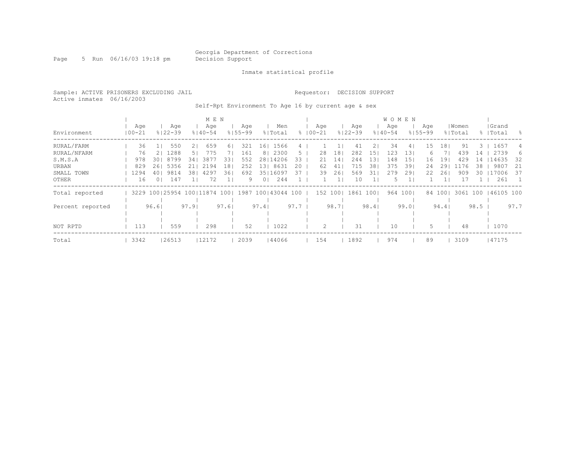Page 5 Run 06/16/03 19:18 pm Decision Support

Inmate statistical profile

Sample: ACTIVE PRISONERS EXCLUDING JAIL Requestor: DECISION SUPPORT Active inmates 06/16/2003

Self-Rpt Environment To Age 16 by current age & sex

|                        |                   |                            | M E N                        |                                      |                         |           |                    |                          |                  | <b>WOMEN</b>       |              |                    |                  |                         |                    |            |
|------------------------|-------------------|----------------------------|------------------------------|--------------------------------------|-------------------------|-----------|--------------------|--------------------------|------------------|--------------------|--------------|--------------------|------------------|-------------------------|--------------------|------------|
| Environment            | Age<br>$100 - 21$ | Aqe<br>$8122 - 39$         | Age<br>$8140 - 54$           | Aqe<br>$8155 - 99$                   | Men<br>% Total          |           | Age<br>$8100 - 21$ | Age<br>$8122 - 39$       |                  | Age<br>$8140 - 54$ |              | Aqe<br>$8155 - 99$ | Women<br>% Total |                         | Grand<br>%   Total | - 옹        |
| RURAL/FARM             | 36                | 550                        | 659<br>2 <sub>1</sub>        | 321<br>61                            | 16 <sub>1</sub><br>1566 | 4         |                    |                          | 41<br>21         | 34                 | 41           | 15                 | 181              | 91<br>3.                | 1657               | 4          |
| RURAL/NFARM<br>S.M.S.A | 76<br>978         | 1288<br>21<br>8799<br>301  | 775<br>51<br>3877<br>34      | 161<br>331<br>552                    | 8   2300<br>28   14206  | 5.<br>33  | 28<br>21           | 181<br>282<br>244<br>141 | 151<br>131       | 123<br>148         | 13<br>151    | 6.<br>16           | 19               | 439<br>14<br>429<br>14  | 2739<br>14635      | 6<br>32    |
| URBAN<br>SMALL TOWN    | 829<br>1294       | 5356<br>261<br>9814<br>401 | 2194<br>2 L I<br>4297<br>381 | 18 <sup>1</sup><br>252<br>361<br>692 | 13  8631<br>35   16097  | 2.0<br>37 | 62<br>39           | 41 <br>715<br>261        | 381<br>569<br>31 | 375<br>279         | 391<br>291   | 24<br>22           | 291<br>261       | 1176<br>38<br>909<br>30 | 9807<br>117006     | -21<br>-37 |
| OTHER                  | 16                | 147<br>$\Omega$            | 72                           | 9                                    | 0 <sub>1</sub><br>244   |           |                    | 1 <sup>1</sup>           | 10               | 5.                 | $\mathbf{1}$ |                    |                  | 17                      | 261                |            |
| Total reported         |                   |                            | 3229 100 25954 100 11874 100 |                                      | 1987 100 43044 100      |           | 152 100            | 1861                     | 1001             | 964                | 1001         | 84 100             |                  | 3061 100                | 46105 100          |            |
| Percent reported       |                   | 96.61                      | 97.91                        | 97.61                                | 97.4                    | 97.7      |                    | 98.71                    | 98.4             |                    | 99.01        |                    | 94.4             | 98.5                    |                    | 97.7       |
| NOT RPTD               | 113               | 559                        | 298                          | 52                                   | 1022                    |           | 2                  |                          | 31               | 10                 |              | 5                  |                  | 48                      | 1070               |            |
| Total                  | 3342              | 26513                      | 12172                        | 2039                                 | 44066                   |           | 154                | 1892                     |                  | 974                |              | 89                 |                  | 3109                    | 47175              |            |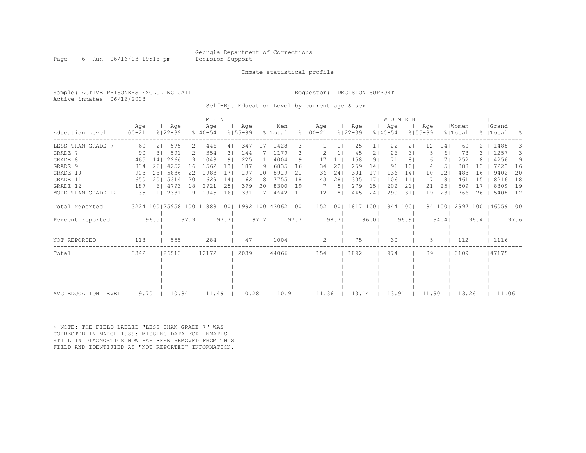Page 6 Run 06/16/03 19:18 pm Decision Support

#### Inmate statistical profile

Sample: ACTIVE PRISONERS EXCLUDING JAIL **Requestor: DECISION SUPPORT** Active inmates 06/16/2003

Self-Rpt Education Level by current age & sex

|                        |                   |                 |                                                     |      | MEN                |                 |                    |                 |                |            |                    |                |                    |                 | <b>WOMEN</b>       |          |                    |                 |                  |          |                    |      |
|------------------------|-------------------|-----------------|-----------------------------------------------------|------|--------------------|-----------------|--------------------|-----------------|----------------|------------|--------------------|----------------|--------------------|-----------------|--------------------|----------|--------------------|-----------------|------------------|----------|--------------------|------|
| Education Level        | Aqe<br>$100 - 21$ |                 | Aqe<br>$8122 - 39$                                  |      | Aqe<br>$8140 - 54$ |                 | Aqe<br>$8155 - 99$ |                 | Men<br>% Total |            | Aqe<br>$8100 - 21$ |                | Aqe<br>$8122 - 39$ |                 | Age<br>$8140 - 54$ |          | Aqe<br>$8155 - 99$ |                 | Women<br>% Total |          | Grand<br>%   Total | - 옹  |
| LESS THAN GRADE        | 60                | 21              | 575                                                 | 21   | 446                | 4               | 347                |                 | 17  1428       | 3.         |                    |                | 25                 |                 | 22                 | 21       | 12                 | 14 <sub>1</sub> | 60               | $2 \mid$ | 1488               | З.   |
| GRADE 7                | 90                | 31              | 591                                                 | 21   | 354                | 31              | 144                | 71              | 1179           | З.         |                    |                | 45                 | 21              | 26                 | 31       |                    | 61              | 78               |          | 1257               | З.   |
| GRADE 8                | 465               | 14 <sub>1</sub> | 2266                                                |      | 9   1048           | 9 <sub>1</sub>  | 225                | 11 <sub>1</sub> | 4004           | 9          | 17                 | 11             | 158                | 9 <sub>1</sub>  | 71                 | 81       | 6                  |                 | 252              |          | 4256               | 9    |
| GRADE 9                | 834               | 261             | 4252                                                | 161  | 1562               | 131             | 187                | 91              | 6835           | 16         | 34                 | 22             | 259                | 14 <sub>1</sub> | 91                 | 101      |                    | 51              | 388              | 13       | 7223               | 16   |
| GRADE 10               | 903               | 281             | 5836                                                | 221  | 1983               | 171             | 197                | 101             | 8919           | 21         | 36                 | 241            | 301                | 171             | 136                | 14       | 10                 | 121             | 483              | 16       | 9402               | 20   |
| GRADE 11               | 650               |                 | 20   5314                                           | 201  | 1629               | 14 <sub>1</sub> | 162                | 8 <sub>1</sub>  | 7755           | 18         | 43                 | 281            | 305                | 171             | 106                | 11       |                    | 81              | 461              | 15       | 8216               | 18   |
| GRADE 12               | 187               |                 | 6   4793                                            | 181  | 2921               | 251             | 399                | 201             | 8300           | 19         |                    | 5 <sub>1</sub> | 279                | 151             | 202                | 211      | 21                 | 251             | 509              | -17      | 8809               | 19   |
| MORE THAN GRADE<br>-12 | 35                |                 | 112331                                              |      | 91 1945            | 16              | 331                | 171             | 4642           |            | 12                 | 8 <sub>1</sub> | 445                | 241             | 290                | 31       | 19                 | 231             | 766              | 26       | 5408               | 12   |
| Total reported         |                   |                 | 3224 100 25958 100 11888 100   1992 100   43062 100 |      |                    |                 |                    |                 |                |            |                    |                | 152 100  1817 100  |                 |                    | 944 1001 |                    | 84 100          | 2997 100         |          | 146059 100         |      |
| Percent reported       | 96.5              |                 |                                                     | 97.9 |                    | 97.7            |                    | 97.7            |                | $97.7 \pm$ |                    | 98.71          |                    | 96.01           |                    | 96.9     |                    | 94.4            |                  | $96.4$   |                    | 97.6 |
| NOT REPORTED           | 118               |                 | 555                                                 |      | 284                |                 | 47                 |                 | 1004           |            | 2                  |                | 75                 |                 | 30                 |          | 5.                 |                 | 112              |          | 1116               |      |
| Total                  | 3342              |                 | 26513                                               |      | 12172              |                 | 2039               |                 | 144066         |            | 154                |                | 1892               |                 | 974                |          | 89                 |                 | 3109             |          | 147175             |      |
|                        |                   |                 |                                                     |      |                    |                 |                    |                 |                |            |                    |                |                    |                 |                    |          |                    |                 |                  |          |                    |      |
|                        |                   |                 |                                                     |      |                    |                 |                    |                 |                |            |                    |                |                    |                 |                    |          |                    |                 |                  |          |                    |      |
|                        |                   |                 |                                                     |      |                    |                 |                    |                 |                |            |                    |                |                    |                 |                    |          |                    |                 |                  |          |                    |      |
|                        |                   |                 |                                                     |      |                    |                 |                    |                 |                |            |                    |                |                    |                 |                    |          |                    |                 |                  |          |                    |      |
| AVG EDUCATION LEVEL    | 9.70              |                 | 10.84                                               |      | 11.49              |                 | 10.28              |                 | 10.91          |            | 11.36              |                | 13.14              |                 | 13.91              |          | 11.90              |                 | 13.26            |          | 11.06              |      |

\* NOTE: THE FIELD LABLED "LESS THAN GRADE 7" WAS CORRECTED IN MARCH 1989: MISSING DATA FOR INMATES STILL IN DIAGNOSTICS NOW HAS BEEN REMOVED FROM THIS FIELD AND IDENTIFIED AS "NOT REPORTED" INFORMATION.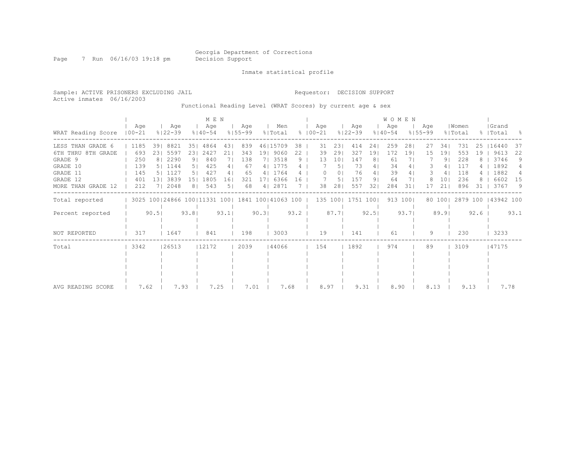Page 7 Run 06/16/03 19:18 pm Decision Support

Inmate statistical profile

Active inmates 06/16/2003

Sample: ACTIVE PRISONERS EXCLUDING JAIL Requestor: DECISION SUPPORT

Functional Reading Level (WRAT Scores) by current age & sex

|                    |                   |                 |                                                         |                |                    |      |                    |       |                |      | WOMEN                |                 |                    |                |                    |          |                    |        |                  |      |                    |      |
|--------------------|-------------------|-----------------|---------------------------------------------------------|----------------|--------------------|------|--------------------|-------|----------------|------|----------------------|-----------------|--------------------|----------------|--------------------|----------|--------------------|--------|------------------|------|--------------------|------|
| WRAT Reading Score | Aqe<br>$100 - 21$ |                 | Age<br>$8122 - 39$                                      |                | Age<br>$8140 - 54$ |      | Age<br>$8155 - 99$ |       | Men<br>% Total |      | Aqe<br>$8   00 - 21$ |                 | Aqe<br>$8122 - 39$ |                | Age<br>$8140 - 54$ |          | Aqe<br>$8155 - 99$ |        | Women<br>% Total |      | Grand<br>%   Total | - 옹  |
| LESS THAN GRADE 6  | 1185              | 39 <sub>1</sub> | 8821                                                    | 351            | 4864               | 431  | 839                |       | 46   15709     | 38   | 31                   | 231             | 414                | 241            | 259                | 281      | 27                 | 341    | 731              | 25   | 16440              | 37   |
| 6TH THRU 8TH GRADE | 693               |                 | 23  5597                                                | 231            | 2427               | 21   | 343                |       | 19  9060       | 22   | 39                   | 291             | 327                | 191            | 172                | 191      | 15                 | 191    | 553              | 19   | 9613               | 22   |
| GRADE 9            | 250               |                 | 8   2290                                                | 9 <sub>1</sub> | 840                |      | 138                |       | 7  3518        | 9    | 13                   | 10 <sub>1</sub> | 147                | 8 <sub>1</sub> | 61                 |          |                    | 91     | 228              |      | 3746               | 9    |
| GRADE 10           | 139               |                 | 5   1144                                                | 51             | 425                | 4    | 67                 |       | 4   1775       |      |                      | 5 <sub>1</sub>  | 73                 | 4 I            | 34                 | 41       |                    | 41     | 117              |      | 1892               |      |
| GRADE 11           | 145               |                 | 5   1127                                                | 5              | 427                | 4    | 65                 | 4     | 1764           |      |                      | 0 <sub>1</sub>  | 76                 | 41             | 39                 | 41       |                    | 4      | 118              |      | 1882               | 4    |
| GRADE 12           | 401               | 131             | 3839                                                    | 151            | 1805               | 161  | 321                |       | 6366           | 16   |                      | 5.              | 157                | 9 <sub>1</sub> | 64                 |          |                    | 101    | 236              |      | 6602               | 15   |
| MORE THAN GRADE 12 | 212               |                 | 2048                                                    | 8 <sub>1</sub> | 543                | 51   | 68                 | 4     | 2871           |      | 38                   | 28              | 557                | 32             | 284                | 31       | 17                 | 2.1    | 896              | 31   | 3767               | 9    |
| Total reported     |                   |                 | 3025 100   24866 100   11331 100   1841 100   41063 100 |                |                    |      |                    |       |                |      |                      |                 | 135 100  1751 100  |                |                    | 913 1001 |                    | 80 100 | 2879 100         |      | 143942 100         |      |
| Percent reported   |                   | 90.5            |                                                         | 93.81          |                    | 93.1 |                    | 90.31 |                | 93.2 |                      | 87.7            |                    | 92.5           |                    | 93.71    |                    | 89.9   |                  | 92.6 |                    | 93.1 |
| NOT REPORTED       | 317               |                 | 1647                                                    |                | 841                |      | 198                |       | 3003           |      | 19                   |                 | 141                |                | 61                 |          | 9                  |        | 230              |      | 3233               |      |
| Total              | 3342              |                 | 26513                                                   |                | 12172              |      | 2039               |       | 144066         |      | 154                  |                 | 1892               |                | 974                |          | 89                 |        | 3109             |      | 47175              |      |
|                    |                   |                 |                                                         |                |                    |      |                    |       |                |      |                      |                 |                    |                |                    |          |                    |        |                  |      |                    |      |
|                    |                   |                 |                                                         |                |                    |      |                    |       |                |      |                      |                 |                    |                |                    |          |                    |        |                  |      |                    |      |
|                    |                   |                 |                                                         |                |                    |      |                    |       |                |      |                      |                 |                    |                |                    |          |                    |        |                  |      |                    |      |
|                    |                   |                 |                                                         |                |                    |      |                    |       |                |      |                      |                 |                    |                |                    |          |                    |        |                  |      |                    |      |
|                    |                   |                 |                                                         |                |                    |      |                    |       |                |      |                      |                 |                    |                |                    |          |                    |        |                  |      |                    |      |
| AVG READING SCORE  | 7.62              |                 | 7.93                                                    |                | 7.25               |      | 7.01               |       | 7.68           |      | 8.97                 |                 | 9.31               |                | 8.90               |          | 8.13               |        | 9.13             |      | 7.78               |      |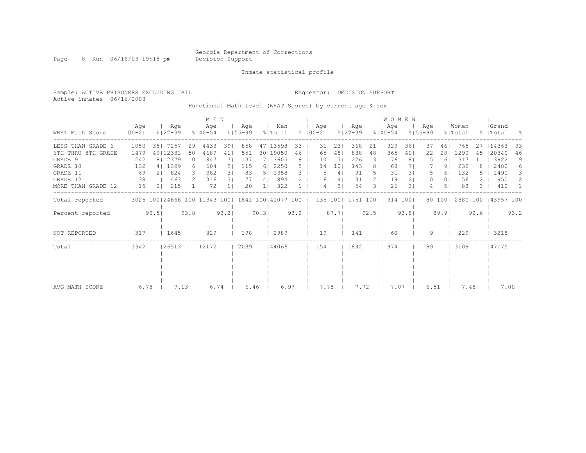Page 8 Run 06/16/03 19:18 pm Decision Support

Inmate statistical profile

Sample: ACTIVE PRISONERS EXCLUDING JAIL Requestor: DECISION SUPPORT Active inmates 06/16/2003

Functional Math Level (WRAT Scores) by current age & sex

|                    | M E N             |                |                                                         |       |                    |      |                    |       |                |      |               |         |                 |                    |                | WOMEN              |          |                    |        |                  |      |                    |      |
|--------------------|-------------------|----------------|---------------------------------------------------------|-------|--------------------|------|--------------------|-------|----------------|------|---------------|---------|-----------------|--------------------|----------------|--------------------|----------|--------------------|--------|------------------|------|--------------------|------|
| WRAT Math Score    | Age<br>$100 - 21$ |                | Aqe<br>$8122 - 39$                                      |       | Age<br>$8140 - 54$ |      | Aqe<br>$8155 - 99$ |       | Men<br>% Total |      | $8   00 - 21$ | Aqe     |                 | Age<br>$8122 - 39$ |                | Age<br>$8140 - 54$ |          | Aqe<br>$8155 - 99$ |        | Women<br>% Total |      | Grand<br>%   Total | - 옹  |
| LESS THAN GRADE 6  | 1050              | 351            | 7257                                                    |       | 29   4433          | 391  | 858                |       | 47113598       | 33   |               | 31      | 23              | 368                | 21             | 329                | 361      | 37                 | 461    | 765              | 27   | 14363              | 33   |
| 6TH THRU 8TH GRADE | 1479              |                | 49   12331                                              | 501   | 4689               | 41   | 551                |       | 30   19050     | 46   |               | 65      | 48              | 838                | 48             | 365                | 40       | 22                 | 281    | 1290             | 45   | 120340             | 46   |
| GRADE 9            | 242               |                | 8   2379                                                | 101   | 847                |      | 137                |       | 7  3605        | 9    |               | 10      | 7 <sub>1</sub>  | 226                | 131            | 76                 | 81       |                    | 61     | 317              | 11   | 3922               | 9    |
| GRADE 10           | 132               |                | 4   1399                                                | 61    | 604                | 51   | 115                | 61    | 2250           | 5.   |               | 14      | 10 <sub>1</sub> | 143                | 8 <sup>1</sup> | 68                 |          |                    | 91     | 232              |      | 2482               | 6    |
| GRADE 11           | 69                |                | 824                                                     | 31    | 382                | 31   | 83                 | 51    | 1358           | 3.   |               | 5       | 4 <sub>1</sub>  | 91                 | 5 <sub>1</sub> | 31                 | 31       |                    | 61     | 132              |      | 1490               | 3    |
| GRADE 12           | 38                |                | 463                                                     | 21    | 316                | 31   | 77                 | 41    | 894            |      |               | 6       | 4               | 31                 | 21             | 19                 | 21       | 0                  | 01     | 56               |      | 950                | 2    |
| MORE THAN GRADE 12 | 15                | 0 <sub>1</sub> | 215                                                     |       | 72                 |      | 20                 |       | 322            |      |               |         | 31              | 54                 | 31             | 26                 | 31       | 4                  | 51     | 88               | 3.   | 410                |      |
| Total reported     |                   |                | 3025 100   24868 100   11343 100   1841 100   41077 100 |       |                    |      |                    |       |                |      |               | 135 100 |                 | 1751 1001          |                |                    | 914 1001 |                    | 80 100 | 2880 100         |      | 143957 100         |      |
| Percent reported   |                   | 90.5           |                                                         | 93.81 |                    | 93.2 |                    | 90.31 |                | 93.2 |               |         | 87.7            |                    | 92.51          |                    | 93.81    |                    | 89.9   |                  | 92.6 |                    | 93.2 |
| NOT REPORTED       | 317               |                | 1645                                                    |       | 829                |      | 198                |       | 2989           |      |               | 19      |                 | 141                |                | 60                 |          | 9                  |        | 229              |      | 3218               |      |
| Total              | 3342              |                | 26513                                                   |       | 12172              |      | 2039               |       | 144066         |      |               | 154     |                 | 1892               |                | 974                |          | 89                 |        | 3109             |      | 47175              |      |
|                    |                   |                |                                                         |       |                    |      |                    |       |                |      |               |         |                 |                    |                |                    |          |                    |        |                  |      |                    |      |
|                    |                   |                |                                                         |       |                    |      |                    |       |                |      |               |         |                 |                    |                |                    |          |                    |        |                  |      |                    |      |
|                    |                   |                |                                                         |       |                    |      |                    |       |                |      |               |         |                 |                    |                |                    |          |                    |        |                  |      |                    |      |
|                    |                   |                |                                                         |       |                    |      |                    |       |                |      |               |         |                 |                    |                |                    |          |                    |        |                  |      |                    |      |
| AVG MATH SCORE     | 6.78              |                | 7.13                                                    |       | 6.74               |      | 6.46               |       | 6.97           |      |               | 7.78    |                 | 7.72               |                | 7.07               |          | 6.51               |        | 7.48             |      | 7.00               |      |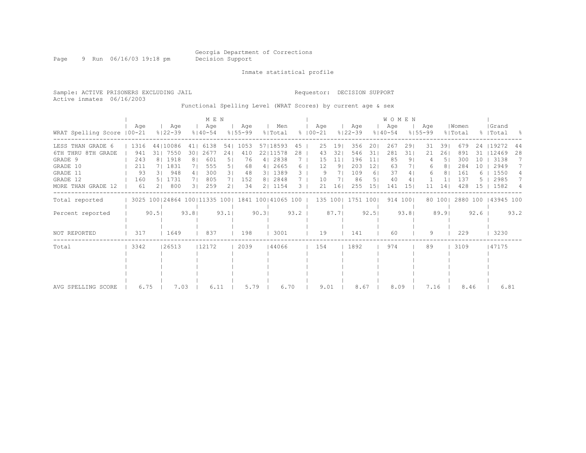Page 9 Run 06/16/03 19:18 pm Decision Support

Inmate statistical profile

Sample: ACTIVE PRISONERS EXCLUDING JAIL Requestor: DECISION SUPPORT Active inmates 06/16/2003 Functional Spelling Level (WRAT Scores) by current age & sex

 | M E N | W O M E N | | Age | Age | Age | Age | Men | Age | Age | Age | Age |Women |Grand WRAT Spelling Score |00-21 %|22-39 %|40-54 %|55-99 %|Total % |00-21 %|22-39 %|40-54 %|55-99 %|Total % |Total % ------------------------------------------------------------------------------------------------------------------------------------ LESS THAN GRADE 6 | 1316 44|10086 41| 6138 54| 1053 57|18593 45 | 25 19| 356 20| 267 29| 31 39| 679 24 |19272 44 6TH THRU 8TH GRADE | 941 31| 7550 30| 2677 24| 410 22|11578 28 | 43 32| 546 31| 281 31| 21 26| 891 31 |12469 28 GRADE 9 | 243 8 | 1918 8 | 601 5 | 76 4 | 2838 7 | 15 11 | 196 11 | 85 9 | 4 5 | 300 10 | 3138 7<br>| 211 7 | 1831 7 | 555 5 | 68 4 | 2665 6 | 12 9 | 203 12 | 63 7 | 6 8 | 284 10 | 2949 7 GRADE 10 | 211 7| 1831 7| 555 5| 68 4| 2665 6 | 12 9| 203 12| 63 7| 6 8| 284 10 | 2949 7 GRADE 11 | 93 3| 948 4| 300 3| 48 3| 1389 3 | 9 7| 109 6| 37 4| 6 8| 161 6 | 1550 4 GRADE 12 | 160 5| 1731 7| 805 7| 152 8| 2848 7 | 10 7| 86 5| 40 4| 1 1| 137 5 | 2985 7 MORE THAN GRADE 12 | 61 2| 800 3| 259 2| 34 2| 1154 3 | 21 16| 255 15| 141 15| 11 14| 428 15 | 1582 4 ------------------------------------------------------------------------------------------------------------------------------------ Total reported | 3025 100|24864 100|11335 100| 1841 100|41065 100 | 135 100| 1751 100| 914 100| 80 100| 2880 100 |43945 100 | | | | | | | | | | | Percent reported | 90.5| 93.8| 93.1| 90.3| 93.2 | 87.7| 92.5| 93.8| 89.9| 92.6 | 93.2<br>| | | | | | | | | | | | | | | | | | | | | | | | | | | | | | | | | | | | | | NOT REPORTED | 317 | 1649 | 837 | 198 | 3001 | 19 | 141 | 60 | 9 | 229 | 3230 ------------------------------------------------------------------------------------------------------------------------------------ Total | 3342 |26513 |12172 | 2039 |44066 | 154 | 1892 | 974 | 89 | 3109 |47175 | | | | | | | | | | | | | | | | | | | | | | | | | | | | | | | | | | | | | | | | | | | | | | | | | | | | | | | AVG SPELLING SCORE | 6.75 | 7.03 | 6.11 | 5.79 | 6.70 | 9.01 | 8.67 | 8.09 | 7.16 | 8.46 | 6.81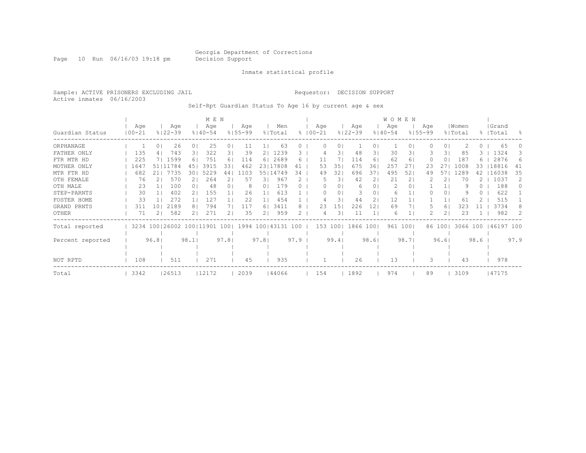Page 10 Run 06/16/03 19:18 pm Decision Support

#### Inmate statistical profile

Sample: ACTIVE PRISONERS EXCLUDING JAIL Requestor: DECISION SUPPORT Active inmates 06/16/2003

Self-Rpt Guardian Status To Age 16 by current age & sex

|                  |            |                          |       |                | M E N              |                |                    |                |                  |      |                    |          |             |      |                | WOMEN              |       |                    |                |          |      |           |                |
|------------------|------------|--------------------------|-------|----------------|--------------------|----------------|--------------------|----------------|------------------|------|--------------------|----------|-------------|------|----------------|--------------------|-------|--------------------|----------------|----------|------|-----------|----------------|
|                  | Age        | $8122 - 39$              | Age   |                | Age<br>$8140 - 54$ |                | Age<br>$8155 - 99$ |                | Men              |      | Age<br>$8100 - 21$ |          |             | Age  |                | Age<br>$8140 - 54$ |       | Age<br>$8155 - 99$ |                | Women    |      | Grand     | $\frac{6}{10}$ |
| Guardian Status  | $100 - 21$ |                          |       |                |                    |                |                    |                | % Total          |      |                    |          | $8122 - 39$ |      |                |                    |       |                    |                | % Total  |      | %   Total |                |
| ORPHANAGE        |            | 0                        | 26    | 0 <sup>1</sup> | 25                 | 0 <sub>1</sub> | 11                 |                | 63               |      |                    |          | 0           |      | 0.             |                    | 0     |                    | $\circ$        |          | ()   | 65        |                |
| FATHER ONLY      | 135        | 4 <sub>1</sub>           | 743   | 31             | 322                | 31             | 39                 | 21             | 1239             | 3    |                    |          | 3           | 48   | 31             | 30                 | 31    |                    | 31             | 85       | 3.   | 1324      | 3              |
| FTR MTR HD       | 225        | 7  1599                  |       | 61             | 751                | 61             | 114                | 6 <sub>1</sub> | 2689             | 6    | 11                 |          |             | 114  | 61             | 62                 | 6     |                    | 0 <sub>1</sub> | 187      | 6.   | 2876      | 6              |
| MOTHER ONLY      | 1647       | 51 11784                 |       | 45             | 3915               | 33             | 462                |                | 23   17808       | 41   |                    | 35<br>53 |             | 675  | 36             | 257                | 27    | 23                 |                | 1008     | 33   | 18816     | 41             |
| MTR FTR HD       | 682        | 211                      | 7735  | 301            | 5229               | 44             | 1103               |                | 55   14749       | 34   |                    | 32<br>49 |             | 696  | 37             | 495                | 52    | 49                 |                | 1289     | 42   | 16038     | 35             |
| OTH FEMALE       | 76         |                          | 570   |                | 264                |                | 57                 | 31             | 967              |      |                    |          | 31          | 42   | $\overline{2}$ | 21                 |       |                    |                | 70       |      | 1037      | $\mathcal{L}$  |
| OTH MALE         | 23         |                          | 100   | 0 <sub>1</sub> | 48                 | 0 <sub>1</sub> | 8                  | 0              | 179              |      |                    |          | $\circ$     | 6    | 01             |                    | 0     |                    |                | 9        | 0    | 188       | $\Omega$       |
| STEP-PARNTS      | 30         |                          | 402   | 21             | 155                | 11             | 26                 |                | 613              |      |                    |          | 0           | 3    | 0              | 6                  |       |                    | $\circ$        |          |      | 622       |                |
| FOSTER HOME      | 33         |                          | 272   | 1 <sup>1</sup> | 127                |                | 22                 |                | 454              |      |                    |          | 3           | 44   | $\overline{2}$ | 12                 |       |                    |                | 61       |      | 515       |                |
| GRAND PRNTS      | 311        | 10                       | 2189  | 81             | 794                |                | 117                | 6              | 3411             | 8    |                    | 23<br>15 |             | 226  | 12             | 69                 |       |                    | 6              | 323      |      | 3734      |                |
| <b>OTHER</b>     | 71         |                          | 582   | 21             | 271                |                | 35                 | 2.             | 959              |      |                    |          | 3           | 11   |                | 6                  |       |                    | 2 <sub>1</sub> | 23       |      | 982       | $\mathcal{L}$  |
| Total reported   |            | 3234 100 26002 100 11901 |       |                |                    | 1001           |                    |                | 1994 100   43131 | 100  |                    | 153 100  |             | 1866 | 1001           | 961                | 1001  |                    | 86 100         | 3066 100 |      | 46197 100 |                |
|                  |            |                          |       |                |                    |                |                    |                |                  |      |                    |          |             |      |                |                    |       |                    |                |          |      |           |                |
| Percent reported |            | 96.8                     |       | 98.1           |                    | 97.8           |                    | 97.8           |                  | 97.9 |                    | 99.4     |             |      | 98.61          |                    | 98.71 |                    | 96.61          |          | 98.6 |           | 97.9           |
|                  |            |                          |       |                |                    |                |                    |                |                  |      |                    |          |             |      |                |                    |       |                    |                |          |      |           |                |
| NOT RPTD         | 108        |                          | 511   |                | 271                |                | 45                 |                | 935              |      |                    |          |             | 26   |                | 13                 |       | 3                  |                | 43       |      | 978       |                |
| Total            | 3342       |                          | 26513 |                | 12172              |                | 2039               |                | 144066           |      | 154                |          |             | 1892 |                | 974                |       | 89                 |                | 3109     |      | 47175     |                |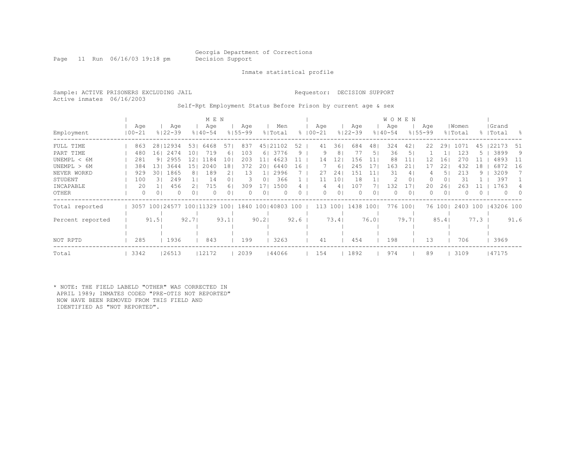Page 11 Run 06/16/03 19:18 pm Decision Support

Inmate statistical profile

Active inmates 06/16/2003

#### Sample: ACTIVE PRISONERS EXCLUDING JAIL Requestor: DECISION SUPPORT

Self-Rpt Employment Status Before Prison by current age & sex

|                            |                   |                |                                             | M E N                  |                    |                       |                    |                                   |                    |         |             |         |              |                    | <b>WOMEN</b> |                    |                      |                    |                       |                  |                  |                    |           |
|----------------------------|-------------------|----------------|---------------------------------------------|------------------------|--------------------|-----------------------|--------------------|-----------------------------------|--------------------|---------|-------------|---------|--------------|--------------------|--------------|--------------------|----------------------|--------------------|-----------------------|------------------|------------------|--------------------|-----------|
| Employment                 | Age<br>$100 - 21$ |                | Age<br>$8122 - 39$                          |                        | Aqe<br>$8140 - 54$ |                       | Age<br>$8155 - 99$ |                                   | Men<br>% Total     |         | $8100 - 21$ | Aqe     |              | Age<br>$8122 - 39$ |              | Age<br>$8140 - 54$ |                      | Age<br>$8155 - 99$ |                       | Women<br>% Total |                  | Grand<br>%   Total | - 옹       |
| FULL TIME<br>PART TIME     | 480               | 863<br>161     | 28   12934<br>2474                          | 531<br>10 <sup>1</sup> | 6468<br>719        | 57 <sub>1</sub><br>61 | 837<br>103         | 61                                | 45   21102<br>3776 | 52<br>9 |             | 41<br>9 | 36<br>8      | 684<br>77          | 48<br>5.     | 324<br>36          | 421<br>5             | 22                 | 291                   | 1071<br>123      | 45               | 22173<br>3899      | -51<br>9  |
| UNEMPL < 6M<br>UNEMPL > 6M | 281<br>384        | 131            | 2955<br>9 <sub>1</sub><br>3644              | $\mathcal{L}$          | 1184<br>2040       | 10<br>181             | 203<br>372         | 11<br>201                         | 4623<br>6440       | 16      |             | 14      | L2<br>6      | 156<br>245         | ŦΤ           | 88<br>1 6.3        | 11<br>21             |                    | 16                    | 432              | 18               | 4893<br>6872       | -11<br>16 |
| NEVER WORKD<br>STUDENT     | 929               | 301<br>100     | 1865<br>249<br>31                           | 81                     | 189<br>14          | () I                  | 13<br>3            | 01                                | 2996<br>366        |         |             | 27      | 24<br>10     | 151<br>18          |              | 31                 | 4<br>0               |                    | 5.<br>01              | 213<br>31        | 9.               | 3209<br>397        |           |
| INCAPABLE<br>OTHER         |                   | 20<br>$\Omega$ | 456<br>0<br>$\Omega$                        | 0 <sup>1</sup>         | 715<br>0           | 61<br>0 <sub>1</sub>  | 309                | 17 <sub>1</sub><br>0 <sub>1</sub> | 1500<br>0          | 0       |             | 0       | 4<br>$\circ$ | 107<br>$\Omega$    | 01           | L 32               | 17<br>0 <sub>1</sub> | 20                 | 261<br>0 <sup>1</sup> | 263              | $\left( \right)$ | 1763<br>$\Omega$   | $\cap$    |
| Total reported             | 3057              |                | 100 24577 100 11329 100  1840 100 40803 100 |                        |                    |                       |                    |                                   |                    |         |             | 113     | 1001         | 1438               | 1001         | 776                | $100$                |                    | 76 100                | 2403 100         |                  | 143206 100         |           |
| Percent reported           |                   | 91.5           |                                             | 92.7                   |                    | 93.1                  |                    | 90.2                              |                    | 92.6    |             |         | 73.4         |                    | 76.01        |                    | 79.71                |                    | 85.4                  |                  | 77.3             |                    | 91.6      |
| NOT RPTD                   |                   | 285            | 1936                                        |                        | 843                |                       | 199                |                                   | 3263               |         |             | 41      |              | 454                |              | 198                |                      | 13                 |                       | 706              |                  | 3969               |           |
| Total                      | 3342              |                | 26513                                       |                        | 12172              |                       | 2039               |                                   | 144066             |         |             | 154     |              | 1892               |              | 974                |                      | 89                 |                       | 3109             |                  | 47175              |           |

\* NOTE: THE FIELD LABELD "OTHER" WAS CORRECTED IN APRIL 1989; INMATES CODED "PRE-OTIS NOT REPORTED" NOW HAVE BEEN REMOVED FROM THIS FIELD AND IDENTIFIED AS "NOT REPORTED".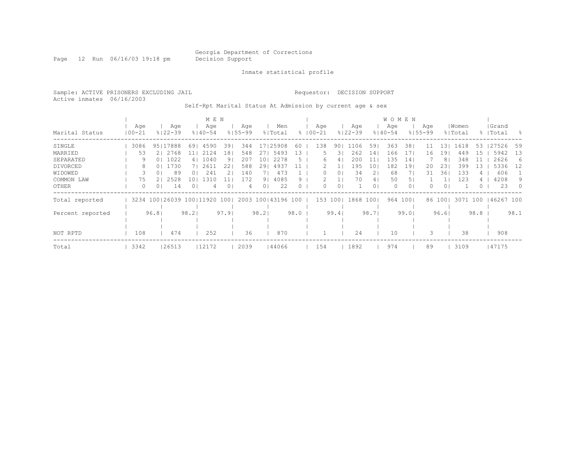Page 12 Run 06/16/03 19:18 pm Decision Support

Inmate statistical profile

Sample: ACTIVE PRISONERS EXCLUDING JAIL Requestor: DECISION SUPPORT Active inmates 06/16/2003

Self-Rpt Marital Status At Admission by current age & sex

|                  |            |                |             |                          | M E N      |             |                |                    |          |             |         |             |                | <b>WOMEN</b> |       |             |        |         |      |           |          |
|------------------|------------|----------------|-------------|--------------------------|------------|-------------|----------------|--------------------|----------|-------------|---------|-------------|----------------|--------------|-------|-------------|--------|---------|------|-----------|----------|
|                  | Age        |                | Age         |                          | Age        | Aqe         |                | Men                |          | Age         |         | Age         |                | Age          |       | Age         |        | Women   |      | Grand     |          |
| Marital Status   | $100 - 21$ |                | $8122 - 39$ | $8140 - 54$              |            | $8155 - 99$ |                | % Total            |          | $8100 - 21$ |         | $8122 - 39$ |                | $8140 - 54$  |       | $8155 - 99$ |        | % Total |      | %   Total | - 옹      |
| SINGLE           | 3086       | 95   17888     |             | 69                       | 4590<br>39 | 344         | 17             | 25908              | 60       | 138         | 90      | 106         | 59             | 363          | 38    |             | . 3 I  | 1618    | 53   | 27526     | 59       |
| MARRIED          | 53         | 2   2768       |             |                          | 2124<br>18 | 548         | 27             | 5493               | -3       |             | 3       | 262         | 14             | 166          | 17    | 16          | 19     | 449     | 15   | 5942      | 13       |
| SEPARATED        | 9          | 0 <sup>1</sup> | 1022        | 4                        | 1040<br>91 | 207         | 10             | 2278               | h        | 6           | 4       | 200         |                | 135          | 14    |             | 8      | 348     |      | 2626      | -6       |
| DIVORCED         | 8          | 0 <sup>1</sup> | 1730        |                          | 2611<br>22 | 588         | 29             | 4937               |          |             |         | 195         | 10.            | 182          | 19    | 20          | 231    | 399     | 13   | 5336      | 12       |
| WIDOWED          | 3          |                | 89          | UΙ                       | 241        | 140         |                | 473                |          |             | 0       | 34          | 2.             | 68           |       | 31          | 36     | 133     |      | 606       |          |
| COMMON LAW       | 75         |                | 2528        | 10                       | 1310       | 172         | 91             | 4085               | 9.       |             |         | 70          | 4              | 50           | 5     |             |        | 123     |      | 4208      | 9        |
| OTHER            | $\Omega$   | 01             | 14          | 0 <sup>1</sup>           | 4          | 4           | 0 <sub>1</sub> | 22                 | $\Omega$ | 0           | $\circ$ |             | 0 <sub>1</sub> | $\Omega$     | 0     |             | 01     |         | ()   | 23        | $\Omega$ |
| Total reported   |            |                |             | 3234 100 26039 100 11920 | 1001       |             |                | 2003 100 43196 100 |          | 153         | 1001    | 1868        | 1001           | 964          | 1001  |             | 86 100 | 3071    | 100  | 46267 100 |          |
| Percent reported |            | 96.81          |             | 98.21                    | 97.91      |             | 98.21          |                    | 98.0     |             | 99.4    |             | 98.71          |              | 99.01 |             | 96.6   |         | 98.8 |           | 98.1     |
|                  |            |                |             |                          |            |             |                |                    |          |             |         |             |                |              |       |             |        |         |      |           |          |
|                  |            |                |             |                          |            |             |                |                    |          |             |         |             |                |              |       |             |        |         |      |           |          |
| NOT RPTD         | 108        |                | 474         |                          | 252        | 36          |                | 870                |          |             |         | 24          |                | 10           |       |             |        | 38      |      | 908       |          |
| Total            | 3342       |                | 26513       | 12172                    |            | 2039        |                | 144066             |          | 154         |         | 1892        |                | 974          |       | 89          |        | 3109    |      | 47175     |          |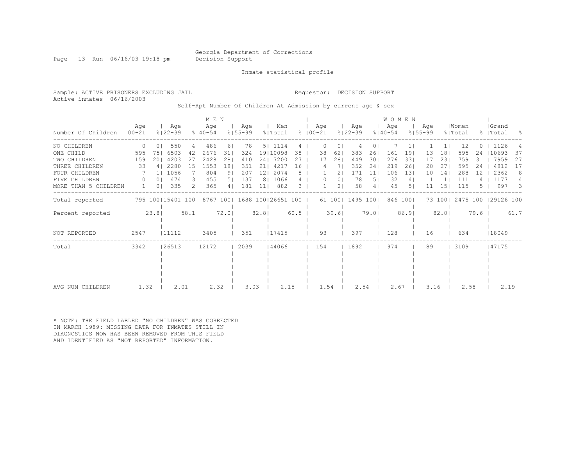Page 13 Run 06/16/03 19:18 pm Decision Support

Inmate statistical profile

Active inmates 06/16/2003

#### Sample: ACTIVE PRISONERS EXCLUDING JAIL Requestor: DECISION SUPPORT

Self-Rpt Number Of Children At Admission by current age & sex

|                      |                   |                |                                                       |                 | MEN                |                |                    |                 |                |        |               |          |                |                    |       | <b>WOMEN</b>       |          |                    |         |                  |      |                    |      |
|----------------------|-------------------|----------------|-------------------------------------------------------|-----------------|--------------------|----------------|--------------------|-----------------|----------------|--------|---------------|----------|----------------|--------------------|-------|--------------------|----------|--------------------|---------|------------------|------|--------------------|------|
| Number Of Children   | Aqe<br>$100 - 21$ |                | Age<br>$8122 - 39$                                    |                 | Age<br>$8140 - 54$ |                | Age<br>$8155 - 99$ |                 | Men<br>% Total |        | $8   00 - 21$ | Age      |                | Age<br>$8122 - 39$ |       | Aqe<br>$8140 - 54$ |          | Age<br>$8155 - 99$ |         | Women<br>% Total |      | Grand<br>%   Total | - 옹  |
| NO CHILDREN          | 0                 | 0 <sub>1</sub> | 550                                                   | 4               | 486                | 61             | 78                 |                 | 5   1114       | 4      |               | $\Omega$ | 0              | 4                  |       |                    |          |                    |         | 12               |      | 1126               |      |
| ONE CHILD            | 595               | 751            | 6503                                                  | 421             | 2676               | 31             | 324                |                 | 19 10098       | 38     |               | 38       | 62             | 383                | 26    | 161                | 19       | 13                 | 18      | 595              | 24   | 10693              | 37   |
| TWO CHILDREN         | 159               | 201            | 4203                                                  | 271             | 2428               | 281            | 410                |                 | 24   7200      | 27     |               | 17       | 281            | 449                | 301   | 276                | 331      | 17                 | 231     | 759              | 31   | 7959               | -27  |
| THREE CHILDREN       | 33                | 4              | 2280                                                  | 151             | 1553               | 181            | 351                | 211             | 4217           | 16     |               | 4        |                | 352                | 241   | 219                | 261      | 20                 | 271     | 595              | 24   | 4812               | 17   |
| FOUR CHILDREN        |                   |                | 1  1056                                               | 7 <sub>1</sub>  | 804                | 9 <sub>1</sub> | 207                | 12 <sub>1</sub> | 2074           | 8      |               |          | 2 <sub>1</sub> | 171                | 11    | 106                | 131      | 10                 | 14      | 288              | 12   | 2362               | 8    |
| FIVE CHILDREN        | $\Omega$          | 0 <sub>1</sub> | 474                                                   | $\overline{3}1$ | 455                | 5 <sub>1</sub> | 137                |                 | 8   1066       | 4      |               | $\Omega$ | 0 <sup>1</sup> | 78                 | 51    | 32                 | 4        |                    |         | 111              |      | 1177               | 4    |
| MORE THAN 5 CHILDREN |                   | 0 <sub>1</sub> | 335                                                   | 21              | 365                | 4 <sup>1</sup> | 181                | 111             | 882            | 3      |               |          | 2 <sub>1</sub> | 58                 | 4     | 45                 | 51       | 11                 | 151     | 115              |      | 997                | 3    |
| Total reported       |                   |                | 795 100   15401 100   8767 100   1688 100   26651 100 |                 |                    |                |                    |                 |                |        |               |          | 61 100         | 1495 1001          |       |                    | 846 1001 |                    | 73 1001 | 2475 100         |      | 29126 100          |      |
| Percent reported     |                   | 23.8           |                                                       | 58.1            |                    | 72.01          |                    | 82.81           |                | $60.5$ |               |          | 39.61          |                    | 79.01 |                    | 86.91    |                    | 82.01   |                  | 79.6 |                    | 61.7 |
| NOT REPORTED         | 2547              |                | 11112                                                 |                 | 3405               |                | 351                |                 | 17415          |        |               | 93       |                | 397                |       | 128                |          | 16                 |         | 634              |      | 18049              |      |
| Total                | 3342              |                | 26513                                                 |                 | 12172              |                | 2039               |                 | 144066         |        |               | 154      |                | 1892               |       | 974                |          | 89                 |         | 3109             |      | 47175              |      |
|                      |                   |                |                                                       |                 |                    |                |                    |                 |                |        |               |          |                |                    |       |                    |          |                    |         |                  |      |                    |      |
|                      |                   |                |                                                       |                 |                    |                |                    |                 |                |        |               |          |                |                    |       |                    |          |                    |         |                  |      |                    |      |
| AVG NUM CHILDREN     | 1.32              |                | 2.01                                                  |                 | 2.32               |                | 3.03               |                 | 2.15           |        |               | 1.54     |                | 2.54               |       | 2.67               |          | 3.16               |         | 2.58             |      | 2.19               |      |

\* NOTE: THE FIELD LABLED "NO CHILDREN" WAS CORRECTED IN MARCH 1989: MISSING DATA FOR INMATES STILL IN DIAGNOSTICS NOW HAS BEEN REMOVED FROM THIS FIELD AND IDENTIFIED AS "NOT REPORTED" INFORMATION.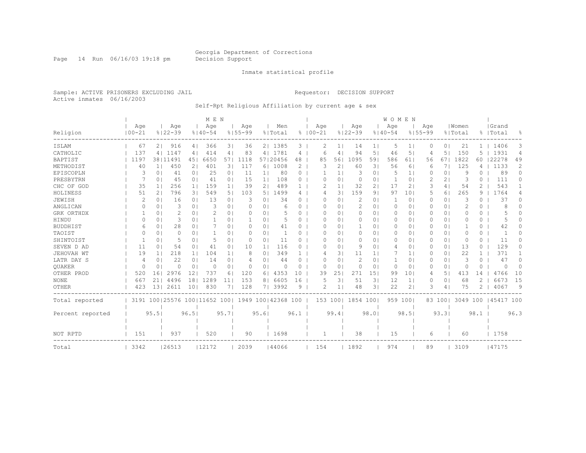Page 14 Run 06/16/03 19:18 pm Decision Support

#### Inmate statistical profile

Sample: ACTIVE PRISONERS EXCLUDING JAIL Requestor: DECISION SUPPORT Active inmates 06/16/2003

Self-Rpt Religious Affiliation by current age & sex

|                  |                |                |                                                         |                | M E N       |                |             |                |          |          |                |                |             |                 | <b>WOMEN</b> |                 |             |                |          |               |            |              |
|------------------|----------------|----------------|---------------------------------------------------------|----------------|-------------|----------------|-------------|----------------|----------|----------|----------------|----------------|-------------|-----------------|--------------|-----------------|-------------|----------------|----------|---------------|------------|--------------|
|                  | Age            |                | Age                                                     |                | Age         |                | Age         |                | Men      |          | Age            |                | Age         |                 | Age          |                 | Age         |                | Women    |               | Grand      |              |
| Religion         | $100 - 21$     |                | $8122 - 39$                                             |                | $8140 - 54$ |                | $8155 - 99$ |                | % Total  |          | $8100 - 21$    |                | $8122 - 39$ |                 | $8140 - 54$  |                 | $8155 - 99$ |                | % Total  |               | %   Total  | 욲            |
| ISLAM            | 67             | 21             | 916                                                     | 41             | 366         | 31             | 36          |                | 2   1385 | 3        | 2              | 1 <sup>1</sup> | 14          | ı.              | 5            | $\mathbf{1}$    | $\Omega$    | 0 I            | 21       | $\mathbf{1}$  | 1406       | 3            |
| CATHOLIC         | 137            |                | 4   1147                                                | 4 <sup>1</sup> | 414         | 4              | 83          |                | 4   1781 | 4        | 6              | 4              | 94          | 5.              | 46           | 5               | 4           | 51             | 150      |               | 1931       | 4            |
| BAPTIST          | 1197           |                | 38111491                                                | 451            | 6650        | 571            | 1118        |                | 57120456 | 48       | 85             | 56             | 1095        | 591             | 586          | 61              | 56          | 671            | 1822     | 60            | 22278      | 49           |
| METHODIST        | 40             | 11             | 450                                                     | 21             | 401         | 31             | 117         |                | 6   1008 | 2        | 3              | 2              | 60          | 31              | 56           | 6               | 6           | 71             | 125      | 4             | 1133       | 2            |
| EPISCOPLN        | 3              | 0 <sup>1</sup> | 41                                                      | 0 <sub>1</sub> | 25          | 0 <sub>1</sub> | 11          | 1 <sub>1</sub> | 80       | 0        | -1             | 1 <sup>1</sup> | 3           | $\circ$         | 5            | 1 <sup>1</sup>  | 0           | 0 <sup>1</sup> | 9        | $\Omega$      | 89         | $\Omega$     |
| PRESBYTRN        |                | 0 <sub>1</sub> | 45                                                      | 0 <sub>1</sub> | 41          | 0 <sub>1</sub> | 15          | 1 <sub>1</sub> | 108      | 0        | 0              | 0              | $\circ$     | 0 <sub>1</sub>  | $\mathbf{1}$ | $\circ$         | 2           | 21             | 3        | $\Omega$      | 111        | 0            |
| CHC OF GOD       | 35             | $\mathbf{1}$   | 256                                                     | 1 <sup>1</sup> | 159         | 1 <sup>1</sup> | 39          | 2 <sub>1</sub> | 489      |          |                | $\mathbf{1}$   | 32          | 21              | 17           | $\overline{2}$  | 3           | 4              | 54       | 2             | 543        |              |
| HOLINESS         | 51             | 2              | 796                                                     | 31             | 549         | 5 <sub>1</sub> | 103         | 51             | 1499     | 4        | 4              | 31             | 159         | 91              | 97           | 10              | 5           | 61             | 265      | 9             | 1764       | 4            |
| JEWISH           |                | $\Omega$       | 16                                                      | 0 <sub>1</sub> | 13          | 0 <sub>1</sub> | 3           | 0              | 34       | 0        | O              | 0              | 2           | $\Omega$        | -1           | 0               | 0           | 0 <sup>1</sup> | 3        | 0             | 37         | 0            |
| ANGLICAN         | $\Omega$       | 0              | 3                                                       | 0 <sub>1</sub> | 3           | 0 <sub>1</sub> | $\Omega$    | $\Omega$       | 6        | O        | O              | $\Omega$       | 2           | $\Omega$ I      | $\Omega$     | $\circ$         | $\Omega$    | 0 <sup>1</sup> | 2        | 0             | 8          | U            |
| GRK ORTHDX       |                | 0              | 2                                                       | 0 <sub>1</sub> | 2           | 0 <sub>1</sub> | $\Omega$    | 0              |          | 0        | O              | $\Omega$       | 0           | $\Omega$        | $\Omega$     | 0               | 0           | 0 <sup>1</sup> | 0        | 0             | 5          | 0            |
| HINDU            | $\Omega$       | 0              | 3                                                       | $\Omega$       |             | 0 <sub>1</sub> | -1          | $\Omega$       |          | $\Omega$ | O              | $\Omega$       | 0           | $\Omega$        | $\Omega$     | $\Omega$        | $\Omega$    | 0 <sup>1</sup> | 0        | $\Omega$      | 5          | <sup>n</sup> |
| <b>BUDDHIST</b>  | 6              | 0 <sup>1</sup> | 28                                                      | 0 <sub>1</sub> |             | 0 <sub>1</sub> | $\Omega$    | 0 <sub>1</sub> | 41       | $\Omega$ | 0              | $\Omega$       | 1           | 0 <sub>1</sub>  | 0            | $\circ$         | 0           | 0 <sup>1</sup> |          | 0             | 42         | U            |
| TAOIST           |                | 0 <sup>1</sup> | 0                                                       | $\Omega$ 1     |             | 0 <sub>1</sub> | $\Omega$    | 0 <sub>1</sub> |          | $\Omega$ | O              | $\Omega$       | 0           | 01              | 0            | $\Omega$        | 0           | 0 <sup>1</sup> | $\Omega$ | 0             |            | U            |
| SHINTOIST        |                | $\Omega$       | 5                                                       | 0              | 5           | 0 <sub>1</sub> | $\Omega$    | $\Omega$       | 11       | $\Omega$ | O              | $\Omega$       | $\Omega$    | 0.              | 0            | 0               | $\Omega$    | 0 <sup>1</sup> | $\Omega$ | 0             | 11         | 0            |
| SEVEN D AD       | 11             | $\Omega$       | 54                                                      | 0 <sub>1</sub> | 41          | 0 <sub>1</sub> | 10          | 1 <sub>1</sub> | 116      | 0        | O              | $\Omega$       | 9           | $\Omega$        | 4            | $\Omega$        | $\Omega$    | 0 <sup>1</sup> | 13       | $\Omega$      | 129        | 0            |
| JEHOVAH WT       | 19             |                | 218                                                     | 1 <sup>1</sup> | 104         | 1 <sub>1</sub> | 8           | 0              | 349      |          |                | 31             | 11          | $1\,$           | 7            | $1\vert$        | $\Omega$    | 0 <sup>1</sup> | 22       | 1.            | 371        |              |
| LATR DAY S       | $\overline{4}$ | 0              | 22                                                      | 0 <sup>1</sup> | 14          | 0 <sub>1</sub> | 4           | 0              | 44       | $\Omega$ | O              | 0              | 2           | 01              | -1           | 0               | 0           | 0 <sup>1</sup> | 3        | 0             | 47         | 0            |
| OUAKER           | $\Omega$       | 0              | $\Omega$                                                | 0 <sup>1</sup> | $\Omega$    | 0 <sub>1</sub> | $\Omega$    | 0              | $\Omega$ | 0        | 0              | 0              | $\circ$     | $\circ$         | $\circ$      | 0               | 0           | 0 <sup>1</sup> | $\circ$  | $\Omega$      | $\bigcap$  | $\Omega$     |
| OTHER PROD       | 520            | 161            | 2976                                                    | 12             | 737         | 61             | 120         | 6              | 4353     | 10       | 39             | 25             | 271         | 15 <sub>1</sub> | 99           | 10 <sup>°</sup> | 4           | 5              | 413      | 14            | 4766       | 10           |
| <b>NONE</b>      | 667            | 211            | 4496                                                    | 18             | 1289        | 11             | 153         | 8              | 6605     | 16       | 5              | 3              | 51          | 3 <sup>1</sup>  | 12           | $1\vert$        | 0           | 0 <sup>1</sup> | 68       | $\mathcal{D}$ | 6673       | 15           |
| OTHER            | 423            | 131            | 2611                                                    | 101            | 830         | 71             | 128         | 7 <sub>1</sub> | 3992     | 9        | $\overline{c}$ | $\mathbf{1}$   | 48          | 31              | 22           | $\overline{2}$  | 3           | $\overline{4}$ | 75       | 2             | 4067       | 9            |
| Total reported   |                |                | 3191 100   25576 100   11652 100   1949 100   42368 100 |                |             |                |             |                |          |          |                | 153 100        | 1854 1001   |                 |              | 959 1001        |             | 83 100         | 3049 100 |               | 145417 100 |              |
|                  |                |                |                                                         |                |             |                |             |                |          |          |                |                |             |                 |              |                 |             |                |          |               |            |              |
| Percent reported |                | 95.5           |                                                         | 96.5           |             | 95.7           |             | 95.6           |          | 96.1     |                | 99.41          |             | 98.0            |              | 98.5            |             | 93.31          |          | 98.1          |            | 96.3         |
|                  |                |                |                                                         |                |             |                |             |                |          |          |                |                |             |                 |              |                 |             |                |          |               |            |              |
| NOT RPTD         | 151            |                | 937                                                     |                | 520         |                | 90          |                | 1698     |          |                |                | 38          |                 | 15           |                 | 6           |                | 60       |               | 1758       |              |
| Total            | 3342           |                | 26513                                                   |                | 12172       |                | 2039        |                | 144066   |          | 154            |                | 1892        |                 | 974          |                 | 89          |                | 3109     |               | 47175      |              |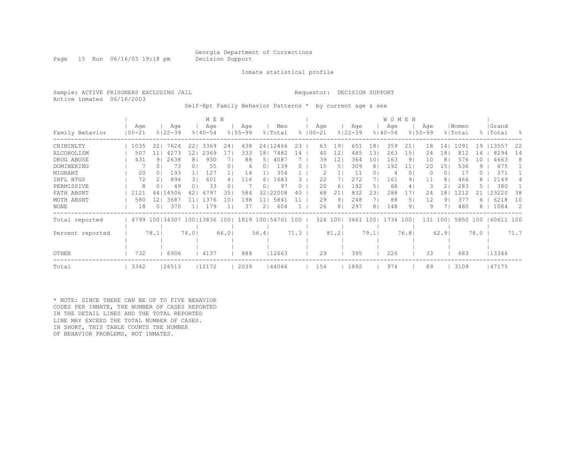Page 15 Run 06/16/03 19:18 pm Decision Support

Inmate statistical profile

Sample: ACTIVE PRISONERS EXCLUDING JAIL **Requestor: DECISION SUPPORT** Active inmates 06/16/2003

Self-Rpt Family Behavior Patterns \* by current age & sex

|                  |            |                                                         |             |                | M E N       |                |             |                 |          |      |             |          |                |             |       | <b>WOMEN</b> |                 |             |                 |          |      |           |           |
|------------------|------------|---------------------------------------------------------|-------------|----------------|-------------|----------------|-------------|-----------------|----------|------|-------------|----------|----------------|-------------|-------|--------------|-----------------|-------------|-----------------|----------|------|-----------|-----------|
|                  | Age        |                                                         | Age         |                | Age         |                | Age         |                 | Men      |      |             | Age      |                | Age         |       | Age          |                 | Age         |                 | Women    |      | Grand     |           |
| Family Behavior  | $100 - 21$ |                                                         | $8122 - 39$ |                | $8140 - 54$ |                | $8155 - 99$ |                 | % Total  |      | $8100 - 21$ |          |                | $8122 - 39$ |       | $8140 - 54$  |                 | $8155 - 99$ |                 | % Total  |      | %   Total | $\approx$ |
| CRIMINLTY        | 1035       | 22                                                      | 7624        | 22             | 3369        | 24             | 438         |                 | 24112466 | 23   |             | 63       | 191            | 651         | 181   | 359          | 21              | 18          | 14 <sub>1</sub> | 1091     | 19   | 13557     | 22        |
| ALCOHOLISM       | 507        | 11                                                      | 4273        | 12             | 2369        | 17             | 333         | 18 <sub>1</sub> | 7482     | 14   |             | 40       | 12             | 485         | 131   | 263          | 15 <sub>1</sub> | 24          | 181             | 812      | 14   | 8294      | 14        |
| DRUG ABUSE       | 431        | 91                                                      | 2638        | 8              | 930         |                | 88          | 5               | 4087     |      |             | 39       | 12             | 364         | 10    | 163          | 9               | 10          | 8               | 576      | 10   | 4663      | 8         |
| DOMINERING       |            | 0                                                       | 73          | 0 <sup>1</sup> | 55          | 0 <sub>1</sub> | 4           | 01              | 139      | 0    |             | 15       | 51             | 309         | 81    | 192          | 11              | 20          | 15 <sub>1</sub> | 536      | 9.   | 675       |           |
| MIGRANT          | 20         | 0                                                       | 193         |                | 127         |                | 14          |                 | 354      |      |             |          |                | 11          |       |              | $\circ$         |             | 0 <sub>1</sub>  | 17       |      | 371       |           |
| INFL BTGS        | 72         |                                                         | 894         | 31             | 601         |                | 116         | 6               | 1683     | 3    |             | 22       |                | 272         |       | 161          | 9               | 11          | 8 <sup>1</sup>  | 466      |      | 2149      | 4         |
| PERMISSIVE       | 8          |                                                         | 49          | 0 <sup>1</sup> | 33          | 0              |             | 01              | 97       | 0    |             | 20       | 61             | 192         | 51    | 68           | 4               | 3           | 2 <sub>1</sub>  | 283      |      | 380       |           |
| FATH ABSNT       | 2121       | 441                                                     | 14506       |                | 4797        | 35             | 584         | 321             | 22008    | 40   |             | 68       | 21             | 832         | 23    | 288          | 17              | 24          | -81             |          |      | 23220     | 38        |
| MOTH ABSNT       | 580        | 12 <sub>1</sub>                                         | 3687        |                | 1376        | 10             | 198         | $\pm 1 +$       | 5841     |      |             | 29       | 91             | 248         |       | 88           | 5.              | 12          | 91              | 377      | h    | 6218      | 10        |
| NONE             | 18         |                                                         | 370         |                | 179         |                | 37          | 2 <sub>1</sub>  | 604      |      |             | 26       | 8 <sub>1</sub> | 297         | 81    | 148          | 9.              | 9           |                 | 480      |      | 1084      | -2        |
| Total reported   |            | 4799 100   34307 100   13836 100   1819 100   54761 100 |             |                |             |                |             |                 |          |      |             | 324 1001 |                | 3661        | $100$ | 1734         | 1001            | 131         | 1001            | 5850 100 |      | 60611 100 |           |
| Percent reported |            | 78.1                                                    |             | 74.01          |             | 66.01          |             | 56.41           |          | 71.3 |             |          | 81.2           |             | 79.1  |              | 76.81           |             | 62.91           |          | 78.0 |           | 71.7      |
|                  |            |                                                         |             |                |             |                |             |                 |          |      |             |          |                |             |       |              |                 |             |                 |          |      |           |           |
| OTHER            | 732        |                                                         | 6906        |                | 4137        |                | 888         |                 | 12663    |      |             | 29       |                | 395         |       | 226          |                 | 33          |                 | 683      |      | 13346     |           |
| Total            | 3342       |                                                         | 26513       |                | 12172       |                | 2039        |                 | 144066   |      |             | 154      |                | 1892        |       | 974          |                 | 89          |                 | 3109     |      | 47175     |           |

\* NOTE: SINCE THERE CAN BE UP TO FIVE BEHAVIOR CODES PER INMATE, THE NUMBER OF CASES REPORTED IN THE DETAIL LINES AND THE TOTAL REPORTED LINE MAY EXCEED THE TOTAL NUMBER OF CASES. IN SHORT, THIS TABLE COUNTS THE NUMBER OF BEHAVIOR PROBLEMS, NOT INMATES.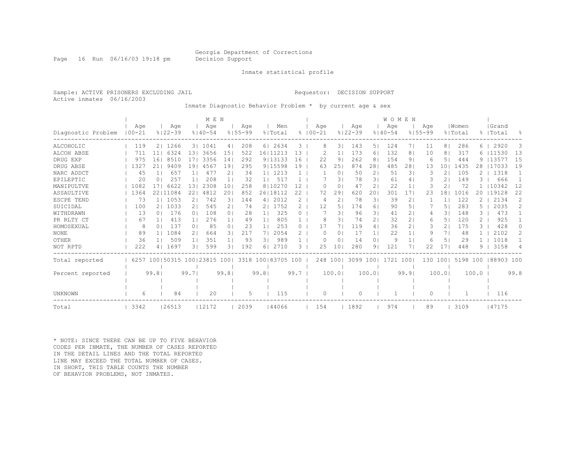Page 16 Run 06/16/03 19:18 pm Decision Support

#### Inmate statistical profile

Sample: ACTIVE PRISONERS EXCLUDING JAIL Requestor: DECISION SUPPORT Active inmates 06/16/2003

Inmate Diagnostic Behavior Problem \* by current age & sex

|                    |            |                |                         |                | M E N       |                 |             |                |                    |               |            |                |             |                | WOMEN       |                |             |                          |          |       |            |                |
|--------------------|------------|----------------|-------------------------|----------------|-------------|-----------------|-------------|----------------|--------------------|---------------|------------|----------------|-------------|----------------|-------------|----------------|-------------|--------------------------|----------|-------|------------|----------------|
|                    | Age        |                | Age                     |                | Age         |                 | Age         |                | Men                |               | Aqe        |                | Age         |                | Age         |                | Age         |                          | Women    |       | Grand      |                |
| Diagnostic Problem | $100 - 21$ |                | $8122 - 39$             |                | $8140 - 54$ |                 | $8155 - 99$ |                | % Total            | $\approx$     | $100 - 21$ |                | $8122 - 39$ |                | $8140 - 54$ |                | $8155 - 99$ |                          | % Total  | 昙     | Total      | $\frac{6}{10}$ |
| ALCOHOLIC          | 119        | 2 <sup>1</sup> | 1266                    |                | 3   1041    | 4               | 208         |                | 6 2634             | 3             | 8          | 31             | 143         | 51             | 124         | 7 I            | 11          | 81                       | 286      | 6.    | 2920       | 3              |
| ALCOH ABSE         | 711        | 11             | 6324                    | 131            | 3656        | 15 <sub>1</sub> | 522         |                | 16 11213           | 13            |            | $\mathbf{1}$   | 173         | 61             | 132         | 8              | 10          | 8 <sub>1</sub>           | 317      |       | 6   11530  | 13             |
| DRUG EXP           | 975        | 161            | 8510                    | 171            | 3356        | 141             | 292         |                | 9113133            | 16            | 22         | 9              | 262         | 8              | 154         | 9              | 6           | 5 <sub>1</sub>           | 444      | 9.    | 113577     | 15             |
| DRUG ABSE          | 1327       | 21             | 9409                    | 191            | 4567        | 191             | 295         |                | 9115598            | 19            | 63         | 25             | 874         | 28             | 485         | 28             | 13          | 101                      | 1435     | 28    | 117033     | 19             |
| NARC ADDCT         | 45         |                | 657                     |                | 477         | 2               | 34          |                | 1  1213            |               |            | 0              | 50          | 2              | 51          | 31             |             | $\overline{2}$           | 105      |       | 1318       |                |
| EPILEPTIC          | 20         | $\Omega$       | 257                     |                | 208         |                 | 32          | $1\vert$       | 517                |               |            | 31             | 78          | 31             | 61          | 4              |             | 21                       | 149      |       | 666        |                |
| MANIPULTVE         | 1082       | 17             | 6622                    | 13             | 2308        | 101             | 258         |                | 8110270            | 12            |            | $\Omega$<br>O  | 47          | 2.             | 22          | $\mathbf{1}$   | 3           | 2                        | 72       |       | 10342      | 12             |
| ASSAULTIVE         | 1364       |                | 22111084                | 22             | 4812        | 20              | 852         |                | 26 18112           | 22            | 72         | 29             | 620         | 20             | 301         | 17             | 23          | 18                       | 1016     | 20    | 19128      | 22             |
| ESCPE TEND         | 73         |                | 1  1053                 | $\overline{2}$ | 742         | 31              | 144         |                | 4   2012           | 2             | 4          | $\overline{2}$ | 78          | 31             | 39          | $\overline{2}$ |             | $\mathbf{1}$             | 122      |       | 2134       | 2              |
| SUICIDAL           | 100        |                | 2   1033                | 21             | 545         | 21              | 74          | 21             | 1752               | $\mathcal{L}$ | 12         | 5.             | 174         | 61             | 90          | 51             |             | 51                       | 283      | 5     | 2035       | $\mathcal{L}$  |
| WITHDRAWN          | 13         | 0 <sub>1</sub> | 176                     | $\Omega$       | 108         | 0 <sub>1</sub>  | 28          | 11             | 325                | 0             |            | 31             | 96          | 31             | 41          | $\overline{2}$ | 4           | $\overline{\mathcal{E}}$ | 148      | 3     | 473        |                |
| PR RLTY CT         | 67         |                | 413                     | 1 <sup>1</sup> | 276         | 1 <sub>1</sub>  | 49          | 1 <sub>1</sub> | 805                |               | 8          | 3              | 74          | 2 <sub>1</sub> | 32          | $\overline{2}$ | 6           | 51                       | 120      |       | 925        |                |
| HOMOSEXUAL         | 8          | 0 <sup>1</sup> | 137                     | 0 <sub>1</sub> | 85          | 0 <sub>1</sub>  | 23          | 1 <sub>1</sub> | 253                | 0             | 17         | 71             | 119         | 4              | 36          | $\overline{2}$ | 3           | 21                       | 175      | 3     | 428        | $\Omega$       |
| <b>NONE</b>        | 89         |                | 1084                    | 2 <sub>1</sub> | 664         | 31              | 217         | 71             | 2054               |               | $\Omega$   | $\Omega$       | 17          | 11             | 22          | $\mathbf{1}$   | 9           | 7 I                      | 48       |       | 2102       | 2              |
| OTHER              | 36         |                | 509                     | 1 <sup>1</sup> | 351         |                 | 93          | 31             | 989                |               | $\Omega$   | $\Omega$       | 14          | $\Omega$       | 9           | $\mathbf{1}$   | 6           | 5 <sub>1</sub>           | 29       |       | 1018       |                |
| NOT RPTD           | 222        | 4              | 1697                    | 31             | 599         | 3 <sub>1</sub>  | 192         | 6.             | 2710               | 3             | 25         | 10             | 280         | 9              | 121         |                | 22          | 17                       | 448      | q     | 3158       | 4              |
| Total reported     | 6257       |                | 100 50315 100 23815 100 |                |             |                 |             |                | 3318 100183705 100 |               |            | 248 100        | 3099 1001   |                | 1721 100    |                | 130 100     |                          | 5198 100 |       | 188903 100 |                |
|                    |            |                |                         |                |             |                 |             |                |                    |               |            |                |             |                |             |                |             |                          |          |       |            |                |
| Percent reported   |            | 99.81          |                         | 99.71          |             | 99.81           |             | 99.81          |                    | 99.7          |            | 100.01         |             | 100.01         |             | 99.9           |             | 100.01                   |          | 100.0 |            | 99.8           |
|                    |            |                |                         |                |             |                 |             |                |                    |               |            |                |             |                |             |                |             |                          |          |       |            |                |
| UNKNOWN            | 6          |                | 84                      |                | 20          |                 | 5           |                | 115                |               | $\Omega$   |                | $\Omega$    |                |             |                | $\Omega$    |                          |          |       | 116        |                |
|                    |            |                |                         |                |             |                 |             |                |                    |               |            |                |             |                |             |                |             |                          |          |       |            |                |
| Total              | 3342       |                | 26513                   |                | 12172       |                 | 2039        |                | 144066             |               | 154        |                | 1892        |                | 974         |                | 89          |                          | 3109     |       | 147175     |                |

\* NOTE: SINCE THERE CAN BE UP TO FIVE BEHAVIOR CODES PER INMATE, THE NUMBER OF CASES REPORTED IN THE DETAIL LINES AND THE TOTAL REPORTED LINE MAY EXCEED THE TOTAL NUMBER OF CASES. IN SHORT, THIS TABLE COUNTS THE NUMBER OF BEHAVIOR PROBLEMS, NOT INMATES.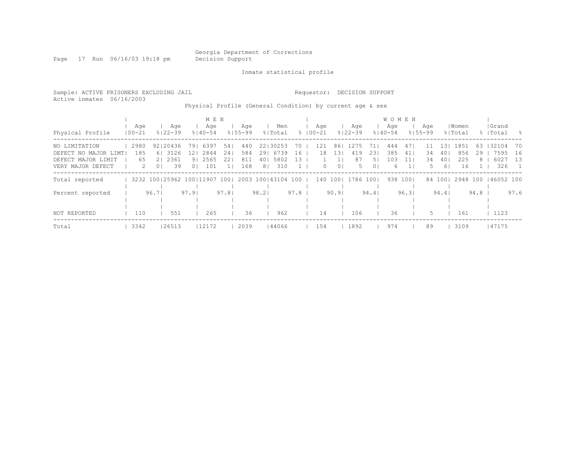Page 17 Run 06/16/03 19:18 pm Decision Support

Inmate statistical profile

Sample: ACTIVE PRISONERS EXCLUDING JAIL Requestor: DECISION SUPPORT Active inmates 06/16/2003 Physical Profile (General Condition) by current age & sex | M E N | W O M E N | W O M E N | |

| Physical Profile                                                                  | Age<br>$100 - 21$ |                                                         | Age<br>$8122 - 39$                  | $8140 - 54$                                              | Age         |                    | Age<br>$8155 - 99$       |                | Men<br>% Total                           |                  | Age<br>$8100 - 21$    |                       | Age<br>$8122 - 39$     |                        | Age<br>$8140 - 54$     |                | Age<br>$8155 - 99$ |                                       | Women<br>% Total         |               | Grand<br>%   Total           | - 옹                                |
|-----------------------------------------------------------------------------------|-------------------|---------------------------------------------------------|-------------------------------------|----------------------------------------------------------|-------------|--------------------|--------------------------|----------------|------------------------------------------|------------------|-----------------------|-----------------------|------------------------|------------------------|------------------------|----------------|--------------------|---------------------------------------|--------------------------|---------------|------------------------------|------------------------------------|
| NO LIMITATION<br>DEFECT NO MAJOR LIMT!<br>DEFECT MAJOR LIMIT<br>VERY MAJOR DEFECT | 2980<br>185<br>65 | 2<br>0 <sub>1</sub>                                     | 92120436<br>6 3126<br>21 2361<br>39 | 791 6397<br>12 <sub>1</sub><br>91 2565<br>0 <sup>1</sup> | 2844<br>101 | 54  <br>241<br>221 | 440<br>584<br>811<br>168 | 8 <sup>1</sup> | 22130253<br>29 6739<br>40   580 2<br>310 | 70<br>16<br>- 13 | 121<br>18<br>$\Omega$ | 861<br>131<br>$\circ$ | 1275<br>419<br>87<br>5 | 71.<br>231<br>51<br>01 | 444<br>385<br>103<br>6 | 47<br>41<br>11 | 34<br>34<br>5.     | $\perp$ 3 $\perp$<br>401<br>401<br>61 | 1851<br>856<br>225<br>16 | 63<br>29<br>8 | 32104<br>7595<br>6027<br>326 | - 70<br>16<br>13<br>$\overline{1}$ |
| Total reported                                                                    |                   | 3232 100   25962 100   11907 100   2003 100   43104 100 |                                     |                                                          |             |                    |                          |                |                                          |                  | 140 1001              |                       | 1786 1001              |                        |                        | 938 1001       |                    | 84 1001                               | 2948 100                 |               | 146052 100                   |                                    |
| Percent reported                                                                  |                   | 96.71                                                   |                                     | 97.91                                                    |             | 97.81              |                          | 98.21          |                                          | 97.8             |                       | 90.91                 |                        | 94.4                   |                        | 96.31          |                    | 94.41                                 |                          | 94.8          |                              | 97.6                               |
| NOT REPORTED                                                                      | 110               |                                                         | 551                                 |                                                          | 265         |                    | 36                       |                | 962                                      |                  | 14                    |                       | 106                    |                        | 36                     |                | 5.                 |                                       | 161                      |               | 1123                         |                                    |
| Total                                                                             | 3342              |                                                         | 26513                               |                                                          | 12172       |                    | 2039                     |                | 44066                                    |                  | 154                   |                       | 1892                   |                        | 974                    |                | 89                 |                                       | 3109                     |               | 147175                       |                                    |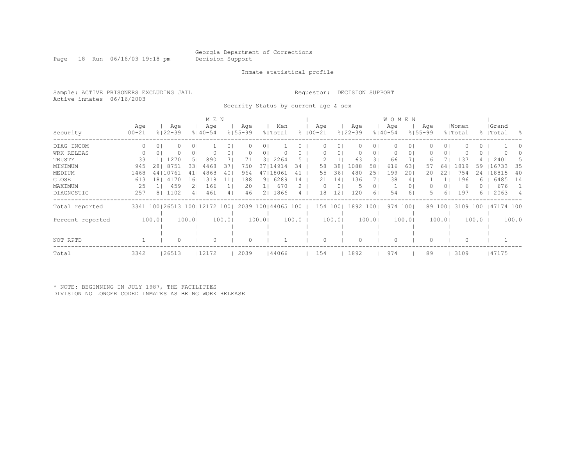Page 18 Run 06/16/03 19:18 pm Decision Support

#### Inmate statistical profile

Sample: ACTIVE PRISONERS EXCLUDING JAIL Requestor: DECISION SUPPORT Active inmates 06/16/2003

Security Status by current age & sex

|                  |                   |        |                    |                | M E N                        |       |                    |       |                    |       |                    |        |                    |        | <b>WOMEN</b>       |          |                    |                |                  |       |                    |               |
|------------------|-------------------|--------|--------------------|----------------|------------------------------|-------|--------------------|-------|--------------------|-------|--------------------|--------|--------------------|--------|--------------------|----------|--------------------|----------------|------------------|-------|--------------------|---------------|
| Security         | Age<br>$100 - 21$ |        | Age<br>$8122 - 39$ |                | Age<br>$8140 - 54$           |       | Age<br>$8155 - 99$ |       | Men<br>% Total     |       | Age<br>$8100 - 21$ |        | Age<br>$8122 - 39$ |        | Age<br>$8140 - 54$ |          | Age<br>$8155 - 99$ |                | Women<br>% Total |       | Grand<br>%   Total | $\approx$     |
|                  |                   |        |                    |                |                              |       |                    |       |                    |       |                    |        |                    |        |                    |          |                    |                |                  |       |                    |               |
| DIAG INCOM       |                   | 0      |                    | $\cup$ 1       |                              |       |                    |       |                    |       |                    | 0      |                    | 01     |                    | 01       |                    | 01             |                  |       |                    |               |
| WRK RELEAS       |                   | 0      |                    | 01             |                              |       |                    | 0     |                    |       |                    | 0      |                    | 01     |                    | 01       |                    | 01             |                  |       |                    |               |
| TRUSTY           | 33                |        | 1270               | 5 <sub>1</sub> | 890                          |       | 71                 | 31    | 2264               | 5.    |                    |        | 63                 | 31     | 66                 |          | რ                  |                | 137              |       | 2401               | $\mathcal{D}$ |
| MINIMUM          | 945               | 281    | 8751               | 331            | 4468                         | 37    | 750                | 371   | 14914              | 34    | 58                 | 38     | 1088               | 58     | 616                | 63       | 57                 | 64             | 1819             | 59    | 16733              | 35            |
| MEDIUM           | 1468              |        | 44   10761         |                | 4868                         | 40    | 964                | 471   | 18061              | 41    | 55                 | 361    | 480                | 251    | 199                | 201      | 20                 | 22             | 754              | 24    | 18815              | 40            |
| CLOSE            | 613               | 181    | 4170               | L 6 I          | 1318                         | 11    | 188                | 91    | 6289               | 14    | 21                 | 14     | 136                |        | 38                 | 4        |                    |                | 196              | 6     | 6485               | 14            |
| MAXIMUM          | 25                | 11     | 459                | 21             | 166                          |       | 20                 |       | 670                |       | 0                  | 0      | .5                 | 01     |                    | 01       |                    | 0 <sub>1</sub> | 6                |       | 676                |               |
| DIAGNOSTIC       | 257               |        | 8   1102           | 41             | 461                          | 4     | 46                 | 21    | 1866               |       | 18                 | 12     | 120                | 61     | 54                 | 6        |                    | 61             | 197              | 6.    | 2063               | 4             |
| Total reported   |                   |        |                    |                | 3341 100 26513 100 12172 100 |       |                    |       | 2039 100 44065 100 |       | 154 100            |        | 1892               | $100$  |                    | 974 1001 |                    | 89 1001        | 3109 100         |       | 47174 100          |               |
|                  |                   |        |                    |                |                              |       |                    |       |                    |       |                    |        |                    |        |                    |          |                    |                |                  |       |                    |               |
| Percent reported |                   | 100.01 |                    | 100.01         |                              | 100.0 |                    | 100.0 |                    | 100.0 |                    | 100.01 |                    | 100.01 |                    | 100.0    |                    | 100.01         |                  | 100.0 |                    | 100.0         |
|                  |                   |        |                    |                |                              |       |                    |       |                    |       |                    |        |                    |        |                    |          |                    |                |                  |       |                    |               |
|                  |                   |        |                    |                |                              |       |                    |       |                    |       |                    |        |                    |        |                    |          |                    |                |                  |       |                    |               |
| NOT RPTD         |                   |        |                    |                | 0                            |       | 0                  |       |                    |       |                    |        |                    |        |                    |          |                    |                |                  |       |                    |               |
| Total            | 3342              |        | 26513              |                | 12172                        |       | 2039               |       | 44066              |       | 154                |        | 1892               |        | 974                |          | 89                 |                | 3109             |       | 47175              |               |

\* NOTE: BEGINNING IN JULY 1987, THE FACILITIES DIVISION NO LONGER CODED INMATES AS BEING WORK RELEASE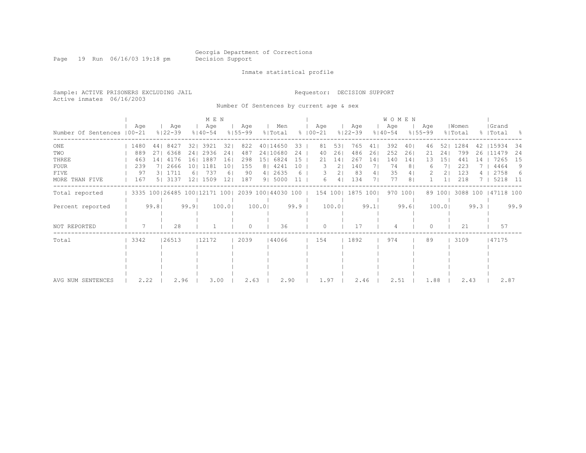Page 19 Run 06/16/03 19:18 pm Decision Support

#### Inmate statistical profile

Sample: ACTIVE PRISONERS EXCLUDING JAIL Requestor: DECISION SUPPORT Active inmates 06/16/2003

Number Of Sentences by current age & sex

|                             |      |       |                              |      | M E N              |                   |                    |       |                    |      |                    |       |                    |      | <b>WOMEN</b>       |         |                    |         |                  |      |                    |      |
|-----------------------------|------|-------|------------------------------|------|--------------------|-------------------|--------------------|-------|--------------------|------|--------------------|-------|--------------------|------|--------------------|---------|--------------------|---------|------------------|------|--------------------|------|
| Number Of Sentences   00-21 | Age  |       | Age<br>$8122 - 39$           |      | Age<br>$8140 - 54$ |                   | Age<br>$8155 - 99$ |       | Men<br>% Total     |      | Age<br>$8100 - 21$ |       | Age<br>$8122 - 39$ |      | Age<br>$8140 - 54$ |         | Age<br>$8155 - 99$ |         | Women<br>% Total |      | Grand<br>%   Total | - 옹  |
| ONE                         | 1480 |       | 44   8427                    |      | 32   3921          | 321               | 822                |       | 40114650           | 33   | 81                 | 53    | 765                | 41   | 392                | 401     | 46                 | 521     | 1284             | 42   | 15934              | 34   |
| TWO                         | 889  | 27    | 6368                         | 241  | 2936               | 241               | 487                |       | 24   10680         | 24   | 40                 | 26    | 486                | 26   | 252                | 261     | 21                 | 24      | 799              | 26   | 11479              | 24   |
| THREE                       | 463  | 14    | 4176                         | 161  | 1887               | 161               | 298                | 151   | 6824               | 15   | 21                 | 14    | 267                | 14   | 140                | 14      | 13                 | 151     | 441              | 14   | 7265               | 15   |
| <b>FOUR</b>                 | 239  |       | 2666                         | 101  | 1181               | 10.               | 155                |       | 8   4241           | 10   | 3.                 | 21    | 140                |      | 74                 | 8       | 6                  |         | 223              |      | 4464               | 9    |
| FIVE                        | 97   |       | 3   1711                     |      | 737                | 61                | 90                 |       | 4   2635           | 6    |                    | 21    | 83                 | 41   | 35                 | 4       |                    |         | 123              |      | 2758               | 6    |
| MORE THAN FIVE              | 167  |       | 5 3137                       | 121  | 1509               | $12 \overline{ }$ | 187                |       | 9   5000           |      | 6                  |       | 134                |      | 77                 | 8       |                    |         | 218              |      | 5218               | - 11 |
| Total reported              |      |       | 3335 100 26485 100 12171 100 |      |                    |                   |                    |       | 2039 100 44030 100 |      | 154 100            |       | 1875 100           |      |                    | 970 100 |                    | 89 1001 | 3088 100         |      | 147118 100         |      |
| Percent reported            |      | 99.81 |                              | 99.9 |                    | 100.0             |                    | 100.0 |                    | 99.9 |                    | 100.0 |                    | 99.1 |                    | 99.61   |                    | 100.0   |                  | 99.3 |                    | 99.9 |
| NOT REPORTED                |      |       | 28                           |      |                    |                   |                    |       | 36                 |      | U                  |       | 17                 |      |                    |         | 0                  |         | 21               |      | 57                 |      |
| Total                       | 3342 |       | 26513                        |      | 12172              |                   | 2039               |       | 144066             |      | 154                |       | 1892               |      | 974                |         | 89                 |         | 3109             |      | 47175              |      |
|                             |      |       |                              |      |                    |                   |                    |       |                    |      |                    |       |                    |      |                    |         |                    |         |                  |      |                    |      |
|                             |      |       |                              |      |                    |                   |                    |       |                    |      |                    |       |                    |      |                    |         |                    |         |                  |      |                    |      |
|                             |      |       |                              |      |                    |                   |                    |       |                    |      |                    |       |                    |      |                    |         |                    |         |                  |      |                    |      |
|                             |      |       |                              |      |                    |                   |                    |       |                    |      |                    |       |                    |      |                    |         |                    |         |                  |      |                    |      |
| AVG NUM SENTENCES           | 2.22 |       | 2.96                         |      | 3.00               |                   | 2.63               |       | 2.90               |      | 1.97               |       | 2.46               |      | 2.51               |         | 1.88               |         | 2.43             |      | 2.87               |      |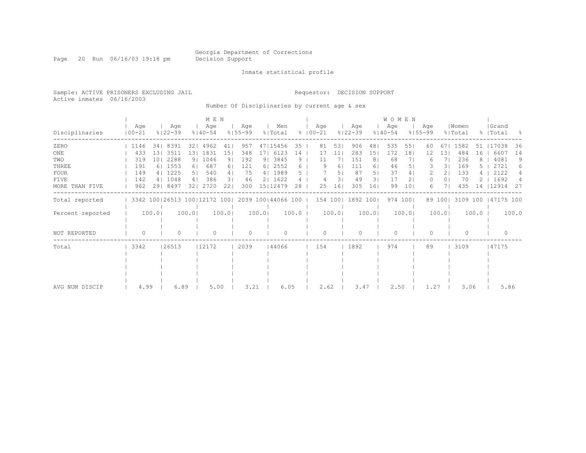Page 20 Run 06/16/03 19:18 pm Decision Support

Inmate statistical profile

Sample: ACTIVE PRISONERS EXCLUDING JAIL Requestor: DECISION SUPPORT Active inmates 06/16/2003

Number Of Disciplinaries by current age & sex

|                  |                   |       |                              |                | M E N              |       |                    |        |                    |       |               |      |                 |                    |                | <b>WOMEN</b>       |          |                    |                |                  |       |                    |       |
|------------------|-------------------|-------|------------------------------|----------------|--------------------|-------|--------------------|--------|--------------------|-------|---------------|------|-----------------|--------------------|----------------|--------------------|----------|--------------------|----------------|------------------|-------|--------------------|-------|
| Disciplinaries   | Age<br>$100 - 21$ |       | Age<br>$8122 - 39$           |                | Age<br>$8140 - 54$ |       | Age<br>$8155 - 99$ |        | Men<br>% Total     |       | $8   00 - 21$ | Age  |                 | Age<br>$8122 - 39$ |                | Age<br>$8140 - 54$ |          | Age<br>$8155 - 99$ |                | Women<br>% Total |       | Grand<br>%   Total | - 양   |
| ZERO             | 1146              |       | 34   8391                    | 321            | 4962               | 411   | 957                |        | 47   15456         | 35    |               | 81   | 531             | 906                | 481            | 535                | 551      | 60                 | 671            | 1582             | 51    | 17038              | 36    |
| ONE              | 433               | 131   | 3511                         | 131            | 1831               | 151   | 348                | 171    | 6123               | 14    |               | 17   | 11 <sup>1</sup> | 283                | 151            | 172                | 181      | 12                 | 131            | 484              | 16    | 6607               | 14    |
| TWO              | 319               | 101   | 2288                         | 9 <sub>1</sub> | 1046               | 91    | 192                |        | 9 3845             | 9     |               | 11   |                 | 151                | 8 <sub>1</sub> | 68                 |          | 6                  |                | 236              | 8     | 4081               | 9     |
| THREE            | 191               |       | 6 1553                       | 61             | 687                | 61    | 121                | 61     | 2552               | 6.    |               | 9    | 61              | 111                | 61             | 46                 | 51       |                    | 31             | 169              |       | 2721               | 6     |
| <b>FOUR</b>      | 149               |       | 4   1225                     | 5 <sub>1</sub> | 540                | 4     | 75                 |        | 4   1989           | 5.    |               |      | 51              | 87                 | 5              | 37                 | 41       |                    | 21             | 133              |       | 2122               | 4     |
| FIVE             | 142               |       | 4   1048                     | 4              | 386                | 31    | 46                 |        | 2   1622           |       |               |      | 31              | 49                 | 31             | 17                 | 21       | 0                  | 0 <sub>1</sub> | 70               |       | 1692               |       |
| MORE THAN FIVE   | 962               |       | 29  8497                     | 321            | 2720               | 22    | 300                |        | 15 12479           | 28    |               | 25   | 161             | 305                | 161            | 99                 | 101      | 6                  |                | 435              | 14    | 12914              | 27    |
| Total reported   |                   |       | 3342 100 26513 100 12172 100 |                |                    |       |                    |        | 2039 100 44066 100 |       |               |      |                 | 154 100   1892 100 |                |                    | 974 1001 |                    | 89 100         | 3109 100         |       | 47175 100          |       |
| Percent reported |                   | 100.0 |                              | 100.01         |                    | 100.0 |                    | 100.01 |                    | 100.0 |               |      | 100.0           |                    | 100.0          |                    | 100.0    |                    | 100.01         |                  | 100.0 |                    | 100.0 |
| NOT REPORTED     | $\Omega$          |       | 0                            |                | $\Omega$           |       | $\Omega$           |        | $\cap$             |       |               | U    |                 |                    |                | $\bigcap$          |          | ∩                  |                | $\Omega$         |       | $\bigcap$          |       |
| Total            | 3342              |       | 26513                        |                | 12172              |       | 2039               |        | 144066             |       |               | 154  |                 | 1892               |                | 974                |          | 89                 |                | 3109             |       | 47175              |       |
|                  |                   |       |                              |                |                    |       |                    |        |                    |       |               |      |                 |                    |                |                    |          |                    |                |                  |       |                    |       |
|                  |                   |       |                              |                |                    |       |                    |        |                    |       |               |      |                 |                    |                |                    |          |                    |                |                  |       |                    |       |
|                  |                   |       |                              |                |                    |       |                    |        |                    |       |               |      |                 |                    |                |                    |          |                    |                |                  |       |                    |       |
|                  |                   |       |                              |                |                    |       |                    |        |                    |       |               |      |                 |                    |                |                    |          |                    |                |                  |       |                    |       |
| AVG NUM DISCIP   | 4.99              |       | 6.89                         |                | 5.00               |       | 3.21               |        | 6.05               |       |               | 2.62 |                 | 3.47               |                | 2.50               |          | 1.27               |                | 3.06             |       | 5.86               |       |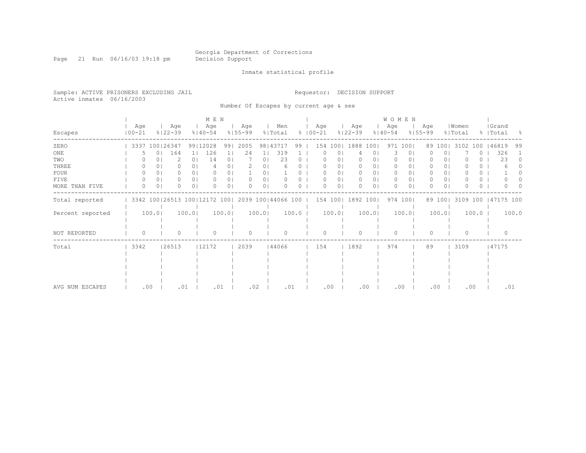Page 21 Run 06/16/03 19:18 pm Decision Support

Inmate statistical profile

Sample: ACTIVE PRISONERS EXCLUDING JAIL Requestor: DECISION SUPPORT Active inmates 06/16/2003

Number Of Escapes by current age & sex

|                  |                   |                |                              |                | M E N              |                |                    |          |                    |          |                      |                |                    |                | W O M E N          |          |                    |                |                  |          |                    |                  |
|------------------|-------------------|----------------|------------------------------|----------------|--------------------|----------------|--------------------|----------|--------------------|----------|----------------------|----------------|--------------------|----------------|--------------------|----------|--------------------|----------------|------------------|----------|--------------------|------------------|
| Escapes          | Age<br>$100 - 21$ |                | Age<br>$8122 - 39$           |                | Age<br>$8140 - 54$ |                | Age<br>$8155 - 99$ |          | Men<br>% Total     |          | Age<br>$8   00 - 21$ |                | Age<br>$8122 - 39$ |                | Age<br>$8140 - 54$ |          | Age<br>$8155 - 99$ |                | Women<br>% Total |          | Grand<br>%   Total | - 8              |
| ZERO             |                   |                | 3337 100 26347               |                | 99 12028           | 991            | 2005               |          | 98   43717         | 99       | 154 1001             |                | 1888 1001          |                |                    | 971 1001 |                    | 89 1001        | 3102             | 100      | 46819              | 99               |
| ONE              |                   | 0 <sub>1</sub> | 164                          | 11             | 126                |                | 24                 | 11       | 319                |          |                      | Ü              |                    | 0              |                    | $\circ$  |                    | 01             |                  | 0        | 326                |                  |
| TWO              |                   |                | 2                            | 0 <sub>1</sub> | 14                 | 0 <sub>1</sub> |                    | 01       | 23                 |          |                      | ΟI             | 0                  | 0              | 0                  | $\circ$  |                    | 0 <sub>1</sub> |                  | ()       | 23                 | $\left( \right)$ |
| THREE            | 0                 |                |                              | 0 <sub>1</sub> |                    | 01             |                    | O.       |                    |          |                      | 0              |                    | 0              | $\circ$            | ΟI       |                    | 0 <sub>1</sub> |                  | 0        |                    |                  |
| FOUR             | 0                 | 0 <sup>1</sup> | 0.                           | 0 <sub>1</sub> | O                  | 0 <sup>1</sup> |                    | $\Omega$ |                    | 0.       |                      | 0 <sub>1</sub> | $\Omega$           | 0 <sub>1</sub> | $\Omega$           | $\circ$  | 0                  | 0 <sub>1</sub> |                  | 0        |                    |                  |
| <b>FIVE</b>      | 0                 | 0 <sub>1</sub> | 0.                           | 0 <sub>1</sub> | 0                  | 01             | $\Omega$           | 0        |                    | 0        |                      | 0 <sub>1</sub> | 0                  | 0 <sub>1</sub> | $\circ$            | 01       | 0                  | 0 <sub>1</sub> |                  | 0        |                    |                  |
| MORE THAN FIVE   | $\Omega$          | 0 <sub>1</sub> | 0                            | 0 <sub>1</sub> | $\Omega$           | 0 <sub>1</sub> | $\Omega$           | 01       |                    | $\Omega$ |                      | $\circ$        | $\Omega$           | 01             | $\Omega$           | $\circ$  |                    | 0 <sup>1</sup> |                  | $\Omega$ |                    |                  |
| Total reported   |                   |                | 3342 100 26513 100 12172 100 |                |                    |                |                    |          | 2039 100 44066 100 |          | 154 100              |                | 1892 100           |                |                    | 974 100  |                    | 89 100         | 3109 100         |          | 47175 100          |                  |
| Percent reported |                   | 100.0          |                              | 100.0          |                    | 100.0          |                    | 100.0    |                    | 100.0    |                      | 100.0          |                    | 100.01         |                    | 100.0    |                    | 100.0          |                  | 100.0    |                    | 100.0            |
| NOT REPORTED     | $\circ$           |                | U                            |                | $\Omega$           |                | $\circ$            |          | $\cap$             |          | $\cap$               |                | $\Omega$           |                | $\Omega$           |          | $\Omega$           |                | $\Omega$         |          |                    | $\Omega$         |
| Total            | 3342              |                | 26513                        |                | 12172              |                | 2039               |          | 44066              |          | 154                  |                | 1892               |                | 974                |          | 89                 |                | 3109             |          | 47175              |                  |
|                  |                   |                |                              |                |                    |                |                    |          |                    |          |                      |                |                    |                |                    |          |                    |                |                  |          |                    |                  |
|                  |                   |                |                              |                |                    |                |                    |          |                    |          |                      |                |                    |                |                    |          |                    |                |                  |          |                    |                  |
|                  |                   |                |                              |                |                    |                |                    |          |                    |          |                      |                |                    |                |                    |          |                    |                |                  |          |                    |                  |
|                  |                   |                |                              |                |                    |                |                    |          |                    |          |                      |                |                    |                |                    |          |                    |                |                  |          |                    |                  |
| AVG NUM ESCAPES  |                   | .00            | .01                          |                | .01                |                | .02                |          | .01                |          | .00                  |                | .00                |                |                    | .00      | .00                |                | .00              |          |                    | .01              |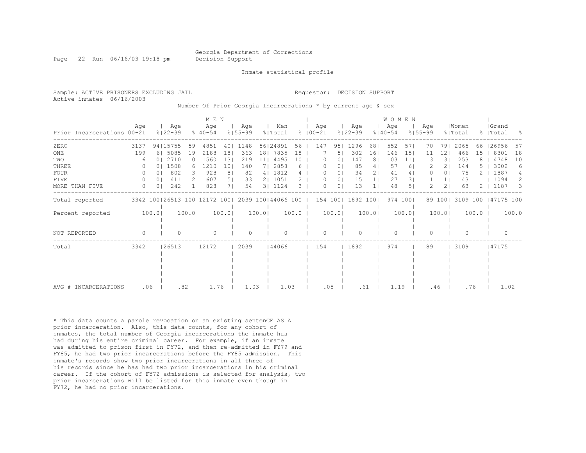Page 22 Run 06/16/03 19:18 pm Decision Support

Inmate statistical profile

| Sample: ACTIVE PRISONERS EXCLUDING JAIL<br>Active inmates 06/16/2003                   |        |     |              |     | Number Of Prior Georgia Incarcerations * by current age & sex                                  | Requestor: DECISION SUPPORT |     |                     |             |     |       |                            |  |
|----------------------------------------------------------------------------------------|--------|-----|--------------|-----|------------------------------------------------------------------------------------------------|-----------------------------|-----|---------------------|-------------|-----|-------|----------------------------|--|
| Prior Incarcerations 00-21 % 32-39 % 340-54 % 355-99 % Total % 100-21 % 32-39 % 340-54 | Aae    | Aqe | M E N<br>Aqe | Aqe | Men                                                                                            | Aae                         | Aqe | <b>WOMEN</b><br>Aae | $8155 - 99$ | Aae | Women | Grand<br>% Total % Total % |  |
| ZERO<br>$\bigcap\mathcal{M}$                                                           | 1.0.0. |     |              |     | 3137 94 15755 59  4851 40  1148 56 24891 56   147 95  1296 68  552 57  70 79  2065 66 26956 57 |                             |     |                     |             |     |       |                            |  |

| ZERO                 | 3137     | 94   15755                   | 59    | 4851  | 40             | 1148 |                 | 56   248 91        | 56          | 147      | 951            | 1296      | 68             | 552  | 57       | 70  | 79.     | 2065      | 66    | 26956     | -57   |
|----------------------|----------|------------------------------|-------|-------|----------------|------|-----------------|--------------------|-------------|----------|----------------|-----------|----------------|------|----------|-----|---------|-----------|-------|-----------|-------|
| ONE                  | 199      | 6 5085                       | 191   | 2188  | 18             | 363  | 18 <sub>1</sub> | 7835               | 18          |          | 51             | 302       | 16             | 146  | 15       | 11  | 12      | 466       | 15    | 8301      | 18    |
| TWO                  | 6        | 01 2710                      | 101   | 1560  | 13             | 219  | 11              | 4495               | 10          |          | 0.             | 147       |                | 103  | 11       |     | 3 I     | 253       |       | 4748      | 10    |
| THREE                |          | 0   1508                     | 61    | 1210  | 10             | 140  |                 | 7  2858            | 6           |          | ΟI             | 85        |                | 57   | 6        |     | 2.      | 144       |       | 3002      | 6     |
| <b>FOUR</b>          |          | 802<br>0 <sup>1</sup>        | 31    | 928   | 8              | 82   |                 | 4   1812           | 4           |          | 01             | 34        | $\overline{2}$ | 41   | 41       |     | 01      | 75        |       | 1887      |       |
| FIVE                 | $\Omega$ | 411<br>0 <sup>1</sup>        | 21    | 607   | 5 <sub>1</sub> | 33   |                 | 2   1051           | $2^{\circ}$ | $\Omega$ | 0 <sub>1</sub> | 15        |                | 27   | 31       |     |         | 43        |       | 1094      | 2.    |
| MORE THAN FIVE       | 0        | 242<br>0 <sup>1</sup>        |       | 828   | 71             | 54   |                 | 3   1124           | 3           | $\Omega$ | 0 <sub>1</sub> | 13        |                | 48   | 5        |     | 21      | 63        |       | 1187      | 3     |
| Total reported       |          | 3342 100 26513 100 12172 100 |       |       |                |      |                 | 2039 100 44066 100 |             |          | 154 100        | 1892 1001 |                |      | 974 1001 |     | 89 1001 | 3109 100  |       | 47175 100 |       |
|                      |          |                              |       |       |                |      |                 |                    |             |          |                |           |                |      |          |     |         |           |       |           |       |
| Percent reported     |          | 100.0                        | 100.0 |       | 100.01         |      | 100.0           |                    | $100.0$     |          | 100.0          |           | 100.01         |      | 100.0    |     | 100.0   |           | 100.0 |           | 100.0 |
|                      |          |                              |       |       |                |      |                 |                    |             |          |                |           |                |      |          |     |         |           |       |           |       |
|                      |          |                              |       |       |                |      |                 |                    |             |          |                |           |                |      |          |     |         |           |       |           |       |
| NOT REPORTED         | $\Omega$ |                              |       |       |                |      |                 |                    |             |          |                |           |                |      |          |     |         | $\bigcap$ |       |           |       |
| Total                | 3342     | 26513                        |       | 12172 |                | 2039 |                 | 144066             |             | 154      |                | 1892      |                | 974  |          | 89  |         | 3109      |       | 47175     |       |
|                      |          |                              |       |       |                |      |                 |                    |             |          |                |           |                |      |          |     |         |           |       |           |       |
|                      |          |                              |       |       |                |      |                 |                    |             |          |                |           |                |      |          |     |         |           |       |           |       |
|                      |          |                              |       |       |                |      |                 |                    |             |          |                |           |                |      |          |     |         |           |       |           |       |
|                      |          |                              |       |       |                |      |                 |                    |             |          |                |           |                |      |          |     |         |           |       |           |       |
|                      |          |                              |       |       |                |      |                 |                    |             |          |                |           |                |      |          |     |         |           |       |           |       |
| AVG # INCARCERATIONS | .06      |                              | .82   | 1.76  |                | 1.03 |                 | 1.03               |             |          | .05            | .61       |                | 1.19 |          | .46 |         | .76       |       | 1.02      |       |

\* This data counts a parole revocation on an existing sentenCE AS A prior incarceration. Also, this data counts, for any cohort of inmates, the total number of Georgia incarcerations the inmate has had during his entire criminal career. For example, if an inmate was admitted to prison first in FY72, and then re-admitted in FY79 and FY85, he had two prior incarcerations before the FY85 admission. This inmate's records show two prior incarcerations in all three of his records since he has had two prior incarcerations in his criminal career. If the cohort of FY72 admissions is selected for analysis, two prior incarcerations will be listed for this inmate even though in FY72, he had no prior incarcerations.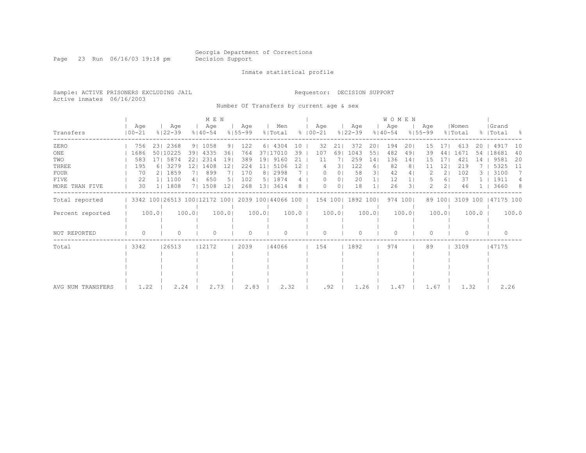Page 23 Run 06/16/03 19:18 pm Decision Support

#### Inmate statistical profile

Sample: ACTIVE PRISONERS EXCLUDING JAIL Requestor: DECISION SUPPORT Active inmates 06/16/2003

Number Of Transfers by current age & sex

|                   |                                                  |       |                    |                | M E N              |       |                    |                |                |                 |                      |                |                    |                 | <b>WOMEN</b>       |                |                    |         |                  |         |                      |       |
|-------------------|--------------------------------------------------|-------|--------------------|----------------|--------------------|-------|--------------------|----------------|----------------|-----------------|----------------------|----------------|--------------------|-----------------|--------------------|----------------|--------------------|---------|------------------|---------|----------------------|-------|
| Transfers         | Age<br>$100 - 21$                                |       | Age<br>$8122 - 39$ |                | Age<br>$8140 - 54$ |       | Age<br>$8155 - 99$ |                | Men<br>% Total |                 | Aqe<br>$8   00 - 21$ |                | Aqe<br>$8122 - 39$ |                 | Age<br>$8140 - 54$ |                | Aqe<br>$8155 - 99$ |         | Women<br>% Total |         | Grand<br>%   Total   | - 옹   |
| ZERO              | 756                                              |       | 23   2368          |                | 9   1058           | 91    | 122                | 6 <sup>1</sup> | 4304           | 10              | 32                   | 21             | 372                | 201             | 194                | 201            | 15                 | 171     | 613              | 20      | 4917                 | 10    |
| ONE               | 1686                                             |       | 50   10225         | 391            | 4335               | 36    | 764                |                | 37 17010       | 39              | 107                  | 691            | 1043               | 551             | 482                | 491            | 39                 | 441     | 1671             | 54      | 18681                | 40    |
| TWO               | 583                                              |       | 171 5874           | 221            | 2314               | 191   | 389                | 191            | 9160           | 21              | 11                   |                | 259                | 14 <sub>1</sub> | 136                | 14             | 15                 |         | 421              | 14      | 9581                 | 20    |
| THREE             | 195                                              |       | 6 3279             | 121            | 1408               | 121   | 224                | 11             | 5106           | 12 <sup>°</sup> |                      | 31             | 122                | 61              | 82                 | 8 <sup>1</sup> |                    | 12      | 219              |         | 5325                 | -11   |
| <b>FOUR</b>       | 70                                               |       | 2   1859           | 71             | 899                |       | 170                | 8 <sub>1</sub> | 2998           |                 | $\Omega$             | 0 <sup>1</sup> | 58                 | 3 <sup>1</sup>  | 42                 | 4              |                    | 21      | 102              |         | 3100                 | 7     |
| FIVE              | 22                                               |       | 1   1100           | 4 <sub>1</sub> | 650                | 51    | 102                | 5              | 1874           | 4               | $\Omega$             | 0 <sub>1</sub> | 20                 | 1 <sub>1</sub>  | 12                 | 1 <sub>1</sub> |                    | 61      | 37               |         | 1911                 | 4     |
| MORE THAN FIVE    | 30                                               |       | 1  1808            |                | 7  1508            | 121   | 268                | 13             | 3614           | 8               | 0                    | $\Omega$       | 18                 |                 | 26                 | 31             | $\mathcal{L}$      | 21      | 46               |         | 3660                 | - 8   |
| Total reported    | 3342 100 26513 100 12172 100  2039 100 44066 100 |       |                    |                |                    |       |                    |                |                |                 |                      |                | 154 100   1892 100 |                 |                    | 974 1001       |                    | 89 1001 |                  |         | 3109 100   47175 100 |       |
| Percent reported  |                                                  | 100.0 |                    | 100.0          |                    | 100.0 |                    | 100.0          |                | 100.0           |                      | 100.0          |                    | 100.0           |                    | 100.0          |                    | 100.0   |                  | $100.0$ |                      | 100.0 |
| NOT REPORTED      | 0                                                |       |                    |                | $\Omega$           |       | 0                  |                | $\Omega$       |                 | 0                    |                |                    |                 | $\bigcap$          |                |                    |         | $\Omega$         |         | $\mathbf{0}$         |       |
| Total             | $ 3342\rangle$                                   |       | 26513              |                | 12172              |       | 2039               |                | 144066         |                 | 154                  |                | 1892               |                 | 974                |                | 89                 |         | 3109             |         | 47175                |       |
|                   |                                                  |       |                    |                |                    |       |                    |                |                |                 |                      |                |                    |                 |                    |                |                    |         |                  |         |                      |       |
|                   |                                                  |       |                    |                |                    |       |                    |                |                |                 |                      |                |                    |                 |                    |                |                    |         |                  |         |                      |       |
| AVG NUM TRANSFERS | 1.22                                             |       | 2.24               |                | 2.73               |       | 2.83               |                | 2.32           |                 |                      | .92            | 1.26               |                 | 1.47               |                | 1.67               |         | 1.32             |         | 2.26                 |       |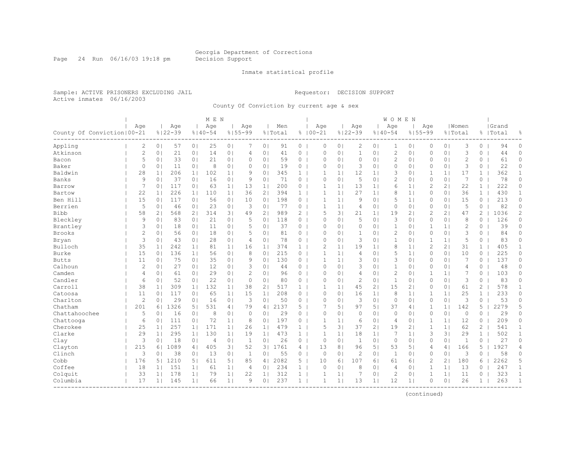Page 24 Run 06/16/03 19:18 pm Decision Support

#### Inmate statistical profile

Sample: ACTIVE PRISONERS EXCLUDING JAIL Requestor: DECISION SUPPORT Active inmates 06/16/2003

County Of Conviction by current age & sex

|                              |                |                |                    |                | M E N              |                |                    |                       |                |                |                    |                |                    |                | <b>WOMEN</b>       |                |                    |                |                  |                |                    |                |
|------------------------------|----------------|----------------|--------------------|----------------|--------------------|----------------|--------------------|-----------------------|----------------|----------------|--------------------|----------------|--------------------|----------------|--------------------|----------------|--------------------|----------------|------------------|----------------|--------------------|----------------|
| County Of Conviction   00-21 | Age            |                | Age<br>$8122 - 39$ |                | Age<br>$8140 - 54$ |                | Aqe<br>$8155 - 99$ |                       | Men<br>% Total |                | Age<br>$8100 - 21$ |                | Age<br>$8122 - 39$ |                | Age<br>$8140 - 54$ |                | Age<br>$8155 - 99$ |                | Women<br>% Total |                | Grand<br>%   Total | 옹              |
| Appling                      | 2              | 0 <sub>1</sub> | 57                 | 0 <sub>1</sub> | 25                 | 0 <sub>1</sub> |                    | 0 <sub>1</sub>        | 91             | 0              | $\circ$            | 0 <sub>1</sub> | $\overline{2}$     | 0 <sub>1</sub> | 1                  | 0 <sub>1</sub> | 0                  | 0 <sub>1</sub> | 3                | $\Omega$       | 94                 | $\circ$        |
| Atkinson                     | $\mathbf{2}$   | 0 <sub>1</sub> | 21                 | 0 <sub>1</sub> | 14                 | 0 <sup>1</sup> | 4                  | 0 <sub>1</sub>        | 41             | $\circ$        | $\circ$            | 0 <sub>1</sub> | $\mathbf{1}$       | 0 <sup>1</sup> | $\overline{c}$     | 0 <sub>1</sub> | 0                  | 0 <sub>1</sub> | 3                | 0              | 44                 | $\circ$        |
| Bacon                        | 5              | 0 <sub>1</sub> | 33                 | 0 <sub>1</sub> | 21                 | 0 <sub>1</sub> | $\Omega$           | 0 <sub>1</sub>        | 59             | $\overline{0}$ | $\Omega$           | 0 <sub>1</sub> | $\circ$            | 0 <sub>1</sub> | $\overline{c}$     | 0 <sub>1</sub> | $\Omega$           | 0 <sub>1</sub> | $\overline{c}$   | $\circ$        | 61                 | $\circ$        |
| Baker                        | $\circ$        | 0 <sub>1</sub> | 11                 | 0 <sub>1</sub> | 8                  | 0 <sup>1</sup> | $\Omega$           | 0                     | 19             | 0              | $\bigcap$          | 0 <sup>1</sup> | 3                  | 0 <sup>1</sup> | $\Omega$           | $\circ$        | $\Omega$           | 0 <sub>1</sub> | 3                | 0              | 22                 | $\circ$        |
| Baldwin                      | 28             | 1 <sup>1</sup> | 206                | 1 <sub>1</sub> | 102                | 1 <sub>1</sub> | 9                  | 0                     | 345            | $\mathbf{1}$   | 1                  | $\mathbf{1}$   | 12                 | 1 <sub>1</sub> | 3                  | $\circ$        | 1                  | 1 <sup>1</sup> | 17               | $\mathbf{1}$   | 362                | $\mathbf{1}$   |
| Banks                        | 9              | 0 <sub>1</sub> | 37                 | 0 <sub>1</sub> | 16                 | 0 <sub>1</sub> | 9                  | 0 <sub>1</sub>        | 71             | 0              | $\circ$            | 0 <sub>1</sub> | 5                  | 0 <sub>1</sub> | 2                  | 0 <sub>1</sub> | 0                  | 0 <sub>1</sub> | 7                | 0              | 78                 | 0              |
| Barrow                       | 7              | 0 <sub>1</sub> | 117                | 0 <sub>1</sub> | 63                 | 1 <sub>1</sub> | 13                 | 1 <sub>1</sub>        | 200            | $\circ$        | 1                  | 1 <sup>1</sup> | 13                 | 1 <sub>1</sub> | 6                  | 1              | 2                  | 21             | 22               | $\mathbf{1}$   | 222                | 0              |
| Bartow                       | 22             | 1              | 226                | 1 <sup>1</sup> | 110                | 1              | 36                 | 2 <sub>1</sub>        | 394            | 1 <sup>1</sup> | 1                  | 1 <sup>1</sup> | 27                 | 1 <sub>1</sub> | 8                  | 1 <sub>1</sub> | 0                  | 0 <sub>1</sub> | 36               | $\mathbf{1}$   | 430                | $\mathbf{1}$   |
| Ben Hill                     | 15             | 0 <sub>1</sub> | 117                | 0 <sub>1</sub> | 56                 | 0 <sub>1</sub> | 10                 | 0 <sub>1</sub>        | 198            | 0              | 1                  | 1 <sup>1</sup> | 9                  | 0 <sub>1</sub> | 5                  | 1 <sub>1</sub> | 0                  | 0 <sub>1</sub> | 15               | 0              | 213                | $\circ$        |
| Berrien                      | 5              | 0 <sub>1</sub> | 46                 | 0 <sub>1</sub> | 23                 | 0 <sub>1</sub> | 3                  | 0                     | 77             | 0              | 1                  | $\mathbf{1}$   | $\overline{4}$     | 0 <sup>1</sup> | $\Omega$           | 0 <sub>1</sub> | $\Omega$           | 0 <sub>1</sub> | 5                | 0              | 82                 | 0              |
| <b>Bibb</b>                  | 58             | 2 <sub>1</sub> | 568                | 2 <sub>1</sub> | 314                | 3 <sup>1</sup> | 49                 | $\mathbf{2}^{\prime}$ | 989            | $\overline{2}$ | 5                  | 31             | 21                 | 1 <sub>1</sub> | 19                 | 21             | 2                  | 21             | 47               | 2              | 1036               | $\overline{c}$ |
| Bleckley                     | 9              | 0 <sub>1</sub> | 83                 | 0 <sub>1</sub> | 21                 | 0 <sub>1</sub> | 5                  | 0 <sub>1</sub>        | 118            | 0              | $\circ$            | 0 <sub>1</sub> | 5                  | 0 <sub>1</sub> | 3                  | 0 <sub>1</sub> | 0                  | 0 <sub>1</sub> | 8                | 0              | 126                | 0              |
| Brantley                     | 3              | 0 <sup>1</sup> | 18                 | 0 <sub>1</sub> | 11                 | 0 <sub>1</sub> | 5                  | 0 <sub>1</sub>        | 37             | $\circ$        | $\circ$            | 0 <sub>1</sub> | $\circ$            | 0 <sub>1</sub> | 1                  | 0 <sub>1</sub> | 1                  | 1 <sup>1</sup> | $\overline{c}$   | 0              | 39                 | $\Omega$       |
| <b>Brooks</b>                | $\overline{c}$ | 0 <sub>1</sub> | 56                 | 0 <sub>1</sub> | 18                 | 0 <sub>1</sub> | 5                  | 0 <sub>1</sub>        | 81             | 0              | $\Omega$           | $\Omega$       | $\mathbf{1}$       | 0 <sup>1</sup> | $\overline{c}$     | 0 <sub>1</sub> | $\mathbf{0}$       | 0 <sub>1</sub> | 3                | $\Omega$       | 84                 | $\circ$        |
| Bryan                        | 3              | 0 <sub>1</sub> | 43                 | 0 <sub>1</sub> | 28                 | 0 <sub>1</sub> | 4                  | 0 <sub>1</sub>        | 78             | 0              | $\circ$            | 0 <sub>1</sub> | 3                  | 0 <sup>1</sup> | $\mathbf{1}$       | 0 <sub>1</sub> | 1                  | 1 <sub>1</sub> | 5                | 0              | 83                 | $\circ$        |
| Bulloch                      | 35             | 1 <sub>1</sub> | 242                | 1 <sub>1</sub> | 81                 | 1 <sub>1</sub> | 16                 | 1 <sub>1</sub>        | 374            | 1              | $\overline{c}$     | $\mathbf{1}$   | 19                 | 1 <sub>1</sub> | 8                  | 1 <sub>1</sub> | $\overline{c}$     | 2 <sub>1</sub> | 31               | $\mathbf{1}$   | 405                | $\mathbf{1}$   |
| Burke                        | 15             | 0 <sub>1</sub> | 136                | 1 <sup>1</sup> | 56                 | 0 <sup>1</sup> | 8                  | 0                     | 215            | 0              | $\mathbf{1}$       | 1 <sup>1</sup> | $\overline{4}$     | $\Omega$       | 5                  | 1 <sub>1</sub> | $\Omega$           | 0 <sub>1</sub> | 10               | 0              | 225                | 0              |
| <b>Butts</b>                 | 11             | 0 <sub>1</sub> | 75                 | 0 <sub>1</sub> | 35                 | 0 <sub>1</sub> | 9                  | 0                     | 130            | $\overline{0}$ | -1                 | 1 <sup>1</sup> | 3                  | 0 <sup>1</sup> | 3                  | 0 <sub>1</sub> | $\Omega$           | 0 <sub>1</sub> | 7                | 0              | 137                | 0              |
| Calhoun                      | $\mathbf{2}$   | 0 <sub>1</sub> | 27                 | 0 <sub>1</sub> | 12                 | 0 <sub>1</sub> | 3                  | 0 <sub>1</sub>        | 44             | $\overline{0}$ | $\circ$            | 0 <sub>1</sub> | 3                  | 0 <sub>1</sub> | 1                  | 0 <sub>1</sub> | 0                  | 0 <sub>1</sub> | 4                | 0              | 48                 | 0              |
| Camden                       | 4              | 0 <sub>1</sub> | 61                 | 0 <sub>1</sub> | 29                 | 0 <sub>1</sub> | $\overline{c}$     | 0 <sub>1</sub>        | 96             | $\overline{0}$ | $\Omega$           | 0 <sub>1</sub> | $\overline{4}$     | 0 <sup>1</sup> | $\overline{c}$     | 0 <sub>1</sub> | 1                  | 1              | 7                | 0              | 103                | 0              |
| Candler                      | 6              | 0 <sub>1</sub> | 52                 | 0 <sub>1</sub> | 22                 | 0 <sub>1</sub> | $\Omega$           | 0 <sub>1</sub>        | 80             | 0 <sub>1</sub> | $\circ$            | 0 <sub>1</sub> | $\mathbf{2}$       | 0 <sup>1</sup> | $\mathbf{1}$       | 0 <sub>1</sub> | $\mathbf{0}$       | 0 <sub>1</sub> | 3                | 0              | 83                 | $\circ$        |
| Carroll                      | 38             | 1 <sub>1</sub> | 309                | 1 <sub>1</sub> | 132                | 1 <sup>1</sup> | 38                 | 2 <sub>1</sub>        | 517            | $\mathbf{1}$   |                    | 1 <sup>1</sup> | 45                 | 2 <sub>1</sub> | 15                 | 2 <sub>1</sub> | 0                  | 0 <sub>1</sub> | 61               | 2              | 578                | $\mathbf{1}$   |
| Catoosa                      | 11             | 0 <sub>1</sub> | 117                | 0 <sub>1</sub> | 65                 | 1 <sup>1</sup> | 15                 | 1 <sub>1</sub>        | 208            | 0              | $\Omega$           | 0 <sup>1</sup> | 16                 | 1 <sub>1</sub> | 8                  | 1 <sub>1</sub> | 1                  | 1 <sub>1</sub> | 25               | $\mathbf{1}$   | 233                | 0              |
| Charlton                     | $\overline{c}$ | 0 <sub>1</sub> | 29                 | 0 <sub>1</sub> | 16                 | 0 <sub>1</sub> | 3                  | 0                     | 50             | 0              | $\mathbf{0}$       | 0 <sup>1</sup> | 3                  | 0 <sup>1</sup> | $\circ$            | 0 <sub>1</sub> | $\Omega$           | 0 <sub>1</sub> | 3                | $\Omega$       | 53                 | $\Omega$       |
| Chatham                      | 201            | 61             | 1326               | 5 <sub>1</sub> | 531                | 4              | 79                 | 4                     | 2137           | 5              |                    | 51             | 97                 | 5 <sub>1</sub> | 37                 | 4              | 1                  | 1 <sub>1</sub> | 142              | 5              | 2279               | 5              |
| Chattahoochee                | 5              | 0 <sub>1</sub> | 16                 | 0 <sub>1</sub> | 8                  | 0 <sub>1</sub> | $\mathbf 0$        | 0 <sub>1</sub>        | 29             | $\overline{0}$ | $\mathbf{0}$       | 0 <sub>1</sub> | $\circ$            | 0 <sub>1</sub> | $\circ$            | 0 <sub>1</sub> | $\Omega$           | 0 <sub>1</sub> | $\mathbf{0}$     | 0              | 29                 | 0              |
| Chattooga                    | 6              | 0 <sub>1</sub> | 111                | 0 <sub>1</sub> | 72                 | 1              | 8                  | 0 <sub>1</sub>        | 197            | 0              | 1                  | 1 <sup>1</sup> | 6                  | 0 <sub>1</sub> | $\overline{4}$     | 0 <sub>1</sub> | 1                  | 1 <sub>1</sub> | 12.              | $\Omega$       | 209                | $\circ$        |
| Cherokee                     | 25             | 1 <sub>1</sub> | 257                | 1 <sup>1</sup> | 171                | 1 <sub>1</sub> | 26                 | 1 <sub>1</sub>        | 479            | $\mathbf{1}$   | 5                  | 31             | 37                 | 2 <sub>1</sub> | 19                 | 2 <sub>1</sub> | 1                  | 1 <sub>1</sub> | 62               | $\overline{c}$ | 541                | $\mathbf{1}$   |
| Clarke                       | 29             | 1 <sub>1</sub> | 295                | 1 <sup>1</sup> | 130                | 1 <sub>1</sub> | 19                 | 1 <sub>1</sub>        | 473            | $\mathbf{1}$   | 1                  | $\mathbf{1}$   | 18                 | 1 <sub>1</sub> | 7                  | 1 <sub>1</sub> | 3                  | 31             | 29               | $\mathbf{1}$   | 502                | $\mathbf{1}$   |
| Clay                         | 3              | 0 <sub>1</sub> | 18                 | 0 <sub>1</sub> | 4                  | 0 <sup>1</sup> | 1                  | $\Omega$              | 26             | 0              | $\Omega$           | 0 <sup>1</sup> | $\mathbf{1}$       | 0 <sup>1</sup> | $\circ$            | $\circ$        | $\Omega$           | 0 <sub>1</sub> | $\mathbf{1}$     | $\Omega$       | 27                 | $\Omega$       |
| Clayton                      | 215            | 61             | 1089               | 4              | 405                | 3 <sup>1</sup> | 52                 | 3 <sub>1</sub>        | 1761           | 41             | 13                 | 8 <sup>1</sup> | 96                 | 5 <sub>1</sub> | 53                 | 5 <sub>1</sub> | 4                  | 4              | 166              | 5              | 1927               | 4              |
| Clinch                       | 3              | 0 <sub>1</sub> | 38                 | 0 <sub>1</sub> | 13                 | 0 <sub>1</sub> | $\mathbf{1}$       | 0 <sub>1</sub>        | 55             | 0              | $\circ$            | 0 <sup>1</sup> | $\overline{2}$     | 0 <sub>1</sub> | 1                  | 0 <sub>1</sub> | 0                  | 0 <sub>1</sub> | 3                | $\circ$        | 58                 | 0              |
| Cobb                         | 176            | 5 <sub>1</sub> | 1210               | 5 <sub>1</sub> | 611                | 5 <sub>1</sub> | 85                 | 4 <sub>1</sub>        | 2082           | $5-1$          | 10                 | 61             | 107                | 6              | 61                 | 6 <sub>1</sub> | 2                  | $\overline{2}$ | 180              | 6              | 2262               | 5              |
| Coffee                       | 18             | 11             | 151                | 1              | 61                 | 1 <sub>1</sub> | 4                  | 0 <sub>1</sub>        | 234            | 1 <sup>1</sup> | $\Omega$           | 0 <sub>1</sub> | 8                  | 0 <sup>1</sup> | 4                  | 0 <sub>1</sub> | 1                  | 1 <sub>1</sub> | 13               | 0              | 247                | $\mathbf{1}$   |
| Colquit                      | 33             | 1 <sub>1</sub> | 178                | 1 <sub>1</sub> | 79                 | 1 <sub>1</sub> | 22                 | 1 <sub>1</sub>        | 312            | $\mathbf{1}$   |                    | 1              | 7                  | 01             | $\overline{c}$     | 0 <sub>1</sub> | 1                  | 1 <sub>1</sub> | 11               | 0              | 323                | 1              |
| Columbia                     | 17             | 1 <sup>1</sup> | 145                | 1 <sup>1</sup> | 66                 | 1 <sup>1</sup> | 9                  | $\Omega$              | 237            | 1 <sup>1</sup> | 1                  | 1 <sup>1</sup> | 13                 | 1 <sub>1</sub> | 12                 | 1 <sub>1</sub> | $\Omega$           | 0 <sub>1</sub> | 26               | 1.             | 263                | $\mathbf{1}$   |
|                              |                |                |                    |                |                    |                |                    |                       |                |                |                    |                |                    |                |                    |                |                    |                |                  |                |                    |                |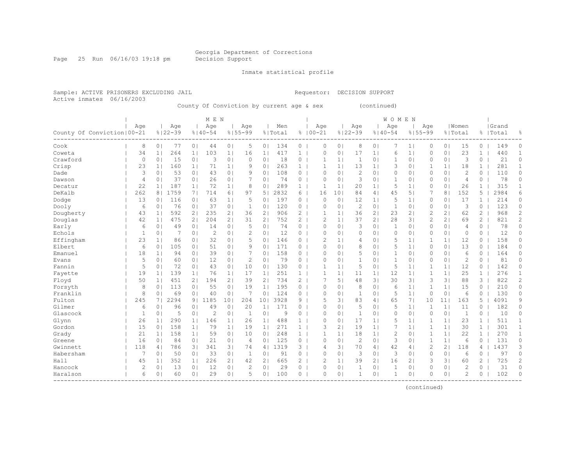Page 25 Run 06/16/03 19:18 pm Decision Support

Inmate statistical profile

Active inmates 06/16/2003

Sample: ACTIVE PRISONERS EXCLUDING JAIL Requestor: DECISION SUPPORT

County Of Conviction by current age & sex (continued)

|                                      |                |                |             |                | M E N          |                 |                |                       |         |                       |                |                 |                |                | WOMEN        |                |                |                 |                |                       |           |                |
|--------------------------------------|----------------|----------------|-------------|----------------|----------------|-----------------|----------------|-----------------------|---------|-----------------------|----------------|-----------------|----------------|----------------|--------------|----------------|----------------|-----------------|----------------|-----------------------|-----------|----------------|
|                                      | Age            |                | Age         |                | Age            |                 | Aqe            |                       | Men     |                       | Age            |                 | Age            |                | Age          |                | Age            |                 | Women          |                       | Grand     |                |
| County Of Conviction   00-21         |                |                | $8122 - 39$ |                | $8140 - 54$    |                 | $8155 - 99$    |                       | % Total |                       | $8100 - 21$    |                 | $8122 - 39$    |                | $8140 - 54$  |                | $8155 - 99$    |                 | % Total        |                       | %   Total | 욲              |
| Cook                                 | 8              | 0 <sub>1</sub> | 77          | 0 <sub>1</sub> | 44             | 0 <sub>1</sub>  | 5              | 0 <sub>1</sub>        | 134     | 0                     | $\Omega$       | 0 <sup>1</sup>  | 8              | 0 <sub>1</sub> |              | 1 <sub>1</sub> | 0              | 0 <sub>1</sub>  | 15             | 0                     | 149       | 0              |
| Coweta                               | 34             | 1 <sub>1</sub> | 264         | 1 <sub>1</sub> | 103            | 1 <sub>1</sub>  | 16             | 1 <sub>1</sub>        | 417     | $\mathbf{1}$          | $\Omega$       | $\circ$         | 17             | 1 <sub>1</sub> | 6            | 1 <sub>1</sub> | 0              | 0 <sub>1</sub>  | 23             | $\mathbf{1}$          | 440       | 1              |
| Crawford                             | 0              | 0 <sub>1</sub> | 15          | 0 <sub>1</sub> | 3              | 0 <sup>1</sup>  | $\circ$        | 0 <sub>1</sub>        | 18      | 0                     |                | $\mathbf{1}$    | 1              | 0 <sub>1</sub> | 1            | 0 <sub>1</sub> | $\Omega$       | 0 <sub>1</sub>  | 3              | $\circ$               | 21        | 0              |
| Crisp                                | 23             | 1 <sub>1</sub> | 160         | 1 <sub>1</sub> | 71             | 1 <sub>1</sub>  | 9              | 0 <sub>1</sub>        | 263     | $\mathbf{1}$          | 1              | 1 <sup>1</sup>  | 13             | 1 <sub>1</sub> | 3            | 0 <sub>1</sub> | 1              | 1 <sub>1</sub>  | 18             | $\mathbf{1}$          | 281       | $\mathbf{1}$   |
| Dade                                 | 3              | 0 <sub>1</sub> | 53          | 0 <sub>1</sub> | 43             | 0 <sup>1</sup>  | 9              | 0 <sub>1</sub>        | 108     | $\overline{0}$        | $\Omega$       | 0 <sub>1</sub>  | $\mathbf{2}$   | 0 <sup>1</sup> | 0            | 0 <sub>1</sub> | $\mathbf{0}$   | 0 <sub>1</sub>  | $\overline{2}$ | $\circ$               | 110       | $\circ$        |
| Dawson                               | 4              | 0 <sub>1</sub> | 37          | 0 <sub>1</sub> | 26             | 0 <sub>1</sub>  |                | 0 <sub>1</sub>        | 74      | 0                     | $\circ$        | 0 <sub>1</sub>  | 3              | 0 <sub>1</sub> | 1            | 0 <sub>1</sub> | 0              | 0 <sub>1</sub>  | $\overline{4}$ | 0                     | 78        | 0              |
| Decatur                              | 22             | 1 <sub>1</sub> | 187         | 1 <sub>1</sub> | 72             | 1 <sub>1</sub>  | 8              | 0                     | 289     | $\mathbf{1}$          |                | $\mathbf{1}$    | 20             | 1 <sub>1</sub> | 5            | 1 <sub>1</sub> | $\Omega$       | 0 <sub>1</sub>  | 26             | 1                     | 315       | 1              |
| DeKalb                               | 262            | 8              | 1759        | 7 <sub>1</sub> | 714            | 6 <sup>1</sup>  | 97             | 5 <sub>1</sub>        | 2832    | 6                     | 16             | 10 <sup>°</sup> | 84             | 41             | 45           | 5 <sub>1</sub> |                | 8 <sub>1</sub>  | 152            | 5                     | 2984      | 6              |
| Dodge                                | 13             | 0 <sub>1</sub> | 116         | 0 <sub>1</sub> | 63             | 1 <sub>1</sub>  | 5              | 0                     | 197     | 0                     | $\Omega$       | 0               | 12             | 1 <sub>1</sub> | 5            | 1 <sub>1</sub> | $\Omega$       | 0 <sub>1</sub>  | 17             | 1                     | 214       | 0              |
| Dooly                                | 6              | 0 <sub>1</sub> | 76          | 0 <sub>1</sub> | 37             | 0 <sup>1</sup>  | 1              | 0                     | 120     | 0                     | $\Omega$       | 0 <sup>1</sup>  | 2              | 0 <sup>1</sup> | $\mathbf{1}$ | $\circ$        | 0              | 0 <sub>1</sub>  | 3              | 0                     | 123       | 0              |
| Dougherty                            | 43             | 1 <sub>1</sub> | 592         | 2 <sub>1</sub> | 235            | 2 <sub>1</sub>  | 36             | 2                     | 906     | $\overline{2}$        |                | $\mathbf{1}$    | 36             | 2 <sub>1</sub> | 23           | 2 <sub>1</sub> | $\overline{c}$ | 21              | 62             | $\mathbf{2}^-$        | 968       | $\overline{c}$ |
| Douglas                              | 42             | 1 <sub>1</sub> | 475         | 2 <sub>1</sub> | 204            | 2 <sub>1</sub>  | 31             | $\mathbf{2}^{\prime}$ | 752     | $\overline{2}$        | $\overline{c}$ | 1 <sup>1</sup>  | 37             | 2 <sub>1</sub> | 28           | 31             | $\overline{c}$ | 21              | 69             | $\mathbf{2}^{\prime}$ | 821       | $\overline{c}$ |
| Early                                | 6              | 0 <sub>1</sub> | 49          | 0 <sub>1</sub> | 14             | 0 <sub>1</sub>  | 5              | 0 <sub>1</sub>        | 74      | 0                     | $\Omega$       | $\Omega$        | 3              | 0 <sub>1</sub> | $\mathbf{1}$ | 0 <sub>1</sub> | $\Omega$       | 0 <sub>1</sub>  | 4              | 0                     | 78        | $\Omega$       |
| Echols                               | 1              | 0 <sub>1</sub> | 7           | 0 <sub>1</sub> | $\overline{c}$ | 0 <sub>1</sub>  | $\mathcal{D}$  | 0 <sub>1</sub>        | 12      | $0-1$                 | $\Omega$       | $\Omega$        | $\circ$        | $\Omega$       | $\Omega$     | 0 <sub>1</sub> | 0              | 0 <sub>1</sub>  | $\Omega$       | $\Omega$              | 12        | 0              |
| Effingham                            | 23             | 1 <sup>1</sup> | 86          | 0 <sub>1</sub> | 32             | 0 <sub>1</sub>  | 5              | 0 <sub>1</sub>        | 146     | $\overline{0}$        | $\mathcal{D}$  | 1 <sup>1</sup>  | $\overline{4}$ | 0 <sub>1</sub> | 5            | 1 <sub>1</sub> | 1              | 1 <sup>1</sup>  | 12             | 0                     | 158       | 0              |
| Elbert                               | 6              | 0 <sub>1</sub> | 105         | 0 <sub>1</sub> | 51             | 0 <sub>1</sub>  | 9              | 0 <sub>1</sub>        | 171     | $\circ$               | $\Omega$       | 0 <sub>1</sub>  | 8              | 0 <sub>1</sub> | 5            | 1 <sub>1</sub> | 0              | 0 <sub>1</sub>  | 13             | 0                     | 184       | 0              |
| Emanuel                              | 18             | 1 <sub>1</sub> | 94          | 0 <sub>1</sub> | 39             | 0 <sup>1</sup>  |                | 0                     | 158     | 0                     | $\Omega$       | 0 <sup>1</sup>  | 5              | 0 <sup>1</sup> | 1            | $\circ$        | 0              | 0 <sub>1</sub>  | 6              | 0                     | 164       | 0              |
| Evans                                | 5              | 0 <sub>1</sub> | 60          | 0 <sub>1</sub> | 12             | 0 <sup>1</sup>  | $\overline{2}$ | 0                     | 79      | 0                     | $\Omega$       | 0 <sup>1</sup>  | 1              | 0 <sup>1</sup> | $\mathbf{1}$ | $\circ$        | $\Omega$       | 0 <sub>1</sub>  | $\overline{2}$ | $\Omega$              | 81        | $\Omega$       |
| Fannin                               | 5              | 0 <sub>1</sub> | 72          | 0 <sub>1</sub> | 43             | 0 <sub>1</sub>  | 10             | 0                     | 130     | 0                     |                | $\mathbf{1}$    | 5              | 0 <sup>1</sup> | 5            | 1 <sub>1</sub> | 1              | 1 <sup>1</sup>  | 12             | 0                     | 142       | 0              |
| Fayette                              | 19             | 1 <sub>1</sub> | 139         | 1 <sub>1</sub> | 76             | 1 <sub>1</sub>  | 17             | 1 <sub>1</sub>        | 251     | 1                     |                | $\mathbf{1}$    | 11             | 1 <sub>1</sub> | 12           | 1 <sub>1</sub> | 1              | 1               | 25             | 1                     | 276       | 1              |
| Floyd                                | 50             | 1 <sub>1</sub> | 451         | 2 <sub>1</sub> | 194            | 2 <sub>1</sub>  | 39             | $\mathbf{2}^{\prime}$ | 734     | $\overline{2}$        |                | 5 <sub>1</sub>  | 48             | 3 <sub>1</sub> | 30           | 31             | 3              | 3 <sup>1</sup>  | 88             | 3                     | 822       | $\overline{c}$ |
| Forsyth                              | 8              | 0 <sub>1</sub> | 113         | 0 <sub>1</sub> | 55             | 0 <sup>1</sup>  | 19             | 11                    | 195     | $\overline{0}$        | $\mathbf{0}$   | 0 <sub>1</sub>  | 8              | 0 <sup>1</sup> | 6            | 1 <sub>1</sub> | $\mathbf{1}$   | 1 <sup>1</sup>  | 15             | $\circ$               | 210       | $\circ$        |
| Franklin                             | 8              | 0 <sub>1</sub> | 69          | 0 <sub>1</sub> | 40             | 0 <sup>1</sup>  | 7              | 0 <sub>1</sub>        | 124     | $\overline{0}$        | $\bigcap$      | 0 <sub>1</sub>  | $\mathbf{1}$   | 0 <sup>1</sup> | 5            | 11             | $\mathbf{0}$   | 0 <sub>1</sub>  | 6              | $\circ$               | 130       | 0              |
| Fulton                               | 245            | 71             | 2294        | 9 <sub>1</sub> | 1185           | 10 <sup>1</sup> | 204            | 101                   | 3928    | 9                     | 5              | 31              | 83             | 41             | 65           | 71             | 10             | 11 <sup>1</sup> | 163            | 5                     | 4091      | 9              |
| Gilmer                               | 6              | 0 <sub>1</sub> | 96          | 0 <sub>1</sub> | 49             | 0 <sup>1</sup>  | 20             | 1 <sub>1</sub>        | 171     | 0                     | $\Omega$       | 0 <sup>1</sup>  | 5              | 0 <sup>1</sup> | 5            | 1 <sub>1</sub> | 1              | 1               | 11             | 0                     | 182       | 0              |
| Glascock                             | 1              | 0 <sub>1</sub> | 5           | 0 <sup>1</sup> | 2              | 0               | 1              | 0                     | 9       | 0                     | $\Omega$       | 0 <sup>1</sup>  | 1              | 01             | $\Omega$     | $\circ$        | $\Omega$       | 0 <sub>1</sub>  | 1              | 0                     | 10        | 0              |
| Glynn                                | 26             | 1 <sub>1</sub> | 290         | 1 <sup>1</sup> | 146            | 1 <sub>1</sub>  | 26             | 1 <sup>1</sup>        | 488     | 1                     | $\Omega$       | $\Omega$        | 17             | 1 <sub>1</sub> | 5            | 1 <sub>1</sub> | 1              | 1               | 23             | $\mathbf{1}$          | 511       | $\mathbf{1}$   |
| Gordon                               | 15             | 0 <sub>1</sub> | 158         | 1 <sub>1</sub> | 79             | 1 <sub>1</sub>  | 19             | 1 <sub>1</sub>        | 271     | $\mathbf{1}$          | 3              | $\overline{2}$  | 19             | 1 <sup>1</sup> | 7            | 1 <sub>1</sub> | $\mathbf{1}$   | 1 <sup>1</sup>  | 30             | $\mathbf{1}$          | 301       | $\mathbf{1}$   |
| Grady                                | 21             | 1 <sub>1</sub> | 158         | 1 <sup>1</sup> | 59             | 0 <sub>1</sub>  | 10             | 0 <sub>1</sub>        | 248     | $\mathbf{1}$          |                | $\mathbf{1}$    | 18             | 1 <sub>1</sub> | $\mathbf{2}$ | 0 <sub>1</sub> | 1              | 1               | 22             | $\mathbf{1}$          | 270       | $\mathbf{1}$   |
| Greene                               | 16             | 0 <sub>1</sub> | 84          | 0 <sub>1</sub> | 21             | 0 <sub>1</sub>  | $\overline{4}$ | 0 <sub>1</sub>        | 125     | 0                     | $\circ$        | 0 <sup>1</sup>  | $\overline{c}$ | 0 <sub>1</sub> | 3            | 0 <sub>1</sub> | $\mathbf{1}$   | 1               | 6              | $\circ$               | 131       | 0              |
| Gwinnett                             | 118            | 4              | 786         | 3              | 341            | 3 <sup>1</sup>  | 74             | 4 <sub>1</sub>        | 1319    | 3 <sup>1</sup>        | $\overline{4}$ | 31              | 70             | 4 <sub>1</sub> | 42           | 4              | 2              | 21              | 118            | 4                     | 1437      | 3              |
| Habersham                            | 7              | 0 <sub>1</sub> | 50          | 0 <sub>1</sub> | 33             | 0 <sub>1</sub>  | $\mathbf{1}$   | 0                     | 91      | 0                     | $\mathbf{0}$   | 0 <sup>1</sup>  | 3              | 0 <sup>1</sup> | 3            | 0 <sub>1</sub> | $\mathbf{0}$   | 0 <sub>1</sub>  | 6              | $\circ$               | 97        | 0              |
| Hall                                 | 45             | 1 <sub>1</sub> | 352         | 1 <sub>1</sub> | 226            | 2 <sub>1</sub>  | 42             | 2 <sub>1</sub>        | 665     | $\mathbf{2}^{\prime}$ | $\overline{c}$ | 1 <sub>1</sub>  | 39             | 2 <sub>1</sub> | 16           | 2 <sub>1</sub> | 3              | 3 <sub>1</sub>  | 60             | $\overline{c}$        | 725       | 2              |
| Hancock                              | $\overline{c}$ | 0 <sub>1</sub> | 13          | 0 <sub>1</sub> | 12             | 0 <sub>1</sub>  | $\overline{c}$ | 0                     | 29      | 0                     | $\Omega$       | 0 <sub>1</sub>  | 1              | 0 <sub>1</sub> | 1            | 0 <sub>1</sub> | 0              | 0 <sub>1</sub>  | $\overline{c}$ | 0                     | 31        | $\circ$        |
| Haralson<br>________________________ | 6              | 0 <sub>1</sub> | 60          | 0 <sub>1</sub> | 29             | 0 <sub>1</sub>  | 5              | 0 <sub>1</sub>        | 100     | $\circ$               | $\Omega$       | 0 <sub>1</sub>  | $\overline{1}$ | 0 <sub>1</sub> | 1            | 0 <sub>1</sub> | $\Omega$       | 0 <sub>1</sub>  | $\overline{c}$ | 0                     | 102       | $\circ$        |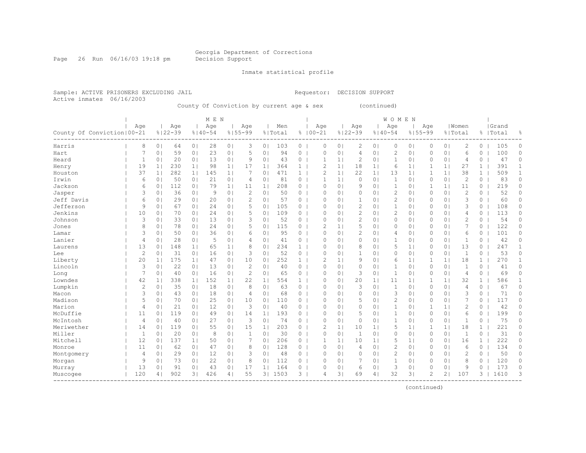Page 26 Run 06/16/03 19:18 pm Decision Support

Inmate statistical profile

Active inmates 06/16/2003

Sample: ACTIVE PRISONERS EXCLUDING JAIL Requestor: DECISION SUPPORT

County Of Conviction by current age & sex (continued)

|                              |                |                |             |                | M E N       |                |                |                |         |                |                |                |                |                | <b>WOMEN</b>   |                |                |                |                |              |           |              |
|------------------------------|----------------|----------------|-------------|----------------|-------------|----------------|----------------|----------------|---------|----------------|----------------|----------------|----------------|----------------|----------------|----------------|----------------|----------------|----------------|--------------|-----------|--------------|
|                              | Age            |                | Age         |                | Age         |                | Aqe            |                | Men     |                | Age            |                | Age            |                | Age            |                | Age            |                | Women          |              | Grand     |              |
| County Of Conviction   00-21 |                |                | $8122 - 39$ |                | $8140 - 54$ |                | $8155 - 99$    |                | % Total |                | $8100 - 21$    |                | $8122 - 39$    |                | $8140 - 54$    | $8155 - 99$    |                |                | % Total        |              | %   Total | 욲            |
| Harris                       | 8              | 0 <sup>1</sup> | 64          | 0 <sub>1</sub> | 28          | 0 <sub>1</sub> | 3              | 0 <sub>1</sub> | 103     | $\circ$        | 0              | 0 <sup>1</sup> | 2              | 0 <sub>1</sub> | 0              | 0 <sub>1</sub> | 0              | 0 <sub>1</sub> | $\overline{c}$ | 0            | 105       | 0            |
| Hart                         | 7              | 0 <sub>1</sub> | 59          | 0 <sub>1</sub> | 23          | 0 <sup>1</sup> | 5              | 0 <sub>1</sub> | 94      | 0              | $\Omega$       | 0 <sub>1</sub> | 4              | 0 <sup>1</sup> | 2              | 0 <sub>1</sub> | $\Omega$       | 0 <sub>1</sub> | 6              | $\Omega$     | 100       | 0            |
| Heard                        | $\mathbf{1}$   | 0 <sup>1</sup> | 20          | 0 <sub>1</sub> | 13          | 0 <sub>1</sub> | 9              | 0 <sub>1</sub> | 43      | 0              | 1              | 1 <sup>1</sup> | $\overline{2}$ | 0 <sub>1</sub> | 1              | 0 <sub>1</sub> | $\Omega$       | 0 <sub>1</sub> | 4              | $\circ$      | 47        | 0            |
| Henry                        | 19             | 1              | 230         | 11             | 98          | 1 <sup>1</sup> | 17             | 1 <sub>1</sub> | 364     | $\mathbf{1}$   | $\mathcal{D}$  | 1 <sup>1</sup> | 18             | 1 <sub>1</sub> | 6              | 1 <sub>1</sub> | 1              | 1              | 27             | $\mathbf{1}$ | 391       | $\mathbf{1}$ |
| Houston                      | 37             | 1 <sup>1</sup> | 282         | 1 <sup>1</sup> | 145         | 1 <sup>1</sup> | 7              | 0 <sub>1</sub> | 471     | $\mathbf{1}$   | $\overline{c}$ | 1 <sup>1</sup> | 22             | 1 <sub>1</sub> | 13             | 1 <sub>1</sub> | $\mathbf{1}$   | 11             | 38             | $\mathbf{1}$ | 509       | $\mathbf{1}$ |
| Irwin                        | 6              | 0 <sub>1</sub> | 50          | 0 <sub>1</sub> | 21          | 0 <sub>1</sub> | 4              | 0 <sub>1</sub> | 81      | 0              |                | 1 <sup>1</sup> | $\circ$        | 0 <sub>1</sub> | 1              | 0 <sub>1</sub> | 0              | 0 <sub>1</sub> | $\overline{2}$ | 0            | 83        | $\circ$      |
| Jackson                      | 6              | 0 <sub>1</sub> | 112         | 0 <sub>1</sub> | 79          | 1 <sub>1</sub> | 11             | 1 <sub>1</sub> | 208     | 0              | $\Omega$       | 0 <sup>1</sup> | 9              | 01             | 1              | $\circ$        | 1              | 1 <sub>1</sub> | 11             | 0            | 219       | 0            |
| Jasper                       | 3              | 0 <sub>1</sub> | 36          | 0 <sub>1</sub> | 9           | 0 <sup>1</sup> | $\overline{c}$ | 0              | 50      | 0              | $\Omega$       | 0 <sup>1</sup> | $\circ$        | 0 <sup>1</sup> | $\overline{2}$ | $\circ$        | $\Omega$       | 0 <sub>1</sub> | $\overline{2}$ | 0            | 52        | $\Omega$     |
| Jeff Davis                   | 6              | 0 <sub>1</sub> | 29          | 0 <sub>1</sub> | 20          | 0 <sup>1</sup> | 2              | $\Omega$       | 57      | 0              | $\Omega$       | $\Omega$       | 1              | $\Omega$       | $\mathbf{2}$   | 0 <sub>1</sub> | $\Omega$       | 0 <sub>1</sub> | 3              | 0            | 60        | $\Omega$     |
| Jefferson                    | 9              | 0 <sub>1</sub> | 67          | 0 <sub>1</sub> | 24          | 0 <sub>1</sub> | 5              | 0 <sub>1</sub> | 105     | $\circ$        | $\Omega$       | $\Omega$       | $\overline{2}$ | 0 <sup>1</sup> | 1              | 0 <sub>1</sub> | $\Omega$       | 0 <sub>1</sub> | 3              | 0            | 108       | 0            |
| Jenkins                      | 10             | 0 <sub>1</sub> | 70          | 0 <sub>1</sub> | 24          | 0 <sub>1</sub> | 5              | 0 <sub>1</sub> | 109     | $\circ$        | $\Omega$       | $\Omega$       | $\mathbf{2}$   | 0 <sub>1</sub> | $\mathbf{2}$   | 0 <sub>1</sub> | $\Omega$       | 0 <sub>1</sub> | 4              | 0            | 113       | 0            |
| Johnson                      | 3              | 0 <sub>1</sub> | 33          | 0 <sub>1</sub> | 13          | 0 <sub>1</sub> | 3              | 0              | 52      | 0              | $\Omega$       | 0 <sub>1</sub> | $\overline{c}$ | $\Omega$       | 0              | 0 <sub>1</sub> | $\Omega$       | 0 <sub>1</sub> | $\overline{c}$ | 0            | 54        | $\Omega$     |
| Jones                        | 8              | 0 <sub>1</sub> | 78          | 0 <sub>1</sub> | 24          | 0 <sub>1</sub> | 5              | 0 <sub>1</sub> | 115     | $\overline{0}$ | $\overline{c}$ | 1 <sup>1</sup> | 5              | 0 <sup>1</sup> | 0              | 0 <sub>1</sub> | 0              | 0 <sub>1</sub> | $\overline{7}$ | 0            | 122       | 0            |
| Lamar                        | 3              | 0 <sub>1</sub> | 50          | 0 <sub>1</sub> | 36          | 0 <sub>1</sub> | 6              | 0 <sub>1</sub> | 95      | 0              | $\Omega$       | 0 <sub>1</sub> | $\overline{c}$ | 0 <sub>1</sub> | 4              | 0 <sub>1</sub> | 0              | 0 <sub>1</sub> | 6              | 0            | 101       | 0            |
| Lanier                       | 4              | 0 <sub>1</sub> | 28          | 0 <sub>1</sub> | 5           | 0 <sub>1</sub> | $\overline{4}$ | 0 <sub>1</sub> | 41      | $\overline{0}$ | $\Omega$       | 0 <sub>1</sub> | $\circ$        | 0 <sub>1</sub> | 1              | 0 <sub>1</sub> | 0              | 0 <sub>1</sub> | 1              | 0            | 42        | 0            |
| Laurens                      | 13             | 0 <sub>1</sub> | 148         | 1 <sub>1</sub> | 65          | 1 <sub>1</sub> | 8              | 0 <sub>1</sub> | 234     | $\mathbf{1}$   | $\Omega$       | 0 <sup>1</sup> | 8              | 0 <sup>1</sup> | 5              | 1 <sub>1</sub> | $\Omega$       | 0 <sub>1</sub> | 13             | 0            | 247       | 1            |
| Lee                          | $\mathbf{2}$   | 0 <sub>1</sub> | 31          | 0 <sub>1</sub> | 16          | 0 <sub>1</sub> | 3              | $\Omega$       | 52      | 0              | $\Omega$       | $\Omega$       | $\mathbf{1}$   | $\circ$        | $\Omega$       | 0 <sub>1</sub> | $\Omega$       | 0 <sub>1</sub> | 1              | $\Omega$     | 53        | $\Omega$     |
| Liberty                      | 20             | 1 <sub>1</sub> | 175         | 1 <sub>1</sub> | 47          | 0 <sub>1</sub> | 10             | $\Omega$       | 252     | $\mathbf{1}$   | $\mathcal{D}$  | 1 <sup>1</sup> | 9              | 0 <sup>1</sup> | 6              | 1 <sub>1</sub> | 1              | 1 <sup>1</sup> | 18             | $\mathbf{1}$ | 270       | 1            |
| Lincoln                      | 3              | 0 <sub>1</sub> | 22          | 0 <sub>1</sub> | 13          | 0 <sub>1</sub> | $\overline{c}$ | 0 <sub>1</sub> | 40      | 0              | $\circ$        | 0 <sub>1</sub> | $\circ$        | 0 <sub>1</sub> | 1              | 0 <sub>1</sub> | $\Omega$       | 0 <sub>1</sub> | 1              | $\Omega$     | 41        | $\Omega$     |
| Long                         | 7              | 0 <sup>1</sup> | 40          | 0 <sub>1</sub> | 16          | 0 <sub>1</sub> | $\overline{c}$ | 0 <sub>1</sub> | 65      | 0              | $\circ$        | 0 <sub>1</sub> | 3              | 0 <sub>1</sub> | 1              | 0 <sub>1</sub> | 0              | 0 <sub>1</sub> | 4              | 0            | 69        | 0            |
| Lowndes                      | 42             | 1 <sub>1</sub> | 338         | 1 <sup>1</sup> | 152         | 1 <sub>1</sub> | 22             | 1 <sub>1</sub> | 554     | $\mathbf{1}$   | $\Omega$       | 0 <sub>1</sub> | 20             | 1 <sup>1</sup> | 11             | 1 <sub>1</sub> | 1              | 1 <sup>1</sup> | 32             | $\mathbf{1}$ | 586       | $\mathbf{1}$ |
| Lumpkin                      | $\overline{c}$ | 0 <sub>1</sub> | 35          | 0 <sub>1</sub> | 18          | 0 <sub>1</sub> | 8              | 0 <sub>1</sub> | 63      | 0              | $\Omega$       | $\Omega$       | 3              | $\Omega$       | $\mathbf{1}$   | 0 <sub>1</sub> | $\mathbf{0}$   | 0 <sub>1</sub> | 4              | $\Omega$     | 67        | $\circ$      |
| Macon                        | 3              | 0 <sub>1</sub> | 43          | 0 <sub>1</sub> | 18          | 0 <sub>1</sub> | $\overline{4}$ | 0 <sub>1</sub> | 68      | 0              | $\Omega$       | 0 <sub>1</sub> | $\circ$        | 0 <sup>1</sup> | 3              | 0 <sub>1</sub> | $\Omega$       | 0 <sub>1</sub> | 3              | 0            | 71        | $\circ$      |
| Madison                      | 5              | 0 <sub>1</sub> | 70          | 0 <sub>1</sub> | 25          | 0 <sub>1</sub> | 10             | 0 <sub>1</sub> | 110     | $\circ$        | $\Omega$       | 0 <sup>1</sup> | 5              | 01             | $\overline{c}$ | 0 <sub>1</sub> | 0              | 0 <sub>1</sub> | 7              | 0            | 117       | 0            |
| Marion                       | $\overline{4}$ | 0 <sub>1</sub> | 21          | 0 <sub>1</sub> | 12          | 0 <sup>1</sup> | 3              | 0              | 40      | 0              | $\Omega$       | 0 <sup>1</sup> | $\circ$        | 0              | 1              | $\circ$        |                | 1 <sub>1</sub> | $\overline{2}$ | 0            | 42        | 0            |
| McDuffie                     | 11             | 0 <sub>1</sub> | 119         | 0 <sub>1</sub> | 49          | 0 <sup>1</sup> | 14             | 1 <sup>1</sup> | 193     | 0              | $\Omega$       | 0 <sup>1</sup> | 5              | 0 <sup>1</sup> | 1              | 0 <sub>1</sub> | $\Omega$       | 0 <sub>1</sub> | 6              | $\Omega$     | 199       | $\Omega$     |
| McIntosh                     | $\overline{4}$ | 0 <sub>1</sub> | 40          | 0 <sub>1</sub> | 27          | 0 <sup>1</sup> | 3              | 0              | 74      | 0              | $\Omega$       | 0 <sup>1</sup> | $\circ$        | 0 <sup>1</sup> | $\mathbf{1}$   | 0 <sub>1</sub> | $\Omega$       | 0 <sub>1</sub> | 1              | 0            | 75        | $\Omega$     |
| Meriwether                   | 14             | 0 <sub>1</sub> | 119         | 0 <sub>1</sub> | 55          | 0 <sub>1</sub> | 15             | 1 <sub>1</sub> | 203     | 0              | 2              | 1 <sup>1</sup> | 10             | 1 <sub>1</sub> | 5              | 1 <sub>1</sub> | 1              | 1 <sub>1</sub> | 18             | $\mathbf{1}$ | 221       | 0            |
| Miller                       | $\mathbf{1}$   | 0 <sub>1</sub> | 20          | 0 <sub>1</sub> | 8           | 0 <sub>1</sub> | $\mathbf{1}$   | 0 <sub>1</sub> | 30      | $\circ$        | 0              | 0 <sub>1</sub> | $\mathbf{1}$   | 0 <sup>1</sup> | $\Omega$       | 0 <sub>1</sub> | $\Omega$       | 0 <sub>1</sub> | 1              | 0            | 31        | 0            |
| Mitchell                     | 12             | 0 <sub>1</sub> | 137         | 1 <sup>1</sup> | 50          | 0 <sub>1</sub> | 7              | 0 <sub>1</sub> | 206     | 0              | 1              | 1 <sup>1</sup> | 10             | 1 <sub>1</sub> | 5              | 1 <sub>1</sub> | $\Omega$       | 0 <sub>1</sub> | 16             | $\mathbf{1}$ | 222       | 0            |
| Monroe                       | 11             | 0 <sub>1</sub> | 62          | 0 <sub>1</sub> | 47          | 0 <sub>1</sub> | 8              | 0 <sub>1</sub> | 128     | 0 <sub>1</sub> | $\Omega$       | 0 <sub>1</sub> | 4              | 0 <sup>1</sup> | $\overline{c}$ | 0 <sub>1</sub> | 0              | 0 <sub>1</sub> | 6              | $\Omega$     | 134       | $\circ$      |
| Montgomery                   | 4              | 0 <sub>1</sub> | 29          | 0 <sub>1</sub> | 12          | 0 <sub>1</sub> | 3              | 0              | 48      | $\overline{0}$ | $\Omega$       | 0 <sub>1</sub> | $\circ$        | 0 <sup>1</sup> | 2              | 0 <sub>1</sub> | 0              | 0 <sub>1</sub> | $\overline{c}$ | 0            | 50        | 0            |
| Morgan                       | 9              | 0 <sub>1</sub> | 73          | 0 <sub>1</sub> | 22          | 0 <sub>1</sub> | 8              | 0 <sub>1</sub> | 112     | $\circ$        | $\Omega$       | 0 <sub>1</sub> | 7              | 0 <sub>1</sub> | 1              | 0 <sub>1</sub> | 0              | 0 <sub>1</sub> | 8              | 0            | 120       | 0            |
| Murray                       | 13             | 0 <sub>1</sub> | 91          | 0 <sup>1</sup> | 43          | 0 <sup>1</sup> | 17             | 1 <sub>1</sub> | 164     | 0              | $\Omega$       | $\circ$        | 6              | $\circ$        | 3              | $\circ$        | 0              | 0 <sub>1</sub> | 9              | 0            | 173       | 0            |
| Muscogee                     | 120            | 4              | 902         | $\overline{3}$ | 426         | 4 <sup>1</sup> | 55             | 3 <sub>1</sub> | 1503    | $\overline{3}$ | $\overline{4}$ | 31             | 69             | 4 <sub>1</sub> | 32             | 31             | $\mathfrak{D}$ | 21             | 107            | 3            | 1610      | 3            |
|                              |                |                |             |                |             |                |                |                |         |                |                |                |                |                |                |                |                |                |                |              |           |              |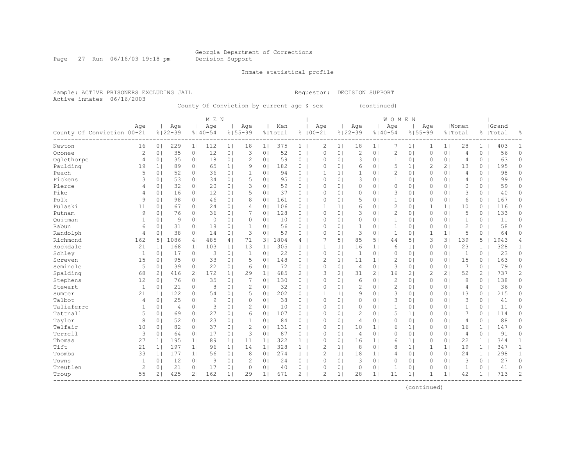Page 27 Run 06/16/03 19:18 pm Decision Support

Inmate statistical profile

Sample: ACTIVE PRISONERS EXCLUDING JAIL Requestor: DECISION SUPPORT Active inmates 06/16/2003

County Of Conviction by current age & sex (continued)

|                              |                |                |                |                | M E N       |                |                |                |         |                |                |                |                |                | <b>WOMEN</b>   |                |                |                |                |                |           |              |
|------------------------------|----------------|----------------|----------------|----------------|-------------|----------------|----------------|----------------|---------|----------------|----------------|----------------|----------------|----------------|----------------|----------------|----------------|----------------|----------------|----------------|-----------|--------------|
|                              | Age            |                | Age            |                | Age         |                | Aqe            |                | Men     |                | Age            |                | Age            |                | Age            |                | Age            |                | Women          |                | Grand     |              |
| County Of Conviction   00-21 |                |                | $8122 - 39$    |                | $8140 - 54$ |                | $8155 - 99$    |                | % Total |                | $8100 - 21$    |                | $8122 - 39$    |                | $8140 - 54$    | $8155 - 99$    |                |                | % Total        |                | %   Total | 욲            |
| Newton                       | 16             | 0 <sup>1</sup> | 229            | 1 <sub>1</sub> | 112         | 1 <sub>1</sub> | 18             | 1 <sub>1</sub> | 375     | $\mathbf{1}$   | 2              | 1 <sub>1</sub> | 18             | 1              | 7              | 1 <sub>1</sub> | 1              | 1 <sub>1</sub> | 28             | 1              | 403       | 1            |
| Oconee                       | $\mathbf{2}$   | 0 <sub>1</sub> | 35             | 0 <sub>1</sub> | 12          | 0 <sup>1</sup> | 3              | 0 <sub>1</sub> | 52      | 0              | $\circ$        | 0 <sup>1</sup> | $\overline{2}$ | 0 <sup>1</sup> | 2              | 0 <sub>1</sub> | $\Omega$       | 0 <sub>1</sub> | 4              | 0              | 56        | 0            |
| Oqlethorpe                   | 4              | 0 <sub>1</sub> | 35             | 0 <sub>1</sub> | 18          | 0 <sub>1</sub> | 2              | 0 <sub>1</sub> | 59      | 0              | $\mathbf 0$    | 0 <sub>1</sub> | 3              | 0 <sub>1</sub> | 1              | 0 <sub>1</sub> | 0              | 0 <sub>1</sub> | $\overline{4}$ | 0              | 63        | $\circ$      |
| Paulding                     | 19             | 1              | 89             | 0 <sub>1</sub> | 65          | 1 <sub>1</sub> | 9              | 0 <sub>1</sub> | 182     | 0              | $\Omega$       | 0 <sub>1</sub> | 6              | 0 <sub>1</sub> | 5              | 1 <sub>1</sub> | 2              | 21             | 13             | 0              | 195       | 0            |
| Peach                        | 5              | 0 <sub>1</sub> | 52             | 0 <sub>1</sub> | 36          | 0 <sub>1</sub> | 1              | 0 <sup>1</sup> | 94      | $\circ$        | 1              | 1 <sup>1</sup> | $\mathbf{1}$   | 0 <sup>1</sup> | $\mathbf{2}$   | 0 <sub>1</sub> | 0              | 0 <sub>1</sub> | 4              | 0              | 98        | $\Omega$     |
| Pickens                      | 3              | 0 <sub>1</sub> | 53             | 0 <sub>1</sub> | 34          | 0 <sub>1</sub> | 5              | 0 <sub>1</sub> | 95      | $\circ$        | $\Omega$       | 0 <sub>1</sub> | 3              | 0 <sub>1</sub> | 1              | 0 <sub>1</sub> | 0              | 0 <sub>1</sub> | 4              | 0              | 99        | 0            |
| Pierce                       | $\overline{4}$ | 0 <sub>1</sub> | 32             | 0 <sub>1</sub> | 20          | 0 <sub>1</sub> | 3              | 0 <sub>1</sub> | 59      | $\overline{0}$ | $\Omega$       | 0 <sub>1</sub> | $\circ$        | 0 <sub>1</sub> | 0              | 0 <sub>1</sub> | 0              | 0 <sub>1</sub> | $\circ$        | $\circ$        | 59        | 0            |
| Pike                         | 4              | 0 <sub>1</sub> | 16             | 0 <sub>1</sub> | 12          | 0 <sub>1</sub> | 5              | 0              | 37      | $\circ$        | $\Omega$       | 0 <sup>1</sup> | $\circ$        | 0 <sub>1</sub> | 3              | 0 <sub>1</sub> | 0              | 0 <sub>1</sub> | 3              | 0              | 40        | 0            |
| Polk                         | 9              | 0 <sub>1</sub> | 98             | 0 <sub>1</sub> | 46          | 0 <sub>1</sub> | 8              | 0 <sub>1</sub> | 161     | 0              | $\bigcap$      | 0 <sup>1</sup> | 5              | 0 <sup>1</sup> | $\mathbf{1}$   | 0 <sub>1</sub> | $\Omega$       | 0 <sub>1</sub> | 6              | 0              | 167       | 0            |
| Pulaski                      | 11             | 0 <sub>1</sub> | 67             | 0 <sub>1</sub> | 24          | 0 <sub>1</sub> | $\overline{4}$ | 0              | 106     | $\overline{0}$ | 1              | $\mathbf{1}$   | 6              | 0 <sup>1</sup> | $\overline{c}$ | 0 <sub>1</sub> | $\mathbf{1}$   | 1 <sub>1</sub> | 10             | 0              | 116       | 0            |
| Putnam                       | 9              | 0 <sub>1</sub> | 76             | 0 <sub>1</sub> | 36          | 0 <sub>1</sub> | 7              | 0 <sub>1</sub> | 128     | $\overline{0}$ | $\circ$        | 0 <sub>1</sub> | 3              | 0 <sub>1</sub> | $\overline{c}$ | 0 <sub>1</sub> | $\Omega$       | 0 <sub>1</sub> | 5              | 0              | 133       | 0            |
| Ouitman                      | $\mathbf{1}$   | 0 <sub>1</sub> | 9              | 0 <sub>1</sub> | $\circ$     | 0 <sub>1</sub> | 0              | 0 <sub>1</sub> | 10      | $\circ$        | $\mathbf 0$    | 0 <sub>1</sub> | $\circ$        | 0 <sub>1</sub> | $\mathbf{1}$   | 0 <sub>1</sub> | $\Omega$       | 0 <sub>1</sub> | $\mathbf{1}$   | 0              | 11        | 0            |
| Rabun                        | 6              | 0 <sub>1</sub> | 31             | 0 <sub>1</sub> | 18          | 0 <sub>1</sub> | $\mathbf{1}$   | 0 <sub>1</sub> | 56      | 0              | $\mathbf{0}$   | 0 <sub>1</sub> | $\mathbf{1}$   | 0 <sup>1</sup> | $\mathbf{1}$   | 0 <sub>1</sub> | 0              | 0 <sub>1</sub> | $\overline{2}$ | 0              | 58        | $\circ$      |
| Randolph                     | 4              | 0 <sup>1</sup> | 38             | 0 <sub>1</sub> | 14          | 0 <sub>1</sub> | 3              | 0 <sup>1</sup> | 59      | 0 <sub>1</sub> | $\Omega$       | 0 <sub>1</sub> | 3              | 0 <sup>1</sup> | $\mathbf{1}$   | 0 <sub>1</sub> | $\mathbf{1}$   | 1 <sub>1</sub> | 5              | $\circ$        | 64        | $\circ$      |
| Richmond                     | 162            | 5 <sub>1</sub> | 1086           | 4 <sub>1</sub> | 485         | 4              | 71             | 3 <sup>1</sup> | 1804    | 41             | 7              | 51             | 85             | 5 <sub>1</sub> | 44             | 51             | 3              | 31             | 139            | 5              | 1943      | 4            |
| Rockdale                     | 21             | 1 <sub>1</sub> | 168            | 1 <sup>1</sup> | 103         | 1 <sup>1</sup> | 13             | 1 <sub>1</sub> | 305     | $\mathbf{1}$   | 1              | 1 <sup>1</sup> | 16             | 1 <sub>1</sub> | 6              | 1 <sub>1</sub> | 0              | 0 <sub>1</sub> | 23             | 1              | 328       | $\mathbf{1}$ |
| Schley                       | $\mathbf{1}$   | 0 <sub>1</sub> | 17             | 0 <sub>1</sub> | 3           | 0 <sub>1</sub> | $\mathbf{1}$   | 0              | 22      | 0              | $\Omega$       | 0 <sup>1</sup> | $\mathbf{1}$   | 0 <sup>1</sup> | $\Omega$       | $\circ$        | 0              | 0 <sub>1</sub> | 1              | 0              | 23        | 0            |
| Screven                      | 15             | 0 <sub>1</sub> | 95             | 0 <sub>1</sub> | 33          | 0 <sup>1</sup> | 5              | 0              | 148     | 0              | $\overline{c}$ | 1 <sup>1</sup> | 11             | 1 <sub>1</sub> | 2              | 0 <sub>1</sub> | 0              | 0 <sub>1</sub> | 15             | 0              | 163       | 0            |
| Seminole                     | 5              | 0 <sub>1</sub> | 39             | 0 <sub>1</sub> | 22          | 0 <sub>1</sub> | 6              | 0              | 72      | $\circ$        | $\mathbf{0}$   | 0 <sub>1</sub> | $\overline{4}$ | 0 <sup>1</sup> | 3              | 0 <sub>1</sub> | $\Omega$       | 0 <sub>1</sub> | 7              | 0              | 79        | 0            |
| Spalding                     | 68             | 21             | 416            | 2 <sub>1</sub> | 172         | 1 <sub>1</sub> | 29             | 1 <sub>1</sub> | 685     | $\overline{2}$ | 3              | 21             | 31             | 2 <sub>1</sub> | 16             | 2 <sub>1</sub> | $\overline{c}$ | 21             | 52             | $\mathbf{2}^-$ | 737       | 2            |
| Stephens                     | 12             | 0 <sub>1</sub> | 76             | 0 <sub>1</sub> | 35          | 0 <sub>1</sub> | 7              | 0 <sub>1</sub> | 130     | $\circ$        | 0              | 0 <sub>1</sub> | 6              | 0 <sub>1</sub> | $\mathbf{2}$   | 0 <sub>1</sub> | $\Omega$       | 0 <sub>1</sub> | 8              | 0              | 138       | 0            |
| Stewart                      | $\mathbf{1}$   | 0 <sub>1</sub> | 21             | 0 <sub>1</sub> | 8           | 0 <sub>1</sub> | $\overline{c}$ | 0 <sub>1</sub> | 32      | 0              | $\Omega$       | 0 <sub>1</sub> | $\overline{c}$ | 0 <sup>1</sup> | $\overline{c}$ | 0 <sub>1</sub> | $\Omega$       | 0 <sub>1</sub> | 4              | 0              | 36        | 0            |
| Sumter                       | 21             | 1 <sub>1</sub> | 122            | 0 <sub>1</sub> | 54          | 0 <sub>1</sub> | 5              | 0 <sub>1</sub> | 202     | $\circ$        | 1              | 1 <sup>1</sup> | 9              | $\Omega$       | 3              | 0 <sub>1</sub> | 0              | 0 <sub>1</sub> | 13             | $\Omega$       | 215       | $\Omega$     |
| Talbot                       | 4              | 0 <sub>1</sub> | 25             | 0 <sub>1</sub> | 9           | 0 <sub>1</sub> | $\Omega$       | 0 <sub>1</sub> | 38      | $\circ$        | $\Omega$       | 0 <sub>1</sub> | $\circ$        | 01             | 3              | 0 <sub>1</sub> | $\Omega$       | 0 <sub>1</sub> | 3              | $\Omega$       | 41        | 0            |
| Taliaferro                   | 1              | 0 <sub>1</sub> | $\overline{4}$ | 0 <sub>1</sub> | 3           | 0 <sub>1</sub> | 2              | 0 <sup>1</sup> | 10      | 0              | $\Omega$       | 0 <sub>1</sub> | $\circ$        | 0 <sup>1</sup> | 1              | 0 <sub>1</sub> | 0              | 0 <sub>1</sub> | 1              | 0              | 11        | 0            |
| Tattnall                     | 5              | 0 <sub>1</sub> | 69             | 0 <sup>1</sup> | 27          | 0 <sub>1</sub> | 6              | 0 <sub>1</sub> | 107     | $\circ$        | $\Omega$       | 0 <sup>1</sup> | 2              | 0 <sup>1</sup> | 5              | 1 <sub>1</sub> | $\Omega$       | 0 <sub>1</sub> | 7              | 0              | 114       | 0            |
| Taylor                       | 8              | 0 <sub>1</sub> | 52             | 0 <sup>1</sup> | 23          | 0 <sup>1</sup> | 1              | 0              | 84      | 0              | $\Omega$       | 0 <sup>1</sup> | $\overline{4}$ | 0 <sup>1</sup> | $\Omega$       | 0 <sub>1</sub> | $\Omega$       | 0 <sub>1</sub> | 4              | 0              | 88        | $\Omega$     |
| Telfair                      | 10             | 0 <sub>1</sub> | 82             | 0 <sup>1</sup> | 37          | 0 <sub>1</sub> | 2              | 0              | 131     | 0              | $\Omega$       | 0 <sup>1</sup> | 10             | 1 <sub>1</sub> | 6              | 1 <sub>1</sub> | $\Omega$       | 0 <sub>1</sub> | 16             | $\mathbf{1}$   | 147       | $\Omega$     |
| Terrell                      | 3              | 0 <sub>1</sub> | 64             | 0 <sub>1</sub> | 17          | 0 <sub>1</sub> | 3              | 0 <sub>1</sub> | 87      | 0              | $\circ$        | 0 <sub>1</sub> | $\overline{4}$ | 0 <sub>1</sub> | 0              | 0 <sub>1</sub> | $\Omega$       | 0 <sub>1</sub> | 4              | 0              | 91        | 0            |
| Thomas                       | 27             | 1 <sub>1</sub> | 195            | 1 <sub>1</sub> | 89          | 1              | 11             | 1 <sub>1</sub> | 322     | $\mathbf{1}$   | 0              | 0 <sup>1</sup> | 16             | 1 <sub>1</sub> | 6              | 1 <sub>1</sub> | $\Omega$       | 0 <sub>1</sub> | 22             | $\mathbf{1}$   | 344       | 1            |
| Tift                         | 21             | 1              | 197            | 1 <sub>1</sub> | 96          | 1              | 14             | 1 <sub>1</sub> | 328     | 1              | $\overline{c}$ | 1 <sub>1</sub> | 8              | 0 <sub>1</sub> | 8              | 1 <sub>1</sub> | 1              | 1 <sub>1</sub> | 19             | $\mathbf{1}$   | 347       | $\mathbf{1}$ |
| Toombs                       | 33             | 1              | 177            | 1 <sub>1</sub> | 56          | 0 <sub>1</sub> | 8              | 0 <sub>1</sub> | 274     | 1              | $\mathbf{2}$   | 1              | 18             | 1 <sub>1</sub> | 4              | 0 <sub>1</sub> | 0              | 0 <sub>1</sub> | 24             | $\mathbf{1}$   | 298       | $\mathbf{1}$ |
| Towns                        | $\mathbf{1}$   | 0 <sub>1</sub> | 12             | 0 <sub>1</sub> | 9           | 0 <sub>1</sub> | $\overline{c}$ | 0 <sub>1</sub> | 24      | $0-1$          | $\Omega$       | 0 <sub>1</sub> | 3              | 0 <sub>1</sub> | 0              | 0 <sub>1</sub> | 0              | 0 <sub>1</sub> | 3              | 0              | 27        | $\circ$      |
| Treutlen                     | $\overline{c}$ | 0              | 21             | 0 <sub>1</sub> | 17          | 0 <sub>1</sub> | $\Omega$       | 0              | 40      | 0              | $\Omega$       | 0 <sub>1</sub> | 0              | 0 <sub>1</sub> | 1              | 0 <sub>1</sub> | $\Omega$       | 0 <sub>1</sub> | 1              | 0              | 41        | $\circ$      |
| Troup                        | 55             | 2 <sub>1</sub> | 425            | 2 <sub>1</sub> | 162         | 1 <sub>1</sub> | 29             | 1 <sub>1</sub> | 671     | $\overline{2}$ | $\overline{c}$ | 1              | 28             | 1 <sub>1</sub> | 11             | 1 <sub>1</sub> |                | 1 <sub>1</sub> | 42             | $\mathbf{1}$   | 713       | 2            |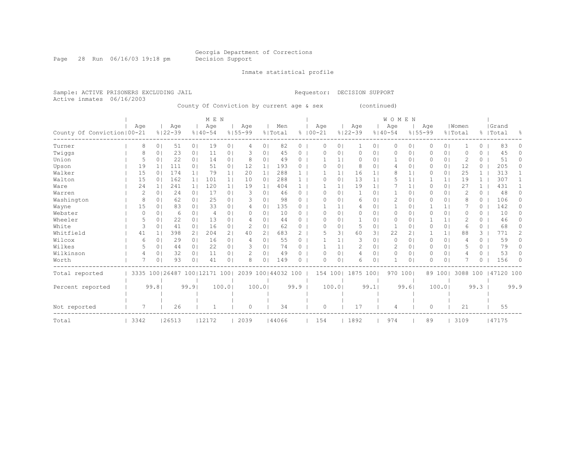Page 28 Run 06/16/03 19:18 pm Decision Support

Inmate statistical profile

Sample: ACTIVE PRISONERS EXCLUDING JAIL Requestor: DECISION SUPPORT Active inmates 06/16/2003

County Of Conviction by current age & sex (continued)

|                              |      |          |                       |                | M E N           |                |             |                |                      |              |             |          |                |                | <b>WOMEN</b> |                |             |                |          |              |            |          |
|------------------------------|------|----------|-----------------------|----------------|-----------------|----------------|-------------|----------------|----------------------|--------------|-------------|----------|----------------|----------------|--------------|----------------|-------------|----------------|----------|--------------|------------|----------|
|                              | Age  |          | Age                   |                | Age             |                | Age         |                | Men                  |              | Age         |          | Age            |                | Age          |                | Age         |                | Women    |              | Grand      |          |
| County Of Conviction   00-21 |      |          | $8122 - 39$           |                | $8140 - 54$     |                | $8155 - 99$ |                | % Total              |              | $8100 - 21$ |          | $8122 - 39$    |                | $8140 - 54$  |                | $8155 - 99$ |                | % Total  |              | %   Total  | ႜ        |
| Turner                       |      | 8        | 0 <sup>1</sup><br>51  | 0 <sub>1</sub> | 19              | 0 <sub>1</sub> | 4           | 0 <sup>1</sup> | 82                   | $\circ$      | 0           | $\circ$  | 1              | 0 <sub>1</sub> | 0            | 0 <sup>1</sup> | 0           | $\overline{0}$ |          | $\circ$      | 83         |          |
| Twiggs                       |      | 8        | 23<br>0.              | 0 <sub>1</sub> | 11              | 01             |             | 0              | 45                   | 0            | O           | $\circ$  | 0              | 01             | O            | 0 <sub>1</sub> |             | 0 <sup>1</sup> | O        | 0            | 45         | 0        |
| Union                        |      | 5        | 22<br>$\circ$         | 0 <sub>1</sub> | 14              | 0 <sub>1</sub> | 8           | 0 <sup>1</sup> | 49                   | 0            |             |          | 0              | $\Omega$       |              | 0 <sub>1</sub> | 0           | 0 <sup>1</sup> | 2        | $\circ$      | 51         | 0        |
| Upson                        |      | 19       | 111                   | 0 <sub>1</sub> | 51              | 0 <sub>1</sub> | 12          | $1\vert$       | 193                  | 0            |             | $\circ$  | 8              | 01             |              | 0 <sub>1</sub> | 0           | 0 <sub>1</sub> | 12       | 0            | 205        | 0        |
| Walker                       |      | 15       | 174<br>0 <sup>1</sup> | 1 <sub>1</sub> | 79              | 1              | 20          | $1\vert$       | 288                  | $\mathbf{1}$ |             |          | 16             | 1 <sup>1</sup> | 8            | 1 <sub>1</sub> | 0           | 0 <sup>1</sup> | 25       | $\mathbf{1}$ | 313        |          |
| Walton                       |      | 15       | 162<br>0 <sup>1</sup> | 1 <sub>1</sub> | 101             | 1 <sub>1</sub> | 10          | 0 <sup>1</sup> | 288                  | $\mathbf{1}$ | $\Omega$    | $\circ$  | 13             | 1 <sup>1</sup> | 5            | 1              |             | 1              | 19       | $\mathbf{1}$ | 307        |          |
| Ware                         |      | 24       | 241<br>11             | 1 <sub>1</sub> | 120             | 1 <sub>1</sub> | 19          | $1\vert$       | 404                  | 1.           |             |          | 19             | 1 <sup>1</sup> |              | 1 <sup>1</sup> | 0           | 0 <sup>1</sup> | 27       | $\mathbf{1}$ | 431        |          |
| Warren                       |      | 2        | 24<br>$\Omega$        | 0 <sub>1</sub> | 17              | 0              | 3           | 0              | 46                   | $\Omega$     | $\Omega$    | $\circ$  |                | 01             |              | 0 <sub>1</sub> | 0           | 0 <sup>1</sup> | 2        | $\circ$      | 48         | 0        |
| Washington                   |      | 8        | 62<br>0 <sup>1</sup>  | 0 <sub>1</sub> | 25              | 0 <sub>1</sub> | 3           | 0              | 98                   | 0            |             | $\Omega$ | 6              | 01             |              | 0 <sub>1</sub> | 0           | 0 <sup>1</sup> | 8        | 0            | 106        | 0        |
| Wayne                        |      | 15       | 83<br>0 <sub>1</sub>  | 0 <sub>1</sub> | 33              | 0 <sub>1</sub> | 4           | 0 <sup>1</sup> | 135                  | 0            |             |          | $\overline{4}$ | 0 <sup>1</sup> |              | 0 <sub>1</sub> |             | 1 <sup>1</sup> |          | $\circ$      | 142        | 0        |
| Webster                      |      | $\Omega$ | 0 <sup>1</sup><br>6   | 0 <sub>1</sub> | 4               | 0              | $\Omega$    | $\circ$        | 10                   | $\Omega$     | O           | $\Omega$ | 0              | 01             | $\Omega$     | 0 <sub>1</sub> | 0           | 0 <sub>1</sub> | $\Omega$ | $\Omega$     | 10         | 0        |
| Wheeler                      |      |          | 22<br>0               | 0 <sub>1</sub> | 13              | 01             |             | $\Omega$       | 44                   | $\Omega$     | ∩           | $\Omega$ | -1             | $\Omega$       | $\Omega$     | $\Omega$       |             | $\mathbf{1}$   | 2        | 0            | 46         |          |
| White                        |      | 3        | 41<br>0               | 0 <sub>1</sub> | 16              | 0 <sub>1</sub> |             | 0              | 62                   | 0            | ∩           | $\circ$  | 5              | 01             | 1            | $\circ$        | Ω           | 0 <sup>1</sup> | 6        | $\circ$      | 68         | 0        |
| Whitfield                    |      | 41       | 398                   | 2 <sub>1</sub> | 204             | 2 <sub>1</sub> | 40          | 2              | 683                  | 2            |             | 3        | 60             | 3 <sub>1</sub> | 22           | 2 <sub>1</sub> |             | 1              | 88       | 3            | 771        | 2        |
| Wilcox                       |      | 6        | 29<br>$\circ$         | 0 <sub>1</sub> | 16              | 0 <sub>1</sub> | 4           | 0              | 55                   | 0            |             |          | 3              | 0 <sub>1</sub> | $\Omega$     | 0 <sub>1</sub> | 0           | 0 <sup>1</sup> | 4        | 0            | 59         | 0        |
| Wilkes                       |      | 5        | 0 <sup>1</sup><br>44  | 0 <sub>1</sub> | 22              | 0 <sub>1</sub> |             | 0 <sup>1</sup> | 74                   | 0            |             |          | 2              | 0 <sub>1</sub> | 2            | 0 <sub>1</sub> | $\Omega$    | $\overline{0}$ | 5        | 0            | 79         | $\Omega$ |
| Wilkinson                    |      | 4        | 32<br>0               | 0 <sub>1</sub> | 11              | 0 <sub>1</sub> |             | 0 <sup>1</sup> | 49                   | 0            | ∩           | $\Omega$ | 4              | 0 <sup>1</sup> | $\Omega$     | 0 <sub>1</sub> | $\Omega$    | 0 <sup>1</sup> | 4        | $\Omega$     | 53         | 0        |
| Worth                        |      | 7        | 93<br>0               | 0 <sub>1</sub> | 41              | 01             | 8           | 0 <sup>1</sup> | 149                  | 0            | $\Omega$    | $\circ$  | 6              | 0 <sup>1</sup> | 1            | 0 <sub>1</sub> | O           | 0 <sup>1</sup> |          | 0            | 156        | $\Omega$ |
| Total reported               |      |          | 3335 100 26487        |                | 100   12171 100 |                |             |                | 2039 100   44032 100 |              |             | 154 100  | 1875 100       |                | 970 1001     |                |             | 89 1001        | 3088 100 |              | 147120 100 |          |
| Percent reported             |      | 99.8     |                       | 99.9           |                 | 100.01         |             | 100.01         |                      | 99.9         |             | 100.01   |                | 99.1           |              | 99.61          |             | 100.01         |          | 99.3         |            | 99.9     |
|                              |      |          |                       |                |                 |                |             |                |                      |              |             |          |                |                |              |                |             |                |          |              |            |          |
| Not reported                 |      | 7        | 26                    |                |                 |                | $\Omega$    |                | 34                   |              | $\Omega$    |          | 17             |                | 4            |                | 0           |                | 21       |              | 55         |          |
| Total                        | 3342 |          | 26513                 |                | 12172           |                | 2039        |                | 144066               |              | 154         |          | 1892           |                | 974          |                | 89          |                | 3109     |              | 47175      |          |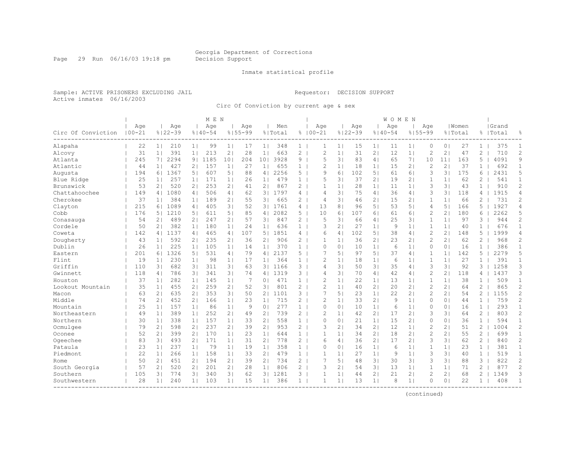Page 29 Run 06/16/03 19:18 pm Decision Support

#### Inmate statistical profile

Sample: ACTIVE PRISONERS EXCLUDING JAIL Requestor: DECISION SUPPORT Active inmates 06/16/2003

Circ Of Conviction by current age & sex

|                                 |                   |                |                    |                | M E N              |                |                    |                |                |                       |                    |                |                    |                | WOMEN              |                |                    |                 |                  |                |                    |                |
|---------------------------------|-------------------|----------------|--------------------|----------------|--------------------|----------------|--------------------|----------------|----------------|-----------------------|--------------------|----------------|--------------------|----------------|--------------------|----------------|--------------------|-----------------|------------------|----------------|--------------------|----------------|
| Circ Of Conviction              | Age<br>$100 - 21$ |                | Age<br>$8122 - 39$ |                | Aqe<br>$8140 - 54$ |                | Aqe<br>$8155 - 99$ |                | Men<br>% Total |                       | Age<br>$8100 - 21$ |                | Age<br>$8122 - 39$ |                | Age<br>$8140 - 54$ |                | Age<br>$8155 - 99$ |                 | Women<br>% Total |                | Grand<br>%   Total | 욲              |
| Alapaha                         | 22                | 11             | 210                | 1 <sub>1</sub> | 99                 | 1 <sub>1</sub> | 17                 | 1 <sub>1</sub> | 348            | 1 <sup>1</sup>        | 1                  | 1 <sub>1</sub> | 15                 | 1 <sup>1</sup> | 11                 | 1 <sub>1</sub> | $\circ$            | 0 <sub>1</sub>  | 27               | $\mathbf{1}$   | 375                | 1              |
| Alcovy                          | 31                | 1 <sub>1</sub> | 391                | 1 <sub>1</sub> | 213                | 2 <sub>1</sub> | 28                 | 1 <sub>1</sub> | 663            | $\mathbf{2}^{\prime}$ | $\overline{c}$     | 1              | 31                 | $\overline{2}$ | 12                 | 1              | $\overline{c}$     | 2 <sub>1</sub>  | 47               | 2              | 710                | $\overline{c}$ |
| Atlanta                         | 245               | 71             | 2294               | 9 <sub>1</sub> | 1185               | 101            | 204                | 101            | 3928           | 9                     | 5                  | 3 <sup>1</sup> | 83                 | 4              | 65                 | 7 <sub>1</sub> | 10                 | 11 <sup>1</sup> | 163              | 5              | 4091               | 9              |
| Atlantic                        | 44                | 1 <sub>1</sub> | 427                | 21             | 157                | 1 <sup>1</sup> | 27                 | 1 <sub>1</sub> | 655            | $\mathbf{1}$          | $\overline{c}$     | $\mathbf{1}$   | 18                 | 1 <sup>1</sup> | 15                 | 2 <sub>1</sub> | $\overline{c}$     | $\overline{2}$  | 37               | 1              | 692                | $\mathbf{1}$   |
| Augusta                         | 194               | 61             | 1367               | 51             | 607                | 51             | 88                 | 4 <sup>1</sup> | 2256           | 5.                    | 9                  | $6 \mid$       | 102                | 5 <sub>1</sub> | 61                 | 61             | 3                  | 31              | 175              | 6              | 2431               | 5              |
| Blue Ridge                      | 25                | 1 <sup>1</sup> | 257                | 1 <sup>1</sup> | 171                | 1 <sub>1</sub> | 26                 | 1 <sub>1</sub> | 479            | $\mathbf{1}$          | 5                  | 31             | 37                 | 21             | 19                 | 2 <sub>1</sub> | 1                  | 1 <sup>1</sup>  | 62               | 2              | 541                | $\mathbf{1}$   |
| Brunswick                       | 53                | 2 <sub>1</sub> | 520                | 21             | 253                | 2 <sub>1</sub> | 41                 | 2 <sub>1</sub> | 867            | $\mathbf{2}^{\prime}$ | $\mathbf{1}$       | 1 <sup>1</sup> | 28                 | 1 <sub>1</sub> | 11                 | 1 <sub>1</sub> | 3                  | 31              | 43               | $\mathbf{1}$   | 910                | $\overline{c}$ |
| Chattahoochee                   | 149               | 41             | 1080               | 4 <sub>1</sub> | 506                | 4 <sub>1</sub> | 62                 | 3 <sup>1</sup> | 1797           | 4                     | $\overline{4}$     | 31             | 75                 | 4 <sub>1</sub> | 36                 | 4 <sub>1</sub> | 3                  | 31              | 118              | 4              | 1915               | 4              |
| Cherokee                        | 37                | 1 <sup>1</sup> | 384                | 1 <sub>1</sub> | 189                | 21             | 55                 | 3 <sub>1</sub> | 665            | $\overline{2}$        | $\overline{4}$     | 31             | 46                 | 21             | 15                 | 2 <sub>1</sub> | 1                  | 1 <sup>1</sup>  | 66               | $\overline{c}$ | 731                | 2              |
| Clayton                         | 215               | 61             | 1089               | 4 <sub>1</sub> | 405                | 3 <sub>1</sub> | 52                 | 3 <sub>1</sub> | 1761           | 4                     | 13                 | 8              | 96                 | 5 <sub>1</sub> | 53                 | 5 <sub>1</sub> | 4                  | 5               | 166              | 5              | 1927               | $\overline{4}$ |
| Cobb                            | 176               | 51             | 1210               | 51             | 611                | 5 <sub>1</sub> | 85                 | 4              | 2082           | 5.                    | 10                 | 6              | 107                | 61             | 61                 | 61             | $\overline{c}$     | $\overline{2}$  | 180              | 6              | 2262               | 5              |
| Conasauga                       | 54                | 21             | 489                | 2 <sub>1</sub> | 247                | 2 <sub>1</sub> | 57                 | 3 <sub>1</sub> | 847            | $\overline{2}$        | 5                  | 31             | 66                 | 4 <sub>1</sub> | 25                 | 31             | 1                  | 1 <sup>1</sup>  | 97               | 3              | 944                | $\overline{c}$ |
| Cordele                         | 50                | 2 <sub>1</sub> | 382                | 1 <sup>1</sup> | 180                | 1 <sub>1</sub> | 24                 | 1 <sub>1</sub> | 636            | $\mathbf{1}$          | 3                  | $\overline{2}$ | 27                 | 1 <sup>1</sup> | 9                  | 1 <sub>1</sub> | $\mathbf 1$        | 1               | 40               | 1              | 676                | $\mathbf{1}$   |
| Coweta                          | 142               | 41             | 1137               | 4 <sub>1</sub> | 465                | 4              | 107                | 5 <sub>1</sub> | 1851           | 4                     | 6                  | $\overline{4}$ | 102                | 5 <sub>1</sub> | 38                 | 4              | $\overline{c}$     | 21              | 148              | 5              | 1999               | $\overline{4}$ |
| Dougherty                       | 43                | 1 <sup>1</sup> | 592                | 2 <sub>1</sub> | 235                | 2 <sub>1</sub> | 36                 | 2 <sub>1</sub> | 906            | 2                     | -1                 | 1 <sup>1</sup> | 36                 | 2 <sub>1</sub> | 23                 | 2 <sub>1</sub> | $\overline{2}$     | 21              | 62               | 2              | 968                | 2              |
| Dublin                          | 26                | 1 <sub>1</sub> | 225                | 1 <sub>1</sub> | 105                | 1 <sub>1</sub> | 14                 | 1 <sub>1</sub> | 370            | $\mathbf{1}$          | $\Omega$           | $\circ$        | 10                 | 1 <sub>1</sub> | 6                  | 1 <sub>1</sub> | 0                  | 0 <sub>1</sub>  | 16               | 1              | 386                | $\mathbf{1}$   |
| Eastern                         | 201               | 61             | 1326               | 51             | 531                | 4              | 79                 | 4 <sub>1</sub> | 2137           | 5.                    | 7                  | 5              | 97                 | 5 <sub>1</sub> | 37                 | 4 <sub>1</sub> | $\mathbf{1}$       | 1 <sup>1</sup>  | 142              | 5              | 2279               | 5              |
| Flint                           | 19                | 1 <sup>1</sup> | 230                | 1 <sub>1</sub> | 98                 | 1 <sub>1</sub> | 17                 | 1 <sub>1</sub> | 364            | 1 <sup>1</sup>        | 2                  | $\mathbf{1}$   | 18                 | 1 <sub>1</sub> | 6                  | 1 <sub>1</sub> | 1                  | 1               | 27               | 1              | 391                | $\mathbf{1}$   |
| Griffin                         | 110               | 31             | 682                | 3              | 311                | 3 <sub>1</sub> | 63                 | 3 <sub>1</sub> | 1166           | 3 <sup>1</sup>        | $\overline{4}$     | 3              | 50                 | 3 <sub>1</sub> | 35                 | 4              | 3                  | 31              | 92               | 3              | 1258               | 3              |
| Gwinnett                        | 118               | 4 <sub>1</sub> | 786                | 31             | 341                | 31             | 74                 | 4 <sub>1</sub> | 1319           | 3                     | $\overline{4}$     | 31             | 70                 | 4 <sub>1</sub> | 42                 | 4 <sub>1</sub> | $\overline{c}$     | $\overline{2}$  | 118              | 4              | 1437               | 3              |
| Houston                         | 37                | 11             | 282                | 11             | 145                | 1 <sub>1</sub> | 7                  | 0 <sup>1</sup> | 471            | $\mathbf{1}$          | $\mathcal{D}$      | 1 <sup>1</sup> | 22                 | 1 <sup>1</sup> | 13                 | 1 <sub>1</sub> | $\mathbf{1}$       | 11              | 38               | $\mathbf{1}$   | 509                | $\mathbf{1}$   |
| Lookout Mountain                | 35                | 1 <sup>1</sup> | 455                | 2 <sub>1</sub> | 259                | 2 <sub>1</sub> | 52                 | 3 <sub>1</sub> | 801            | $\mathbf{2}^{\prime}$ | $\overline{c}$     | 1 <sub>1</sub> | 40                 | 2 <sub>1</sub> | 20                 | 21             | $\overline{2}$     | 2 <sub>1</sub>  | 64               | 2              | 865                | $\overline{c}$ |
| Macon                           | 63                | 2 <sub>1</sub> | 635                | 2 <sub>1</sub> | 353                | 3 <sub>1</sub> | 50                 | 2 <sub>1</sub> | 1101           | 3                     | 7                  | 5 <sub>1</sub> | 23                 | 1 <sub>1</sub> | 22                 | 2 <sub>1</sub> | 2                  | 2 <sub>1</sub>  | 54               | 2              | 1155               | $\overline{c}$ |
| Middle                          | 74                | 21             | 452                | 2 <sub>1</sub> | 166                | 1 <sub>1</sub> | 23                 | 1 <sub>1</sub> | 715            | $\mathbf{2}^{\prime}$ | 2                  | 1 <sup>1</sup> | 33                 | 2 <sub>1</sub> | 9                  | 1 <sub>1</sub> | 0                  | 0 <sub>1</sub>  | 44               | $\mathbf{1}$   | 759                | $\overline{c}$ |
| Mountain                        | 25                | 1 <sup>1</sup> | 157                | 1 <sub>1</sub> | 86                 | 1 <sub>1</sub> | 9                  | 0 <sub>1</sub> | 277            | $\mathbf{1}$          | $\circ$            | $\circ$        | 10                 | 1 <sup>1</sup> | 6                  | 1 <sup>1</sup> | 0                  | 0 <sub>1</sub>  | 16               | $\mathbf{1}$   | 293                | $\mathbf{1}$   |
| Northeastern                    | 49                | 1              | 389                | 1 <sub>1</sub> | 252                | 2 <sub>1</sub> | 49                 | $\overline{c}$ | 739            | 2                     | $\overline{c}$     | 1              | 42                 | 2 <sub>1</sub> | 17                 | 2 <sub>1</sub> | 3                  | 3 <sub>1</sub>  | 64               | $\overline{c}$ | 803                | $\overline{c}$ |
| Northern                        | 30                | 11             | 338                | 1 <sub>1</sub> | 157                | 1 <sub>1</sub> | 33                 | 2 <sub>1</sub> | 558            | $\mathbf{1}$          | $\Omega$           | $\circ$        | 21                 | 1 <sup>1</sup> | 15                 | 21             | $\mathbf{0}$       | 0 <sub>1</sub>  | 36               | $\mathbf{1}$   | 594                | $\mathbf{1}$   |
| Ocmulgee                        | 79                | 21             | 598                | 2 <sub>1</sub> | 237                | 21             | 39                 | 2 <sub>1</sub> | 953            | 2                     | 3                  | $\overline{2}$ | 34                 | 2 <sub>1</sub> | 12                 | 1 <sub>1</sub> | $\overline{2}$     | 21              | 51               | 2              | 1004               | 2              |
| Oconee                          | 52                | 21             | 399                | 2 <sub>1</sub> | 170                | 1 <sub>1</sub> | 23                 | 1 <sup>1</sup> | 644            | 1                     | $\mathbf{1}$       | 1 <sup>1</sup> | 34                 | 21             | 18                 | 2 <sub>1</sub> | $\overline{c}$     | 21              | 55               | 2              | 699                | $\mathbf{1}$   |
| Ogeechee                        | 83                | 31             | 493                | 21             | 171                | 1 <sup>1</sup> | 31                 | $\overline{c}$ | 778            | $\overline{2}$        | 6                  | 4 <sub>1</sub> | 36                 | 21             | 17                 | 21             | 3                  | 31              | 62               | $\overline{2}$ | 840                | $\overline{c}$ |
| Pataula                         | 23                | 1 <sub>1</sub> | 237                | 1 <sub>1</sub> | 79                 | 1 <sub>1</sub> | 19                 | 1 <sub>1</sub> | 358            | $\mathbf{1}$          | $\Omega$           | 0 <sup>1</sup> | 16                 | 1 <sub>1</sub> | 6                  | 1 <sub>1</sub> | 1                  | 1               | 23               | $\mathbf{1}$   | 381                | $\mathbf{1}$   |
| Piedmont                        | 22                | 1 <sup>1</sup> | 266                | 1 <sub>1</sub> | 158                | 1 <sub>1</sub> | 33                 | 2 <sub>1</sub> | 479            | $\mathbf{1}$          | 1                  | 1 <sup>1</sup> | 27                 | 1 <sup>1</sup> | 9                  | 1 <sub>1</sub> | 3                  | 3 <sub>1</sub>  | 40               | $\mathbf{1}$   | 519                | $\mathbf{1}$   |
| Rome                            | 50                | 21             | 451                | 21             | 194                | 21             | 39                 | 21             | 734            | $2-1$                 | 7                  | 5 <sub>1</sub> | 48                 | 31             | 30                 | 31             | 3                  | 31              | 88               | 3              | 822                | $\mathbf{2}$   |
| South Georgia                   | 57                | 21             | 520                | 2 <sub>1</sub> | 201                | 2 <sub>1</sub> | 28                 | 1 <sub>1</sub> | 806            | $\overline{2}$        | 3                  | $\overline{2}$ | 54                 | 31             | 13                 | 1 <sub>1</sub> | 1                  | 1 <sub>1</sub>  | 71               | $\overline{c}$ | 877                | $\overline{c}$ |
| Southern                        | 105               | 31             | 774                | 31             | 340                | 3 <sup>1</sup> | 62                 | 3 <sub>1</sub> | 1281           | 3                     | $\mathbf{1}$       | $\mathbf{1}$   | 44                 | 2 <sub>1</sub> | 21                 | 21             | $\overline{2}$     | 2 <sub>1</sub>  | 68               | $\overline{c}$ | 1349               | 3              |
| Southwestern<br>--------------- | 28                | 1 <sup>1</sup> | 240                | 1 <sub>1</sub> | 103                | 1 <sub>1</sub> | 15                 | 1 <sub>1</sub> | 386            | 1 <sup>1</sup>        | 1                  | $\mathbf{1}$   | 13                 | 1 <sup>1</sup> | 8                  | 1 <sup>1</sup> | $\Omega$           | 0 <sub>1</sub>  | 22               | $\mathbf{1}$   | 408                | 1              |
|                                 |                   |                |                    |                |                    |                |                    |                |                |                       |                    |                |                    |                |                    |                |                    |                 |                  |                |                    |                |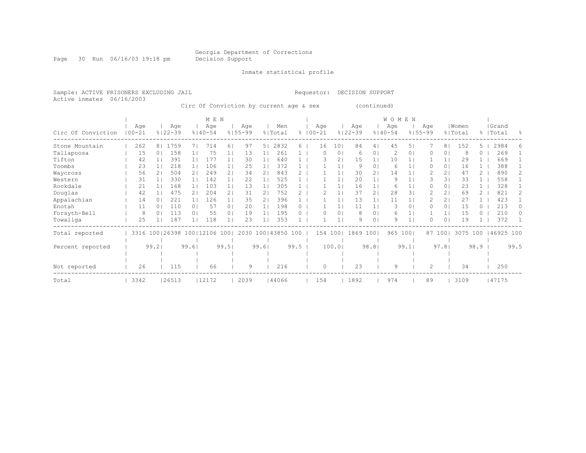Page 30 Run 06/16/03 19:18 pm Decision Support

Inmate statistical profile

Active inmates 06/16/2003

Sample: ACTIVE PRISONERS EXCLUDING JAIL Requestor: DECISION SUPPORT

Circ Of Conviction by current age & sex (continued)

|                    |                   |                |                    |                 | M E N              |                |                    |       |                      |      |              |     |                 |                    |                | WOMEN              |          |                    |                |                  |          |                    |                |
|--------------------|-------------------|----------------|--------------------|-----------------|--------------------|----------------|--------------------|-------|----------------------|------|--------------|-----|-----------------|--------------------|----------------|--------------------|----------|--------------------|----------------|------------------|----------|--------------------|----------------|
| Circ Of Conviction | Age<br>$100 - 21$ |                | Age<br>$8122 - 39$ |                 | Age<br>$8140 - 54$ |                | Age<br>$8155 - 99$ |       | Men<br>% Total       |      | $% 100 - 21$ | Age |                 | Age<br>$8122 - 39$ |                | Age<br>$8140 - 54$ |          | Age<br>$8155 - 99$ |                | Women<br>% Total |          | Grand<br>%   Total | $\frac{6}{10}$ |
| Stone Mountain     | 262               | 8 <sub>1</sub> | 1759               |                 | 714                | 6              | 97                 | 5.    | 2832                 | 6    |              | 16  | 10 <sup>°</sup> | 84                 | 41             | 45                 | 5.       |                    | 8 <sub>1</sub> | 152              | 5.       | 2984               | 6              |
| Tallapoosa         | 15                | 0              | 158                |                 | 75                 |                | 13                 |       | 261                  |      |              |     | $\circ$         | 6                  | 0              | 2                  | 0        |                    | $\circ$        | 8                | 0        | 269                |                |
| Tifton             | 42                |                | 391                |                 | 177                |                | 30                 | 1.    | 640                  |      |              |     | $\overline{2}$  | 15                 | 1              | 10                 |          |                    | 1 <sub>1</sub> | 29               |          | 669                |                |
| Toombs             | 23                |                | 218                | 1 <sub>1</sub>  | 106                |                | 25                 | 11    | 372                  |      |              |     |                 | 9                  | 01             | 6                  |          |                    | 0 <sub>1</sub> | 16               |          | 388                |                |
| Waycross           | 56                |                | 504                | $\overline{2}$  | 249                | 21             | 34                 | 2     | 843                  |      |              |     |                 | 30                 | 2 <sub>1</sub> | 14                 |          |                    | 2 <sub>1</sub> | 47               |          | 890                |                |
| Western            | 31                |                | 330                |                 | 142                |                | 22                 |       | 525                  |      |              |     |                 | 20                 |                | 9                  |          |                    | 31             | 33               |          | 558                |                |
| Rockdale           | 21                |                | 168                |                 | 103                |                | 13                 |       | 305                  |      |              |     |                 | 16                 |                | 6                  |          |                    | 0 <sub>1</sub> | 23               |          | 328                |                |
| Douglas            | 42                |                | 475                | 21              | 204                | $\overline{2}$ | 31                 | 2.    | 752                  |      |              |     |                 | 37                 | 2 <sub>1</sub> | 28                 | 3        |                    | 2 <sub>1</sub> | 69               |          | 821                | 2.             |
| Appalachian        | 14                |                | 221                |                 | 126                |                | 35                 | 2     | 396                  |      |              |     |                 | 13                 |                | 11                 |          |                    | 2 <sub>1</sub> | 27               |          | 423                |                |
| Enotah             | 11                |                | 110                | 0 <sub>1</sub>  | 57                 | 0 <sub>1</sub> | 20                 |       | 198                  | 0    |              |     |                 | 11                 |                | 3                  | $\Omega$ |                    | 0 <sub>1</sub> | 15               | $\Omega$ | 213                | 0              |
| Forsyth-Bell       | 8                 | $\Omega$       | 113                | 0 <sub>1</sub>  | 55                 | 0 <sub>1</sub> | 19                 |       | 195                  |      |              |     | $\circ$         | 8                  | 0 <sub>1</sub> | 6                  |          |                    |                | 15               | $\Omega$ | 210                |                |
| Towaliga           | 25                |                | 187                |                 | 118                |                | 23                 |       | 353                  |      |              |     |                 | 9                  | 0 <sub>1</sub> | 9                  |          |                    | 0 <sub>1</sub> | 19               |          | 372                |                |
| Total reported     | 3316 100 26398    |                |                    | 100   12106 100 |                    |                |                    |       | 2030 100   43850 100 |      |              | 154 | 1001            | 1869 1001          |                | 965                | 1001     | 87                 | 1001           | 3075 100         |          | 46925 100          |                |
| Percent reported   |                   | 99.2           |                    | 99.61           |                    | 99.51          |                    | 99.61 |                      | 99.5 |              |     | 100.01          |                    | 98.81          |                    | 99.1     |                    | 97.8           |                  | 98.9     |                    | 99.5           |
|                    |                   |                |                    |                 |                    |                |                    |       |                      |      |              |     |                 |                    |                |                    |          |                    |                |                  |          |                    |                |
|                    |                   |                |                    |                 |                    |                |                    |       |                      |      |              |     |                 |                    |                |                    |          |                    |                |                  |          |                    |                |
| Not reported       | 26                |                | 115                |                 | 66                 |                | 9                  |       | 216                  |      |              | O   |                 | 23                 |                | 9                  |          | 2                  |                | 34               |          | 250                |                |
| Total              | 3342              |                | 26513              |                 | 12172              |                | 2039               |       | 144066               |      |              | 154 |                 | 1892               |                | 974                |          | 89                 |                | 3109             |          | 47175              |                |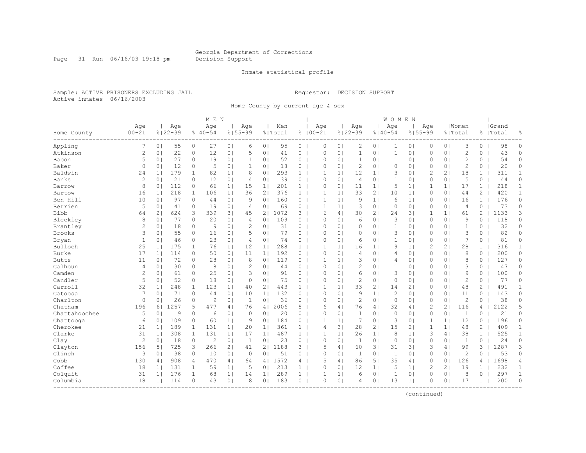Page 31 Run 06/16/03 19:18 pm Decision Support

#### Inmate statistical profile

Sample: ACTIVE PRISONERS EXCLUDING JAIL Requestor: DECISION SUPPORT Active inmates 06/16/2003

Home County by current age & sex

|               |                   |                |                    |                | M E N              |                |                    |                |                |                |                    |                |                    |                | WOMEN              |                |                |                |                  |                |                    |                |
|---------------|-------------------|----------------|--------------------|----------------|--------------------|----------------|--------------------|----------------|----------------|----------------|--------------------|----------------|--------------------|----------------|--------------------|----------------|----------------|----------------|------------------|----------------|--------------------|----------------|
| Home County   | Age<br>$100 - 21$ |                | Age<br>$8122 - 39$ |                | Age<br>$8140 - 54$ |                | Age<br>$8155 - 99$ |                | Men<br>% Total |                | Age<br>$8100 - 21$ |                | Age<br>$8122 - 39$ |                | Age<br>$8140 - 54$ | $8155 - 99$    | Age            |                | Women<br>% Total |                | Grand<br>%   Total | 昙              |
| Appling       | 7                 | 0 <sub>1</sub> | 55                 | 0 <sub>1</sub> | 27                 | 0 <sub>1</sub> | 6                  | 0 <sub>1</sub> | 95             | $\circ$        | $\circ$            | 0 <sub>1</sub> | $\overline{c}$     | 0 <sub>1</sub> | 1                  | 0 <sub>1</sub> | 0              | 0 <sub>1</sub> | 3                | 0              | 98                 | $\circ$        |
| Atkinson      | $\overline{c}$    | 0              | 22                 | 0 <sub>1</sub> | 12                 | 0              | 5                  | 0 <sup>1</sup> | 41             | 0              | $\Omega$           | $\circ$        | $\mathbf{1}$       | 0 <sub>1</sub> | $\mathbf{1}$       | 0 <sub>1</sub> | 0              | 0 <sub>1</sub> | $\mathbf{2}$     | $\circ$        | 43                 | 0              |
| Bacon         | 5                 | 0 <sup>1</sup> | 27                 | 0 <sub>1</sub> | 19                 | 0 <sup>1</sup> | $\mathbf{1}$       | 0 <sub>1</sub> | 52             | $0-1$          | $\Omega$           | 0 <sub>1</sub> | 1                  | 0 <sub>1</sub> | $\mathbf{1}$       | 0 <sub>1</sub> | 0              | 0 <sub>1</sub> | $\overline{c}$   | 0              | 54                 | 0              |
| Baker         | $\circ$           | 0              | 12                 | 0 <sub>1</sub> | 5                  | 0 <sub>1</sub> | $\mathbf{1}$       | 0 <sup>1</sup> | 18             | $\circ$        | $\Omega$           | $\circ$        | $\overline{c}$     | 0 <sub>1</sub> | $\Omega$           | 0 <sub>1</sub> | $\Omega$       | 0 <sub>1</sub> | $\overline{c}$   | 0              | 20                 | 0              |
| Baldwin       | 24                | 1 <sub>1</sub> | 179                | 1 <sub>1</sub> | 82                 | 1 <sub>1</sub> | 8                  | 0              | 293            | $\mathbf{1}$   | 1                  | $\mathbf{1}$   | 12                 | 1 <sub>1</sub> | 3                  | 0 <sub>1</sub> | $\overline{c}$ | 21             | 18               | $\mathbf{1}$   | 311                | $\mathbf{1}$   |
| Banks         | $\overline{c}$    | 0 <sub>1</sub> | 21                 | 0 <sub>1</sub> | 12                 | 0 <sub>1</sub> | 4                  | $\circ$        | 39             | 0              | $\circ$            | $\circ$        | $\overline{4}$     | 0 <sub>1</sub> | 1                  | 0 <sub>1</sub> | 0              | 0 <sub>1</sub> | 5                | 0              | 44                 | 0              |
| Barrow        | 8                 | 0 <sub>1</sub> | 112                | 0 <sub>1</sub> | 66                 | 1 <sub>1</sub> | 15                 | 1 <sub>1</sub> | 201            | 1 <sup>1</sup> | 0                  | 0 <sub>1</sub> | 11                 | 1 <sub>1</sub> | 5                  | 1 <sub>1</sub> | 1              | 1 <sub>1</sub> | 17               | $\mathbf{1}$   | 218                | $\mathbf{1}$   |
| Bartow        | 16                | 1 <sup>1</sup> | 218                | 11             | 106                | 1 <sub>1</sub> | 36                 | 2 <sub>1</sub> | 376            | 1 <sup>1</sup> | $\mathbf{1}$       | 1 <sup>1</sup> | 33                 | 2 <sub>1</sub> | 10                 | 1 <sub>1</sub> | $\mathbf{0}$   | 0 <sub>1</sub> | 44               | $\overline{2}$ | 420                | $\mathbf{1}$   |
| Ben Hill      | 10                | 0 <sup>1</sup> | 97                 | 0 <sub>1</sub> | 44                 | 0 <sup>1</sup> | 9                  | 0 <sup>1</sup> | 160            | $\circ$        | $\mathbf{1}$       | 1 <sup>1</sup> | 9                  | 1 <sup>1</sup> | 6                  | 1 <sub>1</sub> | 0              | 0 <sub>1</sub> | 16               | $\mathbf{1}$   | 176                | $\circ$        |
| Berrien       | 5                 | 0 <sub>1</sub> | 41                 | 0 <sub>1</sub> | 19                 | 0 <sub>1</sub> | 4                  | 0              | 69             | $\circ$        | 1                  | 1 <sub>1</sub> | 3                  | 0 <sub>1</sub> | $\circ$            | 0 <sub>1</sub> | $\Omega$       | 0 <sub>1</sub> | 4                | $\circ$        | 73                 | 0              |
| Bibb          | 64                | 2 <sub>1</sub> | 624                | 31             | 339                | 3 <sub>1</sub> | 45                 | 2 <sub>1</sub> | 1072           | 3              | 6                  | $\overline{4}$ | 30                 | 2 <sub>1</sub> | 24                 | 3 <sup>1</sup> | 1              | 1 <sup>1</sup> | 61               | 2              | 1133               | 3              |
| Bleckley      | 8                 | 0 <sub>1</sub> | 77                 | 0 <sub>1</sub> | 20                 | 0 <sub>1</sub> | $\overline{4}$     | 0 <sup>1</sup> | 109            | $0-1$          | $\Omega$           | $\Omega$       | 6                  | 0 <sub>1</sub> | 3                  | 0 <sub>1</sub> | $\Omega$       | 0 <sub>1</sub> | 9                | $\circ$        | 118                | 0              |
| Brantley      | $\mathbf{2}$      | 0 <sub>1</sub> | 18                 | 0 <sub>1</sub> | 9                  | 0              | 2                  | 0 <sup>1</sup> | 31             | $0-1$          | $\Omega$           | 0 <sub>1</sub> | $\circ$            | 0 <sub>1</sub> | $\mathbf{1}$       | 0 <sub>1</sub> | $\Omega$       | 0 <sub>1</sub> | $\mathbf{1}$     | 0              | 32                 | 0              |
| <b>Brooks</b> | 3                 | 0 <sub>1</sub> | 55                 | 0 <sub>1</sub> | 16                 | 0 <sub>1</sub> | 5                  | 0 <sub>1</sub> | 79             | 0              | $\Omega$           | 0 <sub>1</sub> | $\circ$            | 0 <sub>1</sub> | 3                  | 0 <sub>1</sub> | $\Omega$       | 0 <sub>1</sub> | 3                | $\Omega$       | 82                 | $\circ$        |
| Bryan         | $\mathbf{1}$      | 0 <sub>1</sub> | 46                 | 0 <sub>1</sub> | 23                 | 0 <sub>1</sub> | 4                  | 0 <sub>1</sub> | 74             | $\circ$        | $\Omega$           | $\circ$        | 6                  | 0 <sub>1</sub> | $\mathbf{1}$       | 0 <sub>1</sub> | 0              | 0 <sub>1</sub> | 7                | 0              | 81                 | $\circ$        |
| Bulloch       | 25                | 1 <sub>1</sub> | 175                | 1 <sub>1</sub> | 76                 | 1 <sub>1</sub> | 12                 | 1 <sub>1</sub> | 288            | 1              |                    | $\mathbf{1}$   | 16                 | 1 <sub>1</sub> | 9                  | 1 <sub>1</sub> | $\overline{2}$ | 2 <sub>1</sub> | 28               | 1              | 316                | $\mathbf{1}$   |
| Burke         | 17                | 1 <sup>1</sup> | 114                | 0 <sub>1</sub> | 50                 | 01             | 11                 | 1 <sub>1</sub> | 192            | $\circ$        | $\bigcap$          | $\Omega$       | $\overline{4}$     | 0 <sub>1</sub> | 4                  | 0 <sub>1</sub> | $\Omega$       | 0 <sub>1</sub> | 8                | 0              | 200                | 0              |
| <b>Butts</b>  | 11                | 0              | 72                 | 0 <sub>1</sub> | 28                 | 0 <sub>1</sub> | 8                  | 0 <sup>1</sup> | 119            | $\circ$        | 1                  | $\mathbf{1}$   | 3                  | 0 <sub>1</sub> | 4                  | 0 <sub>1</sub> | $\Omega$       | 0 <sub>1</sub> | 8                | 0              | 127                | 0              |
| Calhoun       | 4                 | 0 <sub>1</sub> | 30                 | 0 <sub>1</sub> | 8                  | 0 <sub>1</sub> | $\overline{2}$     | 0 <sub>1</sub> | 44             | $0-1$          | $\Omega$           | 0 <sub>1</sub> | $\overline{c}$     | 0 <sub>1</sub> | 1                  | 0 <sub>1</sub> | $\Omega$       | 0 <sub>1</sub> | 3                | 0              | 47                 | 0              |
| Camden        | 2                 | 0 <sub>1</sub> | 61                 | 0 <sub>1</sub> | 25                 | 0 <sub>1</sub> | 3                  | 0 <sub>1</sub> | 91             | 0              | $\Omega$           | 0 <sup>1</sup> | 6                  | 0 <sub>1</sub> | 3                  | 0 <sub>1</sub> | $\Omega$       | 0 <sub>1</sub> | 9                | $\circ$        | 100                | 0              |
| Candler       | 5                 | 0 <sup>1</sup> | 52                 | 0 <sub>1</sub> | 18                 | 0 <sub>1</sub> | $\Omega$           | 0 <sub>1</sub> | 75             | $0-1$          | $\Omega$           | $\Omega$       | $\overline{2}$     | 0 <sub>1</sub> | $\mathbf 0$        | 0 <sub>1</sub> | 0              | 0 <sub>1</sub> | $\overline{c}$   | 0              | 77                 | 0              |
| Carroll       | 32                | 1 <sub>1</sub> | 248                | 1 <sub>1</sub> | 123                | 1 <sub>1</sub> | 40                 | 2 <sub>1</sub> | 443            | $1 \mid$       |                    | 1 <sup>1</sup> | 33                 | 2 <sub>1</sub> | 14                 | 2 <sub>1</sub> | 0              | 0 <sub>1</sub> | 48               | $\overline{2}$ | 491                | $\mathbf{1}$   |
| Catoosa       | 7                 | 0 <sub>1</sub> | 71                 | 0 <sub>1</sub> | 44                 | 0 <sub>1</sub> | 10                 | 1 <sub>1</sub> | 132            | 0              | $\Omega$           | $\circ$        | 9                  | 1 <sup>1</sup> | $\overline{c}$     | 0 <sub>1</sub> | 0              | 0 <sub>1</sub> | 11               | 0              | 143                | 0              |
| Charlton      | 0                 | 01             | 26                 | 0 <sub>1</sub> | 9                  | 0 <sub>1</sub> | 1                  | 0              | 36             | $\circ$        | $\circ$            | $\circ$        | 2                  | 0 <sub>1</sub> | $\circ$            | 0 <sub>1</sub> | 0              | 0 <sub>1</sub> | $\overline{c}$   | 0              | 38                 | 0              |
| Chatham       | 196               | 61             | 1257               | 5 <sub>1</sub> | 477                | 4              | 76                 | 4 <sub>1</sub> | 2006           | $5-1$          | 6                  | 4 <sub>1</sub> | 76                 | 4              | 32                 | 4              | 2              | $\overline{2}$ | 116              | 4              | 2122               | 5              |
| Chattahoochee | 5                 | 0 <sub>1</sub> | 9                  | 0 <sub>1</sub> | 6                  | 0 <sub>1</sub> | $\circ$            | 0              | 20             | $\circ$        | $\mathbf 0$        | $\circ$        | $\mathbf{1}$       | 0 <sub>1</sub> | 0                  | 0 <sub>1</sub> | $\mathbf 0$    | 0 <sub>1</sub> | 1                | 0              | 21                 | 0              |
| Chattooga     | 6                 | 0 <sup>1</sup> | 109                | 0 <sub>1</sub> | 60                 | 1 <sup>1</sup> | 9                  | 0 <sup>1</sup> | 184            | $0-1$          | 1                  | 1 <sup>1</sup> | 7                  | 0 <sub>1</sub> | 3                  | 0 <sub>1</sub> | $\mathbf{1}$   | 1 <sup>1</sup> | 12               | $\circ$        | 196                | $\circ$        |
| Cherokee      | 21                | 1 <sup>1</sup> | 189                | 1 <sub>1</sub> | 131                | 1 <sub>1</sub> | 20                 | 1 <sub>1</sub> | 361            | 1              | $\overline{4}$     | 31             | 28                 | 2 <sub>1</sub> | 15                 | 2 <sub>1</sub> | 1              | 1 <sup>1</sup> | 48               | 2              | 409                | $\mathbf{1}$   |
| Clarke        | 31                | 1 <sup>1</sup> | 308                | 1 <sub>1</sub> | 131                | 1 <sub>1</sub> | 17                 | 1 <sub>1</sub> | 487            | $\mathbf{1}$   | 1                  | 1 <sup>1</sup> | 26                 | 1 <sub>1</sub> | 8                  | 1 <sub>1</sub> | 3              | 4 <sub>1</sub> | 38               | $\mathbf{1}$   | 525                | $\mathbf{1}$   |
| Clay          | $\mathbf{2}$      | 0              | 18                 | 0 <sub>1</sub> | $\overline{c}$     | 0 <sub>1</sub> | 1                  | 0              | 23             | $\circ$        | $\circ$            | $\circ$        | 1                  | 0 <sub>1</sub> | $\circ$            | 0 <sub>1</sub> | $\mathbf{0}$   | 0 <sub>1</sub> | $\mathbf{1}$     | $\circ$        | 24                 | 0              |
| Clayton       | 156               | 5              | 725                | 3              | 266                | 2 <sub>1</sub> | 41                 | 2 <sub>1</sub> | 1188           | 3 <sup>1</sup> | 5                  | 4 <sub>1</sub> | 60                 | 3 <sub>1</sub> | 31                 | 3              | 3              | 4              | 99               | 3              | 1287               | 3              |
| Clinch        | 3                 | 0 <sub>1</sub> | 38                 | 0 <sub>1</sub> | 10                 | 0 <sub>1</sub> | $\circ$            | $\circ$        | 51             | $\circ$        | $\Omega$           | 0 <sup>1</sup> | 1                  | 0 <sub>1</sub> | $\mathbf{1}$       | 0 <sub>1</sub> | $\Omega$       | 0 <sub>1</sub> | $\mathbf{2}$     | $\Omega$       | 53                 | $\Omega$       |
| Cobb          | 130               | 4              | 908                | 4 <sub>1</sub> | 470                | 4 <sub>1</sub> | 64                 | 4              | 1572           | 4              | 5                  | 4 <sub>1</sub> | 86                 | 51             | 35                 | 4              | $\circ$        | 0 <sup>1</sup> | 126              | 4              | 1698               | $\overline{4}$ |
| Coffee        | 18                | 11             | 131                | 1 <sub>1</sub> | 59                 | 1 <sub>1</sub> | 5                  | 0 <sub>1</sub> | 213            | $1 \mid$       | $\Omega$           | 0 <sup>1</sup> | 12                 | 1 <sub>1</sub> | 5                  | 1 <sub>1</sub> | $\overline{2}$ | 21             | 19               | $\mathbf{1}$   | 232                | $\mathbf{1}$   |
| Colquit       | 31                | 1 <sub>1</sub> | 176                | 1 <sub>1</sub> | 68                 | 1 <sub>1</sub> | 14                 | $1\vert$       | 289            | $\mathbf{1}$   | 1                  | 1 <sup>1</sup> | 6                  | 0 <sub>1</sub> | 1                  | 0 <sub>1</sub> | 0              | 0 <sub>1</sub> | 8                | 0              | 297                | $\mathbf{1}$   |
| Columbia      | 18                | 1 <sup>1</sup> | 114                | 0 <sub>1</sub> | 43                 | 0 <sup>1</sup> | 8                  | 0 <sub>1</sub> | 183            | $0-1$          | $\Omega$           | 0 <sub>1</sub> | 4                  | 0 <sub>1</sub> | 13                 | 1 <sub>1</sub> | $\Omega$       | 0 <sub>1</sub> | 17               | $\mathbf{1}$   | 200                | $\Omega$       |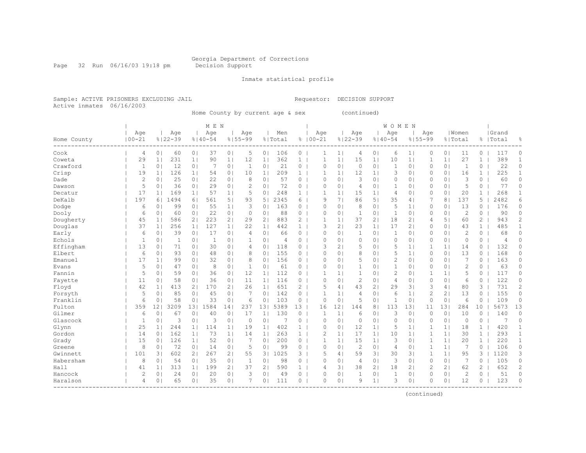Page 32 Run 06/16/03 19:18 pm Decision Support

#### Inmate statistical profile

Sample: ACTIVE PRISONERS EXCLUDING JAIL Requestor: DECISION SUPPORT Active inmates 06/16/2003

Home County by current age & sex (continued)

|                         |                |                 |              |                | M E N        |                |                |                |         |              |              |                |                |                | WOMEN          |                |                |                |                |                       |                |                |
|-------------------------|----------------|-----------------|--------------|----------------|--------------|----------------|----------------|----------------|---------|--------------|--------------|----------------|----------------|----------------|----------------|----------------|----------------|----------------|----------------|-----------------------|----------------|----------------|
|                         | Age            |                 | Age          |                | Age          |                | Age            |                | Men     |              | Age          |                | Age            |                | Age            |                | Age            |                | Women          |                       | Grand          |                |
| Home County<br>-------- | $100 - 21$     |                 | $8122 - 39$  |                | $8140 - 54$  |                | $8155 - 99$    |                | % Total |              | $8100 - 21$  |                | $8122 - 39$    |                | $8140 - 54$    |                | $8155 - 99$    |                | % Total        |                       | %   Total      | 욲              |
| Cook                    | $\overline{4}$ | 0 <sub>1</sub>  | 60           | 0 <sub>1</sub> | 37           | 0 <sub>1</sub> | 5              | 0 <sub>1</sub> | 106     | 0            | 1            | $1\vert$       | 4              | 0 <sub>1</sub> | 6              | 1 <sub>1</sub> | 0              | 0 <sub>1</sub> | 11             | $\circ$               | 117            | 0              |
| Coweta                  | 29             | 1 <sub>1</sub>  | 231          | 1              | 90           | 1 <sub>1</sub> | 12             | 1 <sub>1</sub> | 362     | $\mathbf{1}$ | $\mathbf 1$  | 1 <sup>1</sup> | 15             | 1              | 10             | 1              | 1              | 1 <sub>1</sub> | 27             | $\mathbf{1}$          | 389            | $\mathbf{1}$   |
| Crawford                | $\mathbf{1}$   | 0 <sub>1</sub>  | 12           | 0 <sub>1</sub> | 7            | 0 <sub>1</sub> | $\mathbf{1}$   | 0 <sub>1</sub> | 21      | 0            | $\circ$      | 0 <sub>1</sub> | $\circ$        | 0 <sub>1</sub> | $\mathbf{1}$   | 0 <sub>1</sub> | $\Omega$       | 0 <sub>1</sub> | $\mathbf{1}$   | 0                     | 22             | 0              |
| Crisp                   | 19             | 1 <sub>1</sub>  | 126          | 1              | 54           | 0 <sub>1</sub> | 10             | 1 <sub>1</sub> | 209     | $\mathbf{1}$ | $\mathbf{1}$ | 1              | 12             | 1 <sub>1</sub> | 3              | 0 <sub>1</sub> | 0              | 0 <sub>1</sub> | 16             | $\mathbf{1}$          | 225            | $\mathbf{1}$   |
| Dade                    | $\overline{2}$ | 0 <sub>1</sub>  | 25           | 0 <sub>1</sub> | 22           | 0 <sub>1</sub> | 8              | 0 <sub>1</sub> | 57      | 0            | $\circ$      | 0 <sup>1</sup> | 3              | 0 <sub>1</sub> | $\mathbf{0}$   | 0 <sub>1</sub> | 0              | 0 <sub>1</sub> | 3              | $\circ$               | 60             | $\circ$        |
| Dawson                  | 5              | 0 <sub>1</sub>  | 36           | 0 <sub>1</sub> | 29           | 0 <sub>1</sub> | $\overline{c}$ | 0 <sub>1</sub> | 72      | 0            | $\circ$      | 0 <sup>1</sup> | 4              | 0 <sub>1</sub> | 1              | 0 <sub>1</sub> | 0              | 0 <sub>1</sub> | 5              | 0                     | 77             | $\circ$        |
| Decatur                 | 17             | 1 <sub>1</sub>  | 169          | 1 <sup>1</sup> | 57           | 1 <sub>1</sub> | 5              | 0 <sub>1</sub> | 248     | $\mathbf{1}$ | $\mathbf{1}$ | 1              | 15             | 1 <sup>1</sup> | 4              | 0 <sub>1</sub> | 0              | $\circ$        | 20             | $\mathbf{1}$          | 268            | $\mathbf{1}$   |
| DeKalb                  | 197            | 61              | 1494         | 61             | 561          | 5 <sub>1</sub> | 93             | 5              | 2345    | 6            | 9            | 71             | 86             | 5 <sub>1</sub> | 35             | 4              | 7              | 8              | 137            | 5                     | 2482           | 6              |
| Dodge                   | 6              | $\Omega$        | 99           | 0 <sup>1</sup> | 55           | 1 <sub>1</sub> | 3              | $\circ$        | 163     | 0            | $\circ$      | 0 <sub>1</sub> | 8              | 0 <sub>1</sub> | 5              | 1 <sub>1</sub> | 0              | $\circ$        | 13             | $\Omega$              | 176            | 0              |
| Dooly                   | 6              | $\Omega$        | 60           | 0 <sup>1</sup> | 22           | 0 <sub>1</sub> | $\circ$        | 0 <sup>1</sup> | 88      | 0            | $\circ$      | $\circ$        | -1             | 0 <sub>1</sub> | 1              | 0 <sup>1</sup> | 0              | $\circ$        | $\overline{c}$ | 0                     | 90             | $\Omega$       |
| Dougherty               | 45             | 1 <sub>1</sub>  | 586          | 2 <sub>1</sub> | 223          | 2 <sub>1</sub> | 29             | 2 <sub>1</sub> | 883     | 2            | $\mathbf{1}$ | 1 <sup>1</sup> | 37             | 2 <sub>1</sub> | 18             | 2 <sub>1</sub> | 4              | 5 <sub>1</sub> | 60             | 2                     | 943            | $\overline{c}$ |
| Douglas                 | 37             | 1 <sub>1</sub>  | 256          | 1 <sub>1</sub> | 127          | 1 <sub>1</sub> | 22             | 1 <sub>1</sub> | 442     | $\mathbf{1}$ | 3            | 2 <sub>1</sub> | 23             | 1 <sub>1</sub> | 17             | 21             | 0              | 0 <sub>1</sub> | 43             | $\mathbf{1}$          | 485            | $\mathbf{1}$   |
| Early                   | 6              | 0 <sub>1</sub>  | 39           | 0 <sub>1</sub> | 17           | 0 <sub>1</sub> | $\overline{4}$ | 0 <sub>1</sub> | 66      | 0            | $\mathbf 0$  | 0 <sub>1</sub> | 1              | 0 <sub>1</sub> | $\mathbf{1}$   | 0 <sub>1</sub> | 0              | 0 <sub>1</sub> | $\overline{c}$ | $\circ$               | 68             | $\circ$        |
| Echols                  | $\mathbf{1}$   | 0 <sub>1</sub>  | $\mathbf{1}$ | 0 <sub>1</sub> | $\mathbf{1}$ | 0 <sub>1</sub> | $\mathbf{1}$   | 0 <sub>1</sub> | 4       | 0            | $\mathbf 0$  | 0 <sub>1</sub> | $\circ$        | 0 <sub>1</sub> | $\mathbf{0}$   | 0 <sub>1</sub> | 0              | 0 <sub>1</sub> | $\mathbf 0$    | 0                     | $\overline{4}$ | 0              |
| Effingham               | 13             | 0 <sub>1</sub>  | 71           | 0 <sub>1</sub> | 30           | 0 <sub>1</sub> | 4              | 0 <sub>1</sub> | 118     | 0            | 3            | 21             | 5              | 0 <sub>1</sub> | 5              | 1 <sup>1</sup> | $\mathbf{1}$   | 1 <sub>1</sub> | 14             | 0                     | 132            | $\circ$        |
| Elbert                  | 6              | 0 <sub>1</sub>  | 93           | 01             | 48           | 0 <sub>1</sub> | 8              | 0 <sub>1</sub> | 155     | 0            | $\circ$      | 0 <sub>1</sub> | 8              | 0 <sub>1</sub> | 5              | 1 <sup>1</sup> | 0              | 0 <sub>1</sub> | 13             | 0                     | 168            | 0              |
| Emanuel                 | 17             | 1 <sup>1</sup>  | 99           | 01             | 32           | 0 <sub>1</sub> | 8              | 0 <sub>1</sub> | 156     | 0            | $\circ$      | 0 <sub>1</sub> | 5              | 0 <sub>1</sub> | $\overline{c}$ | 0 <sub>1</sub> | $\Omega$       | 0 <sub>1</sub> | $\overline{7}$ | $\Omega$              | 163            | 0              |
| Evans                   | 5              | $\Omega$        | 47           | 01             | 8            | 0 <sup>1</sup> | $\mathbf{1}$   | $\circ$        | 61      | $\Omega$     | $\circ$      | 0 <sub>1</sub> | $\mathbf{1}$   | 0 <sub>1</sub> | 1              | 0 <sup>1</sup> | $\Omega$       | $\circ$        | $\overline{2}$ | $\Omega$              | 63             | $\Omega$       |
| Fannin                  | 5              | $\Omega$        | 59           | 01             | 36           | 0 <sup>1</sup> | 12             | 1 <sup>1</sup> | 112     | $\Omega$     | $\mathbf{1}$ | 1 <sup>1</sup> | 1              | 0 <sub>1</sub> | 2              | 0 <sub>1</sub> | 1              | 1 <sub>1</sub> | 5              | $\Omega$              | 117            | 0              |
| Fayette                 | 11             | 0 <sub>1</sub>  | 58           | 0 <sub>1</sub> | 36           | 0 <sub>1</sub> | 11             | 1 <sup>1</sup> | 116     | 0            | $\circ$      | 0 <sub>1</sub> | $\mathbf{2}$   | 0 <sub>1</sub> | 4              | 0 <sub>1</sub> | 0              | 0 <sub>1</sub> | 6              | 0                     | 122            | 0              |
| Floyd                   | 42             | 1 <sub>1</sub>  | 413          | 2 <sub>1</sub> | 170          | 21             | 26             | 1              | 651     | 2            | 5            | 4              | 43             | 2 <sub>1</sub> | 29             | 3              | 3              | 4              | 80             | 3                     | 731            | 2              |
| Forsyth                 | 5              | 0 <sub>1</sub>  | 85           | 0 <sub>1</sub> | 45           | 0 <sub>1</sub> | 7              | 0 <sub>1</sub> | 142     | $\circ$      | $\mathbf{1}$ | 1              | 4              | 0 <sub>1</sub> | 6              | 1              | 2              | 2 <sub>1</sub> | 13             | 0                     | 155            | 0              |
| Franklin                | 6              | 0               | 58           | 0 <sub>1</sub> | 33           | 0 <sub>1</sub> | 6              | 0 <sub>1</sub> | 103     | 0            | $\circ$      | 0 <sub>1</sub> | 5              | 0 <sub>1</sub> | $\mathbf{1}$   | 0 <sub>1</sub> | $\circ$        | 0 <sub>1</sub> | 6              | $\Omega$              | 109            | $\circ$        |
| Fulton                  | 359            | 12 <sup>°</sup> | 3209         | 131            | 1584         | 14             | 237            | 131            | 5389    | 13           | 16           | 12             | 144            | 8 <sub>1</sub> | 113            | 131            | 11             | 131            | 284            | 10                    | 5673           | 13             |
| Gilmer                  | 6              | $\circ$         | 67           | 0 <sup>1</sup> | 40           | 0 <sub>1</sub> | 17             | 1 <sup>1</sup> | 130     | 0            | $\mathbf{1}$ | 1              | 6              | 0 <sub>1</sub> | 3              | 0 <sub>1</sub> | 0              | 0 <sup>1</sup> | 10             | $\Omega$              | 140            | $\circ$        |
| Glascock                | $\mathbf{1}$   | 0 <sup>1</sup>  | 3            | 0 <sub>1</sub> | 3            | 0 <sub>1</sub> | $\circ$        | 0 <sub>1</sub> | 7       | 0            | $\Omega$     | 0 <sup>1</sup> | $\circ$        | 0 <sub>1</sub> | $\Omega$       | 0 <sub>1</sub> | $\Omega$       | $\circ$        | $\Omega$       | 0                     | 7              | $\circ$        |
| Glynn                   | 25             | 1 <sub>1</sub>  | 244          | 1 <sub>1</sub> | 114          | 1 <sub>1</sub> | 19             | 1 <sub>1</sub> | 402     | $\mathbf{1}$ | $\Omega$     | 0 <sub>1</sub> | 12             | 1 <sub>1</sub> | 5              | 1 <sub>1</sub> | 1              | 11             | 18             | $\mathbf{1}$          | 420            | $\mathbf{1}$   |
| Gordon                  | 14             | 0 <sup>1</sup>  | 162          | 1 <sup>1</sup> | 73           | 1 <sub>1</sub> | 14             | 1 <sup>1</sup> | 263     | $\mathbf{1}$ | $\mathbf{2}$ | 1 <sup>1</sup> | 17             | 1 <sub>1</sub> | 10             | 1 <sup>1</sup> | 1              | 1 <sub>1</sub> | 30             | $\mathbf{1}$          | 293            | $\mathbf{1}$   |
| Grady                   | 15             | 0 <sub>1</sub>  | 126          | 1 <sub>1</sub> | 52           | 0 <sub>1</sub> | 7              | 0 <sub>1</sub> | 200     | 0            | $\mathbf{1}$ | 1 <sup>1</sup> | 15             | 1 <sub>1</sub> | 3              | 0 <sub>1</sub> | 1              | 1 <sub>1</sub> | 20             | $\mathbf{1}$          | 220            | $\mathbf{1}$   |
| Greene                  | 8              | 0 <sub>1</sub>  | 72           | 0 <sub>1</sub> | 14           | 0 <sub>1</sub> | 5              | 0 <sub>1</sub> | 99      | $\Omega$     | $\circ$      | 0 <sup>1</sup> | $\overline{c}$ | 0 <sub>1</sub> | 4              | 0 <sub>1</sub> | 1              | 1 <sub>1</sub> | 7              | 0                     | 106            | 0              |
| Gwinnett                | 101            | 31              | 602          | 2 <sub>1</sub> | 267          | 2 <sub>1</sub> | 55             | 31             | 1025    | 3            | 5            | 4              | 59             | 3 <sup>1</sup> | 30             | 3              | 1              | 1 <sub>1</sub> | 95             | 3                     | 1120           | 3              |
| Habersham               | 8              | 0 <sub>1</sub>  | 54           | 0 <sub>1</sub> | 35           | 0 <sub>1</sub> | $\mathbf{1}$   | 0 <sub>1</sub> | 98      | 0            | $\mathbf 0$  | 0 <sub>1</sub> | $\overline{4}$ | 0 <sub>1</sub> | 3              | 0 <sub>1</sub> | 0              | 0 <sub>1</sub> | 7              | $\circ$               | 105            | $\circ$        |
| Hall                    | 41             | 1 <sub>1</sub>  | 313          | 1 <sup>1</sup> | 199          | 21             | 37             | 2 <sub>1</sub> | 590     | 1            | 4            | 31             | 38             | 21             | 18             | 21             | $\overline{2}$ | 21             | 62             | $\mathbf{2}^{\prime}$ | 652            | $\overline{c}$ |
| Hancock                 | $\overline{2}$ | 0 <sub>1</sub>  | 24           | 0 <sub>1</sub> | 20           | 0 <sub>1</sub> | 3              | 0 <sub>1</sub> | 49      | 0            | $\circ$      | 0 <sup>1</sup> | $\mathbf{1}$   | 0 <sub>1</sub> | $\mathbf 1$    | 0 <sub>1</sub> | 0              | 0 <sub>1</sub> | $\overline{2}$ | 0                     | 51             | $\circ$        |
| Haralson                | $\overline{4}$ | 0 <sub>1</sub>  | 65           | 0 <sub>1</sub> | 35           | 0 <sub>1</sub> | 7              | 0 <sub>1</sub> | 111     | 0            | $\circ$      | 0 <sub>1</sub> | 9              | 1 <sub>1</sub> | 3              | 0 <sub>1</sub> | 0              | 0 <sub>1</sub> | 12             | 0                     | 123            | $\circ$        |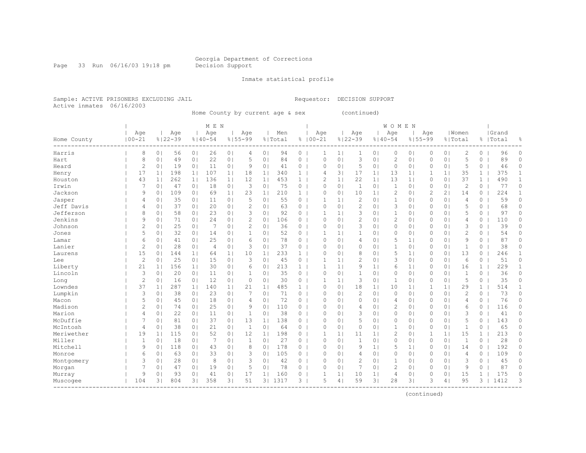Page 33 Run 06/16/03 19:18 pm Decision Support

Inmate statistical profile

Sample: ACTIVE PRISONERS EXCLUDING JAIL **Requestor: DECISION SUPPORT** Active inmates 06/16/2003

Home County by current age & sex (continued)

| M E N | W O M E N |

| Age | Age | Age | Age | Men | Age | Age | Age | Age |Women |Grand

| Home County | 00-21          |                | $8122 - 39$ |                | $8140 - 54$    |                | $8155 - 99$    |                | % Total | ိင           | $100 - 21$     |                | $8122 - 39$    |                | $8140 - 54$    | $8155 - 99$    |                |                | 응 Total        | ိင           | Total |              |
|-------------|----------------|----------------|-------------|----------------|----------------|----------------|----------------|----------------|---------|--------------|----------------|----------------|----------------|----------------|----------------|----------------|----------------|----------------|----------------|--------------|-------|--------------|
| Harris      | 8              | 0 <sub>1</sub> | 56          | 0 <sub>1</sub> | 26             | 0 <sub>1</sub> | 4              | 0 <sub>1</sub> | 94      | $\circ$      |                | 1 <sub>1</sub> |                | 0 <sub>1</sub> | $\Omega$       | 0 <sub>1</sub> | 0              | 0 <sub>1</sub> | 2              | 0            | 96    | 0            |
| Hart        | 8              | 0 <sup>1</sup> | 49          | 0 <sub>1</sub> | 22             | 0 <sub>1</sub> | 5              | 0 <sup>1</sup> | 84      | $\circ$      | $\Omega$       | 0 <sup>1</sup> | 3              | 0 <sub>1</sub> | $\overline{c}$ | 0 <sub>1</sub> | 0              | 0 <sub>1</sub> | 5              | 0            | 89    | $\circ$      |
| Heard       | $\overline{c}$ | 0 <sub>1</sub> | 19          | 0 <sub>1</sub> | 11             | 0 <sub>1</sub> | 9              | $\circ$        | 41      | 0            | $\Omega$       | 0 <sup>1</sup> | 5              | 0 <sub>1</sub> | $\circ$        | 0 <sub>1</sub> | 0              | 0 <sub>1</sub> | 5              | $\circ$      | 46    | $\circ$      |
| Henry       | 17             | 1 <sub>1</sub> | 198         | 1 <sub>1</sub> | 107            | 1 <sub>1</sub> | 18             | 1 <sub>1</sub> | 340     | $\mathbf{1}$ | $\overline{4}$ | 31             | 17             | 1 <sub>1</sub> | 13             | 1 <sub>1</sub> | $\mathbf{1}$   | 1 <sub>1</sub> | 35             | $\mathbf{1}$ | 375   | $\mathbf{1}$ |
| Houston     | 43             | 1 <sup>1</sup> | 262         | 1 <sub>1</sub> | 136            | 1 <sub>1</sub> | 12             | 1 <sub>1</sub> | 453     | $\mathbf{1}$ | $\mathcal{D}$  | 1 <sub>1</sub> | 22             | 1 <sub>1</sub> | 13             | 1 <sub>1</sub> | 0              | 0 <sub>1</sub> | 37             | $\mathbf{1}$ | 490   | 1            |
| Irwin       | 7              | 0 <sup>1</sup> | 47          | 0 <sub>1</sub> | 18             | 0 <sub>1</sub> | 3              | 0 <sup>1</sup> | 75      | 0            | $\mathbf{0}$   | 0 <sub>1</sub> | 1              | 0 <sub>1</sub> | $\mathbf{1}$   | 0 <sub>1</sub> | 0              | 0 <sup>1</sup> | $\mathbf{2}$   | 0            | 77    | $\circ$      |
| Jackson     | 9              | 0 <sub>1</sub> | 109         | 0 <sub>1</sub> | 69             | 1 <sub>1</sub> | 23             | $1\vert$       | 210     | $\mathbf{1}$ | $\mathbf 0$    | $\circ$        | 10             | 1 <sub>1</sub> | $\overline{c}$ | 0 <sub>1</sub> | $\overline{c}$ | 21             | 14             | 0            | 224   | 1            |
| Jasper      | 4              | 0 <sub>1</sub> | 35          | 0 <sub>1</sub> | 11             | 0 <sub>1</sub> | 5              | $\circ$        | 55      | 0            | 1              | 1 <sup>1</sup> | $\mathbf{2}$   | 0 <sub>1</sub> | $\mathbf{1}$   | 0 <sub>1</sub> | $\Omega$       | 0 <sub>1</sub> | $\overline{4}$ | 0            | 59    | $\circ$      |
| Jeff Davis  | 4              | 0 <sub>1</sub> | 37          | 0 <sub>1</sub> | 20             | 0              | $\overline{2}$ | 0 <sup>1</sup> | 63      | 0            | $\circ$        | $\circ$        | $\overline{c}$ | 0 <sub>1</sub> | 3              | 0 <sub>1</sub> | 0              | 0 <sub>1</sub> | 5              | $\Omega$     | 68    | 0            |
| Jefferson   | 8              | 0 <sub>1</sub> | 58          | 0 <sub>1</sub> | 23             | 0 <sub>1</sub> | 3              | 0 <sup>1</sup> | 92      | $\circ$      | 1              | 1 <sup>1</sup> | 3              | 0 <sub>1</sub> | 1              | 0 <sub>1</sub> | 0              | 0 <sub>1</sub> | 5              | $\Omega$     | 97    | $\Omega$     |
| Jenkins     | 9              | 0 <sub>1</sub> | 71          | 0 <sub>1</sub> | 24             | 0 <sub>1</sub> | $\overline{2}$ | 0 <sub>1</sub> | 106     | $\circ$      | $\Omega$       | 0 <sub>1</sub> | $\overline{c}$ | 0 <sub>1</sub> | $\overline{c}$ | 0 <sub>1</sub> | 0              | 0 <sub>1</sub> | 4              | 0            | 110   | 0            |
| Johnson     | 2              | 0 <sub>1</sub> | 25          | 0 <sub>1</sub> | 7              | 0 <sub>1</sub> | 2              | 0 <sup>1</sup> | 36      | 0            | $\Omega$       | $\circ$        | 3              | 0 <sub>1</sub> | $\circ$        | 0 <sub>1</sub> | 0              | 0 <sub>1</sub> | 3              | $\circ$      | 39    | 0            |
| Jones       | 5              | 0 <sub>1</sub> | 32          | 0 <sub>1</sub> | 14             | 0              | $\mathbf{1}$   | 0 <sup>1</sup> | 52      | 0            | 1              | 1 <sup>1</sup> | $\mathbf{1}$   | 0 <sub>1</sub> | $\circ$        | 0 <sub>1</sub> | 0              | 0 <sub>1</sub> | $\overline{c}$ | $\Omega$     | 54    | $\Omega$     |
| Lamar       | 6              | 0 <sub>1</sub> | 41          | 0 <sub>1</sub> | 25             | 0 <sub>1</sub> | 6              | 0 <sub>1</sub> | 78      | 0            | $\Omega$       | 0 <sub>1</sub> | $\overline{4}$ | 0 <sub>1</sub> | 5              | 1 <sub>1</sub> | 0              | 0 <sub>1</sub> | 9              | 0            | 87    | 0            |
| Lanier      | 2              | 0 <sub>1</sub> | 28          | 0 <sub>1</sub> | $\overline{4}$ | 0 <sub>1</sub> | 3              | 0 <sup>1</sup> | 37      | 0            | $\Omega$       | $\circ$        | $\circ$        | 0 <sub>1</sub> | 1              | 0 <sub>1</sub> | 0              | 0 <sub>1</sub> | 1              | 0            | 38    | $\Omega$     |
| Laurens     | 15             | 0 <sub>1</sub> | 144         | 1 <sub>1</sub> | 64             | 1              | 10             | 1 <sub>1</sub> | 233     | $\mathbf{1}$ | $\mathbf 0$    | $\circ$        | 8              | 0 <sub>1</sub> | 5              | 1 <sub>1</sub> | 0              | 0 <sub>1</sub> | 13             | 0            | 246   | 1            |
| Lee         | 2              | 0              | 25          | 0 <sub>1</sub> | 15             | 0 <sub>1</sub> | 3              | $\circ$        | 45      | 0            | 1              | 1 <sup>1</sup> | $\overline{c}$ | 0 <sub>1</sub> | 3              | 0 <sub>1</sub> | 0              | 0 <sub>1</sub> | 6              | $\circ$      | 51    | 0            |
| Liberty     | 21             | 1 <sup>1</sup> | 156         | 1 <sub>1</sub> | 30             | 0 <sub>1</sub> | 6              | 0 <sup>1</sup> | 213     | $\mathbf{1}$ | 1              | 1 <sup>1</sup> | 9              | 1 <sub>1</sub> | 6              | 1 <sub>1</sub> | 0              | 0 <sub>1</sub> | 16             | $\mathbf{1}$ | 229   | 1            |
| Lincoln     | 3              | 0 <sup>1</sup> | 20          | 0 <sub>1</sub> | 11             | 0              | $\mathbf{1}$   | 0 <sup>1</sup> | 35      | 0            | $\mathbf 0$    | 0 <sub>1</sub> | $\mathbf{1}$   | 0 <sub>1</sub> | $\circ$        | 0 <sub>1</sub> | 0              | 0 <sub>1</sub> | $\mathbf{1}$   | 0            | 36    | 0            |
| Long        | 2              | 0 <sup>1</sup> | 16          | 0 <sub>1</sub> | 12             | 0              | $\circ$        | 0              | 30      | 0            | 1              | 1 <sup>1</sup> | 3              | 0 <sub>1</sub> | 1              | 0 <sub>1</sub> | 0              | 0 <sub>1</sub> | 5              | 0            | 35    | $\Omega$     |
| Lowndes     | 37             | 1 <sub>1</sub> | 287         | 1 <sub>1</sub> | 140            | 1 <sub>1</sub> | 21             | 1 <sub>1</sub> | 485     | $\mathbf{1}$ | $\Omega$       | $\circ$        | 18             | 1 <sub>1</sub> | 10             | 1 <sub>1</sub> | 1              | 1 <sub>1</sub> | 29             | $\mathbf{1}$ | 514   | 1            |
| Lumpkin     | 3              | 0              | 38          | 0 <sub>1</sub> | 23             | 0 <sub>1</sub> | 7              | 0 <sub>1</sub> | 71      | 0            | $\Omega$       | $\circ$        | $\mathbf{2}$   | 0 <sub>1</sub> | $\circ$        | 0 <sub>1</sub> | 0              | 0 <sub>1</sub> | $\overline{2}$ | 0            | 73    | $\Omega$     |
| Macon       | 5              | 0              | 45          | 0 <sub>1</sub> | 18             | 0 <sub>1</sub> | 4              | 0 <sup>1</sup> | 72      | 0            | $\Omega$       | $\circ$        | $\circ$        | 0 <sub>1</sub> | 4              | 0 <sub>1</sub> | 0              | 0 <sub>1</sub> | 4              | 0            | 76    | $\Omega$     |
| Madison     | 2              | 0 <sub>1</sub> | 74          | 0 <sub>1</sub> | 25             | 0 <sub>1</sub> | 9              | 0 <sub>1</sub> | 110     | 0            | $\Omega$       | $\circ$        | $\overline{4}$ | 0 <sub>1</sub> | 2              | 0 <sub>1</sub> | 0              | 0 <sub>1</sub> | 6              | 0            | 116   | $\Omega$     |
| Marion      | 4              | 0 <sub>1</sub> | 22          | 0 <sub>1</sub> | 11             | 0              | $\mathbf{1}$   | 0              | 38      | $\circ$      | $\Omega$       | $\circ$        | 3              | 0 <sub>1</sub> | 0              | 0 <sub>1</sub> | 0              | 0 <sub>1</sub> | 3              | $\Omega$     | 41    | 0            |
| McDuffie    | 7              | 0 <sup>1</sup> | 81          | 0 <sub>1</sub> | 37             | 0              | 13             | 1 <sub>1</sub> | 138     | 0            | $\Omega$       | $\circ$        | 5              | 0 <sub>1</sub> | $\circ$        | 0 <sub>1</sub> | 0              | 0 <sub>1</sub> | 5              | 0            | 143   | $\Omega$     |
| McIntosh    | 4              | 0 <sup>1</sup> | 38          | 0 <sub>1</sub> | 21             | 0 <sub>1</sub> | $\mathbf{1}$   | 0              | 64      | 0            | $\Omega$       | $\circ$        | $\circ$        | 0 <sub>1</sub> | $\mathbf{1}$   | 0 <sub>1</sub> | 0              | 0 <sup>1</sup> | $\mathbf{1}$   | 0            | 65    | 0            |
| Meriwether  | 19             | 1 <sub>1</sub> | 115         | 0 <sub>1</sub> | 52             | 0              | 12             | 1 <sub>1</sub> | 198     | 0            | 1              | 1 <sup>1</sup> | 11             | 1 <sub>1</sub> | $\overline{c}$ | 0 <sub>1</sub> | 1              | 1              | 15             | $\mathbf{1}$ | 213   | 0            |
| Miller      | 1              | 0              | 18          | 0 <sub>1</sub> | 7              | 0 <sub>1</sub> | $\mathbf{1}$   | 0 <sup>1</sup> | 27      | 0            | $\Omega$       | $\circ$        | $\mathbf{1}$   | 0 <sub>1</sub> | $\circ$        | 0 <sub>1</sub> | 0              | 0 <sub>1</sub> | 1              | 0            | 28    | $\Omega$     |
| Mitchell    | 9              | 0 <sub>1</sub> | 118         | 0 <sub>1</sub> | 43             | 0 <sub>1</sub> | 8              | 0              | 178     | 0            | $\Omega$       | $\Omega$       | 9              | 1 <sub>1</sub> | 5              | 1 <sub>1</sub> | 0              | 0 <sub>1</sub> | 14             | $\Omega$     | 192   | $\Omega$     |
| Monroe      | 6              | 0              | 63          | 0 <sub>1</sub> | 33             | 0 <sub>1</sub> | 3              | 0              | 105     | 0            | $\Omega$       | $\circ$        | $\overline{4}$ | 0 <sub>1</sub> | $\circ$        | 0 <sub>1</sub> | 0              | 0 <sub>1</sub> | 4              | $\Omega$     | 109   | $\Omega$     |
| Montgomery  | 3              | 0 <sup>1</sup> | 28          | 0 <sub>1</sub> | 8              | 01             | 3              | $\circ$        | 42      | 0            | $\Omega$       | $\circ$        | $\overline{c}$ | 0 <sub>1</sub> | $\mathbf{1}$   | 0 <sub>1</sub> | 0              | 0 <sub>1</sub> | 3              | $\circ$      | 45    | 0            |
| Morgan      | 7              | 0 <sup>1</sup> | 47          | 0 <sub>1</sub> | 19             | 0 <sub>1</sub> | 5              | $\circ$        | 78      | 0            | $\Omega$       | $\circ$        |                | 0 <sub>1</sub> | $\overline{2}$ | 0 <sub>1</sub> | 0              | 0 <sup>1</sup> | 9              | $\circ$      | 87    | $\circ$      |
| Murray      | 9              | 0              | 93          | 0 <sub>1</sub> | 41             | 0 <sub>1</sub> | 17             | 1 <sub>1</sub> | 160     | 0            | $\mathbf{1}$   | 1 <sup>1</sup> | 10             | 1 <sub>1</sub> | 4              | 0 <sub>1</sub> | 0              | 0 <sub>1</sub> | 15             | 1            | 175   | 0            |
| Muscogee    | 104            | 31             | 804         | 3 <sup>1</sup> | 358            | 3 <sub>1</sub> | 51             | 3 <sub>1</sub> | 1317    | 3            | 5              | $\overline{4}$ | 59             | 3 <sub>1</sub> | 28             | 3 <sup>1</sup> | 3              | 4              | 95             | 3            | 1412  | 3            |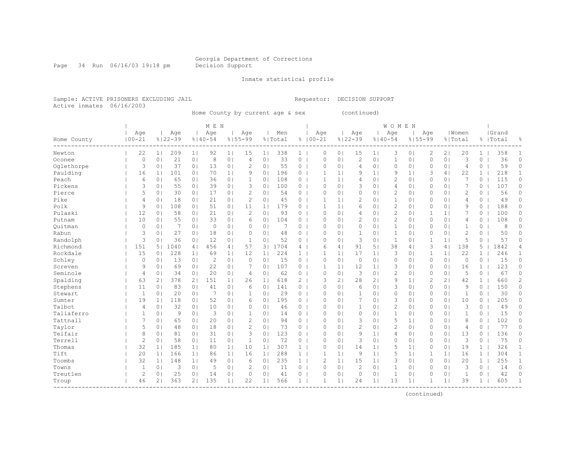Page 34 Run 06/16/03 19:18 pm Decision Support

Inmate statistical profile

| Age | Age | Age | Age | Men | Age | Age | Age | Age |Women |Grand

Sample: ACTIVE PRISONERS EXCLUDING JAIL CONTROL CONTROLLER Requestor: DECISION SUPPORT Active inmates 06/16/2003

Home County by current age & sex (continued)

| M E N | W O M E N |

Home County |00-21 %|22-39 %|40-54 %|55-99 %|Total % |00-21 %|22-39 %|40-54 %|55-99 %|Total % |Total % ------------------------------------------------------------------------------------------------------------------------------------ Newton | 22 1| 209 1| 92 1| 15 1| 338 1 | 0 0| 15 1| 3 0| 2 2| 20 1 | 358 1 Oconee | 0 0| 21 0| 8 0| 4 0| 33 0 | 0 0| 2 0| 1 0| 0 0| 3 0 | 36 0 Oglethorpe | 3 0| 37 0| 13 0| 2 0| 55 0 | 0 0| 4 0| 0 0| 0 0| 4 0 | 59 0 Paulding | 16 1| 101 0| 70 1| 9 0| 196 0 | 1 1| 9 1| 9 1| 3 4| 22 1 | 218 1 Peach | 6 0| 65 0| 36 0| 1 0| 108 0 | 1 1| 4 0| 2 0| 0 0| 7 0 | 115 0 Pickens | 3 0| 55 0| 39 0| 3 0| 100 0 | 0 0| 3 0| 4 0| 0 0| 7 0 | 107 0 Pierce | 5 0| 30 0| 17 0| 2 0| 54 0 | 0 0| 0 0| 2 0| 0 0| 2 0 | 56 0 Pike | 4 0| 18 0| 21 0| 2 0| 45 0 | 1 1| 2 0| 1 0| 0 0| 4 0 | 49 0 Polk | 9 0| 108 0| 51 0| 11 1| 179 0 | 1 1| 6 0| 2 0| 0 0| 9 0 | 188 0 Pulaski | 12 0| 58 0| 21 0| 2 0| 93 0 | 0 0| 4 0| 2 0| 1 1| 7 0 | 100 0 Putnam | 10 0| 55 0| 33 0| 6 0| 104 0 | 0 0| 2 0| 2 0| 0 0| 4 0 | 108 0 Quitman | 0 0| 7 0| 0 0| 0 0| 7 0 | 0 0| 0 0| 1 0| 0 0| 1 0 | 8 0 Rabun | 3 0| 27 0| 18 0| 0 0| 48 0 | 0 0| 1 0| 1 0| 0 0| 2 0 | 50 0 Randolph | 3 0| 36 0| 12 0| 1 0| 52 0 | 0 0| 3 0| 1 0| 1 1| 5 0 | 57 0 Richmond | 151 5| 1040 4| 456 4| 57 3| 1704 4 | 6 4| 91 5| 38 4| 3 4| 138 5 | 1842 4 Rockdale | 15 0| 128 1| 69 1| 12 1| 224 1 | 1 1| 17 1| 3 0| 1 1| 22 1 | 246 1 Schley | 0 0| 13 0| 2 0| 0 0| 15 0 | 0 0| 0 0| 0 0| 0 0| 0 0 | 15 0 Screven | 9 0 | 69 0 | 22 0 | 107 0 | 1 1 | 1 12 10 0 | 16 1 | 123 0 Seminole | 4 0| 34 0| 20 0| 4 0| 62 0 | 0 0| 3 0| 2 0| 0 0| 5 0 | 67 0 Spalding | 63 2| 378 2| 151 1| 26 1| 618 2 | 3 2| 28 2| 9 1| 2 2| 42 1 | 660 2 Stephens | 11 0| 83 0| 41 0| 6 0| 141 0 | 0 0| 6 0| 3 0| 0 0| 9 0 | 150 0 Stewart | 1 0| 20 0| 7 0| 1 0| 29 0 | 0 0| 1 0| 0 0| 0 0| 1 0 | 30 0 Sumter | 19 1| 118 0| 52 0| 6 0| 195 0 | 0 0| 7 0| 3 0| 0 0| 10 0 | 205 0 Talbot | 4 0| 32 0| 10 0| 0 0| 46 0 | 0 0| 1 0| 2 0| 0 0| 3 0 | 49 0 Taliaferro | 1 0| 9 0| 3 0| 1 0| 14 0 | 0 0| 0 0| 1 0| 0 0| 1 0 | 15 0

Tattnall | 7 0| 65 0| 20 0| 2 0| 94 0 | 0 0| 3 0| 5 1| 0 0| 8 0 | 102 0 Taylor | 5 0| 48 0| 18 0| 2 0| 73 0 | 0 0| 2 0| 2 0| 0 0| 4 0 | 77 0 Telfair | 8 0| 81 0| 31 0| 3 0| 123 0 | 0 0| 9 1| 4 0| 0 0| 13 0 | 136 0 Terrell | 2 0| 58 0| 11 0| 1 0| 72 0 | 0 0| 3 0| 0 0| 0 0| 3 0 | 75 0 Thomas | 32 1| 185 1| 80 1| 10 1| 307 1 | 0 0| 14 1| 5 1| 0 0| 19 1 | 326 1 Tift | 20 1| 166 1| 86 1| 16 1| 288 1 | 1 1| 9 1| 5 1| 1 1| 16 1 | 304 1 Toombs | 32 1| 148 1| 49 0| 6 0| 235 1 | 2 1| 15 1| 3 0| 0 0| 20 1 | 255 1 Towns | 1 0| 3 0| 5 0| 2 0| 11 0 | 0 0| 2 0| 1 0| 0 0| 3 0 | 14 0 Treutlen | 2 0| 25 0| 14 0| 0 0| 41 0 | 0 0| 0 0| 1 0| 0 0| 1 0 | 42 0 Troup | 46 2| 363 2| 135 1| 22 1| 566 1 | 1 1| 24 1| 13 1| 1 1| 39 1 | 605 1 ------------------------------------------------------------------------------------------------------------------------------------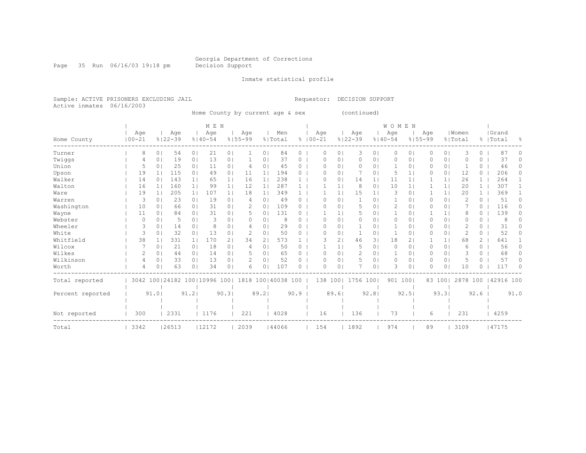Page 35 Run 06/16/03 19:18 pm Decision Support

Inmate statistical profile

Sample: ACTIVE PRISONERS EXCLUDING JAIL Requestor: DECISION SUPPORT Active inmates 06/16/2003

Home County by current age & sex (continued)

|                  |            |                |                              |                | M E N       |                |               |                |                    |          |             |                |                |                | <b>WOMEN</b> |                |             |                |                |                |           |          |
|------------------|------------|----------------|------------------------------|----------------|-------------|----------------|---------------|----------------|--------------------|----------|-------------|----------------|----------------|----------------|--------------|----------------|-------------|----------------|----------------|----------------|-----------|----------|
|                  | Age        |                | Age                          |                | Age         |                | Age           |                | Men                |          | Age         |                | Age            |                | Aqe          |                | Age         |                | Women          |                | Grand     |          |
| Home County      | $100 - 21$ |                | $8122 - 39$                  |                | $8140 - 54$ |                | $8155 - 99$   |                | % Total            |          | $8100 - 21$ |                | $8122 - 39$    |                | $8140 - 54$  |                | $8155 - 99$ |                | % Total        |                | %   Total | ႜ        |
| Turner           | 8          | 0 <sup>1</sup> | 54                           | 0 <sub>1</sub> | 21          | 0 <sub>1</sub> |               | 0 <sub>1</sub> | 84                 | 0        | 0           | 0 <sub>1</sub> | 3              | 0 <sub>1</sub> | $\circ$      | 0              | $\circ$     | 0 <sup>1</sup> | 3              | 0              | 87        | 0        |
| Twiggs           | 4          | 0 <sub>1</sub> | 19                           | 0 <sub>1</sub> | 13          | 0 <sub>1</sub> |               | 0              | 37                 | 0        | $\Omega$    | $\circ$        | 0              | 0              | 0            | 0              | 0           | $\circ$        | O              | 0              | 37        | $\Omega$ |
| Union            | 5          | 0 <sub>1</sub> | 25                           | 0 <sub>1</sub> | 11          | 0 <sub>1</sub> | 4             | 01             | 45                 | 0        | O           | 0 <sup>1</sup> | 0              | 01             | $\mathbf{1}$ | $\Omega$       | 0           | 0 <sub>1</sub> |                | 0              | 46        | 0        |
| Upson            | 19         | 1 <sub>1</sub> | 115                          | 0 <sub>1</sub> | 49          | 0 <sub>1</sub> | 11            | 11             | 194                | 0        | O           | 01             | 7              | 0              | 5            | 1              |             | $\circ$        | 12             | 0              | 206       | 0        |
| Walker           | 14         | 0 <sub>1</sub> | 143                          | 1 <sub>1</sub> | 65          | 1 <sub>1</sub> | 16            | 1 <sub>1</sub> | 238                |          | $\Omega$    | 0              | 14             | 1              | 11           | 1              |             | 1              | 26             | $\mathbf{1}$   | 264       |          |
| Walton           | 16         | 1 <sup>1</sup> | 160                          | 1 <sup>1</sup> | 99          | 1 <sub>1</sub> | 12            | 1 <sub>1</sub> | 287                |          |             | $\mathbf{1}$   | 8              | 0 <sub>1</sub> | 10           | 1 <sub>1</sub> |             | 1              | 20             | $\mathbf{1}$   | 307       |          |
| Ware             | 19         |                | 205                          | 1 <sub>1</sub> | 107         | 1 <sub>1</sub> | 18            | $1\vert$       | 349                |          |             |                | 15             | 1              | 3            | 0              |             | 1              | 20             | $\mathbf{1}$   | 369       |          |
| Warren           | 3          | 0 <sub>1</sub> | 23                           | 0 <sub>1</sub> | 19          | 0 <sub>1</sub> | 4             | 0              | 49                 | 0        | $\Omega$    | $\circ$        | 1              | 01             | 1            | 0              | 0           | 0 <sup>1</sup> | $\overline{2}$ | 0              | 51        | 0        |
| Washington       | 10         | 0 <sub>1</sub> | 66                           | 0 <sub>1</sub> | 31          | 0 <sub>1</sub> | 2             | 01             | 109                | 0        | ∩           | $\circ$        | 5              | 01             | 2            | 0              | 0           | $\circ$        |                | $\Omega$       | 116       | 0        |
| Wayne            | 11         | 01             | 84                           | 0 <sub>1</sub> | 31          | 0 <sub>1</sub> | .5            | $\Omega$       | 131                | 0        |             | $\mathbf{1}$   | 5              | 01             | 1            | $\Omega$       |             | 1              | 8              | 0              | 139       | 0        |
| Webster          | C          | 0 <sub>1</sub> | 5                            | 0 <sub>1</sub> | 3           | 01             | O             | 01             | 8                  | O        | $\Omega$    | 0              | 0              | 01             | 0            | 0              | 0           | $\circ$        | O              | 0              | -8        |          |
| Wheeler          | 3          | 0 <sub>1</sub> | 14                           | 0 <sub>1</sub> | 8           | 0 <sub>1</sub> | 4             | 01             | 29                 | 0        | $\Omega$    | 0 <sub>1</sub> | $\mathbf 1$    | 01             | 1            | 0              | 0           | 0 <sup>1</sup> | 2              | 0              | 31        | 0        |
| White            | 3          | 0 <sub>1</sub> | 32                           | 0 <sub>1</sub> | 13          | 0 <sub>1</sub> | 2             | 0 <sub>1</sub> | 50                 | 0        | $\Omega$    | 0              | 1              | 01             | $\mathbf{1}$ | 0              | 0           | 0 <sup>1</sup> | $\overline{c}$ | 0              | 52        | 0        |
| Whitfield        | 38         |                | 331                          | 1 <sub>1</sub> | 170         | 2 <sub>1</sub> | 34            | 2 <sub>1</sub> | 573                |          | 3           | $\overline{2}$ | 46             | 31             | 18           | 2              |             | 1              | 68             | $\mathbf{2}^-$ | 641       |          |
| Wilcox           |            | 0 <sub>1</sub> | 21                           | 0 <sup>1</sup> | 18          | 0 <sub>1</sub> | 4             | 0 <sub>1</sub> | 50                 | 0        |             | $\mathbf{1}$   | 5              | 01             | 0            | 0              | 0           | 0 <sub>1</sub> | 6              | 0              | 56        | $\Omega$ |
| Wilkes           | 2          | 0 <sub>1</sub> | 44                           | 0 <sub>1</sub> | 14          | 0 <sub>1</sub> | 5             | 01             | 65                 | 0        | ∩           | $\circ$        | $\overline{2}$ | 01             | 1            | 0              | 0           | $\circ$        |                | $\Omega$       | 68        | 0        |
| Wilkinson        | 4          | 0 <sub>1</sub> | 33                           | 0 <sub>1</sub> | 13          | 0 <sub>1</sub> | $\mathcal{D}$ | 01             | 52                 | 0        | $\Omega$    | $\circ$        | 5              | 01             | 0            | 0              | 0           | 0 <sub>1</sub> | 5              | 0              | 57        | 0        |
| Worth            | 4          | 0 <sub>1</sub> | 63                           | 0 <sub>1</sub> | 34          | 0 <sub>1</sub> | 6             | 01             | 107                | $\Omega$ | $\Omega$    | $\circ$        |                | 0 <sup>1</sup> | 3            | 0              | 0           | $\circ$        | 10             | 0              | 117       | U        |
| Total reported   |            |                | 3042 100 24182 100 10996 100 |                |             |                |               |                | 1818 100 40038 100 |          |             | 138 1001       | 1756 100       |                | 901 100      |                |             | 83 1001        | 2878 100       |                | 42916 100 |          |
|                  |            |                |                              |                |             |                |               |                |                    |          |             |                |                |                |              |                |             |                |                |                |           |          |
| Percent reported |            | 91.01          |                              | 91.2           |             | 90.31          |               | 89.21          |                    | 90.9     |             | 89.61          |                | 92.8           |              | 92.5           |             | 93.31          |                | 92.6           |           | 91.0     |
|                  |            |                |                              |                |             |                |               |                |                    |          |             |                |                |                |              |                |             |                |                |                |           |          |
| Not reported     | 300        |                | 2331                         |                | 1176        |                | 221           |                | 4028               |          | 16          |                | 136            |                | 73           |                | 6           |                | 231            |                | 4259      |          |
| Total            | 3342       |                | 26513                        |                | 12172       |                | 2039          |                | 144066             |          | 154         |                | 1892           |                | 974          |                | 89          |                | 3109           |                | 47175     |          |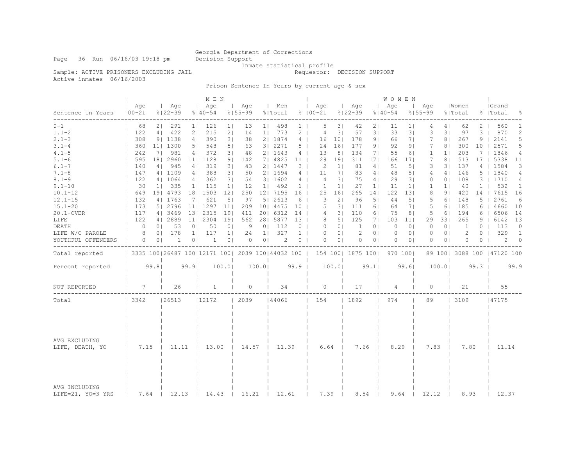Inmate statistical profile

Sample: ACTIVE PRISONERS EXCLUDING JAIL **Requestor: DECISION SUPPORT** 

Active inmates 06/16/2003

Prison Sentence In Years by current age & sex

|                                      |                                                         |                |                    |                 | M E N              |                 |                    |                |                |                 |                    |                 |                    |                | W O M E N          |                 |                    |                |                  |                |                            |                |
|--------------------------------------|---------------------------------------------------------|----------------|--------------------|-----------------|--------------------|-----------------|--------------------|----------------|----------------|-----------------|--------------------|-----------------|--------------------|----------------|--------------------|-----------------|--------------------|----------------|------------------|----------------|----------------------------|----------------|
| Sentence In Years<br>--------------- | Age<br>$100 - 21$                                       |                | Age<br>$8122 - 39$ |                 | Age<br>$8140 - 54$ |                 | Age<br>$8155 - 99$ |                | Men<br>% Total |                 | Aqe<br>$8100 - 21$ |                 | Aqe<br>$8122 - 39$ |                | Aqe<br>$8140 - 54$ | $\perp$         | Age<br>$8155 - 99$ |                | Women<br>% Total |                | Grand<br>%   Total         | ိင             |
| $0 - 1$                              | 68                                                      | 2 <sub>1</sub> | 291                | $1 \mid$        | 126                | 1 <sub>1</sub>  | 13                 | $1 \mid$       | 498            | $1 \mid$        | 5                  | 3               | 42                 | 2 <sub>1</sub> | 11                 | $1\vert$        | 4                  | 4              | 62               | 2              | 560                        | 1              |
| $1.1 - 2$                            | 122                                                     | 4              | 422                | 2 <sub>1</sub>  | 215                | 2 <sub>1</sub>  | 14                 | 1 <sub>1</sub> | 773            | $2-1$           | $\overline{4}$     | 31              | 57                 | 31             | 33                 | 31              | 3                  | 31             | 97               | 3              | 870                        | 2              |
| $2.1 - 3$                            | 308                                                     |                | 91 1138            | 4               | 390                | 3 <sup>1</sup>  | 38                 |                | 2   1874       | 4 <sup>1</sup>  | 16                 | 101             | 178                | 9 <sub>1</sub> | 66                 | 7 <sub>1</sub>  | 7                  | 8 <sub>1</sub> | 267              | 9              | 2141                       | 5              |
| $3.1 - 4$                            | 360                                                     |                | 11  1300           | 5 <sub>1</sub>  | 548                | 5 <sub>1</sub>  | 63                 |                | 3   2271       | 5 <sub>1</sub>  | 24                 | 16 <sub>1</sub> | 177                | 9 <sub>1</sub> | 92                 | 9 <sub>1</sub>  | 7                  | 8 <sub>1</sub> | 300              | 10             | 2571                       | 5              |
| $4.1 - 5$                            | 242                                                     | 71             | 981                | 4               | 372                | 3 <sub>1</sub>  | 48                 |                | 21 1643        | 4 <sup>1</sup>  | 13                 | 8 <sub>1</sub>  | 134                | 71             | 55                 | 61              | 1                  | 1 <sub>1</sub> | 203              | 7              | 1846                       | 4              |
| $5.1 - 6$                            | 595                                                     |                | 18   2960          | 11 <sub>1</sub> | 1128               | 9 <sub>1</sub>  | 142                |                | 7  4825        | 11 <sup>1</sup> | 29                 | 191             | 311                | 171            | 166                | 171             | 7                  | 8 <sub>1</sub> | 513              | 17             | 5338                       | 11             |
| $6.1 - 7$                            | 140                                                     | 4 <sup>1</sup> | 945                | 4               | 319                | 3 <sup>1</sup>  | 43                 |                | 2   1447       | 3 <sub>1</sub>  | 2                  | 1 <sup>1</sup>  | 81                 | 4 <sub>1</sub> | 51                 | 5 <sub>1</sub>  | 3                  | 31             | 137              | $\overline{4}$ | 1584                       | 3              |
| $7.1 - 8$                            | 147                                                     |                | 4   1109           | 4               | 388                | 3 <sup>1</sup>  | 50                 |                | 2   1694       | $4 \mid$        | 11                 | 7 <sub>1</sub>  | 83                 | 4 <sub>1</sub> | 48                 | 5 <sub>1</sub>  | 4                  | 4 <sub>1</sub> | 146              | 5              | 1840                       | 4              |
| $8.1 - 9$                            | 122                                                     |                | 4   1064           | 4               | 362                | 31              | 54                 |                | 31 1602        | $4 \mid$        | 4                  | 31              | 75                 | 4              | 29                 | 31              | $\Omega$           | 0 <sup>1</sup> | 108              | 3 <sup>1</sup> | 1710                       | 4              |
| $9.1 - 10$                           | 30                                                      | $1$            | 335                | 1 <sub>1</sub>  | 115                | 1 <sub>1</sub>  | 12                 | 11             | 492            | $1 \mid$        | $\mathbf{1}$       | 1 <sup>1</sup>  | 27                 | 1 <sup>1</sup> | 11                 | 1 <sup>1</sup>  | $\mathbf{1}$       | 1 <sub>1</sub> | 40               | $\mathbf{1}$   | 532                        | $\mathbf{1}$   |
| $10.1 - 12$                          | 649                                                     |                | 19  4793           |                 | 18   1503          | 12 <sub>1</sub> | 250                |                | 12   7195      | 16              | 25                 | 161             | 265                | 141            | 122                | 131             | 8                  | 91             | 420              | 14             | 7615                       | 16             |
| $12.1 - 15$                          | 132                                                     |                | 4   1763           | 7 <sub>1</sub>  | 621                | 5 <sub>1</sub>  | 97                 |                | 5   2613       | 6               | 3                  | 2 <sub>1</sub>  | 96                 | 51             | 44                 | 5 <sub>1</sub>  | 5                  | 61             | 148              | 5              | 2761                       | 6              |
| $15.1 - 20$                          | 173                                                     |                | 5 2796             |                 | 11  1297           | 11              | 209                |                | 10   4475      | 10 <sub>1</sub> | 5                  | 31              | 111                | 61             | 64                 | 7 <sub>1</sub>  | 5                  | 61             | 185              | 6              | 4660                       | 10             |
| 20.1-OVER                            | 117                                                     |                | 4   3469           |                 | 13 2315            | 191             | 411                |                | 20  6312       | 14              | 4                  | 31              | 110                | 6              | 75                 | 8 <sub>1</sub>  | 5                  | 6              | 194              | 6              | 6506                       | 14             |
| LIFE                                 | 122                                                     |                | 4   2889           | 11 <sub>1</sub> | 2304               | 191             | 562                |                | 28   5877      | 13 <sup>1</sup> | 8                  | 5 <sub>1</sub>  | 125                | 71             | 103                | 11 <sub>1</sub> | 29                 | 331            | 265              | 9              | 6142                       | 13             |
| DEATH                                | $\circ$                                                 | 0 <sup>1</sup> | 53                 | 0 <sub>1</sub>  | 50                 | 0 <sub>1</sub>  | 9                  | 0 <sub>1</sub> | 112            | 0 <sub>1</sub>  | $\circ$            | 0 <sub>1</sub>  | 1                  | 0 <sub>1</sub> | $\circ$            | 0 <sub>1</sub>  | $\circ$            | 0 <sub>1</sub> | 1                | $\circ$        | 113                        | $\circ$        |
| LIFE W/O PAROLE                      | 8                                                       | 0 <sup>1</sup> | 178                | 1 <sup>1</sup>  | 117                | 1 <sub>1</sub>  | 24                 | 1 <sup>1</sup> | 327            | 1 <sup>1</sup>  | $\circ$            | 0 <sup>1</sup>  | 2                  | 0 <sub>1</sub> | 0                  | 0 <sub>1</sub>  | $\Omega$           | 0 <sup>1</sup> | 2                | $\Omega$       | 329                        | $\overline{1}$ |
| YOUTHFUL OFFENDERS                   | 0                                                       | 0 <sup>1</sup> | 1                  | 0 <sup>1</sup>  | 1                  | 0 <sub>1</sub>  | $\Omega$           | 0 <sup>1</sup> | 2              | 0 <sub>1</sub>  | $\Omega$           | 0 <sup>1</sup>  | $\Omega$           | 0 <sub>1</sub> | $\Omega$           | 0 <sup>1</sup>  | $\Omega$           | 0 <sup>1</sup> | $\Omega$         | $\Omega$       | 2                          | $\Omega$       |
| Total reported                       | 3335 100   26487 100   12171 100   2039 100   44032 100 |                |                    |                 |                    |                 |                    |                |                |                 |                    |                 | 154 100  1875 100  |                |                    | 970 1001        |                    |                |                  |                | 89 100 3088 100 147120 100 |                |
| Percent reported                     |                                                         | 99.81          |                    | 99.9            |                    | 100.0           |                    | 100.01         |                | 99.9            |                    | 100.01          |                    | 99.11          |                    | 99.61           |                    | 100.01         |                  | 99.3           |                            | 99.9           |
| NOT REPORTED                         | $7\phantom{.0}$                                         |                | 26                 |                 | 1                  |                 | $\circ$            |                | 34             |                 | $\circ$            |                 | 17                 |                | 4                  |                 | $\circ$            |                | 21               |                | 55                         |                |
| Total                                | 13342                                                   |                | 26513              |                 | 12172              |                 | 12039              |                | 44066          |                 | 154                |                 | 1892               |                | 974                |                 | 89                 |                | 3109             |                | 47175                      |                |
|                                      |                                                         |                |                    |                 |                    |                 |                    |                |                |                 |                    |                 |                    |                |                    |                 |                    |                |                  |                |                            |                |
|                                      |                                                         |                |                    |                 |                    |                 |                    |                |                |                 |                    |                 |                    |                |                    |                 |                    |                |                  |                |                            |                |
| AVG EXCLUDING<br>LIFE, DEATH, YO     |                                                         | 7.15<br>11.11  |                    | 13.00           |                    | 14.57           |                    | 11.39          |                | 6.64            |                    | 7.66            |                    | 8.29           |                    | 7.83            |                    | 7.80           |                  | 11.14          |                            |                |
| AVG INCLUDING<br>LIFE=21, YO=3 YRS   | 7.64                                                    |                | 12.13              |                 | 14.43              |                 | 16.21              |                | 12.61          |                 | 7.39               |                 | 8.54               |                | 9.64               |                 | 12.12              |                | 8.93             |                | 12.37                      |                |

Page 36 Run 06/16/03 19:18 pm Decision Support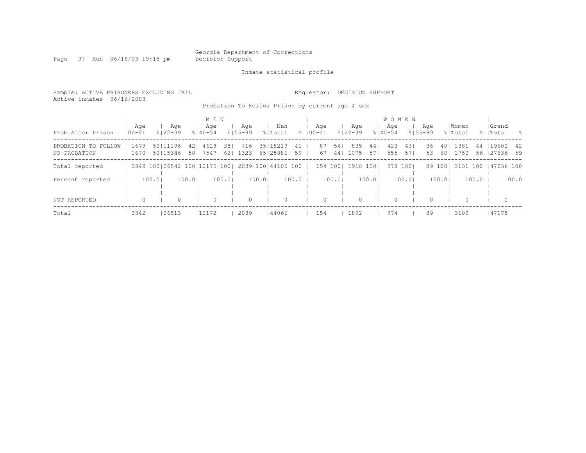Georgia Department of Corrections<br>Decision Support

Page 37 Run 06/16/03 19:18 pm

Inmate statistical profile

| Sample: ACTIVE PRISONERS EXCLUDING JAIL<br>Active inmates 06/16/2003 |                   |                        |                            |                                       |                                                                          |            | Requestor:         | DECISION SUPPORT          |             |                          |                    |                           |         |                          |                  |
|----------------------------------------------------------------------|-------------------|------------------------|----------------------------|---------------------------------------|--------------------------------------------------------------------------|------------|--------------------|---------------------------|-------------|--------------------------|--------------------|---------------------------|---------|--------------------------|------------------|
|                                                                      |                   |                        |                            |                                       | Probation To Follow Prison by current age & sex                          |            |                    |                           |             |                          |                    |                           |         |                          |                  |
|                                                                      |                   |                        | M E N                      |                                       |                                                                          |            |                    |                           |             | <b>WOMEN</b>             |                    |                           |         |                          |                  |
| Prob After Prison                                                    | Age<br>$100 - 21$ | Age<br>$8122 - 39$     | Age<br>$8140 - 54$         | Aqe<br>$8155 - 99$                    | Men<br>% Total                                                           |            | Age<br>$8100 - 21$ | Age<br>$8122 - 39$        | $8140 - 54$ | Aqe                      | Aqe<br>$8155 - 99$ | Women<br>% Total          |         | Grand<br>%   Total       | $\sim$ $\approx$ |
| PROBATION TO FOLLOW<br>NO PROBATION                                  | 1679<br>1670      | 50   11196<br>50115346 | 4628<br>421<br>7547<br>581 | 381<br>716<br>1323<br>62 <sub>1</sub> | 35   18219<br>65   25886                                                 | 41  <br>59 | 87<br>67           | 835<br>561<br>44 <br>1075 | 44  <br>571 | 423<br>431<br>555<br>571 | 36<br>53           | 1381<br>401<br>1750<br>60 |         | 44 19600<br>56 127636 59 | - 42             |
| Total reported                                                       |                   |                        |                            |                                       | 3349 100 26542 100 12175 100   2039 100   44105 100   154 100   1910 100 |            |                    |                           |             | 978 1001                 |                    | 89 1001                   |         | 3131 100 147236 100      |                  |
| Percent reported                                                     |                   | 100.0                  | 100.0                      | 100.0                                 | 100.01                                                                   | $100.0$    |                    | 100.01                    | 100.01      | 100.01                   |                    | 100.01                    | $100.0$ |                          | 100.0            |
| NOT REPORTED                                                         | 0                 | $\Omega$               | 0                          | $\circ$                               | $\Omega$                                                                 |            | $\Omega$           | $\Omega$                  |             | $\Omega$                 | $\Omega$           | $\Omega$                  |         | $\Omega$                 |                  |
| Total                                                                | 3342              | 26513                  | 12172                      | 2039                                  | 44066                                                                    |            | 154                | 1892                      |             | 974                      | 89                 | 3109                      |         | 47175                    |                  |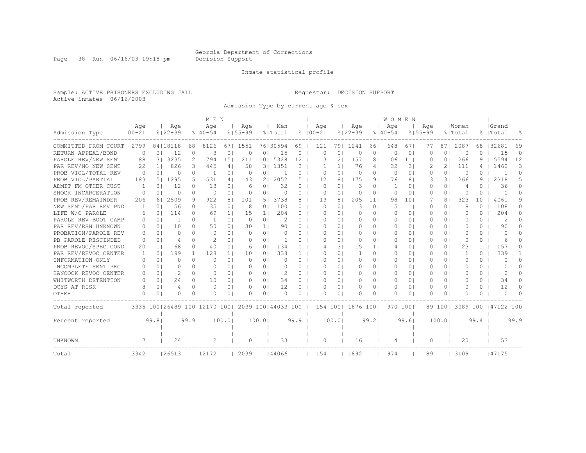Page 38 Run 06/16/03 19:18 pm Decision Support

#### Inmate statistical profile

Sample: ACTIVE PRISONERS EXCLUDING JAIL Requestor: DECISION SUPPORT Active inmates 06/16/2003

Admission Type by current age & sex

|                      |              |                |                                                         |                | M E N          |                |             |                |                |          |             |                |                  |                | <b>WOMEN</b> |                |             |                |          |              |                     |          |
|----------------------|--------------|----------------|---------------------------------------------------------|----------------|----------------|----------------|-------------|----------------|----------------|----------|-------------|----------------|------------------|----------------|--------------|----------------|-------------|----------------|----------|--------------|---------------------|----------|
|                      | Age          |                | Age                                                     |                | Age            |                | Age         |                | Men            |          | Age         |                | Age              |                | Age          |                | Age         |                | Women    |              | Grand               |          |
| Admission Type       | $100 - 21$   |                | $8122 - 39$                                             |                | $8140 - 54$    |                | $8155 - 99$ |                | % Total        |          | $8100 - 21$ |                | $8122 - 39$      |                | $8140 - 54$  |                | $8155 - 99$ |                | % Total  |              | %   Total           | 욲        |
| COMMITTED FROM COURT | 2799         |                | 84   18118                                              | 681            | 8126           | 671            | 1551        |                | 76130594       | 69       | 121         | 791            | 1241             | 661            | 648          | 671            | 77          | 871            | 2087     | 68           | 32681               | 69       |
| RETURN APPEAL/BOND   | $\Omega$     | 0 <sub>1</sub> | 12                                                      | 0 <sub>1</sub> | 3              | $\Omega$       | $\Omega$    | 0 <sub>1</sub> | 15             | $\Omega$ | $\Omega$    | $\Omega$       | $\Omega$         | 0 <sub>1</sub> | $\Omega$     | 0 <sub>1</sub> | $\cap$      | $\bigcirc$     | $\Omega$ | $\Omega$     | 15                  | $\Omega$ |
| PAROLE REV/NEW SENT  | 88           |                | 3   3235                                                | 121            | 1794           | 15             | 211         | 101            | 5328           | 12       | 3           | $\overline{2}$ | 157              | 81             | 106          | 11             | O           | 0 <sub>1</sub> | 266      | 9            | 5594                | 12       |
| PAR REV/NO NEW SENT  | 22           | 1 <sub>1</sub> | 826                                                     | 31             | 445            | 4              | 58          | 31             | 1351           | 3        |             | 11             | 76               | 41             | 32           | 31             |             | 21             | 111      | 4            | 1462                | 3        |
| PROB VIOL/TOTAL REV  | $\Omega$     | 0 <sub>1</sub> | $\Omega$                                                | 0 <sub>1</sub> | -1             | $\circ$        | $\Omega$    | 0 <sup>1</sup> | $\overline{1}$ | 0        | O           | $\cap$         | $\Omega$         | $\cap$         | $\Omega$     | 0 <sub>1</sub> | ∩           | $\Omega$       | $\Omega$ | 0            |                     | $\Omega$ |
| PROB VIOL/PARTIAL    | 183          |                | 5   1295                                                | 51             | 531            | 41             | 43          | ا 2            | 2052           | 5        | 12          | 8              | 175              | 91             | 76           | 81             | 3           | 31             | 266      | 9            | 2318                | 5        |
| ADMIT FM OTHER CUST  | 1            | 01             | 12                                                      | 0 <sub>1</sub> | 13             | 01             | 6           | 01             | 32             | 0        | O           | $\Omega$       | 3                | 01             | 1            | 0 <sub>1</sub> |             | 0 <sub>1</sub> | 4        |              | 36                  | 0        |
| SHOCK INCARCERATION  | $\Omega$     | 0 <sub>1</sub> | $\Omega$                                                | 0 <sub>1</sub> | $\Omega$       | 0 <sup>1</sup> | $\Omega$    | 0 <sub>1</sub> | $\Omega$       | 0        | O           | $\cap$         | $\bigcap$        | 0 <sub>1</sub> | $\Omega$     | 0 <sub>1</sub> | $\Omega$    | 0 <sub>1</sub> | O        | 0            | $\Box$              | $\Omega$ |
| PROB REV/REMAINDER   | 206          | 61             | 2509                                                    | 91             | 922            | 8              | 101         | 51             | 3738           | 8        | 13          | 81             | 205              | 11             | 98           | 101            |             | 81             | 323      | 10           | 4061                | 9        |
| NEW SENT/PAR REV PND | 1            | 0 <sub>1</sub> | 56                                                      | 0 <sub>1</sub> | 35             | 0 <sup>1</sup> | 8           | 0 <sub>1</sub> | 100            | 0        | 0           | $\Omega$ I     | 3                | 0 <sub>1</sub> | 5            | 1 <sup>1</sup> | 0           | 0 <sup>1</sup> | 8        | $\Omega$     | 108                 | $\Omega$ |
| LIFE W/O PAROLE      | 6            | 0 <sub>1</sub> | 114                                                     | 0 <sub>1</sub> | 69             | 1 <sup>1</sup> | 15          | 1 <sup>1</sup> | 204            | $\Omega$ | 0           | $\Omega$       | $\Omega$         | 01             | $\Omega$     | 0 <sub>1</sub> | $\Omega$    | 0 <sup>1</sup> | 0        | $\Omega$     | 204                 | $\Omega$ |
| PAROLE REV BOOT CAMP | $\Omega$     | 0 <sub>1</sub> |                                                         | 0 <sub>1</sub> | $\mathbf{1}$   | 0 <sub>1</sub> | 0           | 0 <sub>1</sub> | 2              | $\Omega$ | 0           | $\Omega$ I     | 0                | 0 <sub>1</sub> | $\Omega$     | 0 <sub>1</sub> |             | 0 <sup>1</sup> | $\Omega$ | $\Omega$     | 2                   | $\Omega$ |
| PAR REV/RSN UNKNOWN  | 0            | 0 <sub>1</sub> | 10                                                      | 0 <sub>1</sub> | 50             | $\Omega$       | 30          | 1 <sub>1</sub> | 90             | $\Omega$ | 0           | $\Omega$ I     | 0                | 01             | $\Omega$     | 0 <sup>1</sup> |             | 0 <sub>1</sub> | 0        | $\Omega$     | 90                  | 0        |
| PROBATION/PAROLE REV | 0            | $\Omega$       | n                                                       | 0 <sub>1</sub> | $\Omega$       | $\circ$        | $\Omega$    | 0 <sub>1</sub> | $\Omega$       | 0        | Ω           | $\Omega$ I     | $\Omega$         | 01             | $\Omega$     | 0 <sup>1</sup> |             | 0 <sup>1</sup> | 0        | $\Omega$     | $\Box$              | 0        |
| PB PAROLE RESCINDED  | $\Omega$     | $\Omega$       |                                                         | 0 <sub>1</sub> | $\mathfrak{D}$ | $\Omega$       | $\Omega$    | 0 <sup>1</sup> | 6              | 0        | Ω           | $\Omega$       | $\Omega$         | 01             | $\Omega$     | 0 <sub>1</sub> | O           | 0 <sub>1</sub> | $\Omega$ | $\Omega$     | 6                   | 0        |
| PROB REVOC/SPEC COND | 20           | 1 <sub>1</sub> | 68                                                      | 0 <sub>1</sub> | 40             | $\Omega$       | 6           | $\Omega$       | 134            | 0        |             | 31             | 15               | 11             | 4            | 01             | ∩           | 0 <sub>1</sub> | 2.3      | $\mathbf{1}$ | 157                 | 0        |
| PAR REV/REVOC CENTER | $\mathbf{1}$ | 0 <sub>1</sub> | 199                                                     | 1 <sup>1</sup> | 128            | 1 <sub>1</sub> | 10          | 0 <sub>1</sub> | 338            |          | Ω           | $\Omega$       | $\mathbf{1}$     | 0 <sub>1</sub> | $\Omega$     | 01             |             | 0 <sup>1</sup> | -1       | 0            | 339                 |          |
| INFORMATION ONLY     | $\Omega$     | 0 <sub>1</sub> |                                                         | 0 <sub>1</sub> | $\Omega$       | 0 <sup>1</sup> | $\Omega$    | 0 <sup>1</sup> | 0              | 0        | Ω           | $\Omega$ I     | $\Omega$         | 0 <sub>1</sub> | $\Omega$     | 01             |             | 0 <sup>1</sup> | $\Omega$ | $\Omega$     | $\Omega$            | 0        |
| INCOMPLETE SENT PKG  | $\Omega$     | 0 <sub>1</sub> |                                                         | 0 <sub>1</sub> | $\bigcap$      | 0 <sup>1</sup> | $\Omega$    | 0 <sub>1</sub> | $\Omega$       | 0        | Ω           | $\Omega$ I     | O                | 0 <sub>1</sub> | $\Omega$     | 0 <sub>1</sub> |             | 0 <sub>1</sub> | O        | 0            | $\Box$              | U        |
| HANCOCK REVOC CENTER | O.           | 0 <sub>1</sub> | $\mathcal{D}$                                           | 0 <sub>1</sub> | $\bigcap$      | 0 <sup>1</sup> | $\Omega$    | $\Omega$       | 2              | 0        | O           | $\cap$         | $\Omega$         | 0 <sub>1</sub> | $\Box$       | 0 <sub>1</sub> | O           | 0 <sub>1</sub> | 0        | $\Omega$     | $\mathcal{L}$       | 0        |
| WHITWORTH DETENTION  | O.           | $\Omega$       | 24                                                      | 0 <sub>1</sub> | 10             | 01             | $\Omega$    | $\Omega$       | 34             | 0        | O           | 0 <sub>1</sub> | $\Omega$         | 0 <sub>1</sub> | $\Omega$     | 0 <sup>1</sup> | $\Box$      | 0 <sup>1</sup> | O        | $\Omega$     | 34                  | $\Omega$ |
| DCYS AT RISK         | 8            | 0 <sub>1</sub> | 4                                                       | 0 <sub>1</sub> | $\Omega$       | 0 <sub>1</sub> | 0           | 0 <sub>1</sub> | 12             | $\Omega$ | 0           | 0 <sub>1</sub> | $\Omega$         | 01             | $\Omega$     | 0 <sub>1</sub> | $\Omega$    | 0 <sup>1</sup> | $\Omega$ | $\Omega$     | 12                  | $\Omega$ |
| <b>OTHER</b>         | $\Omega$     | 0 <sub>1</sub> |                                                         | 0 <sub>1</sub> | O              | 01             | $\Omega$    | 0 <sub>1</sub> | $\Omega$       | 0        | U           | 01             | ∩                | 01             | $\Omega$     | 0 <sub>1</sub> |             | 0 <sub>1</sub> | U        | $\Omega$     | $\Omega$            | $\cap$   |
| Total reported       |              |                | 3335 100   26489 100   12170 100   2039 100   44033 100 |                |                |                |             |                |                |          |             |                | 154 100 1876 100 |                | 970 1001     |                |             | 89 1001        |          |              | 3089 100 147122 100 |          |
|                      |              |                |                                                         |                |                |                |             |                |                |          |             |                |                  |                |              |                |             |                |          |              |                     |          |
| Percent reported     |              | 99.81          |                                                         | 99.9           |                | 100.0          |             | 100.01         |                | 99.9     |             | 100.0          |                  | 99.2           |              | 99.61          |             | 100.01         |          | 99.4         |                     | 99.9     |
|                      |              |                |                                                         |                |                |                |             |                |                |          |             |                |                  |                |              |                |             |                |          |              |                     |          |
| UNKNOWN              |              |                | 24                                                      |                | 2              |                | 0           |                | 33             |          | 0           |                | 16               |                | 4            |                | $\Omega$    |                | 20       |              | 53                  |          |
| Total                | 3342         |                | 26513                                                   |                | 12172          |                | 2039        |                | 144066         |          | 154         |                | 1892             |                | 974          |                | 89          |                | 3109     |              | 147175              |          |
|                      |              |                |                                                         |                |                |                |             |                |                |          |             |                |                  |                |              |                |             |                |          |              |                     |          |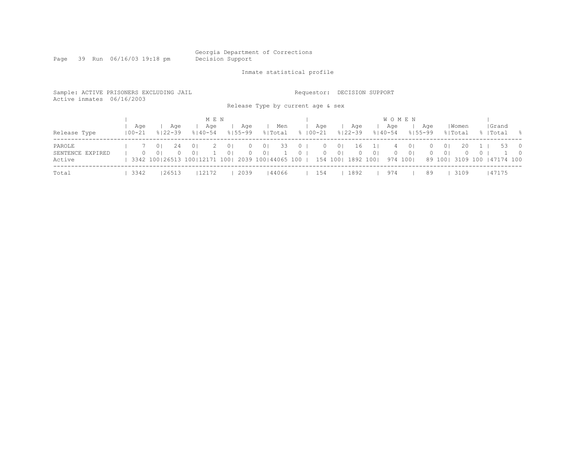Page 39 Run 06/16/03 19:18 pm

Inmate statistical profile

|                                      | Sample: ACTIVE PRISONERS EXCLUDING JAIL<br>Active inmates 06/16/2003   |          |                                  |                      |                                                                                                   |       |                                  |                      |                                  | Release Type by current age & sex |                      | Requestor:           |                                  | DECISION SUPPORT            |                |                    |                                              |                      |                            |                  |                |                                    |                                  |
|--------------------------------------|------------------------------------------------------------------------|----------|----------------------------------|----------------------|---------------------------------------------------------------------------------------------------|-------|----------------------------------|----------------------|----------------------------------|-----------------------------------|----------------------|----------------------|----------------------------------|-----------------------------|----------------|--------------------|----------------------------------------------|----------------------|----------------------------|------------------|----------------|------------------------------------|----------------------------------|
| Release Type                         | M E N<br>Aqe<br>Aqe<br>Aqe<br>$100 - 21$<br>$8122 - 39$<br>$8140 - 54$ |          |                                  |                      |                                                                                                   |       |                                  |                      |                                  | Men<br>% Total                    |                      | Age<br>$8100 - 21$   |                                  | Age<br>$8122 - 39$          |                | Age<br>$8140 - 54$ | <b>WOMEN</b>                                 | Aqe<br>$8155 - 99$   |                            | Women<br>% Total |                | Grand<br>%   Total                 | - 응                              |
| PAROLE<br>SENTENCE EXPIRED<br>Active |                                                                        | $\Omega$ | 0 <sup>1</sup><br>0 <sup>1</sup> | 24<br>$\overline{0}$ | 0 <sup>1</sup><br>0 <sup>1</sup><br>3342 100 26513 100 12171 100   2039 100   44065 100   154 100 | 2.    | 0 <sup>1</sup><br>0 <sup>1</sup> | $\Omega$<br>$\Omega$ | 0 <sup>1</sup><br>0 <sup>1</sup> | 33                                | $\Omega$<br>$\Omega$ | $\Omega$<br>$\Omega$ | $\overline{0}$<br>0 <sup>1</sup> | 16<br>$\Omega$<br>1892 1001 | 0 <sup>1</sup> | 4<br>$\Omega$      | 0 <sup>1</sup><br>0 <sup>1</sup><br>974 1001 | $\Omega$<br>$\Omega$ | $\Omega$<br>0 <sup>1</sup> | 20<br>$\Box$     | $\overline{0}$ | 53<br>89 100  3109 100   47174 100 | $\overline{0}$<br>$\overline{0}$ |
| Total                                |                                                                        | 3342     |                                  | 26513                |                                                                                                   | 12172 |                                  | 2039                 |                                  | 144066                            |                      | 154                  |                                  | 1892                        |                | 974                |                                              | 89                   |                            | 3109             |                | 47175                              |                                  |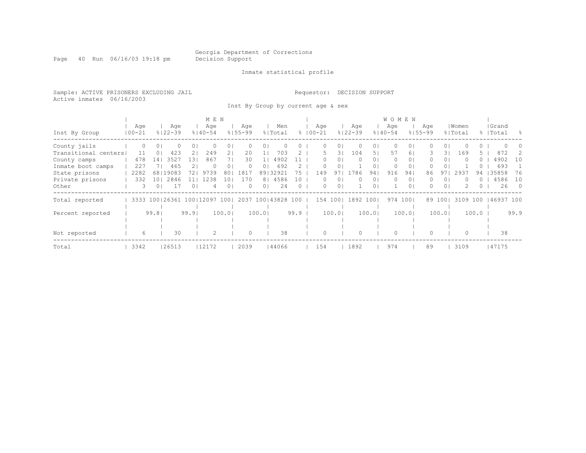Page 40 Run 06/16/03 19:18 pm Decision Support

Inmate statistical profile

Sample: ACTIVE PRISONERS EXCLUDING JAIL Requestor: DECISION SUPPORT Active inmates 06/16/2003

Inst By Group by current age & sex

|                      |            |          |             |          | M E N                   |                 |             |                |           |      |             |         |              |                | WOMEN       |          |             |                |          |          |           |            |
|----------------------|------------|----------|-------------|----------|-------------------------|-----------------|-------------|----------------|-----------|------|-------------|---------|--------------|----------------|-------------|----------|-------------|----------------|----------|----------|-----------|------------|
|                      | Age        |          | Age         |          | Age                     |                 | Age         |                | Men       |      | Aqe         |         | Aqe          |                | Age         |          | Aqe         |                | Women    |          | Grand     |            |
| Inst By Group        | $100 - 21$ |          | $8122 - 39$ |          | $8140 - 54$             |                 | $8155 - 99$ |                | % Total   |      | $8100 - 21$ |         | $8122 - 39$  |                | $8140 - 54$ |          | $8155 - 99$ |                | % Total  |          | %   Total | - 옹        |
| County jails         | $\Omega$   | $\Omega$ |             | $\Omega$ |                         | 0 <sub>1</sub>  |             | $\Omega$       |           |      | 0           | 01      | 0            | 01             | $\Omega$    | 0        | 0           | 0 I            |          | 0        |           |            |
| Transitional centers | 11         |          | 423         | 21       | 249                     | 21              | 20          |                | 703       |      | 5.          | 31      | 104          | 51             | 57          | 6        | 3.          | 31             | 169      |          | 872       |            |
| County camps         | 478        | 141      | 3527        | 131      | 867                     |                 | 30          |                | 4902      |      | 0           | $\circ$ | 0            | 01             | $\circ$     | $\circ$  | 0           | 0 <sup>1</sup> | $\Omega$ | $\Omega$ | 4902      | 10         |
| Inmate boot camps    | 227        |          | 465         |          |                         | 0 <sub>1</sub>  | $\Omega$    | 0              | 692       |      |             |         |              | 0              | 0           | 0        |             |                |          |          | 693       |            |
| State prisons        | 2282       |          | 68   19083  | 721      | 9739                    | 801             | 1817        |                | 89132921  | 75   | 149         | 97      | 1786         | 941            | 916         | 94       | 86          | 97             | 2937     | 94       | 35858     | 76         |
| Private prisons      | 332        | 101      | 2846        |          | 1238                    | LO <sub>1</sub> | 170         |                | 8   4586  | 10   | 0           | $\circ$ | $\mathbf{0}$ | 0              | 0           | 0        | $\Omega$    | 01             |          | ()       | 4586      | 10         |
| Other                | 3          |          | 17          | $\Omega$ |                         | 0 <sub>1</sub>  | $\Omega$    | 0 <sub>1</sub> | 24        |      | 0           | $\circ$ |              | 0 <sup>1</sup> |             | $\Omega$ | 0.          | $\Omega$       |          | 0        | 26        | $\bigcirc$ |
| Total reported       | 3333       |          |             |          | 100   26361 100   12097 | 1001            | 2037        |                | 100143828 | 100  | 154         | 100     | 1892         | 1001           | 974         | 1001     | 89          | 1001           | 3109 100 |          | 46937 100 |            |
|                      |            |          |             |          |                         |                 |             |                |           |      |             |         |              |                |             |          |             |                |          |          |           |            |
| Percent reported     |            | 99.81    |             | 99.9     |                         | 100.0           |             | 100.01         |           | 99.9 |             | 100.01  |              | 100.01         |             | 100.01   |             | 100.01         |          | 100.0    |           | 99.9       |
|                      |            |          |             |          |                         |                 |             |                |           |      |             |         |              |                |             |          |             |                |          |          |           |            |
|                      |            |          |             |          |                         |                 |             |                |           |      |             |         |              |                |             |          |             |                |          |          |           |            |
| Not reported         | 6          |          | 30          |          |                         |                 | $\Omega$    |                | 38        |      | $\Omega$    |         | $\Omega$     |                | $\Omega$    |          |             |                | $\Omega$ |          | 38        |            |
| Total                | 3342       |          | 26513       |          | 12172                   |                 | 2039        |                | 44066     |      | 154         |         | 1892         |                | 974         |          | 89          |                | 3109     |          | 47175     |            |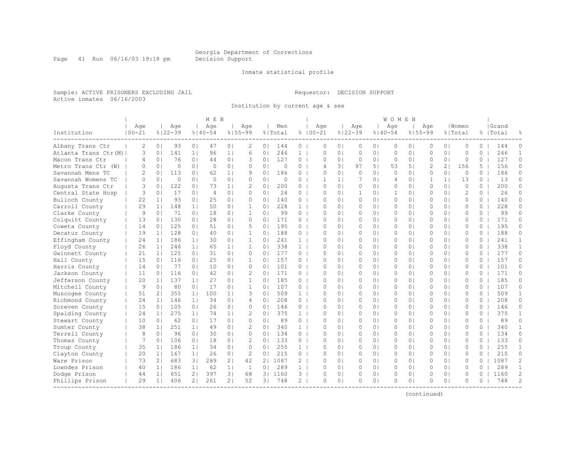Page 41 Run 06/16/03 19:18 pm Decision Support

#### Inmate statistical profile

Sample: ACTIVE PRISONERS EXCLUDING JAIL Requestor: DECISION SUPPORT Active inmates 06/16/2003

Institution by current age & sex

|                       |                   |                |                    |                | M E N              |                |                    |                |                |                |                    |          |                           |                    |                | WOMEN              |                |               |                |                  |          |                    |                |
|-----------------------|-------------------|----------------|--------------------|----------------|--------------------|----------------|--------------------|----------------|----------------|----------------|--------------------|----------|---------------------------|--------------------|----------------|--------------------|----------------|---------------|----------------|------------------|----------|--------------------|----------------|
| Institution           | Age<br>$100 - 21$ |                | Age<br>$8122 - 39$ |                | Age<br>$8140 - 54$ |                | Age<br>$8155 - 99$ |                | Men<br>% Total |                | Age<br>$8100 - 21$ |          |                           | Age<br>$8122 - 39$ |                | Age<br>$8140 - 54$ | $8155 - 99$    | Aqe           |                | Women<br>% Total |          | Grand<br>%   Total |                |
| Albany Trans Ctr      | 2                 | 0 <sub>1</sub> | 93                 | 0 <sub>1</sub> | 47                 | 0 <sub>1</sub> | 2                  | 0 <sup>1</sup> | 144            | $\circ$        |                    | $\circ$  | 0 <sub>1</sub>            | $\circ$            | 0 <sub>1</sub> | $\circ$            | 0 <sub>1</sub> | $\circ$       | 0 <sup>1</sup> | $\circ$          | $\Omega$ | 144                | $\Omega$       |
| Atlanta Trans Ctr (M) | 3                 | 0 <sub>1</sub> | 141                | 1 <sub>1</sub> | 96                 | 1 <sub>1</sub> | 6                  | 0 <sub>1</sub> | 246            | $\mathbf{1}$   |                    | $\Omega$ | $\Omega$                  | $\circ$            | 0 <sub>1</sub> | $\circ$            | 0 <sub>1</sub> | $\circ$       | 0 <sub>1</sub> | $\Omega$         | $\Omega$ | 246                | $\mathbf{1}$   |
| Macon Trans Ctr       | $\overline{4}$    | 0 <sub>1</sub> | 76                 | 0 <sub>1</sub> | 44                 | 0 <sub>1</sub> | 3                  | 0 <sub>1</sub> | 127            | $\circ$        |                    | $\circ$  | 0 <sub>1</sub>            | $\circ$            | 0 <sub>1</sub> | $\circ$            | 0 <sub>1</sub> | $\circ$       | 0 <sub>1</sub> | $\circ$          | 0        | 127                | 0              |
| Metro Trans Ctr (W)   | $\Omega$          | 0 <sub>1</sub> | $\Omega$           | 0 <sub>1</sub> | $\Omega$           | 0 <sub>1</sub> | $\Omega$           | $\Omega$       | $\Omega$       | $\Omega$       |                    | 4        | $\overline{\mathbf{3}}$ l | 97                 | 51             | 53                 | 5 <sub>1</sub> | $\mathcal{D}$ | 21             | 156              | 5.       | 156                | $\Omega$       |
| Savannah Mens TC      | $\mathcal{L}$     | 0 <sub>1</sub> | 113                | 0 <sub>1</sub> | 62                 | 1 <sub>1</sub> | 9                  | $\Omega$       | 186            | $\Omega$       |                    | $\Omega$ | $\Omega$                  | $\bigcap$          | 0 <sub>1</sub> | $\Omega$           | 0 <sub>1</sub> | $\cap$        | 0 <sup>1</sup> | $\Omega$         | $\Omega$ | 186                | $\Omega$       |
| Savannah Womens TC    | $\Omega$          | 0 <sub>1</sub> | $\circ$            | 0 <sub>1</sub> | $\Omega$           | 0 <sub>1</sub> | $\Omega$           | 0 <sub>1</sub> | $\Omega$       | $\Omega$       |                    | 1        | 1 <sup>1</sup>            | 7                  | 0 <sub>1</sub> | 4                  | 0 <sub>1</sub> | 1             | 1 <sup>1</sup> | 13               | $\Omega$ | 13                 | $\Omega$       |
| Augusta Trans Ctr     | 3                 | 0 <sub>1</sub> | 122                | 0 <sub>1</sub> | 73                 | 1 <sub>1</sub> | 2                  | 0 <sub>1</sub> | 200            | 0              |                    | 0        | 0 <sub>1</sub>            | $\circ$            | 0 <sub>1</sub> | 0                  | 0 <sub>1</sub> | $\circ$       | 0 <sub>1</sub> | $\circ$          | 0        | 200                | $\Omega$       |
| Central State Hosp    | 3                 | 0 <sub>1</sub> | 17                 | 0 <sub>1</sub> | $\overline{4}$     | 0 <sub>1</sub> | $\Omega$           | $\Omega$       | 24             | $\Omega$       |                    | $\Omega$ | 0 <sub>1</sub>            | $\mathbf{1}$       | 0 <sub>1</sub> | $\mathbf{1}$       | 0 <sub>1</sub> | $\Omega$      | 0 <sub>1</sub> | $\overline{2}$   | $\Omega$ | 2.6                | $\Omega$       |
| Bulloch County        | 22                | 1 <sub>1</sub> | 93                 | 0 <sub>1</sub> | 25                 | 0 <sub>1</sub> | $\Omega$           | $\Omega$       | 140            | $\Omega$       |                    | $\Omega$ | 0 <sub>1</sub>            | $\Omega$           | 0 <sup>1</sup> | $\Omega$           | 0 <sub>1</sub> | $\Omega$      | 0 <sup>1</sup> | $\Omega$         | $\Omega$ | 140                | $\Omega$       |
| Carroll County        | 29                | 1 <sup>1</sup> | 148                | 1 <sup>1</sup> | 50                 | 0 <sub>1</sub> | $\mathbf{1}$       | 0 <sub>1</sub> | 228            | $\mathbf{1}$   |                    | $\Omega$ | 0 <sup>1</sup>            | 0                  | 0 <sub>1</sub> | $\Omega$           | 0 <sub>1</sub> | $\Omega$      | 0 <sup>1</sup> | $\Omega$         | $\Omega$ | 228                | $\Omega$       |
| Clarke County         | 9                 | 0 <sub>1</sub> | 71                 | 0 <sub>1</sub> | 18                 | 0 <sub>1</sub> | $\mathbf{1}$       | $\Omega$       | 99             | $\Omega$       |                    | $\cap$   | $\Omega$                  | $\Omega$           | $\Omega$       | $\Omega$           | $\Omega$       | $\cap$        | 0 <sup>1</sup> | $\Omega$         | $\Omega$ | 99                 | $\Omega$       |
| Colquitt County       | 13                | 0 <sub>1</sub> | 130                | 0 <sub>1</sub> | 2.8                | 0 <sub>1</sub> | $\Omega$           | $\Omega$       | 171            | $\Omega$       |                    | $\Omega$ | $\Omega$                  | $\Omega$           | 0 <sub>1</sub> | $\Omega$           | 0 <sub>1</sub> | $\Omega$      | 0 <sup>1</sup> | $\Omega$         | $\Omega$ | 171                | $\Omega$       |
| Coweta County         | 14                | 0 <sub>1</sub> | 125                | 0 <sub>1</sub> | 51                 | 0 <sub>1</sub> | 5                  | 0 <sup>1</sup> | 195            | $\circ$        |                    | O        | 0 <sub>1</sub>            | $\circ$            | 0 <sub>1</sub> | 0                  | 0 <sub>1</sub> | $\Omega$      | 0 <sub>1</sub> | $\mathbf{0}$     | $\Omega$ | 195                | $\Omega$       |
| Decatur County        | 19                | 1 <sup>1</sup> | 128                | 0 <sub>1</sub> | 40                 | 0 <sub>1</sub> | $\mathbf{1}$       | $\Omega$       | 188            | $\Omega$       |                    | $\cap$   | $\Omega$                  | $\circ$            | 0 <sub>1</sub> | $\Omega$           | 0 <sub>1</sub> | $\Omega$      | 0 <sub>1</sub> | $\Omega$         | $\Omega$ | 188                | $\Omega$       |
| Effingham County      | 24                | 1 <sub>1</sub> | 186                | 1 <sup>1</sup> | 30                 | 0 <sub>1</sub> | $\mathbf{1}$       | 0 <sub>1</sub> | 241            | 1 <sup>1</sup> |                    | $\Omega$ | 0 <sub>1</sub>            | $\circ$            | 0 <sub>1</sub> | $\Omega$           | 0 <sub>1</sub> | $\Omega$      | 0 <sub>1</sub> | $\circ$          | $\Omega$ | 241                | $\mathbf{1}$   |
| Floyd County          | 2.6               | 1 <sup>1</sup> | 246                | 1 <sup>1</sup> | 65                 | 1 <sub>1</sub> | $\mathbf{1}$       | $\Omega$       | 338            | $\mathbf{1}$   |                    | $\Omega$ | 0 <sub>1</sub>            | $\Omega$           | 0 <sub>1</sub> | $\Omega$           | 0 <sub>1</sub> | $\Omega$      | 0 <sup>1</sup> | $\Omega$         | $\Omega$ | 338                | $\mathbf{1}$   |
| Gwinnett County       | 21                | 1 <sub>1</sub> | 125                | 0 <sub>1</sub> | 31                 | 0 <sub>1</sub> | $\Omega$           | $\Omega$       | 177            | $\Omega$       |                    | $\cap$   | $\Omega$                  | $\Omega$           | $\Omega$       | $\Omega$           | $\Omega$       | $\cap$        | 0 <sup>1</sup> | $\cap$           | $\Omega$ | 177                | $\Omega$       |
| Hall County           | 15                | 0 <sub>1</sub> | 116                | 0 <sub>1</sub> | 25                 | 0 <sub>1</sub> | 1                  | 0              | 157            | $\Omega$       |                    | O        | $\Omega$                  | 0                  | 0 <sub>1</sub> | 0                  | 0 <sub>1</sub> | $\Omega$      | 0 <sup>1</sup> | $\circ$          | $\Omega$ | 157                | $\Omega$       |
| Harris County         | 14                | 0 <sup>1</sup> | 77                 | 0 <sub>1</sub> | 10                 | 0 <sub>1</sub> | 0                  | 0 <sub>1</sub> | 101            | $\circ$        |                    | 0        | 0 <sub>1</sub>            | $\circ$            | 0 <sub>1</sub> | 0                  | 0 <sub>1</sub> | 0             | 0 <sup>1</sup> | $\circ$          | $\Omega$ | 101                | 0              |
| Jackson County        | 11                | 0 <sub>1</sub> | 116                | 0 <sub>1</sub> | 42                 | 0 <sub>1</sub> | 2                  | $\Omega$       | 171            | $\Omega$       |                    | $\Omega$ | 0 <sub>1</sub>            | $\circ$            | 0 <sub>1</sub> | $\Omega$           | 0 <sub>1</sub> | $\Omega$      | 0 <sub>1</sub> | $\Omega$         | $\Omega$ | 171                | $\Omega$       |
| Jefferson County      | 20                | 1 <sup>1</sup> | 137                | 11             | 2.7                | 0 <sub>1</sub> | $\mathbf{1}$       | $\Omega$       | 185            | $\Omega$       |                    | $\cap$   | 0 <sub>1</sub>            | $\Omega$           | 0 <sub>1</sub> | $\Omega$           | 0 <sub>1</sub> | $\Omega$      | 0 <sup>1</sup> | $\Omega$         | $\Omega$ | 185                | $\Omega$       |
| Mitchell County       | 9                 | 0 <sub>1</sub> | 80                 | 0 <sub>1</sub> | 17                 | 0 <sub>1</sub> | $\mathbf{1}$       | 0 <sub>1</sub> | 107            | $\circ$        |                    | $\Omega$ | 0 <sup>1</sup>            | $\circ$            | 0 <sub>1</sub> | $\Omega$           | 0 <sub>1</sub> | $\Omega$      | 0 <sup>1</sup> | $\Omega$         | $\Omega$ | 107                | $\Omega$       |
| Muscogee County       | 51                | 2 <sub>1</sub> | 355                | 1 <sub>1</sub> | 100                | 1 <sub>1</sub> | 3                  | 0 <sup>1</sup> | 509            | $\mathbf{1}$   |                    | U        | $\Omega$                  | $\circ$            | 0 <sub>1</sub> | $\Omega$           | 0 <sub>1</sub> | $\Omega$      | 0 <sub>1</sub> | $\Omega$         | 0        | 509                | 1              |
| Richmond County       | 24                | 1 <sub>1</sub> | 146                | 1 <sub>1</sub> | 34                 | 0 <sub>1</sub> | 4                  | 0 <sup>1</sup> | 208            | $\circ$        |                    | $\Omega$ | 0 <sub>1</sub>            | $\circ$            | 0 <sub>1</sub> | 0                  | 0 <sub>1</sub> | $\Omega$      | 0 <sub>1</sub> | $\circ$          | 0        | 208                | $\Omega$       |
| Screven County        | 15                | 0 <sup>1</sup> | 105                | 0 <sub>1</sub> | 2.6                | 0 <sub>1</sub> | $\Omega$           | 0 <sub>1</sub> | 146            | $\circ$        |                    | $\Omega$ | 0 <sub>1</sub>            | $\circ$            | 0 <sub>1</sub> | 0                  | 0 <sub>1</sub> | $\Omega$      | 0 <sub>1</sub> | $\Omega$         | $\Omega$ | 146                | $\Omega$       |
| Spalding County       | 24                | 1 <sub>1</sub> | 275                | 1 <sub>1</sub> | 74                 | 1 <sub>1</sub> | 2                  | 0 <sup>1</sup> | 375            | $\mathbf{1}$   |                    | 0        | 0 <sub>1</sub>            | $\circ$            | 0 <sub>1</sub> | 0                  | 0 <sub>1</sub> | 0             | 0 <sub>1</sub> | $\circ$          | 0        | 375                | $\mathbf{1}$   |
| Stewart County        | 10                | 0 <sub>1</sub> | 62                 | 0 <sub>1</sub> | 17                 | 0 <sub>1</sub> | $\Omega$           | 0 <sub>1</sub> | 89             | $\circ$        |                    | $\Omega$ | 0 <sub>1</sub>            | $\Omega$           | 0 <sub>1</sub> | $\Omega$           | 0 <sub>1</sub> | $\Omega$      | 0 <sub>1</sub> | $\Omega$         | $\Omega$ | 89                 | $\Omega$       |
| Sumter County         | 38                | 1 <sup>1</sup> | 251                | 1 <sup>1</sup> | 49                 | 0 <sub>1</sub> | 2                  | $\Omega$       | 340            | 1 <sup>1</sup> |                    | $\Omega$ | 0 <sub>1</sub>            | $\Omega$           | 0 <sub>1</sub> | $\Omega$           | 0 <sub>1</sub> | $\Omega$      | 0 <sup>1</sup> | $\Omega$         | $\Omega$ | 340                | $\mathbf{1}$   |
| Terrell County        | 8                 | $\Omega$       | 96                 | 0 <sub>1</sub> | 30                 | 0 <sub>1</sub> | $\Omega$           | $\Omega$       | 134            | $\Omega$       |                    | $\Omega$ | $\Omega$                  | $\Omega$           | 0 <sub>1</sub> | $\Omega$           | 0 <sub>1</sub> | $\Omega$      | 0 <sub>1</sub> | $\Omega$         | $\Omega$ | 134                | $\Omega$       |
| Thomas County         | 7                 | 0 <sup>1</sup> | 106                | 0 <sub>1</sub> | 18                 | 0 <sup>1</sup> | 2                  | $\Omega$       | 133            | $\Omega$       |                    | O        | $\Omega$                  | $\Omega$           | $\Omega$       | $\Omega$           | $\Omega$       | $\Omega$      | 0 <sub>1</sub> | $\Omega$         | $\Omega$ | 133                | $\Omega$       |
| Troup County          | 35                | 1 <sub>1</sub> | 186                | 1 <sub>1</sub> | 34                 | 0 <sub>1</sub> | $\Omega$           | 0 <sub>1</sub> | 255            | 1 <sup>1</sup> |                    | 0        | 0 <sup>1</sup>            | $\circ$            | 0 <sub>1</sub> | 0                  | 0 <sub>1</sub> | 0             | 0 <sup>1</sup> | $\circ$          | $\Omega$ | 255                | 1              |
| Clayton County        | 20                | 1 <sup>1</sup> | 167                | 1 <sub>1</sub> | 26                 | 0 <sub>1</sub> | $\overline{c}$     | 0 <sup>1</sup> | 215            | $\Omega$       |                    | $\Omega$ | 0 <sub>1</sub>            | $\circ$            | 0 <sub>1</sub> | 0                  | 0 <sub>1</sub> | $\Omega$      | 0 <sup>1</sup> | $\Omega$         | $\Omega$ | 215                | $\Omega$       |
| Ware Prison           | 73                | 2 <sub>1</sub> | 683                | 3 <sub>1</sub> | 289                | 21             | 42                 | 21             | 1087           | $\mathcal{L}$  |                    | $\cap$   | 0 <sub>1</sub>            | $\Omega$           | 0 <sub>1</sub> | $\Omega$           | 0 <sub>1</sub> | $\Omega$      | 0 <sup>1</sup> | $\Omega$         | $\Omega$ | 1087               | $\overline{c}$ |
| Lowndes Prison        | 40                | 1 <sup>1</sup> | 186                | 11             | 62                 | 1 <sub>1</sub> | $\mathbf{1}$       | 0 <sub>1</sub> | 289            | $\mathbf{1}$   |                    | $\Omega$ | 0 <sub>1</sub>            | $\mathbf{0}$       | 0 <sup>1</sup> | $\Omega$           | 0 <sub>1</sub> | $\Omega$      | 0 <sup>1</sup> | $\Omega$         | $\Omega$ | 289                | $\mathbf{1}$   |
| Dodge Prison          | 44                | 1 <sub>1</sub> | 651                | 2 <sub>1</sub> | 397                | 3 <sub>1</sub> | 68                 | 3              | 1160           | 3              |                    | 0        | 0 <sub>1</sub>            | 0                  | 0 <sub>1</sub> | 0                  | 0 <sub>1</sub> | $\Omega$      | 0 <sub>1</sub> | 0                | 0        | 1160               | 2              |
| Phillips Prison       | 29                | 1 <sub>1</sub> | 406                | 21             | 261                | 21             | 52                 | 31             | 748            | 2              |                    | $\Omega$ | 0 <sub>1</sub>            | $\Omega$           | 0 <sub>1</sub> | $\Omega$           | 0 <sub>1</sub> | $\cap$        | 0 <sub>1</sub> | $\Omega$         | $\Omega$ | 748                | $\overline{c}$ |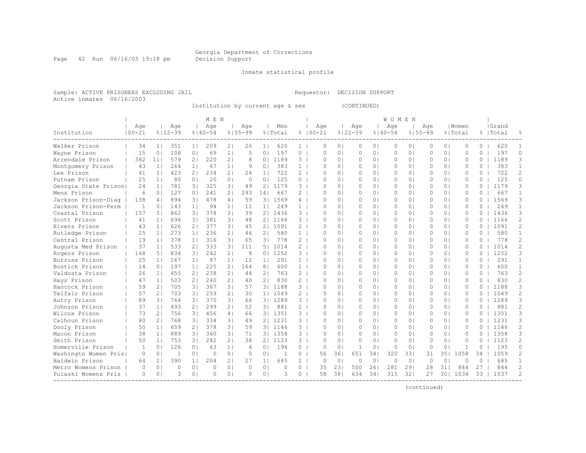Page 42 Run 06/16/03 19:18 pm Decision Support

#### Inmate statistical profile

Sample: ACTIVE PRISONERS EXCLUDING JAIL Requestor: DECISION SUPPORT Active inmates 06/16/2003

Institution by current age & sex (CONTINUED)

|                      |              |                 |             |                | M F. N      |                |             |                |          |                |             |                |              |                | <b>WOMEN</b> |                |             |                |              |          |           |                |
|----------------------|--------------|-----------------|-------------|----------------|-------------|----------------|-------------|----------------|----------|----------------|-------------|----------------|--------------|----------------|--------------|----------------|-------------|----------------|--------------|----------|-----------|----------------|
|                      | Age          |                 | Age         |                | Age         |                | Age         |                | Men      |                | Age         |                | Age          |                | Age          |                | Aqe         |                | Women        |          | Grand     |                |
| Institution          | $100 - 21$   |                 | $8122 - 39$ |                | $8140 - 54$ |                | $8155 - 99$ |                | % Total  |                | $8100 - 21$ |                | $8122 - 39$  |                | $8140 - 54$  |                | $8155 - 99$ |                | % Total      |          | %   Total |                |
| Walker Prison        | 34           | 1 <sub>1</sub>  | 351         | 11             | 209         | 21             | 26          | 1 <sub>1</sub> | 620      | 1.             | O           | $\circ$        | $\circ$      | 0 <sub>1</sub> | 0            | $\circ$        | $\Omega$    | 0 <sup>1</sup> | $\Omega$     | $\Omega$ | 620       |                |
| Wayne Prison         | 15           | 0 <sub>1</sub>  | 108         | 0 <sub>1</sub> | 69          | 1 <sub>1</sub> | 5           | 0 <sub>1</sub> | 197      | $\circ$        | $\Omega$    | 0 <sub>1</sub> | $\circ$      | 0 <sub>1</sub> | 0            | 0 <sub>1</sub> | $\circ$     | 0 <sub>1</sub> | $\circ$      | $\Omega$ | 197       | $\Omega$       |
| Arrendale Prison     | 382          | 11 <sub>1</sub> | 579         | 21             | 220         | 2 <sub>1</sub> | 8           | 0 <sup>1</sup> | 1189     | 3              | $\Omega$    | 0 <sub>1</sub> | $\circ$      | 0 <sub>1</sub> | 0            | 0 <sub>1</sub> | 0           | 0 <sub>1</sub> | $\mathbf{0}$ | 0        | 1189      | 3              |
| Montgomery Prison    | 43           | 1 <sub>1</sub>  | 264         | 1 <sub>1</sub> | 67          | 1 <sub>1</sub> | 9           | 0 <sub>1</sub> | 383      | $\mathbf{1}$   | $\Omega$    | 0 <sub>1</sub> | $\circ$      | 0 <sub>1</sub> | $\circ$      | 0 <sub>1</sub> | $\circ$     | 0 <sub>1</sub> | $\Omega$     | $\Omega$ | 383       | $\mathbf{1}$   |
| Lee Prison           | 41           | 1 <sup>1</sup>  | 423         | 21             | 234         | 21             | 24          | 1 <sub>1</sub> | 722      | 2              | $\cap$      | 0 <sub>1</sub> | $\Omega$     | 0 <sub>1</sub> | $\Omega$     | 0 <sub>1</sub> | $\Omega$    | 0 <sub>1</sub> | $\Omega$     | $\Omega$ | 722       | 2              |
| Putnam Prison        | 25           | 1 <sub>1</sub>  | 80          | 0 <sub>1</sub> | 20          | 0 <sub>1</sub> | $\Omega$    | 0 <sub>1</sub> | 125      | $\circ$        | $\cap$      | 0 <sub>1</sub> | $\circ$      | 0 <sub>1</sub> | $\Omega$     | 0 <sub>1</sub> | 0           | 0 <sub>1</sub> | $\Omega$     | $\Omega$ | 125       | $\circ$        |
| Georgia State Prison | 24           | 1 <sub>1</sub>  | 781         | 31             | 325         | 31             | 49          | 21             | 1179     | 3              | O           | $\Omega$       | 0            | 0 <sub>1</sub> | 0            | 0 <sub>1</sub> | 0           | 0 <sup>1</sup> | $\Omega$     | 0        | 1179      | 3              |
| Mens Prison          | 6            | 0 <sub>1</sub>  | 127         | 0 <sub>1</sub> | 241         | 21             | 293         | 141            | 667      | $\mathcal{L}$  | O           | $\Omega$       | $\Omega$     | 0 <sub>1</sub> | $\Omega$     | 0 <sub>1</sub> | $\Omega$    | 0 <sup>1</sup> | $\Omega$     | 0        | 667       | 1              |
| Jackson Prison-Diag  | 138          | 4               | 894         | 31             | 478         | 4              | 59          | 3 <sup>1</sup> | 1569     | 4              | $\cap$      | $\Omega$       | $\bigcap$    | $\Omega$       | $\cap$       | $\Omega$       | $\cap$      | 0 <sup>1</sup> | $\cap$       | $\Omega$ | 1569      | 3              |
| Jackson Prison-Perm  | -1           | $\Omega$        | 143         | 11             | 94          | 1 <sub>1</sub> | 11          | 1 <sub>1</sub> | 249      | $\mathbf{1}$   | $\Omega$    | $\Omega$       | $\Omega$     | $\Omega$       | $\Omega$     | $\Omega$       | $\cap$      | 0 <sup>1</sup> | $\Omega$     | $\Omega$ | 249       | $\mathbf{1}$   |
| Coastal Prison       | 157          | 51              | 862         | 31             | 378         | 31             | 39          | 21             | 1436     | 3              | $\Omega$    | $\Omega$       | $\circ$      | 0 <sub>1</sub> | $\Omega$     | 0 <sub>1</sub> | $\Omega$    | 0 <sub>1</sub> | $\Omega$     | $\Omega$ | 1436      | 3              |
| Scott Prison         | 41           | 1 <sub>1</sub>  | 696         | 31             | 381         | 3 <sub>1</sub> | 48          | 2 <sub>1</sub> | 1166     | 3              | O           | $\Omega$       | $\circ$      | 0 <sub>1</sub> | 0            | 0 <sub>1</sub> | 0           | 0 <sub>1</sub> | $\circ$      | 0        | 1166      | $\overline{c}$ |
| Rivers Prison        | 43           | 1 <sup>1</sup>  | 626         | 2 <sub>1</sub> | 377         | 31             | 45          | 2 <sub>1</sub> | 1091     | $\overline{2}$ | $\cap$      | $\Omega$       | $\circ$      | 0 <sub>1</sub> | $\circ$      | 0 <sub>1</sub> | $\Omega$    | 0 <sub>1</sub> | $\Omega$     | $\Omega$ | 1091      | 2              |
| Rutledge Prison      | 25           | 1 <sup>1</sup>  | 273         | 1 <sub>1</sub> | 236         | 21             | 46          | 2 <sub>1</sub> | 580      | $\mathbf{1}$   | $\cap$      | $\Omega$       | $\Omega$     | 0 <sup>1</sup> | $\Omega$     | 0 <sub>1</sub> | $\Omega$    | 0 <sub>1</sub> | $\Omega$     | $\Omega$ | 580       | $\mathbf{1}$   |
| Central Prison       | 19           | 1 <sup>1</sup>  | 378         | 1 <sup>1</sup> | 316         | 3 <sup>1</sup> | 65          | 3 <sub>1</sub> | 778      | $\overline{2}$ | $\cap$      | 0 <sub>1</sub> | $\circ$      | 0 <sub>1</sub> | $\Omega$     | 0 <sub>1</sub> | $\Omega$    | 0 <sub>1</sub> | $\Omega$     | 0        | 778       | $\overline{2}$ |
| Augusta Med Prison   | 37           | 1 <sup>1</sup>  | 533         | 21             | 333         | 3 <sup>1</sup> | 111         | 5 I            | 1014     | 2              | $\Omega$    | 0 <sup>1</sup> | 0            | 0 <sub>1</sub> | $\Omega$     | 0 <sub>1</sub> | 0           | 0 <sup>1</sup> | $\Omega$     | $\Omega$ | 1014      | $\overline{2}$ |
| Rogers Prison        | 168          | 51              | 834         | 31             | 242         | 21             | 8           | 0 <sup>1</sup> | 1252     | 3              | O           | $\Omega$       | $\Omega$     | 0 <sub>1</sub> | $\Omega$     | $\Omega$       | $\Omega$    | 01             | $\Omega$     | 0        | 1252      | 3              |
| Burruss Prison       | 25           | 1 <sup>1</sup>  | 167         | 1 <sub>1</sub> | 87          | 1 <sup>1</sup> | 12          | 1 <sub>1</sub> | 291      | $\mathbf{1}$   | U           | $\Omega$       | $\Omega$     | $\Omega$       | $\Omega$     | $\Omega$       | $\Omega$    | 01             | $\Omega$     | 0        | 291       | 1              |
| Bostick Prison       | 14           | 0 <sub>1</sub>  | 197         | 1 <sup>1</sup> | 225         | 21             | 164         | 8              | 600      | $\mathbf{1}$   | O           | $\Omega$       | $\Omega$     | $\Omega$       | $\Omega$     | $\Omega$       | $\Omega$    | 01             | $\Omega$     | $\Omega$ | 600       | 1              |
| Valdosta Prison      | 26           | 1 <sub>1</sub>  | 455         | 21             | 238         | 21             | 44          | 2 <sub>1</sub> | 763      | $\overline{2}$ | $\Omega$    | $\Omega$       | $\Omega$     | $\Omega$       | $\Omega$     | 0 <sub>1</sub> | $\Omega$    | 0 <sub>1</sub> | $\Omega$     | $\Omega$ | 763       | $\overline{2}$ |
| Hays Prison          | 47           | 1 <sub>1</sub>  | 503         | 21             | 240         | 21             | 40          | 21             | 830      | $\overline{2}$ | $\Omega$    | $\Omega$       | $\circ$      | 0 <sub>1</sub> | 0            | 0 <sub>1</sub> | 0           | 0 <sub>1</sub> | $\circ$      | $\Omega$ | 830       | $\overline{c}$ |
| Hancock Prison       | 59           | 2 <sub>1</sub>  | 705         | 31             | 367         | 31             | 57          | 3 <sub>1</sub> | 1188     | 3              | $\Omega$    | 0 <sub>1</sub> | $\circ$      | 0 <sub>1</sub> | $\circ$      | 0 <sub>1</sub> | $\Omega$    | 0 <sub>1</sub> | $\mathbf{0}$ | 0        | 1188      | 3              |
| Telfair Prison       | 57           | 21              | 703         | 31             | 259         | 21             | 30          | 1 <sup>1</sup> | 1049     | $\overline{2}$ | $\cap$      | $\Omega$       | $\circ$      | 0 <sub>1</sub> | $\Omega$     | 0 <sub>1</sub> | $\Omega$    | 0 <sub>1</sub> | $\Omega$     | $\Omega$ | 1049      | 2              |
| Autry Prison         | 89           | 31              | 764         | 3 <sub>1</sub> | 370         | 31             | 66          |                | 3  1289  | 3              | $\cap$      | 0 <sub>1</sub> | $\circ$      | 0 <sub>1</sub> | $\Omega$     | 0 <sub>1</sub> | 0           | 0 <sub>1</sub> | $\Omega$     | $\Omega$ | 1289      | 3              |
| Johnson Prison       | 37           | 1 <sup>1</sup>  | 493         | 21             | 299         | 21             | 52          | 3 <sub>1</sub> | 881      | $\overline{2}$ | $\cap$      | 0 <sup>1</sup> | 0            | 0 <sub>1</sub> | $\Omega$     | 0 <sub>1</sub> | $\Omega$    | 0 <sup>1</sup> | $\Omega$     | $\Omega$ | 881       | $\overline{2}$ |
| Wilcox Prison        | 73           | 21              | 756         | 31             | 456         | 4              | 66          |                | 31 1351  | 3              | O           | $\Omega$       | $\Omega$     | 0 <sup>1</sup> | $\Omega$     | $\Omega$       | $\Omega$    | 01             | $\Omega$     | 0        | 1351      | 3              |
| Calhoun Prison       | 80           | 21              | 768         | 31             | 334         | 31             | 49          |                | 2  1231  | 3              | $\Omega$    | $\Omega$       | $\Omega$     | 0 <sub>1</sub> | $\Omega$     | $\circ$        | $\Omega$    | 0 <sub>1</sub> | $\Omega$     | 0        | 1231      | 3              |
| Dooly Prison         | 50           | 1 <sub>1</sub>  | 659         | 21             | 378         | 31             | 59          |                | 31 1146  | 3.             | U           | $\Omega$       | $\Omega$     | $\Omega$       | $\Omega$     | $\Omega$       | $\Omega$    | 01             | $\Omega$     | 0        | 1146      | 2              |
| Macon Prison         | 38           | 1 <sup>1</sup>  | 889         | 31             | 360         | 3 <sub>1</sub> | 71          |                | 3  1358  | 3              | $\Omega$    | $\Omega$       | $\Omega$     | $\Omega$       | $\Omega$     | 0 <sub>1</sub> | $\Omega$    | 0 <sub>1</sub> | $\Omega$     | 0        | 1358      | 3              |
| Smith Prison         | 50           | 1 <sub>1</sub>  | 753         | 3 <sub>1</sub> | 282         | 2 <sub>1</sub> | 38          | 2 <sub>1</sub> | 1123     | 3              | $\Omega$    | $\Omega$       | $\circ$      | 0 <sub>1</sub> | $\circ$      | 0 <sub>1</sub> | $\Omega$    | 0 <sub>1</sub> | $\Omega$     | 0        | 1123      | $\overline{c}$ |
| Homerville Prison    | $\mathbf{1}$ | 0 <sub>1</sub>  | 126         | 0 <sub>1</sub> | 63          | 1 <sub>1</sub> | 4           | 0 <sub>1</sub> | 194      | $\circ$        | $\circ$     | $\circ$        | $\mathbf{1}$ | 0 <sub>1</sub> | $\circ$      | 0 <sub>1</sub> | $\Omega$    | 0 <sup>1</sup> | 1            | $\Omega$ | 195       | $\Omega$       |
| Washingtn Women Pris | $\circ$      | 0 <sub>1</sub>  | -1          | 0 <sub>1</sub> | $\Omega$    | 0 <sub>1</sub> | $\Omega$    | 0 <sub>1</sub> | -1       | $\circ$        | 56          | 361            | 651          | 341            | 320          | 331            | 31          | 351            | 1058         | 34       | 1059      | $\overline{2}$ |
| Baldwin Prison       | 64           | 21              | 390         | 1 <sup>1</sup> | 204         | 21             | 27          | 1 <sub>1</sub> | 685      | $\overline{2}$ | $\circ$     | $\circ$        | $\circ$      | 0 <sup>1</sup> | $\circ$      | 0 <sup>1</sup> | $\circ$     | 0 <sup>1</sup> | $\circ$      | $\Omega$ | 685       | $\mathbf{1}$   |
| Metro Womens Prison  | 0            | 0 <sub>1</sub>  | 0           | 0 <sub>1</sub> | $\Omega$    | 0 <sub>1</sub> | $\Omega$    | 0 <sub>1</sub> | $\Omega$ | $\Omega$       | 35          | 231            | 500          | 261            | 281          | 291            | 28          | 311            | 844          | 27       | 844       | $\overline{2}$ |
| Pulaski Womens Pris  | $\Omega$     | 0 <sub>1</sub>  | 3           | 0 <sub>1</sub> | $\Omega$    | 0 <sub>1</sub> | $\Omega$    | 0 <sub>1</sub> | 3        | $\Omega$       | 58          | 38             | 634          | 341            | 315          | 321            | 27          | 301            | 1034         | 33       | 1037      | $\mathcal{D}$  |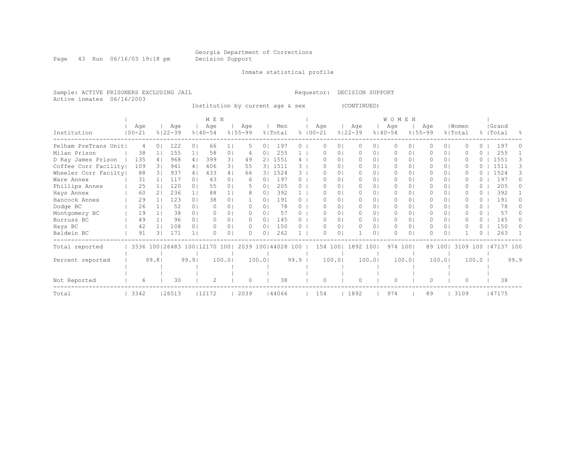Page 43 Run 06/16/03 19:18 pm Decision Support

#### Inmate statistical profile

Sample: ACTIVE PRISONERS EXCLUDING JAIL Requestor: DECISION SUPPORT Active inmates 06/16/2003

Institution by current age & sex (CONTINUED)

|                      |            |       |     |                    |                | M E N                            |                |                    |                |                |           |                   |          |                    |                | <b>WOMEN</b>       |          |                    |                |                  |          |                    |      |
|----------------------|------------|-------|-----|--------------------|----------------|----------------------------------|----------------|--------------------|----------------|----------------|-----------|-------------------|----------|--------------------|----------------|--------------------|----------|--------------------|----------------|------------------|----------|--------------------|------|
| Institution          | $100 - 21$ | Age   |     | Age<br>$8122 - 39$ |                | Age<br>$8140 - 54$               |                | Age<br>$8155 - 99$ |                | Men<br>% Total | $\approx$ | Age<br>$100 - 21$ |          | Age<br>$8122 - 39$ |                | Age<br>$8140 - 54$ |          | Age<br>$8155 - 99$ |                | Women<br>% Total |          | Grand<br>%   Total |      |
| Pelham PreTrans Unit |            | 4     | ()  | 122                | 0 <sup>1</sup> | 66                               |                | 5.                 | 0 <sup>1</sup> | 197            | 0         |                   | 0        | $\Omega$           | 01             | $\Omega$           | 0        |                    | 0 <sup>1</sup> |                  | 0        | 197                |      |
| Milan Prison         |            | 38    |     | 155                | 1 <sub>1</sub> | 58                               | 0 <sup>1</sup> |                    | 0              | 255            |           |                   | 01       | $\Omega$           | 01             | $\Omega$           | 0        |                    | $\Omega$       |                  | 0        | 255                |      |
| D Ray James Prison   |            | 135   | 41  | 968                | 4 <sub>1</sub> | 399                              | 3 <sub>1</sub> | 49                 | 2 <sub>1</sub> | 1551           | 4         |                   | $\Omega$ | $\Omega$           | $\Omega$       | $\Omega$           | $\Omega$ |                    | $\Omega$       | O                |          | 1551               |      |
| Coffee Corr Facility |            | 109   | 3 I | 941                | 4              | 406                              | 3 <sub>1</sub> | 55                 |                | 3   1511       | २         |                   |          | $\Omega$           | 0              | 0                  | 0        |                    | 01             | n                |          | 1511               |      |
| Wheeler Corr Facilty |            | 88    |     | 937                | 4              | 433                              | 4              | 66                 |                | 3   1524       | 3.        |                   | 0.       | $\Omega$           | 01             | $\Omega$           | 0        | 0                  | 01             |                  |          | 1524               |      |
| Ware Annex           |            | 31    |     | 117                | $\Omega$       | 43                               | 0 <sub>1</sub> | 6                  | 0 <sup>1</sup> | 197            | 0         |                   | 0        | $\bigcap$          | 01             | $\bigcap$          | 0        |                    | $\Omega$       | n                |          | 197                |      |
| Phillips Annex       |            | 25    |     | 120                | 0 <sub>1</sub> | 55                               | 0 <sup>1</sup> |                    | $\Omega$       | 205            |           |                   | 0        | $\Omega$           | 01             | $\Omega$           | 0        |                    | $\Omega$       | O                | 0        | 205                |      |
| Hays Annex           |            | 60    | 21  | 236                | 11             | 88                               | 1              |                    | 0              | 392            |           | n                 | 0.       | $\Omega$           | 0              | $\Omega$           | 0        | 0                  | 01             |                  | 0        | 392                |      |
| Hancock Annex        |            | 29    |     | 123                | 0 <sub>1</sub> | 38                               | 0 <sub>1</sub> |                    | $\Omega$       | 191            |           |                   | 0        | $\Omega$           | 0.             | $\Omega$           | 0        |                    | 0 <sub>1</sub> |                  | $\Omega$ | 191                |      |
| Dodge BC             |            | 26    |     | 52                 | $\Omega$       | ∩                                | 0 <sub>1</sub> |                    | 0              | 78             |           |                   | 01       | $\Box$             | 01             | $\Omega$           | 0.       | 0                  | 01             |                  | 0.       | 78                 |      |
| Montgomery BC        |            | 19    |     | 38                 | $\Omega$       |                                  | 0 <sub>1</sub> |                    | $\Omega$       | 57             |           |                   | 0        | $\Omega$           | $\Omega$       | $\Omega$           | 0        |                    | $\Omega$       |                  | 0        | 57                 |      |
| Burruss BC           |            | 49    |     | 96                 | $\Omega$       |                                  | 0 <sub>1</sub> | n.                 | $\cap$         | 145            |           |                   | 0.       | $\bigcap$          | 01             | 0                  | 0        |                    | 0 I            |                  | 0        | 145                |      |
| Hays BC              |            | 42    |     | 108                | $\Omega$       | ∩                                | 0 <sub>1</sub> | $\Omega$           | $\Omega$       | 150            | 0         | O                 | $\circ$  | $\Omega$           | 0 <sub>1</sub> | $\Omega$           | 0        | 0                  | 0 <sup>1</sup> | O                | $\Omega$ | 150                |      |
| Baldwin BC           |            | 91    | 31  | 171                | 1 <sup>1</sup> |                                  | $\Omega$       |                    | 0              | 262            |           |                   | $\Omega$ |                    | $\Omega$       | $\bigcap$          | 0        |                    | $\Omega$       |                  | 0        | 263                |      |
| Total reported       |            |       |     |                    |                | 3336 100   26483 100   12170 100 |                | 2039 100 44028 100 |                |                |           | 154 100           |          | 1892 100           |                | 974 1001           |          |                    | 89 1001        | 3109 100         |          | 47137 100          |      |
| Percent reported     |            | 99.81 |     |                    | 99.9           |                                  | 100.0          |                    | 100.01         |                | 99.9      |                   | 100.0    |                    | 100.01         |                    | 100.0    |                    | 100.01         |                  | 100.0    |                    | 99.9 |
|                      |            |       |     |                    |                |                                  |                |                    |                |                |           |                   |          |                    |                |                    |          |                    |                |                  |          |                    |      |
| Not Reported         |            | 6     |     | 30                 |                |                                  |                | 0                  |                | 38             |           | O                 |          | 0                  |                | $\Omega$           |          | 0                  |                | $\Omega$         |          | 38                 |      |
| Total                | 3342       |       |     | 26513              |                | 12172                            |                | 2039               |                | 144066         |           | 154               |          | 1892               |                | 974                |          | 89                 |                | 3109             |          | 47175              |      |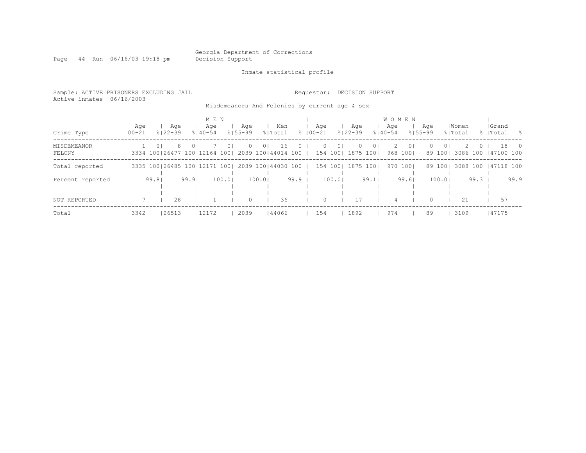Page 44 Run 06/16/03 19:18 pm Decision Support

Inmate statistical profile

| Sample: ACTIVE PRISONERS EXCLUDING JAIL<br>Active inmates 06/16/2003 |                   |          |                                                 |                |                             |        |                    |        |                |          | Requestor:       |          | DECISION SUPPORT                               |      |                                    |                |                    |                     |                  |                 |                           |      |
|----------------------------------------------------------------------|-------------------|----------|-------------------------------------------------|----------------|-----------------------------|--------|--------------------|--------|----------------|----------|------------------|----------|------------------------------------------------|------|------------------------------------|----------------|--------------------|---------------------|------------------|-----------------|---------------------------|------|
|                                                                      |                   |          |                                                 |                |                             |        |                    |        |                |          |                  |          | Misdemeanors And Felonies by current age & sex |      |                                    |                |                    |                     |                  |                 |                           |      |
| Crime Type                                                           | Aqe<br>$100 - 21$ |          | Aqe<br>$8122 - 39$                              |                | M E N<br>Aqe<br>$8140 - 54$ |        | Age<br>$8155 - 99$ |        | Men<br>% Total |          | Aqe<br>%   00−21 |          | Aqe<br>$8122 - 39$                             |      | <b>WOMEN</b><br>Aqe<br>$8140 - 54$ |                | Aqe<br>$8155 - 99$ |                     | Women<br>% Total |                 | Grand<br>%   Total        | - 옹  |
| MISDEMEANOR<br>FELONY                                                |                   | $\Omega$ | 3334 100 26477 100 12164 100 2039 100 44014 100 | 0 <sup>1</sup> |                             | ()     |                    | 0      | 16             | $^{(1)}$ | 154 100          | $\Omega$ | 1875 1001                                      |      |                                    | 01<br>968 1001 |                    | $\Omega$<br>89 1001 |                  |                 | 18<br>3086 100 147100 100 |      |
| Total reported                                                       |                   |          | 3335 100 26485 100 12171 100 2039 100 44030 100 |                |                             |        |                    |        |                |          | 154 100          |          | 1875 1001                                      |      |                                    | 970 1001       |                    | 89 1001             | 3088 100         |                 | 147118 100                |      |
| Percent reported                                                     |                   | 99.81    |                                                 | 99.9           |                             | 100.01 |                    | 100.01 |                | 99.9     |                  | 100.01   |                                                | 99.1 |                                    | 99.61          |                    | 100.01              |                  | $99.3 \text{ }$ |                           | 99.9 |
| NOT REPORTED                                                         | 7                 |          | 28                                              |                |                             |        | $\Omega$           |        | 36             |          | $\Omega$         |          | 17                                             |      | 4                                  |                | $\cap$             |                     | 2.1              |                 | 57                        |      |
| Total                                                                | 3342              |          | 26513                                           |                | 12172                       |        | 2039               |        | 144066         |          | 154              |          | 1892                                           |      | 974                                |                | 89                 |                     | 3109             |                 | 47175                     |      |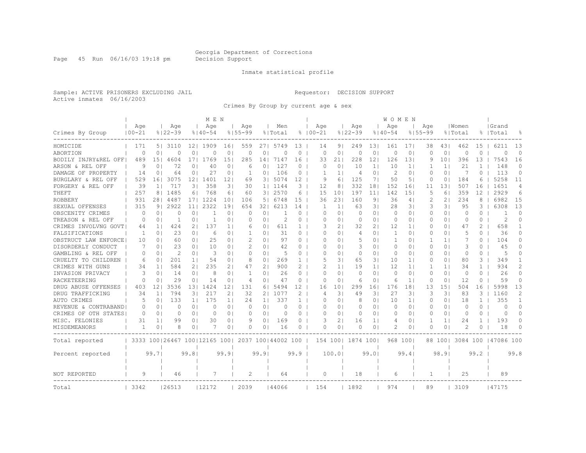Page 45 Run 06/16/03 19:18 pm Decision Support

#### Inmate statistical profile

Sample: ACTIVE PRISONERS EXCLUDING JAIL Requestor: DECISION SUPPORT Active inmates 06/16/2003

Crimes By Group by current age & sex

|                      |                   |                |                                  |                 | M E N              |                |                    |                |                    |              |                    |                |                    |                | <b>WOMEN</b>       |                |                    |                |                  |              |                     |                |
|----------------------|-------------------|----------------|----------------------------------|-----------------|--------------------|----------------|--------------------|----------------|--------------------|--------------|--------------------|----------------|--------------------|----------------|--------------------|----------------|--------------------|----------------|------------------|--------------|---------------------|----------------|
| Crimes By Group      | Age<br>$100 - 21$ |                | Age<br>$8122 - 39$               |                 | Aqe<br>$8140 - 54$ |                | Age<br>$8155 - 99$ |                | Men<br>% Total     |              | Age<br>$8100 - 21$ |                | Age<br>$8122 - 39$ |                | Age<br>$8140 - 54$ |                | Age<br>$8155 - 99$ |                | Women<br>% Total |              | Grand<br> Total     | 욲              |
| HOMICIDE             | 171               | 51             | 3110                             | 12 <sub>1</sub> | 1909               | 161            | 559                | 271            | 5749               | 13           | 14                 | 9 <sub>1</sub> | 249                | 131            | 161                | 17             | 38                 | 431            | 462              | 15           | 6211                | 13             |
| ABORTION             | $\Omega$          | 0 <sub>1</sub> | 0                                | 0               | 0                  | $\circ$        | $\circ$            | 0              | $\Omega$           | 0            | 0                  | $\circ$        | $\circ$            | 0 <sub>1</sub> | 0                  | 0              | 0                  | 0 <sub>1</sub> | 0                | $\Omega$     | $\Omega$            | $\circ$        |
| BODILY INJRY&REL OFF | 489               | 151            | 4604                             | 171             | 1769               | 15             | 285                | 14             | 7147               | 16           | 33                 | 211            | 228                | 12             | 126                | 131            | 9                  | 101            | 396              | 13           | 7543                | 16             |
| ARSON & REL OFF      | 9                 | $\Omega$       | 72                               | 01              | 40                 | 0              | 6                  | 0              | 127                | $\Omega$     | $\Omega$           | $\circ$        | 10                 | $1\vert$       | 10                 | $1\vert$       |                    | 1 <sup>1</sup> | 21               | 1            | 148                 | $\Omega$       |
| DAMAGE OF PROPERTY   | 14                | 0              | 64                               | 0 <sub>1</sub>  | 27                 | 0              | 1                  | 0              | 106                | 0            | 1                  | 1 <sup>1</sup> | $\overline{4}$     | $\circ$        | 2                  | $\circ$        | $\Omega$           | 0 <sub>1</sub> | 7                | $\Omega$     | 113                 | $\Omega$       |
| BURGLARY & REL OFF   | 529               | 161            | 3075                             | 12              | 1401               | 12             | 69                 | 31             | 5074               | 12           | 9                  | 6              | 125                | 71             | 50                 | 5 <sub>1</sub> | 0                  | 0 <sub>1</sub> | 184              | 6            | 5258                | 11             |
| FORGERY & REL OFF    | 39                | 1 <sub>1</sub> | 717                              | 31              | 358                | 31             | 30                 | 1 <sup>1</sup> | 1144               | 3            | 12                 | 8              | 332                | 181            | 152                | 161            | 11                 | 131            | 507              | 16           | 1651                | $\overline{4}$ |
| THEFT                | 257               | 8 <sub>1</sub> | 1485                             | 61              | 768                | 61             | 60                 | 31             | 2570               | 6            | 15                 | 101            | 197                | 11             | 142                | 151            | 5                  | 61             | 359              | 12           | 2929                | 6              |
| <b>ROBBERY</b>       | 931               | 281            | 4487                             | 171             | 1224               | 101            | 106                | 5              | 6748               | 15           | 36                 | 231            | 160                | 9 <sub>1</sub> | 36                 | 4              | 2                  | 21             | 234              | 8            | 6982                | 15             |
| SEXUAL OFFENSES      | 315               | 9 <sub>1</sub> | 2922                             | 11              | 2322               | 19             | 654                | 32.            | 6213               | 14           | 1                  | $\frac{1}{2}$  | 63                 | 31             | 28                 | 31             | 3                  | 31             | 95               | 3            | 6308                | 13             |
| OBSCENITY CRIMES     | $\Omega$          | $\Omega$       | Ω                                | 0               | 1                  | $\Omega$       | C                  | 0              |                    | $\Omega$     | O                  | $\Omega$       | $\Omega$           | 0 <sub>1</sub> | $\Omega$           | $\Omega$       | $\Omega$           | $\Omega$       | $\Omega$         | $\Omega$     |                     | $\Omega$       |
| TREASON & REL OFF    | 0                 | 01             | -1                               | 0 <sub>1</sub>  | 1                  | 0 <sub>1</sub> | 0                  | 01             | 2                  | 0            | O                  | 0 <sub>1</sub> | 0                  | 0 <sup>1</sup> | 0                  | 0 <sub>1</sub> | 0                  | 01             | 0                | $\Omega$     | $\overline{2}$      | $\Omega$       |
| CRIMES INVOLVNG GOVT | 44                | 1 <sup>1</sup> | 424                              | 2 <sub>1</sub>  | 137                | 1 <sub>1</sub> | 6                  | 01             | 611                | $\mathbf{1}$ | 3                  | 2 <sub>1</sub> | 32                 | 2 <sub>1</sub> | 12                 | 1 <sub>1</sub> | 0                  | 01             | 47               | 2            | 658                 | -1             |
| FALSIFICATIONS       | $\mathbf{1}$      | 0 <sub>1</sub> | 23                               | 0 <sub>1</sub>  | 6                  | 0 <sub>1</sub> | $\mathbf{1}$       | 01             | 31                 | 0            | O                  | 0 <sub>1</sub> | 4                  | 0 <sub>1</sub> | -1                 | $\circ$        | $\Omega$           | 0 <sup>1</sup> | 5                | $\Omega$     | 36                  | $\Omega$       |
| OBSTRUCT LAW ENFORCE | 10                | $\Omega$       | 60                               | 0 <sub>1</sub>  | 25                 | 0 <sub>1</sub> | $\mathcal{D}$      | 0              | 97                 | $\Omega$     | O                  | 0 <sub>1</sub> | .5                 | 0 <sub>1</sub> | $\mathbf{1}$       | 0 <sub>1</sub> | -1                 | 1 <sup>1</sup> | 7                | $\Omega$     | 104                 | $\Omega$       |
| DISORDERLY CONDUCT   | 7                 | 0 <sub>1</sub> | 23                               | 0 <sub>1</sub>  | 10                 | 01             | $\mathcal{D}$      | 01             | 42                 | 0            | O                  | $\Omega$       | 3                  | 01             | 0                  | $\circ$        | O                  | 0 <sup>1</sup> | 3                | 0            | 45                  | O              |
| GAMBLING & REL OFF   | $\Omega$          | 0 <sup>1</sup> | $\mathcal{D}$                    | 0 <sub>1</sub>  | 3                  | $\Omega$       | $\Omega$           | 0              | 5                  | $\Omega$     | O                  | $\Omega$       | $\Omega$           | 0 <sub>1</sub> | 0                  | $\circ$        | O                  | 0 <sub>1</sub> | $\Omega$         | $\Omega$     | 5                   | U              |
| CRUELTY TO CHILDREN  | 6                 | 01             | 201                              | 1 <sup>1</sup>  | 54                 | 0 <sub>1</sub> | 8                  | 0              | 269                | $\mathbf{1}$ | 5                  | 31             | 65                 | 31             | 10                 | 1 <sup>1</sup> | 0                  | 0 <sup>1</sup> | 80               | 3            | 349                 | -1             |
| CRIMES WITH GUNS     | 34                | 1 <sub>1</sub> | 584                              | 2 <sub>1</sub>  | 235                | 2 <sub>1</sub> | 47                 | 2              | 900                | 2            | 2                  | 11             | 19                 | 1 <sup>1</sup> | 12                 | 1 <sup>1</sup> |                    | 1 <sup>1</sup> | 34               | $\mathbf{1}$ | 934                 | $\overline{2}$ |
| INVASION PRIVACY     | 3                 | 0 <sub>1</sub> | 14                               | 0 <sub>1</sub>  | 8                  | 0 <sup>1</sup> | $\mathbf{1}$       | 0              | 26                 | $\Omega$     | $\Omega$           | $\circ$        | $\circ$            | 0 <sub>1</sub> | $\circ$            | $\circ$        | O                  | 0 <sub>1</sub> | $\circ$          | $\Omega$     | 26                  | $\Omega$       |
| RACKETEERING         | $\Omega$          | 0 <sup>1</sup> | 29                               | 0 <sub>1</sub>  | 14                 | 0 <sup>1</sup> | $\overline{4}$     | 0              | 47                 | 0            | 0                  | $\circ$        | 6                  | 0 <sub>1</sub> | 6                  | 1 <sub>1</sub> | 0                  | 0 <sub>1</sub> | 12               | 0            | 59                  | $\circ$        |
| DRUG ABUSE OFFENSES  | 403               | 121            | 3536                             | 131             | 1424               | 12             | 131                | 61             | 5494               | 12           | 16                 | 101            | 299                | 161            | 176                | 18             | 13                 | 151            | 504              | 16           | 5998                | 13             |
| DRUG TRAFFICKING     | 34                | 1 <sup>1</sup> | 794                              | 31              | 217                | 2              | 32                 | 2              | 1077               | 2            | 4                  | 31             | 49                 | 3 <sub>1</sub> | 27                 | 3              | 3                  | 3              | 83               | 3            | 1160                | 2              |
| AUTO CRIMES          | 5                 | 01             | 133                              | 1 <sup>1</sup>  | 175                | 11             | 24                 | 11             | 337                | $\mathbf{1}$ | O                  | 01             | 8                  | 01             | 10                 | 1 <sup>1</sup> | 0                  | 01             | 18               | 1.           | 355                 | 1              |
| REVENUE & CONTRABAND | $\Omega$          | 0 <sub>1</sub> | 0                                | 0 <sub>1</sub>  | 0                  | 0 <sub>1</sub> | 0                  | 0 <sub>1</sub> | 0                  | 0            | 0                  | 0 <sub>1</sub> | 0                  | 0 <sup>1</sup> | 0                  | 0 <sub>1</sub> | 0                  | 0 <sup>1</sup> | 0                | 0            | 0                   | 0              |
| CRIMES OF OTH STATES | $\Omega$          | 0 <sub>1</sub> | 0                                | 0 <sub>1</sub>  | $\Omega$           | 0 <sub>1</sub> | $\Omega$           | 0              | $\Omega$           | $\Omega$     | $\Omega$           | $\circ$        | $\circ$            | 0 <sub>1</sub> | 0                  | 0 <sub>1</sub> | 0                  | 0 <sup>1</sup> | 0                | $\Omega$     | $\circ$             | $\Omega$       |
| MISC. FELONIES       | 31                | 1 <sub>1</sub> | 99                               | 0 <sub>1</sub>  | 30                 | 0 <sub>1</sub> | 9                  | 0              | 169                | $\Omega$     | ς                  | 21             | 16                 | 1 <sup>1</sup> | 4                  | $\circ$        | -1                 | 1 <sup>1</sup> | 24               | $\mathbf{1}$ | 193                 | $\Omega$       |
| MISDEMEANORS         |                   | 0 <sub>1</sub> | 8                                | 0 <sub>1</sub>  |                    | 0              | 0                  | 0              | 16                 | 0            | O                  | $\circ$        | 0                  | 0 <sub>1</sub> | 2                  | 0              | O                  | 0 <sub>1</sub> | 2                | 0            | 18                  | 0              |
| Total reported       |                   |                | 3333 100   26467 100   12165 100 |                 |                    |                |                    |                | 2037 100 44002 100 |              |                    |                | 154 100  1874 100  |                | 968 100            |                |                    | 88 1001        |                  |              | 3084 100 147086 100 |                |
| Percent reported     |                   | 99.71          |                                  | 99.8            |                    | 99.9           |                    | 99.9           |                    | 99.9         |                    | 100.0          |                    | 99.01          |                    | 99.4           |                    | 98.91          |                  | 99.2         |                     | 99.8           |
|                      |                   |                |                                  |                 |                    |                |                    |                |                    |              |                    |                |                    |                |                    |                |                    |                |                  |              |                     |                |
| NOT REPORTED         | 9                 |                | 46                               |                 | 7                  |                | $\overline{c}$     |                | 64                 |              | 0                  |                | 18                 |                | 6                  |                | 1                  |                | 25               |              | 89                  |                |
| Total                | 3342              |                | 26513                            |                 | 112172             |                | 2039               |                | 144066             |              | 154                |                | 1892               |                | 974                |                | 89                 |                | 3109             |              | 147175              |                |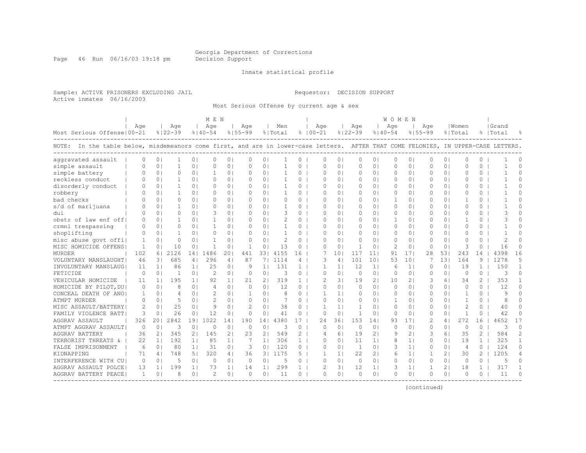Page 46 Run 06/16/03 19:18 pm Decision Support

#### Inmate statistical profile

Sample: ACTIVE PRISONERS EXCLUDING JAIL Requestor: DECISION SUPPORT Active inmates 06/16/2003

Most Serious Offense by current age & sex

|                                                                                                                                    |          |                |             |                | M F. N         |                |                |                |          |               |               |                |              |                | <b>WOMEN</b>   |                |                |                |                |                |              |          |
|------------------------------------------------------------------------------------------------------------------------------------|----------|----------------|-------------|----------------|----------------|----------------|----------------|----------------|----------|---------------|---------------|----------------|--------------|----------------|----------------|----------------|----------------|----------------|----------------|----------------|--------------|----------|
|                                                                                                                                    | Age      |                | Age         |                | Aqe            |                | Age            |                | Men      |               | Age           |                | Age          |                | Age            |                | Age            |                | Women          |                | Grand        |          |
| Most Serious Offense   00-21                                                                                                       |          |                | $8122 - 39$ |                | $8140 - 54$    |                | $8155 - 99$    |                | % Total  |               | $8100 - 21$   |                | $8122 - 39$  |                | $8140 - 54$    |                | $8155 - 99$    |                | % Total        |                | %   Total    |          |
| NOTE: In the table below, misdemeanors come first, and are in lower-case letters. AFTER THAT COME FELONIES, IN UPPER-CASE LETTERS. |          |                |             |                |                |                |                |                |          |               |               |                |              |                |                |                |                |                |                |                |              |          |
| aggravated assault                                                                                                                 | $\Omega$ | 0 <sub>1</sub> |             | 0              | $\Omega$       | 0 <sub>1</sub> | 0              | 0              |          | 0             | O             | $\circ$        | 0            | 0 <sub>1</sub> | 0              | 0              | 0              | 0 <sup>1</sup> | 0              | 0              |              | O        |
| simple assault                                                                                                                     |          | 0 <sub>1</sub> |             | 0 <sup>1</sup> | $\Omega$       | 0 <sub>1</sub> | O              | 0              |          | $\mathbf 0$   | 0             | $\circ$        | 0            | 0 <sub>1</sub> | 0              | $\circ$        | 0              | 0 <sub>1</sub> | O              | 0              |              | $\Omega$ |
| simple battery                                                                                                                     |          | $\Omega$       | O           | 0 <sub>1</sub> |                | 0 <sup>1</sup> | $\Omega$       | $\Omega$       |          | $\Omega$      | $\Omega$      | $\Omega$       | $\Omega$     | 0 <sub>1</sub> | 0              | $\circ$        | $\Omega$       | 0 <sup>1</sup> | U              | $\Omega$       |              | $\cap$   |
| reckless conduct                                                                                                                   |          | 0 <sup>1</sup> | 1           | $\Omega$ 1     | $\Omega$       | 0 <sub>1</sub> | $\Omega$       | 0 <sub>1</sub> |          | $\Omega$      | O             | $\Omega$       | 0            | 0 <sub>1</sub> | $\Omega$       | 0 <sub>1</sub> | $\Omega$       | 0 <sup>1</sup> | $\Omega$       | $\Omega$       |              | $\Omega$ |
| disorderly conduct                                                                                                                 |          | 0 <sub>1</sub> | 1           | 0 <sub>1</sub> | $\Omega$       | 0 <sub>1</sub> | $\Omega$       | 0 <sub>1</sub> |          | $\Omega$      | 0             | 0 <sup>1</sup> | 0            | 01             | $\Omega$       | 0 <sub>1</sub> | $\Omega$       | 01             | $\Omega$       | $\Omega$       |              | O        |
| robbery                                                                                                                            |          | 0 <sub>1</sub> |             | $\Omega$ 1     | $\Omega$       | 0 <sub>1</sub> | $\Omega$       | 0 <sub>1</sub> |          | $\Omega$      | 0             | $\Omega$       | 0            | 0 <sub>1</sub> | $\Omega$       | 0 <sub>1</sub> | $\Omega$       | 0 <sup>1</sup> | 0              | $\Omega$       |              | O        |
| bad checks                                                                                                                         |          | 0 <sup>1</sup> | 0           | $\Omega$ 1     | $\Omega$       | 0 <sup>1</sup> | $\Omega$       | 0 <sub>1</sub> | $\Omega$ | $\Omega$      | $\Omega$      | $\Omega$       | $\circ$      | $\Omega$       | $\mathbf{1}$   | 0 <sub>1</sub> | $\Omega$       | 0 <sup>1</sup> | 1              | 0              | $\mathbf{1}$ | $\Omega$ |
| s/d of marijuana                                                                                                                   |          | 0 <sub>1</sub> | -1          | $\Omega$ 1     | $\Omega$       | 0 <sub>1</sub> | $\Omega$       | 0 <sub>1</sub> | -1       | $\Omega$      | $\Omega$      | $\Omega$       | 0            | 0 <sub>1</sub> | $\Omega$       | 0 <sub>1</sub> | $\Omega$       | 0 <sup>1</sup> | $\Omega$       | 0              |              | $\Omega$ |
| dui                                                                                                                                |          | 0 <sup>1</sup> | O           | 0 <sub>1</sub> | 3              | 0 <sub>1</sub> | $\Omega$       | $\Omega$ 1     | 3        | 0             | $\Omega$      | $\Omega$       | 0            | 0 <sub>1</sub> | $\Omega$       | $\Omega$       | $\Omega$       | 0 <sup>1</sup> | O              | $\Omega$       | 3            | $\Omega$ |
| obstr of law enf off!                                                                                                              |          | $\Omega$       |             | $\Omega$       |                | 0 <sub>1</sub> | $\Omega$       | $\Omega$       |          | $\Omega$      | $\Omega$      | $\Omega$       | $\Omega$     | $\Omega$       | $\mathbf{1}$   | $\Omega$       | $\Omega$       | 0 <sub>1</sub> | -1             | 0              |              | $\cap$   |
| crmnl trespassing                                                                                                                  | $\Omega$ | 0 <sup>1</sup> | O           | $\Omega$       | -1             | 0 <sup>1</sup> | $\Omega$       | $\Omega$       |          | $\Omega$      | O             | $\Omega$       | $\Omega$     | $\Omega$       | $\Omega$       | $\Omega$       | $\Omega$       | 01             | $\Omega$       | 0              |              | ∩        |
| shoplifting                                                                                                                        | $\Omega$ | 0 <sub>1</sub> | -1          | 01             | $\Omega$       | 0 <sub>1</sub> | $\Omega$       | 0 <sub>1</sub> |          | $\Omega$      | O             | $\Omega$       | 0            | 0 <sub>1</sub> | 0              | 0 <sub>1</sub> | $\Omega$       | 0 <sup>1</sup> | $\Omega$       | 0              |              | Λ        |
| misc abuse govt offil                                                                                                              |          | 0 <sub>1</sub> | 0           | $\Omega$       | -1             | 0 <sub>1</sub> | 0              | 0 <sub>1</sub> | 2        | $\Omega$      | 0             | $\circ$        | 0            | 0 <sub>1</sub> | 0              | 0 <sub>1</sub> | 0              | 0 <sup>1</sup> | O              | $\Omega$       | 2            | U        |
| MISC HOMICIDE OFFENS                                                                                                               | 1        | 0 <sub>1</sub> | 10          | 0 <sup>1</sup> | 1              | 0 <sub>1</sub> | $\overline{1}$ | 0              | 13       | $\Omega$      | 0             | $\circ$        | $\mathbf{1}$ | 0 <sub>1</sub> | $\overline{2}$ | $\circ$        | 0              | 0 <sup>1</sup> | 3              | 0              | 16           | $\Omega$ |
| MURDER                                                                                                                             | 102      | 61             | 2126        | 141            | 1486           | 201            | 441            | 331            | 4155     | 16            |               | 101            | 117          | 11             | 91             | 171            | 28             | 531            | 243            | 14             | 4398         | 16       |
| VOLUNTARY MANSLAUGHT                                                                                                               | 46       | 3 I            | 685         | 4              | 296            | 4 <sub>1</sub> | 87             | 71             | 1114     | 4             | 3             | 4 <sup>1</sup> | 101          | 101            | 53             | 101            | 7              | 131            | 164            | 9              | 1278         | 5        |
| INVOLUNTARY MANSLAUG                                                                                                               | 11       | 1 <sub>1</sub> | 86          | 1 <sup>1</sup> | 25             | 0 <sub>1</sub> | 9              | 1 <sub>1</sub> | 131      | 1             | 1             | 1 <sup>1</sup> | 12           | 1 <sup>1</sup> | 6              | 1 <sup>1</sup> | $\Omega$       | 0 <sup>1</sup> | 19             | $\mathbf{1}$   | 150          | 1        |
| FETICIDE                                                                                                                           | $\Omega$ | 0 <sub>1</sub> |             | 0 <sub>1</sub> | $\mathcal{D}$  | 0 <sub>1</sub> | 0              | 0              | 3        | 0             | 0             | $\circ$        | 0            | 0 <sub>1</sub> | 0              | $\circ$        | 0              | 0 <sup>1</sup> | 0              | 0              | 3            | $\Omega$ |
| VEHICULAR HOMICIDE                                                                                                                 | 11       | 1 <sup>1</sup> | 195         | 1 <sup>1</sup> | 92             | 1 <sub>1</sub> | 21             | ا 2            | 319      | 1.            | 2             | 31             | 19           | 21             | 10             | 2 <sub>1</sub> | 3              | 61             | 34             | $\overline{2}$ | 353          |          |
| HOMICIDE BY PILOT, DU                                                                                                              | $\Omega$ | 0 <sup>1</sup> | 8           | 0 <sub>1</sub> | $\overline{4}$ | 0 <sub>1</sub> | $\Omega$       | $\Omega$       | 12       | $\Omega$      | O             | $\Omega$       | 0            | 0 <sub>1</sub> | 0              | 0 <sub>1</sub> | $\Omega$       | 0 <sup>1</sup> | $\Omega$       | $\Omega$       | 12           | $\Omega$ |
| CONCEAL DEATH OF ANO                                                                                                               | 1        | 0 <sub>1</sub> | 4           | 0 <sub>1</sub> | 2              | 0 <sub>1</sub> | 1              | $\Omega$       | 8        | $\Omega$      | -1            | 1 <sup>1</sup> | 0            | 0 <sub>1</sub> | 0              | 0 <sub>1</sub> | $\Omega$       | 0 <sup>1</sup> | -1             | $\Omega$       | 9            | $\Omega$ |
| ATMPT MURDER                                                                                                                       | $\Omega$ | 0 <sup>1</sup> | 5           | 0 <sub>1</sub> | $\mathcal{D}$  | 0 <sub>1</sub> | $\Omega$       | $\Omega$       |          | $\Omega$      | $\Omega$      | $\Omega$       | 0            | 0 <sub>1</sub> | 1              | $\Omega$       | $\Omega$       | 0 <sup>1</sup> | 1              | $\Omega$       | 8            | U        |
| MISC ASSAULT/BATTERY                                                                                                               | 2        | 0 <sup>1</sup> | 25          | $\Omega$       | $\circ$        | 0 <sub>1</sub> | $\mathcal{L}$  | 0 <sub>1</sub> | 38       | 0             | -1            | 1 <sup>1</sup> | 1            | 0 <sup>1</sup> | $\Omega$       | 0 <sub>1</sub> | $\Omega$       | 0 <sup>1</sup> | $\mathcal{D}$  | $\Omega$       | 40           | $\Omega$ |
| FAMILY VIOLENCE BATT                                                                                                               | 3        | 0 <sub>1</sub> | 26          | 0 <sub>1</sub> | 12             | 0 <sub>1</sub> | $\Omega$       | 0              | 41       | 0             | 0             | $\circ$        | $\mathbf{1}$ | 0 <sup>1</sup> | $\Omega$       | 0 <sub>1</sub> | $\Omega$       | 0 <sup>1</sup> | 1              | 0              | 42           | $\Omega$ |
| <b>AGGRAV ASSAULT</b>                                                                                                              | 326      | 201            | 2842        | 191            | 1022           | 141            | 190            | 141            | 4380     | 17            | 24            | 361            | 153          | 141            | 93             | 171            | $\mathfrak{D}$ | 4              | 272            | 16             | 4652         | 17       |
| ATMPT AGGRAV ASSAULT                                                                                                               | $\Omega$ | 0 <sup>1</sup> | 3           | 0 <sub>1</sub> | $\Omega$       | 0 <sup>1</sup> | $\Omega$       | 0              | 3        | 0             | 0             | $\circ$        | 0            | 0 <sup>1</sup> | 0              | $\circ$        | $\Omega$       | 0 <sup>1</sup> | $\circ$        | 0              | 3            | $\Omega$ |
| <b>AGGRAV BATTERY</b>                                                                                                              | 36       | 21             | 345         | 2 <sub>1</sub> | 145            | 21             | 23             | $\overline{2}$ | 549      | $\mathcal{L}$ | 4             | 61             | 19           | 21             | 9              | $\overline{2}$ | 3              | 61             | 35             | 2              | 584          | 2        |
| TERRORIST THREATS &                                                                                                                | 22       | 1 <sup>1</sup> | 192         | 1 <sup>1</sup> | 85             | 1 <sup>1</sup> | 7              | 1 <sup>1</sup> | 306      | $\mathbf{1}$  | $\Omega$      | $\Omega$       | 11           | 11             | 8              | 1 <sup>1</sup> | $\Omega$       | 01             | 19             | $\mathbf{1}$   | 325          | 1        |
| FALSE IMPRISONMENT                                                                                                                 | 6        | 0 <sub>1</sub> | 80          | 1 <sup>1</sup> | 31             | 0 <sub>1</sub> | 3              | 0 <sub>1</sub> | 120      | 0             | 0             | 0 <sub>1</sub> | -1           | 0 <sub>1</sub> | 3              | 1 <sup>1</sup> | 0              | 0 <sup>1</sup> | $\overline{4}$ | $\Omega$       | 124          | $\Omega$ |
| KIDNAPPING                                                                                                                         | 71       | 4              | 748         | 5 <sub>1</sub> | 320            | 4              | 36             | 3 <sub>1</sub> | 1175     | 5             | 1             | 1 <sup>1</sup> | 22           | 21             | 6              | 1 <sup>1</sup> |                | 21             | 30             | $\overline{2}$ | 1205         | 4        |
| INTERFERENCE WITH CU                                                                                                               | $\circ$  | 0 <sub>1</sub> | 5           | 0 <sub>1</sub> | $\Omega$       | 0 <sub>1</sub> | $\Omega$       | 0 <sub>1</sub> | 5        | $\Omega$      | $\Omega$      | $\Omega$       | $\circ$      | $\Omega$       | $\Omega$       | 0 <sub>1</sub> | $\Omega$       | 0 <sub>1</sub> | $\Omega$       | $\Omega$       | 5            | $\Omega$ |
| AGGRAV ASSAULT POLCE                                                                                                               | 13       | 11             | 199         | 1 <sup>1</sup> | 73             | 1 <sub>1</sub> | 14             | 1 <sub>1</sub> | 299      | 1.            | $\mathcal{D}$ | 31             | 12           | 1 <sub>1</sub> | 3              | 1 <sup>1</sup> | -1.            | 21             | 18             | $\mathbf{1}$   | 317          | -1       |
| AGGRAV BATTERY PEACE                                                                                                               | -1       | 0 <sup>1</sup> | 8           | $\Omega$       | $\mathcal{D}$  | 0 <sup>1</sup> | $\Omega$       | $\Omega$ 1     | 11       | $\Omega$      | $\Omega$      | $\Omega$       | $\Omega$     | $\Omega$       | O              | $\Omega$       | $\Omega$       | 0 <sup>1</sup> | $\Omega$       | $\Omega$       | 11           | $\cap$   |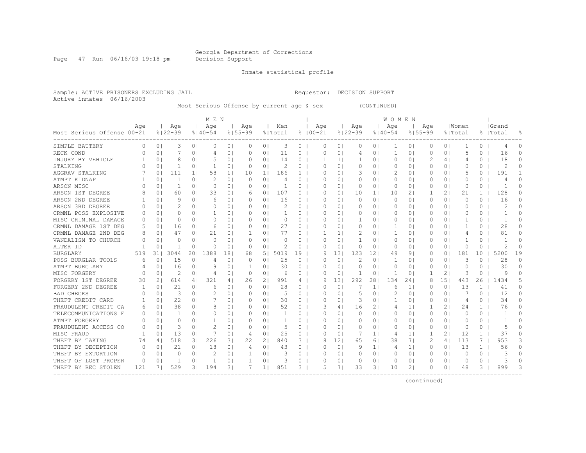Page 47 Run 06/16/03 19:18 pm Decision Support

Inmate statistical profile

Sample: ACTIVE PRISONERS EXCLUDING JAIL Requestor: DECISION SUPPORT Active inmates 06/16/2003

Most Serious Offense by current age & sex (CONTINUED)

|                              |          |                |               |                | M E N          |                |             |                |                |              |             |                 |               |                | W O M E N    |                |             |                |                |              |           |          |
|------------------------------|----------|----------------|---------------|----------------|----------------|----------------|-------------|----------------|----------------|--------------|-------------|-----------------|---------------|----------------|--------------|----------------|-------------|----------------|----------------|--------------|-----------|----------|
|                              | Aqe      |                | Aqe           |                | Age            |                | Age         |                | Men            |              | Age         |                 | Age           |                | Age          |                | Aqe         |                | Women          |              | Grand     |          |
| Most Serious Offense   00-21 |          |                | $8122 - 39$   |                | $8140 - 54$    |                | $8155 - 99$ |                | % Total        |              | $8100 - 21$ |                 | $8122 - 39$   |                | $8140 - 54$  |                | $8155 - 99$ |                | % Total        |              | %   Total |          |
| SIMPLE BATTERY               | $\Omega$ | 0 <sub>1</sub> | 3             | 0 <sub>1</sub> | $\Omega$       | 0 <sub>1</sub> | 0           | 0 <sub>1</sub> | 3              | 0            | $\Omega$    | 0 <sup>1</sup>  | 0             | 0              | 1            | 0              | 0           | 0 <sub>1</sub> | -1             | $\Omega$     | 4         | 0        |
| RECK COND                    |          | 0 <sub>1</sub> |               | 0 <sub>1</sub> | 4              | 0 <sub>1</sub> | $\Omega$    | 0 <sub>1</sub> | 11             | 0            | $\Omega$    | 0 <sup>1</sup>  | 4             | 01             | 1            | 0              | 0           | $\circ$        | 5              | 0            | 16        | 0        |
| INJURY BY VEHICLE            |          | $\Omega$       | 8             | $\Omega$       |                | 0 <sub>1</sub> | 0           | 0 <sub>1</sub> | 14             | 0            |             | $\mathbf{1}$    | 1             | 01             | $\Omega$     | $\Omega$       | 2           | 4 I            | 4              | 0            | 18        | 0        |
| STALKING                     | O        | 0 <sub>1</sub> | 1             | 0              | -1             | 0 <sub>1</sub> | 0           | 0 <sub>1</sub> | 2              | 0            | O           | 01              | 0             | 01             | 0            | 0              | 0           | 0 <sup>1</sup> | 0              | 0            | 2         | U        |
| AGGRAV STALKING              |          | 0 <sup>1</sup> | 111           | 1 <sub>1</sub> | 58             | 1 <sub>1</sub> | 10          | 1 <sub>1</sub> | 186            | $\mathbf{1}$ | O           | 0 <sub>1</sub>  | 3             | 01             |              | 0 <sub>1</sub> | 0           | 0 <sup>1</sup> | 5              | 0            | 191       |          |
| ATMPT KIDNAP                 |          | 0 <sup>1</sup> | 1             | 0 <sub>1</sub> | 2              | 0 <sub>1</sub> | $\Omega$    | 0 <sub>1</sub> | $\overline{4}$ | $\circ$      | $\Omega$    | 0 <sub>1</sub>  | 0             | 01             | 0            | 0 <sub>1</sub> | 0           | 0 <sup>1</sup> | 0              | $\Omega$     | 4         | O        |
| ARSON MISC                   |          | 0 <sup>1</sup> | 1             | 0 <sub>1</sub> | $\circ$        | 01             | 0           | 0 <sub>1</sub> |                | $\circ$      | 0           | $\Omega$ I      | 0             | 01             | 0            | 0 <sub>1</sub> | 0           | 0 <sup>1</sup> | $\circ$        | $\Omega$     | -1        | $\Omega$ |
| ARSON 1ST DEGREE             |          | 0 <sup>1</sup> | 60            | 0 <sub>1</sub> | 33             | 01             | 6           | 0 <sub>1</sub> | 107            | $\circ$      | 0           | 0 <sub>1</sub>  | 10            | 1 <sup>1</sup> | 10           | 21             |             | 21             | 21             | $\mathbf{1}$ | 128       | O        |
| ARSON 2ND DEGREE             |          | 0 <sub>1</sub> | 9             | 0 <sub>1</sub> | 6              | 0 <sub>1</sub> | 0           | 0 <sub>1</sub> | 16             | $\circ$      | $\Omega$    | 0 <sub>1</sub>  | $\circ$       | 0 <sub>1</sub> | $\circ$      | 0 <sub>1</sub> | $\circ$     | 0 <sup>1</sup> | $\circ$        | 0            | 16        | $\cap$   |
| ARSON 3RD DEGREE             | $\Omega$ | 0 <sub>1</sub> | 2             | 0 <sub>1</sub> | 0              | 0 <sub>1</sub> | $\Omega$    | 0 <sub>1</sub> | 2              | $\circ$      | $\Omega$    | $\Omega$        | 0             | 0 <sup>1</sup> | $\Omega$     | 0 <sup>1</sup> | 0           | 0 <sup>1</sup> | $\Omega$       | $\Omega$     | 2         | 0        |
| CRMNL POSS EXPLOSIVE         | O        | 0 <sub>1</sub> | $\Omega$      | $\Omega$       | -1             | 01             | O.          | 0 <sub>1</sub> | 1.             | $\circ$      | O           | 0 <sup>1</sup>  | 0             | 01             | $\Omega$     | 0 <sup>1</sup> | $\Omega$    | 01             | $\Omega$       | 0            | -1        | 0        |
| MISC CRIMINAL DAMAGE         | 0        | 0 <sub>1</sub> | $\Omega$      | 0 <sub>1</sub> | $\Omega$       | 0 <sub>1</sub> | 0           | 0 <sub>1</sub> | 0              | $\circ$      | O           | $\Omega$        | 1             | 01             | $\Omega$     | 0 <sup>1</sup> | 0           | 01             | 1              | 0            | -1        | 0        |
| CRMNL DAMAGE 1ST DEGI        | 5        | 0 <sub>1</sub> | 16            | 0 <sub>1</sub> | 6              | 0 <sub>1</sub> | $\Omega$    | 0 <sub>1</sub> | 27             | $\circ$      | $\Omega$    | 0 <sub>1</sub>  | 0             | 0 <sup>1</sup> | 1            | 0 <sup>1</sup> | 0           | 0 <sup>1</sup> | $\mathbf{1}$   | 0            | 28        | $\Omega$ |
| CRMNL DAMAGE 2ND DEG         | 8        | 0 <sub>1</sub> | 47            | 0 <sub>1</sub> | 21             | 0 <sub>1</sub> | -1          | 0 <sub>1</sub> | 77             | 0            |             | 11              | 2             | 01             | 1            | 0 <sup>1</sup> | 0           | 0 <sup>1</sup> | 4              | 0            | 81        | O        |
| VANDALISM TO CHURCH          | C        | 0 <sub>1</sub> | $\Omega$      | 0 <sub>1</sub> | $\Omega$       | 0 <sub>1</sub> | $\Omega$    | 0 <sub>1</sub> | $\Omega$       | 0            | $\Omega$    | 0 <sup>1</sup>  | 1             | 01             | 0            | 0 <sup>1</sup> | 0           | 0 <sup>1</sup> | -1             | 0            |           | O        |
| ALTER ID                     |          | 0 <sup>1</sup> | 1             | 0              | $\Omega$       | 0 <sub>1</sub> | $\Omega$    | 0 <sub>1</sub> |                | 0            | $\Omega$    | $\circ$         | 0             | 01             | 0            | 0              | 0           | 0 <sup>1</sup> | $\circ$        | 0            | 2         | $\Omega$ |
| <b>BURGLARY</b>              | 519      | 31 I           | 3044          | 201            | 1388           | 181            | 68          | 51             | 5019           | 19           |             | 131             | 123           | 12             | 49           | 9              | $\Omega$    | $\Omega$       | 181            | 10           | 5200      | 19       |
| POSS BURGLAR TOOLS           | 6        | 0 <sub>1</sub> | 15            | 0              | 4              | 0 <sub>1</sub> | $\Omega$    | 0 <sub>1</sub> | 25             | 0            | $\Omega$    | $\circ$         | $\mathcal{D}$ | 0 <sup>1</sup> | 1            | 0              | 0           | $\circ$        | 3              | 0            | 28        | $\Omega$ |
| ATMPT BURGLARY               | 4        | 0 <sub>1</sub> | 16            | 0 <sub>1</sub> | 9              | 0 <sub>1</sub> | -1          | 0 <sub>1</sub> | 30             | $\Omega$     | O           | 0 <sup>1</sup>  | 0             | 01             | 0            | 0              | 0           | $\circ$        | 0              | 0            | 30        | 0        |
| MISC FORGERY                 | C        | 0 <sub>1</sub> | $\mathcal{D}$ | 0 <sub>1</sub> | $\overline{4}$ | 0 <sub>1</sub> | $\Omega$    | 0 <sub>1</sub> | 6              | $\circ$      | $\Omega$    | 0 <sup>1</sup>  | 1             | 0 <sup>1</sup> | $\mathbf{1}$ | 0              |             | 21             | 3              | $\Omega$     | q         | O        |
| FORGERY 1ST DEGREE           | 30       | 21             | 614           | 4              | 321            | 4              | 26          | 21             | 991            | 4            | 9           | 131             | 292           | 281            | 134          | 241            | 8           | 151            | 443            | 26           | 1434      | 5        |
| FORGERY 2ND DEGREE           |          | 0 <sup>1</sup> | 21            | 0 <sub>1</sub> | 6              | 0 <sub>1</sub> | $\Omega$    | 0 <sub>1</sub> | 28             | $\Omega$     | $\Omega$    | $\Omega$        |               | 11             | 6            | 1              | 0           | 0 <sup>1</sup> | 13             | $\mathbf{1}$ | 41        | $\Omega$ |
| <b>BAD CHECKS</b>            |          | 0 <sup>1</sup> | 3             | 0 <sub>1</sub> | 2              | 0 <sub>1</sub> | 0           | 0 <sub>1</sub> | 5              | $\circ$      | 0           | 0 <sub>1</sub>  | 5             | 01             | 2            | 0 <sub>1</sub> | 0           | 0 <sup>1</sup> | 7              | 0            | 12        | $\Omega$ |
| THEFT CREDIT CARD            | 1        | 0 <sub>1</sub> | 22            | 0 <sub>1</sub> |                | 0 <sub>1</sub> | $\Omega$    | 0 <sub>1</sub> | 30             | $\circ$      | $\Omega$    | $\Omega$        | 3             | $\Omega$       | 1            | 0 <sup>1</sup> | 0           | 0 <sup>1</sup> | $\overline{4}$ | $\Omega$     | 34        | $\Omega$ |
| FRAUDULENT CREDIT CA         | 6        | 0 <sup>1</sup> | 38            | 0 <sub>1</sub> | 8              | 0 <sub>1</sub> | $\Omega$    | 0 <sub>1</sub> | 52             | $\Omega$     |             | 4               | 16            | 21             | 4            | 1 <sup>1</sup> | 1           | 21             | 24             | $\mathbf{1}$ | 76        | 0        |
| TELECOMMUNICATIONS<br>F      | 0        | 0 <sub>1</sub> | -1            | 0 <sub>1</sub> | $\Omega$       | 0 <sub>1</sub> | $\Omega$    | 0 <sub>1</sub> | 1              | $\Omega$     | $\Omega$    | $\Omega$        | 0             | $\Omega$ I     | $\Omega$     | 0 <sup>1</sup> | $\Omega$    | 0 <sup>1</sup> | $\Omega$       | $\Omega$     | -1        | 0        |
| ATMPT FORGERY                | $\Omega$ | 0 <sub>1</sub> | $\Omega$      | 0 <sub>1</sub> | -1             | 0 <sub>1</sub> | $\Omega$    | 0 <sub>1</sub> | 1              | $\circ$      | O           | 0 <sub>1</sub>  | 0             | 0 <sup>1</sup> | 0            | 0 <sup>1</sup> | 0           | 0 <sup>1</sup> | 0              | $\circ$      | -1        | 0        |
| FRAUDULENT ACCESS CO         | $\Omega$ | 0 <sub>1</sub> | 3             | 0 <sub>1</sub> | $\mathcal{D}$  | 0 <sub>1</sub> | $\Omega$    | 0 <sub>1</sub> | 5              | $\circ$      | $\Omega$    | 0 <sub>1</sub>  | 0             | 0 <sup>1</sup> | 0            | 0 <sub>1</sub> | 0           | 0 <sup>1</sup> | $\Omega$       | 0            | 5         | $\Omega$ |
| MISC FRAUD                   | -1       | 0 <sub>1</sub> | 13            | 0 <sub>1</sub> |                | 0 <sub>1</sub> | 4           | 0 <sub>1</sub> | 25             | $\circ$      | $\Omega$    | $\Omega$        | 7             | $1\vert$       | 4            | 1 <sub>1</sub> | -1          | 21             | 12             | $\mathbf{1}$ | 37        | O        |
| THEFT BY TAKING              | 74       | 41             | 518           | 3 <sub>1</sub> | 226            | 31             | 22          | 2 <sub>1</sub> | 840            | 3            | 8           | 12 <sup>1</sup> | 65            | 61             | 38           | 71             | 2           | 41             | 113            | 7            | 953       | 3        |
| THEFT BY DECEPTION           | 0        | 0 <sub>1</sub> | 21            | 0 <sub>1</sub> | 18             | 0 <sub>1</sub> | 4           | 0 <sub>1</sub> | 43             | 0            | $\Omega$    | $\circ$         | 9             | $1\vert$       | 4            | 1 <sup>1</sup> | 0           | 0 <sup>1</sup> | 13             | $\mathbf{1}$ | 56        | $\Omega$ |
| THEFT BY EXTORTION           | 0        | 0 <sub>1</sub> | $\Omega$      | 0 <sub>1</sub> |                | 0 <sub>1</sub> | 1           | 0 <sup>1</sup> | 3              | 0            | $\Omega$    | 0 <sup>1</sup>  | 0             | 01             | 0            | 0              | 0           | 0 <sup>1</sup> | 0              | 0            |           | $\cap$   |
| THEFT OF LOST PROPER         | 0        | 0 <sub>1</sub> | -1            | 0              | -1             | 0 <sub>1</sub> | $\mathbf 1$ | 0 <sup>1</sup> | 3              | 0            | $\Omega$    | 0               | 0             | 0              | 0            | 0              | O           | 0 <sub>1</sub> | 0              | 0            | 3         | U        |
| THEFT BY REC STOLEN          | 121      | 7 I            | 529           | 31             | 194            | 31             | 7           | $1\vert$       | 851            | 3.           | 5           | 7               | 33            | 31             | 10           | 2              | O           | $\Omega$       | 48             | 3            | 899       | २        |
|                              |          |                |               |                |                |                |             |                |                |              |             |                 |               |                |              |                |             |                |                |              |           |          |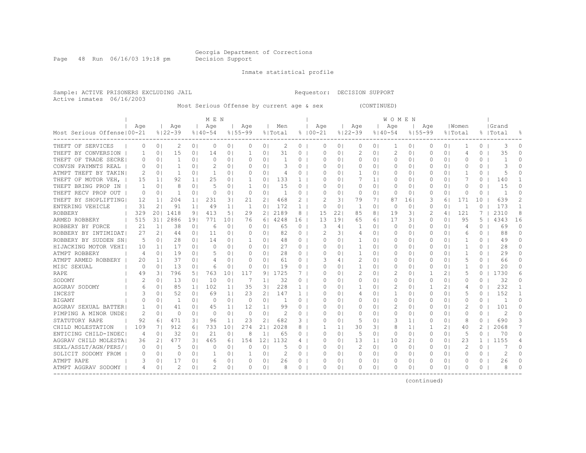Page 48 Run 06/16/03 19:18 pm Decision Support

Inmate statistical profile

Sample: ACTIVE PRISONERS EXCLUDING JAIL Requestor: DECISION SUPPORT Active inmates 06/16/2003

Most Serious Offense by current age & sex (CONTINUED)

|                              |          |                |             |                | MEN         |                |              |                 |               |          |                  |                |                |                | WOMEN       |                |                |                |              |              |                |              |
|------------------------------|----------|----------------|-------------|----------------|-------------|----------------|--------------|-----------------|---------------|----------|------------------|----------------|----------------|----------------|-------------|----------------|----------------|----------------|--------------|--------------|----------------|--------------|
|                              | Aqe      |                | Age         |                | Age         |                | Aqe          |                 | Men           |          | Age              |                | Age            |                | Age         |                | Aqe            |                | Women        |              | Grand          |              |
| Most Serious Offense   00-21 |          |                | $8122 - 39$ |                | $8140 - 54$ |                | $8155 - 99$  |                 | % Total       |          | $8100 - 21$      |                | $8122 - 39$    |                | $8140 - 54$ | $8155 - 99$    |                |                | % Total      |              | %  Total       | 읏            |
| THEFT OF SERVICES            | 0        | 0 <sup>1</sup> | 2           | 0 <sub>1</sub> | $\Omega$    | 0 <sub>1</sub> | 0            | 0 <sub>1</sub>  | 2             | 0        | $\Omega$         | 0 <sup>1</sup> | 0              | 01             | -1          | 0              | 0              | 0 <sup>1</sup> |              | 0            | 3              | O            |
| THEFT BY CONVERSION          | ı        | 0 <sup>1</sup> | 15          | 0 <sub>1</sub> | 14          | 0 <sub>1</sub> | 1            | 01              | 31            | 0        | $\Omega$         | 01             | $\overline{2}$ | 01             | 2           | 0              | 0              | 0 <sup>1</sup> | 4            | 0            | 35             | U            |
| THEFT OF TRADE SECRE         |          | 0 <sub>1</sub> | 1           | 0 <sub>1</sub> | $\Omega$    | 0 <sub>1</sub> | $\Omega$     | 0 <sup>1</sup>  |               | 0        | $\Omega$         | $\Omega$ I     | 0              | 0              | $\circ$     | 0              | O              | 0 <sup>1</sup> | $\Omega$     | 0            |                | $\cap$       |
| CONVSN PAYMNTS REAL          | $\Omega$ | 0 <sub>1</sub> |             | $\Omega$       |             | 0 <sub>1</sub> | $\Omega$     | $\Omega$ 1      | 3             | 0        | $\Omega$         | $\Omega$ I     | 0              | 01             | $\Omega$    | 0              | O              | $\Omega$       | O            | 0            | 3              |              |
| ATMPT THEFT BY TAKIN         | 2        | 01             | 1           | 0              | -1          | 0 <sub>1</sub> | 0            | $\Omega$ 1      | 4             | 0        | 0                | 01             | -1             | 01             | $\Omega$    | 0              | 0              | 0 I            | -1           | 0            |                | n            |
| THEFT OF MOTOR VEH,          | 15       | 1 <sup>1</sup> | 92          | 1 <sub>1</sub> | 25          | 0 <sub>1</sub> |              | 0 <sub>1</sub>  | 133           | 1        | $\left( \right)$ | 01             |                | 11             | 0           | 0              | 0              | 0 I            |              | 0            | 140            |              |
| THEFT BRING PROP IN          | ı.       | 0 <sup>1</sup> | 8           | 0 <sub>1</sub> | .5          | 0 <sub>1</sub> |              | 01              | 15            | 0        | $\Omega$         | $\Omega$ I     | 0              | 01             | 0           | 0 <sup>1</sup> | 0              | 0 <sup>1</sup> | $\Omega$     | 0            | 15             | O            |
| THEFT RECV PROP OUT          | 0        | 0 <sub>1</sub> | 1           | 0 <sub>1</sub> | $\Omega$    | 0 <sub>1</sub> | $\Omega$     | 0 <sub>1</sub>  | $\mathbf{1}$  | 0        | $\Omega$         | $\Omega$       | 0              | 01             | 0           | 0 <sub>1</sub> | 0              | 0 <sup>1</sup> | 0            | 0            |                | O            |
| THEFT BY SHOPLIFTING         | 12       | 1 <sub>1</sub> | 204         | 1 <sub>1</sub> | 231         | 31             | 21           | 21              | 468           | 2        | 2                | 31             | 79             | 71             | 87          | 161            | 3              | 61             | 171          | 10           | 639            | 2            |
| ENTERING VEHICLE             | 31       | 2 <sub>1</sub> | 91          | 1 <sup>1</sup> | 49          | 1 <sup>1</sup> | $\mathbf{1}$ | 0 <sub>1</sub>  | 172           | 1        | $\circ$          | $\circ$        | 1              | 01             | $\circ$     | 0              | $\Omega$       | 0 <sup>1</sup> | $\mathbf{1}$ | $\Omega$     | 173            | $\mathbf{1}$ |
| <b>ROBBERY</b>               | 329      | 201            | 1418        | 91             | 413         | 51             | 29           | 2 <sub>1</sub>  | 2189          | 8        | 15               | 22             | 85             | 81             | 19          | 3 <sup>1</sup> | $\overline{c}$ | 4              | 121          | 7            | 2310           | 8            |
| ARMED ROBBERY                | 515      | 311            | 2886        | 191            | 771         | 101            | 76           | 61              | 4248          | 16       | 13               | 19             | 65             | 61             | 17          | 31             | 0              | 0 <sup>1</sup> | 95           | 5            | 4343           | 16           |
| ROBBERY BY FORCE             | 21       | 1 <sup>1</sup> | 38          | 0 <sub>1</sub> | 6           | 0 <sub>1</sub> | $\Omega$     | 0 <sub>1</sub>  | 65            | $\circ$  | 3                | 4              | 1              | 0 <sup>1</sup> | 0           | 0 <sup>1</sup> | 0              | 0 <sup>1</sup> | 4            | 0            | 69             | $\Omega$     |
| ROBBERY BY INTIMIDAT         | 27       | 21             | 44          | 0 <sub>1</sub> | 11          | 0 <sub>1</sub> | $\Omega$     | 0 <sub>1</sub>  | 82            | $\circ$  |                  | 31             | 4              | 0 <sub>1</sub> | $\Omega$    | 0 <sup>1</sup> | 0              | 0 <sub>1</sub> | 6            | 0            | 88             | $\Omega$     |
| ROBBERY BY SUDDEN SN         | 5        | 0 <sub>1</sub> | 28          | 0 <sub>1</sub> | 14          | 0 <sub>1</sub> | -1           | 0 <sub>1</sub>  | 48            | $\circ$  | $\Omega$         | $\Omega$       | 1              | 01             | $\Omega$    | 0 <sup>1</sup> | 0              | 0 <sub>1</sub> | -1           | 0            | 49             | $\Omega$     |
| HIJACKING MOTOR VEHI         | 10       | 1 <sup>1</sup> | 17          | 0 <sub>1</sub> | $\Omega$    | 0 <sub>1</sub> | 0            | 0 <sub>1</sub>  | 27            | $\circ$  | 0                | $\Omega$       | 1              | 01             | $\Omega$    | 0 <sup>1</sup> | 0              | 0 <sub>1</sub> | -1           | 0            | 28             | 0            |
| ATMPT ROBBERY                | 4        | 01             | 19          | 0 <sub>1</sub> | 5           | 01             | 0            | 0 <sub>1</sub>  | 28            | 0        | 0                | 0              | -1             | 01             | $\Omega$    | 0              |                | 0 I            | 1            | 0            | 29             | $\Omega$     |
| ATMPT ARMED ROBBERY          | 20       | 1 <sup>1</sup> | 37          | 0 <sub>1</sub> | 4           | 0 <sub>1</sub> | $\Omega$     | 0 <sup>1</sup>  | 61            | $\circ$  |                  | 4              |                | 01             | 0           | 0              | 0              | 0 <sup>1</sup> | 5            | 0            | 66             | $\Omega$     |
| MISC SEXUAL                  | $\Omega$ | 0 <sub>1</sub> | 13          | 0 <sub>1</sub> | 6           | 0 <sub>1</sub> | $\Omega$     | 0 <sub>1</sub>  | 19            | $\Omega$ | $\Omega$         | $\Omega$       | 1              | $\Omega$ I     | $\Omega$    | $\Omega$       | $\Omega$       | 0 <sup>1</sup> | 1            | $\Omega$     | 20             | 0            |
| RAPE                         | 49       | 31             | 796         | 51             | 763         | 101            | 117          | 91              | 1725          |          | ∩                | $\Omega$ I     | $\overline{2}$ | $\Omega$ I     | 2           | $\Omega$       |                | 21             | 5            | 0            | 1730           | 6            |
| SODOMY                       | 2        | 01             | 13          | 0 <sub>1</sub> | 10          | 0 <sub>1</sub> | 7            | 1 <sub>1</sub>  | 32            | 0        | O                | 01             | $\Omega$       | 01             | 0           | 0              | O              | 0 I            | $\Omega$     | 0            | 32             | 0            |
| AGGRAV SODOMY                | 6        | 01             | 85          | 1 <sup>1</sup> | 102         | 1 <sup>1</sup> | 35           | 31              | 228           | 1.       | 0                | 01             | 1              | 01             | 2           | 0 <sup>1</sup> |                | 21             | 4            | $\Omega$     | 232            |              |
| INCEST                       | 3        | 0 <sub>1</sub> | 52          | 0 <sub>1</sub> | 69          | 1 <sub>1</sub> | 23           | 21              | 147           | 1        | 0                | 01             | 4              | 01             | 1           | 0 <sup>1</sup> | 0              | 0 <sup>1</sup> | 5            | 0            | 152            |              |
| <b>BIGAMY</b>                |          | 0 <sub>1</sub> | 1           | 0 <sub>1</sub> | $\circ$     | 0 <sub>1</sub> | 0            | 0 <sup>1</sup>  |               | 0        | $\Omega$         | 01             | 0              | 01             | 0           | 0 <sub>1</sub> | $\Omega$       | 0 <sub>1</sub> | $\Omega$     | 0            | -1             | $\Omega$     |
| AGGRAV SEXUAL BATTER         |          | 0 <sub>1</sub> | 41          | 0 <sub>1</sub> | 45          | 1 <sub>1</sub> | 12           | 1 <sub>1</sub>  | 99            | $\circ$  | $\Omega$         | 01             | 0              | 01             | 2           | 0 <sub>1</sub> | $\Omega$       | 0 <sub>1</sub> | 2            | 0            | 101            | O            |
| PIMPING A MINOR UNDE         | 2        | 0 <sub>1</sub> | 0           | 0 <sup>1</sup> | $\circ$     | 0 <sub>1</sub> | $\circ$      | 0 <sup>1</sup>  | $\mathcal{D}$ | 0        | $\Omega$         | 0 <sup>1</sup> | 0              | 01             | 0           | 0 <sub>1</sub> | $\Omega$       | 0 <sub>1</sub> | $\circ$      | 0            | $\overline{c}$ | $\Omega$     |
| STATUTORY RAPE               | 92       | 61             | 471         | 31             | 96          | 1 <sup>1</sup> | 23           | 2 <sub>1</sub>  | 682           | 3        | $\Omega$         | $\Omega$       | 5              | $\Omega$ I     | 3           | 1 <sub>1</sub> | $\Omega$       | 0 <sup>1</sup> | 8            | $\Omega$     | 690            | 3            |
| CHILD MOLESTATION            | 109      | 7 I            | 912         | 61             | 733         | 101            | 274          | 211             | 2028          | 8        |                  | 1 <sup>1</sup> | 30             | 31             | 8           | 1              | 1              | 2 <sub>1</sub> | 40           | $\mathbf{2}$ | 2068           | 7            |
| ENTICING CHILD-INDEC         | 4        | 0 <sub>1</sub> | 32          | 0 <sub>1</sub> | 21          | 0 <sub>1</sub> | 8            | 1 <sup>1</sup>  | 65            | $\circ$  | O                | 0 <sub>1</sub> | 5              | 0 <sup>1</sup> | 0           | 0 <sup>1</sup> | 0              | 0 <sup>1</sup> | 5            | 0            | 70             | $\Omega$     |
| AGGRAV CHILD MOLESTA         | 36       | 2 <sub>1</sub> | 477         | 31             | 465         | 6 <sup>1</sup> | 154          | 12 <sub>1</sub> | 1132          | 4        | $\Omega$         | $\Omega$       | 13             | 1 <sub>1</sub> | 10          | 2              | 0              | 0 <sup>1</sup> | 23           | 1            | 1155           | 4            |
| SEXL/ASSLT/AGN/PERS/         | $\Omega$ | 0 <sub>1</sub> | .5          | 0 <sub>1</sub> | n           | 01             | O            | 0 <sub>1</sub>  | 5             | 0        | O                | $\Omega$       | 2              | 0 <sub>1</sub> | $\Omega$    | 0 <sup>1</sup> | 0              | 0 <sup>1</sup> | 2            | $\Omega$     |                | O            |
| SOLICIT SODOMY FROM          | $\Omega$ | 0 <sub>1</sub> | $\Omega$    | 0 <sub>1</sub> | -1          | 0 <sub>1</sub> | -1           | 0 <sub>1</sub>  | 2             | 0        | $\Omega$         | $\Omega$       | 0              | 0 <sub>1</sub> | 0           | 0 <sub>1</sub> | $\Omega$       | 0 <sup>1</sup> | O            | 0            | 2              | O            |
| ATMPT RAPE                   | З        | 01             | 17          | 0 <sub>1</sub> | 6           | 0 <sub>1</sub> | 0            | 0 <sub>1</sub>  | 26            | 0        | 0                | 01             | 0              | 0              | 0           | 0              |                | 0 I            | 0            | 0            | 26             | 0            |
| ATMPT AGGRAV SODOMY          | 4        | 0 <sub>1</sub> | 2           | 0              |             | 0 <sub>1</sub> | 0            | 0 <sub>1</sub>  |               | 0        | $\Omega$         | 0              | 0              | 01             | 0           | 0              | O              | 0 <sup>1</sup> | $\Omega$     | 0            | 8              | U            |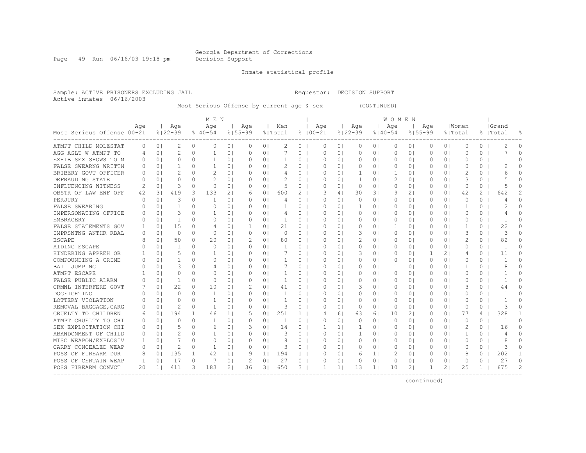Page 49 Run 06/16/03 19:18 pm Decision Support

Inmate statistical profile

Sample: ACTIVE PRISONERS EXCLUDING JAIL Requestor: DECISION SUPPORT Active inmates 06/16/2003

Most Serious Offense by current age & sex (CONTINUED)

|                              |                  |                |               |                | MEN            |                |             |                |              |              |             |                |                |                | WOMEN       |                |          |                |             |                |                |                |
|------------------------------|------------------|----------------|---------------|----------------|----------------|----------------|-------------|----------------|--------------|--------------|-------------|----------------|----------------|----------------|-------------|----------------|----------|----------------|-------------|----------------|----------------|----------------|
|                              | Age              |                | Age           |                | Age            |                | Aqe         |                | Men          |              | Age         |                | Age            |                | Age         |                | Aqe      |                | Women       |                | Grand          |                |
| Most Serious Offense   00-21 |                  |                | $8122 - 39$   |                | $8140 - 54$    |                | $8155 - 99$ |                | % Total      |              | $8100 - 21$ |                | $8122 - 39$    |                | $8140 - 54$ | $8155 - 99$    |          |                | % Total     |                | %  Total       | 욲              |
| ATMPT CHILD MOLESTAT         | 0                | 0 <sub>1</sub> | 2             | 0 <sub>1</sub> | $\Omega$       | 0 <sub>1</sub> | 0           | 0 <sub>1</sub> | 2            | 0            | $\Omega$    | 0 <sub>1</sub> | 0              | 0 <sub>1</sub> | 0           | 0 <sub>1</sub> | 0        | 0 <sub>1</sub> | $\circ$     | 0              |                | 0              |
| AGG ASLT W ATMPT TO          | 4                | 0 <sup>1</sup> | 2             | 0 <sub>1</sub> | 1              | 0 <sub>1</sub> | 0           | 0 <sub>1</sub> |              | $\circ$      | $\Omega$    | 0 <sub>1</sub> | $\circ$        | 0 <sub>1</sub> | 0           | 0 <sub>1</sub> | 0        | 0 <sup>1</sup> | $\Omega$    | 0              |                | $\cap$         |
| EXHIB SEX SHOWS TO M         | $\Omega$         | 0 <sub>1</sub> | O             | 0 <sub>1</sub> | 1              | 0 <sub>1</sub> | $\Omega$    | 0 <sub>1</sub> |              | 0            | $\Omega$    | $\Omega$       | 0              | 0              | 0           | 0 <sup>1</sup> | $\Omega$ | 0 <sup>1</sup> | O           | 0              |                | $\Omega$       |
| FALSE SWEARNG WRITTN         |                  | 0 <sub>1</sub> | 1             | 0 <sup>1</sup> | 1              | 0 <sub>1</sub> | $\Omega$    | 0 <sub>1</sub> |              | 0            | $\Omega$    | $\Omega$ I     | 0              | 01             | $\Omega$    | $\Omega$       | $\Omega$ | $\Omega$       | O           | 0              | 2              | 0              |
| BRIBERY GOVT OFFICER         | $\left( \right)$ | 01             | 2             | 01             | 2              | 0 <sub>1</sub> | $\Omega$    | 0 <sub>1</sub> | 4            | 0            | 0           | 01             | 1              | 0 <sup>1</sup> | -1          | 0 <sup>1</sup> | 0        | 0 <sup>1</sup> | 2           | 0              | 6              | 0              |
| DEFRAUDING STATE             | 0                | 0 <sub>1</sub> | $\Omega$      | 0 <sub>1</sub> | 2              | 0 <sub>1</sub> | 0           | 0 <sub>1</sub> | 2            | $\circ$      | O           | 0 <sub>1</sub> | 1              | 01             | 2           | 0 <sub>1</sub> | 0        | 0 <sup>1</sup> | 3           | 0              | 5              | U              |
| INFLUENCING WITNESS          | 2                | 0 <sup>1</sup> | 3             | 0 <sub>1</sub> | $\Omega$       | 0 <sub>1</sub> | $\Omega$    | 0 <sub>1</sub> | 5            | 0            | $\Omega$    | 0 <sub>1</sub> | 0              | 0 <sub>1</sub> | 0           | 0 <sub>1</sub> | 0        | 0 <sup>1</sup> | 0           | $\Omega$       | 5              | O              |
| OBSTR OF LAW ENF OFF         | 42               | 31             | 419           | 31             | 133            | 2 <sub>1</sub> | 6           | 0 <sub>1</sub> | 600          | 2            | 3           | 4              | 30             | 31             | 9           | 2 <sub>1</sub> | 0        | 0 <sup>1</sup> | 42          | $\mathbf{2}^-$ | 642            |                |
| PERJURY                      | C                | 0 <sup>1</sup> | 3             | 0 <sub>1</sub> | 1              | 0 <sub>1</sub> | $\Omega$    | 0 <sub>1</sub> |              | $\circ$      | $\Omega$    | $\Omega$       | 0              | 01             | 0           | 0 <sub>1</sub> | 0        | 0 <sup>1</sup> | $\circ$     | $\Omega$       |                | $\Omega$       |
| FALSE SWEARING               | $\Omega$         | 0 <sup>1</sup> | 1             | 0 <sub>1</sub> | $\circ$        | 0 <sub>1</sub> | 0           | 0 <sub>1</sub> |              | $\circ$      | $\Omega$    | 0 <sub>1</sub> | 1              | 01             | 0           | 0 <sub>1</sub> | 0        | 0 <sup>1</sup> | $\mathbf 1$ | 0              | 2              | $\Omega$       |
| IMPERSONATING OFFICE         | $\Omega$         | 0 <sup>1</sup> | 3             | 0 <sub>1</sub> | 1              | 0 <sub>1</sub> | $\Omega$    | 0 <sub>1</sub> | 4            | $\circ$      | $\Omega$    | $\Omega$       | 0              | 0 <sub>1</sub> | $\Omega$    | 0 <sup>1</sup> | $\Omega$ | 0 <sup>1</sup> | $\Omega$    | $\Omega$       | 4              | 0              |
| <b>EMBRACERY</b>             | $\Omega$         | 0 <sup>1</sup> | 1             | 0 <sub>1</sub> | $\Omega$       | 0 <sub>1</sub> | $\Omega$    | 0 <sub>1</sub> | 1            | $\circ$      | $\Omega$    | $\Omega$       | 0              | 0 <sub>1</sub> | $\Omega$    | 0 <sup>1</sup> | $\Omega$ | 0 <sub>1</sub> | $\Omega$    | $\circ$        | -1             | 0              |
| FALSE STATEMENTS GOVI        | -1               | 0 <sub>1</sub> | 1.5           | 0 <sub>1</sub> | 4              | 0 <sub>1</sub> | -1.         | 0 <sub>1</sub> | 21           | $\circ$      | O           | 0 <sub>1</sub> | 0              | 01             | 1           | 0 <sub>1</sub> | $\Omega$ | 0 <sub>1</sub> | 1           | 0              | 22             | 0              |
| IMPRSNTNG ANTHR RBAL         | O                | 0 <sub>1</sub> | 0             | 0 <sub>1</sub> | $\Omega$       | 0 <sub>1</sub> | $\Omega$    | 0 <sub>1</sub> | 0            | $\circ$      | $\Omega$    | 0 <sub>1</sub> | 3              | 01             | $\Omega$    | 0 <sub>1</sub> | 0        | 0 <sup>1</sup> | 3           | 0              | 3              | $\Omega$       |
| <b>ESCAPE</b>                | 8                | 0 <sub>1</sub> | 50            | 0 <sub>1</sub> | 20             | 0 <sub>1</sub> | 2           | 0 <sub>1</sub> | 80           | $\circ$      | $\Omega$    | $\Omega$       | $\overline{2}$ | 01             | 0           | 0 <sub>1</sub> | 0        | 0 <sup>1</sup> | 2           | 0              | 82             | $\Omega$       |
| AIDING ESCAPE                | C                | 0 <sub>1</sub> | -1            | 0 <sub>1</sub> | 0              | 0 <sub>1</sub> | $\Omega$    | 0 <sub>1</sub> |              | $\circ$      | $\Omega$    | 0 <sub>1</sub> | 0              | 0              | 0           | 0 <sub>1</sub> | $\Omega$ | 0 <sup>1</sup> | 0           | 0              | -1             | O              |
| HINDERING APPREH OR          |                  | 0 <sub>1</sub> | 5             | 0 <sub>1</sub> | -1             | 0 <sub>1</sub> | $\Omega$    | 0 <sub>1</sub> |              | 0            | $\Omega$    | 01             | 3              | 01             | 0           | 0 <sup>1</sup> |          | 21             | 4           | 0              | 11             | $\Omega$       |
| COMPOUNDING A CRIME          |                  | $\Omega$       | 1             | 0 <sub>1</sub> | $\Omega$       | 0 <sub>1</sub> | $\Omega$    | 0 <sub>1</sub> | 1            | 0            | $\Omega$    | $\Omega$ I     | 0              | $\Omega$       | $\Omega$    | $\Omega$       | $\Omega$ | $\Omega$       | $\Omega$    | $\Omega$       | $\mathbf{1}$   | $\cap$         |
| <b>BAIL JUMPING</b>          | O                | 0 <sub>1</sub> | 3             | 0 <sub>1</sub> | $\overline{4}$ | 0 <sub>1</sub> | $\Omega$    | 0 <sub>1</sub> | 7            | $\circ$      | $\Omega$    | $\Omega$ I     | 0              | 01             | 1           | 0 <sup>1</sup> | $\Omega$ | 0 <sup>1</sup> | -1          | 0              | 8              | $\Omega$       |
| ATMPT ESCAPE                 |                  | 0 <sub>1</sub> | $\Omega$      | 0 <sub>1</sub> | $\Omega$       | 0 <sub>1</sub> | $\Omega$    | 0 <sub>1</sub> |              | 0            | O           | $\Omega$ I     | 0              | 01             | 0           | 0 <sup>1</sup> | O        | 0 <sup>1</sup> | $\Omega$    | 0              |                | 0              |
| FALSE PUBLIC ALARM           | O                | 0 <sub>1</sub> | 1             | 0 <sub>1</sub> | $\Omega$       | 0 <sub>1</sub> | $\Omega$    | 0 <sub>1</sub> | 1            | $\circ$      | O           | $\Omega$ I     | 0              | 01             | 0           | 0 <sub>1</sub> | $\Omega$ | 0 <sup>1</sup> | $\Omega$    | 0              | -1             | 0              |
| CRMNL INTERFERE GOVT         |                  | 0 <sub>1</sub> | 22            | 0 <sub>1</sub> | 10             | 0 <sub>1</sub> | 2           | 0 <sub>1</sub> | 41           | $\circ$      | O           | $\Omega$       | 3              | 01             | 0           | 0 <sub>1</sub> | $\Omega$ | 01             | 3           | 0              | 44             | 0              |
| DOGFIGHTING                  |                  | 0 <sub>1</sub> | $\Omega$      | 0 <sub>1</sub> | $\mathbf{1}$   | 0 <sub>1</sub> | $\Omega$    | 0 <sup>1</sup> | 1            | $\Omega$     | $\Omega$    | 0 <sub>1</sub> | 0              | 01             | $\Omega$    | 0 <sup>1</sup> | $\Omega$ | 0 <sup>1</sup> | $\Omega$    | $\Omega$       | -1             | $\Omega$       |
| LOTTERY VIOLATION            |                  | 0 <sup>1</sup> | $\Omega$      | 0 <sub>1</sub> | 1              | 0 <sub>1</sub> | $\Omega$    | 0 <sub>1</sub> |              | $\circ$      | $\Omega$    | 0 <sub>1</sub> | 0              | 01             | 0           | 0 <sup>1</sup> | $\Omega$ | 0 <sup>1</sup> | $\circ$     | 0              | $\mathbf{1}$   | $\cap$         |
| REMOVAL BAGGAGE, CARGI       |                  | 0 <sub>1</sub> | 2             | 0 <sub>1</sub> | 1              | 0 <sub>1</sub> | $\Omega$    | 0 <sub>1</sub> | 3            | $\circ$      | $\Omega$    | 0 <sub>1</sub> | 0              | 01             | 0           | 0 <sub>1</sub> | 0        | 0 <sup>1</sup> | $\Omega$    | $\Omega$       | 3              | 0              |
| CRUELTY TO CHILDREN          | 6                | 0 <sub>1</sub> | 194           | 1 <sup>1</sup> | 46             | 1 <sub>1</sub> | 5           | 0 <sub>1</sub> | 251          | $\mathbf{1}$ | 4           | 61             | 63             | 61             | 10          | 2 <sub>1</sub> | 0        | 0 <sup>1</sup> | 77          | 4              | 328            |                |
| ATMPT CRUELTY TO CHI         | 0                | 0 <sub>1</sub> | $\Omega$      | 0 <sub>1</sub> | $\mathbf{1}$   | 0 <sub>1</sub> | $\Omega$    | 0 <sub>1</sub> | $\mathbf{1}$ | $\Omega$     | $\Omega$    | $\Omega$       | 0              | $\Omega$       | $\Omega$    | 0 <sub>1</sub> | $\Omega$ | 0 <sup>1</sup> | $\Omega$    | $\Omega$       | $\overline{1}$ | $\Omega$       |
| SEX EXPLOITATION CHI         | 0                | 0 <sub>1</sub> | 5             | 0 <sub>1</sub> | 6              | 0 <sub>1</sub> | 3           | 0 <sup>1</sup> | 14           | $0-1$        | 1           | 1 <sup>1</sup> | 1              | $\Omega$       | $\Omega$    | 0 <sub>1</sub> | $\Omega$ | 0 <sub>1</sub> | 2           | $\Omega$       | 16             | $\Omega$       |
| ABANDONMENT OF CHILD         | 0                | 0 <sup>1</sup> | 2             | 0 <sub>1</sub> | -1             | 0 <sup>1</sup> | $\Omega$    | 0 <sub>1</sub> | 3            | $\circ$      | $\Omega$    | 0 <sub>1</sub> | 1              | 0 <sub>1</sub> | 0           | 0 <sub>1</sub> | 0        | 0 <sup>1</sup> | -1          | $\circ$        | 4              | $\Omega$       |
| MISC WEAPON/EXPLOSIV         | 1                | 0 <sub>1</sub> |               | 0 <sub>1</sub> | $\Omega$       | 0 <sub>1</sub> | $\Omega$    | 0 <sub>1</sub> | 8            | $\circ$      | $\Omega$    | $\Omega$       | 0              | 0 <sub>1</sub> | 0           | 0 <sub>1</sub> | 0        | 0 <sup>1</sup> | $\Omega$    | 0              | 8              | O              |
| CARRY CONCEALED WEAP         | $\Omega$         | 01             | $\mathcal{D}$ | 0 <sub>1</sub> | -1             | 0 <sub>1</sub> | $\Omega$    | 0 <sub>1</sub> | 3            | 0            | 0           | $\Omega$       | 0              | 0 <sub>1</sub> | 0           | 0 <sub>1</sub> | 0        | 01             | $\Omega$    | 0              | 3              | $\Omega$       |
| POSS OF FIREARM DUR          | 8                | 0 <sub>1</sub> | 135           | 1 <sub>1</sub> | 42             | 1 <sub>1</sub> | 9           | $1\vert$       | 194          | $\mathbf{1}$ | $\Omega$    | 0 <sub>1</sub> | 6              | 1 <sub>1</sub> | 2           | 0 <sub>1</sub> | 0        | 0 <sup>1</sup> | 8           | 0              | 202            |                |
| POSS OF CERTAIN WEAP!        | 1                | 0 <sub>1</sub> | 17            | 0 <sub>1</sub> |                | 0 <sub>1</sub> | 2           | 0 <sub>1</sub> | 27           | 0            | $\Omega$    | 0 <sup>1</sup> | 0              | 0 <sup>1</sup> | $\circ$     | 0 <sup>1</sup> | 0        | 0 <sup>1</sup> | $\circ$     | 0              | 27             | $\Omega$       |
| POSS FIREARM CONVCT          | 20               | 1 <sup>1</sup> | 411           | 31             | 183            | 21             | 36          | 31             | 650          | 3            | 1           | $\mathbf{1}$   | 13             | 1 <sub>1</sub> | 10          | 2              |          | 2 <sub>1</sub> | 25          | $\mathbf{1}$   | 675            | $\mathfrak{D}$ |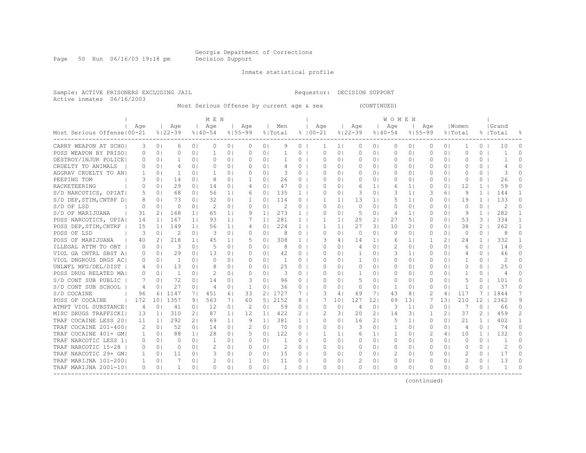Page 50 Run 06/16/03 19:18 pm Decision Support

Inmate statistical profile

Sample: ACTIVE PRISONERS EXCLUDING JAIL Requestor: DECISION SUPPORT Active inmates 06/16/2003

Most Serious Offense by current age & sex (CONTINUED)

|                              |          |                |                |                | MEN            |                |               |                |                |                |             |                |                |                | WOMEN          |                |             |                |           |                |               |              |
|------------------------------|----------|----------------|----------------|----------------|----------------|----------------|---------------|----------------|----------------|----------------|-------------|----------------|----------------|----------------|----------------|----------------|-------------|----------------|-----------|----------------|---------------|--------------|
|                              | Age      |                | Age            |                | Age            |                | Age           |                | Men            |                | Age         |                | Age            |                | Age            |                | Age         |                | Women     |                | Grand         |              |
| Most Serious Offense   00-21 |          |                | $8122 - 39$    |                | $8140 - 54$    |                | $8155 - 99$   |                | % Total        |                | $8100 - 21$ |                | $8122 - 39$    |                | $8140 - 54$    |                | $8155 - 99$ |                | % Total   |                | %   Total     | 욲            |
| CARRY WEAPON AT SCHOI        | 3        | 0 <sub>1</sub> | 6              | 0 <sub>1</sub> | $\Omega$       | 0 <sub>1</sub> | 0             | 0 <sup>1</sup> | 9              | 0              | 1           | 1 <sub>1</sub> | 0              | 0 <sub>1</sub> | 0              | 0 <sub>1</sub> | 0           | 0 <sub>1</sub> | -1        | 0              | 10            | $\Omega$     |
| POSS WEAPON BY PRISOL        | $\Omega$ | 0 <sup>1</sup> | 0              | 0 <sub>1</sub> | 1              | 0 <sub>1</sub> | 0             | 0 <sup>1</sup> | 1              | $\circ$        | $\Omega$    | 0 <sub>1</sub> | $\circ$        | 0 <sub>1</sub> | 0              | 0 <sub>1</sub> | 0           | 0 <sup>1</sup> | $\Omega$  | 0              | $\mathbf{1}$  | $\cap$       |
| DESTROY/INJUR POLICE         |          | 0 <sub>1</sub> | 1              | 0 <sub>1</sub> | $\Omega$       | 0 <sub>1</sub> | $\Omega$      | 0 <sub>1</sub> |                | 0              | $\Omega$    | $\Omega$       | 0              | 0 <sup>1</sup> | 0              | 0 <sup>1</sup> | $\Omega$    | 0 <sup>1</sup> | $\bigcap$ | 0              |               | $\Omega$     |
| CRUELTY TO ANIMALS           | 0        | 0 <sup>1</sup> | 4              | $\Omega$       | $\Omega$       | 0 <sub>1</sub> | $\Omega$      | 0 <sub>1</sub> | 4              | $\circ$        | $\Omega$    | $\Omega$ I     | $\Omega$       | $\Omega$       | $\Omega$       | $\Omega$       | $\Omega$    | $\Omega$       | O         | 0              | 4             | 0            |
| AGGRAV CRUELTY TO AN         | 1        | 0 <sub>1</sub> | -1             | 01             | -1             | 0 <sub>1</sub> | $\Omega$      | 0 <sub>1</sub> | 3              | $\circ$        | O           | 01             | 0              | 0 <sup>1</sup> | 0              | 0 <sup>1</sup> | 0           | 0 <sup>1</sup> | $\Omega$  | 0              | 3             | 0            |
| PEEPING TOM                  | 3        | 0 <sup>1</sup> | 14             | 0 <sub>1</sub> | 8              | 0 <sub>1</sub> | -1            | 0 <sub>1</sub> | 26             | $\circ$        | O           | $\Omega$       | 0              | 0 <sup>1</sup> | 0              | 0 <sub>1</sub> | 0           | 0 <sup>1</sup> | $\circ$   | 0              | 26            | 0            |
| RACKETEERING                 | $\Omega$ | 0 <sup>1</sup> | 29             | 0 <sub>1</sub> | 14             | 0 <sub>1</sub> | 4             | 0 <sub>1</sub> | 47             | $\circ$        | $\Omega$    | $\Omega$       | 6              | 1 <sub>1</sub> | 6              | 1 <sub>1</sub> | 0           | 0 <sup>1</sup> | 12        | $\mathbf{1}$   | 59            | O            |
| S/D NARCOTICS, OPIAT         | 5        | 0 <sup>1</sup> | 68             | 0 <sub>1</sub> | 56             | 1 <sub>1</sub> | 6             | 0 <sub>1</sub> | 135            | $\mathbf{1}$   | $\Omega$    | $\Omega$       | 3              | 0 <sub>1</sub> | 3              | 1 <sub>1</sub> | 3           | 61             | 9         | $\mathbf{1}$   | 144           |              |
| S/D DEP, STIM, CNTRF D       | 8        | 0 <sub>1</sub> | 73             | 0 <sub>1</sub> | 32             | 0 <sub>1</sub> | -1            | 0 <sub>1</sub> | 114            | $\circ$        |             | 11             | 13             | 1 <sup>1</sup> | 5              | 1 <sup>1</sup> | 0           | 0 <sup>1</sup> | 19        | $\mathbf{1}$   | 133           | $\Omega$     |
| S/D OF LSD                   | 0        | 0 <sub>1</sub> | 0              | 0 <sub>1</sub> | 2              | 0 <sub>1</sub> | 0             | 0 <sub>1</sub> | 2              | $\circ$        | $\Omega$    | 0 <sub>1</sub> | $\circ$        | 01             | $\circ$        | 0 <sub>1</sub> | 0           | 0 <sup>1</sup> | $\circ$   | 0              | 2             | 0            |
| S/D OF MARIJUANA             | 31       | 2 <sub>1</sub> | 168            | 1 <sup>1</sup> | 65             | 1 <sub>1</sub> | 9             | 1 <sub>1</sub> | 273            | $\mathbf{1}$   | $\Omega$    | $\Omega$       | 5              | 0 <sub>1</sub> | 4              | 1 <sub>1</sub> | $\Omega$    | 0 <sup>1</sup> | 9         | $\mathbf{1}$   | 282           | $\mathbf{1}$ |
| POSS NARCOTICS, OPIA         | 14       | 11             | 167            | 1 <sub>1</sub> | 93             | 1 <sub>1</sub> | 7             | 1 <sup>1</sup> | 281            | $\mathbf{1}$   | 1           | 1 <sup>1</sup> | 25             | 21             | 27             | 51             | $\Omega$    | 0 <sub>1</sub> | 53        | 3              | 334           | 1            |
| POSS DEP, STIM, CNTRF        | 15       | 11             | 149            | 11             | 56             | 1 <sub>1</sub> | 4             | 0 <sup>1</sup> | 224            | $\mathbf{1}$   | 1           | 11             | 27             | 31             | 10             | 21             | $\Omega$    | 0 <sub>1</sub> | 38        | $\overline{2}$ | 262           | 1            |
| POSS OF LSD                  | 3        | 0 <sub>1</sub> | 2              | 0 <sub>1</sub> | 3              | 0 <sub>1</sub> | $\Omega$      | 0 <sub>1</sub> | 8              | $\circ$        | $\Omega$    | 0 <sub>1</sub> | $\mathbf{0}$   | 0 <sub>1</sub> | $\Omega$       | 0 <sub>1</sub> | 0           | 0 <sup>1</sup> | $\Omega$  | 0              | 8             | $\Omega$     |
| POSS OF MARIJUANA            | 40       | 21             | 218            | 1 <sup>1</sup> | 45             | 1 <sub>1</sub> | 5             | 0 <sub>1</sub> | 308            | $\mathbf{1}$   | 3           | 4              | 14             | 1 <sub>1</sub> | 6              | 1 <sup>1</sup> |             | 21             | 24        | $\mathbf{1}$   | 332           | 1            |
| ILLEGAL ATTM TO OBT          | $\Omega$ | 0 <sub>1</sub> | 3              | 0 <sub>1</sub> | 5              | 0 <sub>1</sub> | $\Omega$      | 0 <sub>1</sub> | 8              | $\circ$        | $\Omega$    | $\Omega$       | $\overline{4}$ | 0 <sub>1</sub> | 2              | 0 <sup>1</sup> | $\Omega$    | 0 <sup>1</sup> | 6         | 0              | 14            | O            |
| VIOL GA CNTRL SBST AI        |          | 01             | 29             | 0 <sub>1</sub> | 13             | 0 <sub>1</sub> | $\Omega$      | 0 <sub>1</sub> | 42             | $\circ$        | $\Omega$    | 0 <sub>1</sub> | 1              | 0 <sup>1</sup> | 3              | 1 <sup>1</sup> | O           | 01             | 4         | 0              | 46            | O            |
| VIOL DNGROUS DRGS AC         |          | 0 <sub>1</sub> | $\overline{1}$ | 0 <sup>1</sup> | $\Omega$       | 0 <sub>1</sub> | $\Omega$      | 0 <sub>1</sub> | $\overline{1}$ | $\Omega$       | $\Omega$    | 0 <sub>1</sub> | $\mathbf{1}$   | $\Omega$       | $\Omega$       | $\Omega$       | $\Omega$    | $\Omega$       | -1        | $\Omega$       | $\mathcal{L}$ | U            |
| UNLWFL MFG/DEL/DIST          | 4        | 0 <sub>1</sub> | 13             | 0 <sub>1</sub> | 8              | 0 <sub>1</sub> | $\Omega$      | 0 <sub>1</sub> | 25             | $\circ$        | $\Omega$    | 0 <sub>1</sub> | 0              | 0 <sup>1</sup> | 0              | 0 <sup>1</sup> | $\Omega$    | 0 <sup>1</sup> | $\Omega$  | 0              | 25            | 0            |
| POSS DRUG RELATED MA         |          | 0 <sub>1</sub> | $\mathbf{1}$   | 0 <sub>1</sub> | $\mathcal{D}$  | 0 <sub>1</sub> | $\Omega$      | 0 <sub>1</sub> | 3              | $\circ$        | $\Omega$    | $\Omega$ I     | 1              | 0 <sup>1</sup> | 0              | $\Omega$       | $\Omega$    | 0 <sup>1</sup> | -1        | 0              | 4             | 0            |
| S/D CONT SUB PUBLIC          | 7        | 0 <sub>1</sub> | 72             | 0 <sub>1</sub> | 14             | 0 <sub>1</sub> | 3             | 0 <sub>1</sub> | 96             | $\circ$        | ∩           | $\Omega$       | 5              | 0 <sup>1</sup> | 0              | 0 <sup>1</sup> | 0           | 0 <sup>1</sup> | 5         | 0              | 101           | 0            |
| S/D CONT SUB SCHOOL          | 4        | 0 <sub>1</sub> | 27             | 0 <sub>1</sub> | $\overline{4}$ | 0 <sub>1</sub> | $\mathbf{1}$  | 0 <sub>1</sub> | 36             | $\circ$        | O           | $\Omega$       | 0              | 0 <sub>1</sub> | 1              | 0 <sup>1</sup> | $\Omega$    | 0 <sup>1</sup> | -1        | $\Omega$       | 37            | 0            |
| S/D COCAINE                  | 96       | 61             | 1147           | 71             | 451            | 61             | 33            | 21             | 1727           | 7              | 3           | 4 <sub>1</sub> | 69             | 71             | 43             | 8 <sub>1</sub> | 2           | 4 <sub>1</sub> | 117       |                | 1844          |              |
| POSS OF COCAINE              | 172      | 101            | 1357           | 9 <sub>1</sub> | 563            | 71             | 60            | 5              | 2152           | 8              |             | 101            | 127            | 121            | 69             | 131            |             | 131            | 210       | 12             | 2362          | 9            |
| ATMPT VIOL SUBSTANCE         | 4        | 0 <sub>1</sub> | 41             | 0 <sup>1</sup> | 12             | 0 <sub>1</sub> | 2             | 0 <sub>1</sub> | 59             | $\circ$        | $\Omega$    | 0 <sup>1</sup> | 4              | 0 <sub>1</sub> | 3              | 1 <sub>1</sub> | 0           | 0 <sup>1</sup> | 7         | $\Omega$       | 66            | $\Omega$     |
| MISC DRUGS TRAFFICKI         | 13       | 1 <sub>1</sub> | 310            | 2 <sub>1</sub> | 87             | 1 <sub>1</sub> | 12            | 1 <sub>1</sub> | 422            | 2              |             | 31             | 20             | 21             | 14             | 3              | 1           | 2 <sub>1</sub> | 37        | $\mathbf{2}^-$ | 459           | 2            |
| TRAF COCAINE LESS 201        | 11       | 11             | 292            | 2 <sub>1</sub> | 69             | 1 <sub>1</sub> | 9             | 1 <sup>1</sup> | 381            | 1 <sub>1</sub> | $\Omega$    | $\Omega$       | 16             | 2 <sub>1</sub> | 5              | 1 <sup>1</sup> | $\Omega$    | 0 <sub>1</sub> | 2.1       | $\mathbf{1}$   | 402           | $\mathbf{1}$ |
| TRAF COCAINE 201-4001        | 2        | 0 <sub>1</sub> | 52             | 0 <sup>1</sup> | 14             | 0 <sub>1</sub> | $\mathcal{L}$ | 0 <sub>1</sub> | 70             | $0-1$          | $\Omega$    | 0 <sup>1</sup> | 3              | $\Omega$       | $\overline{1}$ | 0 <sub>1</sub> | $\Omega$    | 0 <sub>1</sub> | 4         | $\Omega$       | 74            | $\Omega$     |
| TRAF COCAINE 401+ GM         | 1        | 0 <sub>1</sub> | 88             | 1 <sup>1</sup> | 28             | 0 <sup>1</sup> | 5             | 0 <sub>1</sub> | 122            | 0 <sub>1</sub> | 1           | 1 <sup>1</sup> | 6              | 1 <sub>1</sub> | 1              | 0 <sub>1</sub> | 2           | 4              | 10        | 1              | 132           | $\Omega$     |
| TRAF NARCOTIC LESS 1         | $\Omega$ | 0 <sub>1</sub> | $\Omega$       | 0 <sub>1</sub> | 1              | 0 <sub>1</sub> | $\Omega$      | 0 <sub>1</sub> |                | $\circ$        | $\Omega$    | 0 <sup>1</sup> | 0              | 0 <sub>1</sub> | $\Omega$       | 0 <sub>1</sub> | 0           | 0 <sup>1</sup> | $\Omega$  | 0              |               | O            |
| TRAF NARCOTIC 15-28          | $\Omega$ | 0 <sub>1</sub> | $\Omega$       | 0 <sub>1</sub> | $\mathcal{D}$  | 0 <sub>1</sub> | $\Omega$      | 0 <sub>1</sub> | 2              | $\circ$        | 0           | $\Omega$       | 0              | 0 <sub>1</sub> | 0              | 0 <sup>1</sup> | 0           | 01             | $\Omega$  | 0              | 2             | $\Omega$     |
| TRAF NARCOTIC 29+ GMI        | 1        | 0 <sub>1</sub> | 11             | 0 <sub>1</sub> | 3              | 0 <sub>1</sub> | $\Omega$      | 0 <sub>1</sub> | 15             | $\circ$        | $\Omega$    | $\Omega$       | 0              | 0 <sup>1</sup> | 2              | 0 <sub>1</sub> | 0           | 0 <sup>1</sup> | 2         | 0              | 17            | $\Omega$     |
| TRAF MARIJNA 101-2001        | 1        | 0 <sub>1</sub> |                | 0 <sub>1</sub> |                | 0 <sub>1</sub> | 1             | 0 <sup>1</sup> | 11             | $\circ$        | $\Omega$    | 0 <sub>1</sub> |                | 01             | $\circ$        | 0 <sub>1</sub> | 0           | 0 <sup>1</sup> | 2         | 0              | 13            | O            |
| TRAF MARIJNA 2001-10         | $\Omega$ | 0 <sub>1</sub> | 1              | $\Omega$       | $\Omega$       | 0 <sub>1</sub> | $\Omega$      | 0 <sub>1</sub> | 1              | $\Omega$       | $\Omega$    | $\Omega$       | $\Omega$       | 01             | $\Omega$       | 0              | $\cap$      | 0 <sup>1</sup> | $\Omega$  | 0              | $\mathbf{1}$  | $\Omega$     |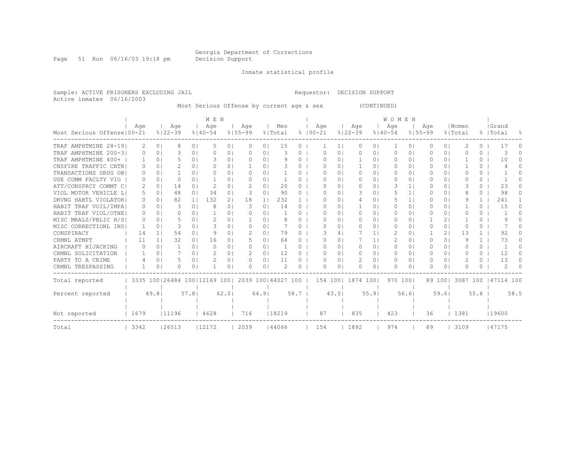Page 51 Run 06/16/03 19:18 pm Decision Support

Inmate statistical profile

Sample: ACTIVE PRISONERS EXCLUDING JAIL Requestor: DECISION SUPPORT Active inmates 06/16/2003

Most Serious Offense by current age & sex (CONTINUED)

|                              | MEN      |                |             |                |                                                         |                |               |                |         |          |             |          |                |               |                | <b>WOMEN</b> |                |             |                |           |              |                     |          |
|------------------------------|----------|----------------|-------------|----------------|---------------------------------------------------------|----------------|---------------|----------------|---------|----------|-------------|----------|----------------|---------------|----------------|--------------|----------------|-------------|----------------|-----------|--------------|---------------------|----------|
|                              | Aqe      |                | Age         |                | Aqe                                                     |                | Age           |                | Men     |          |             | Age      |                | Age           |                | Aqe          |                | Age         |                | Women     |              | Grand               |          |
| Most Serious Offense   00-21 |          |                | $8122 - 39$ |                | $8140 - 54$                                             | $8155 - 99$    |               |                | % Total |          | $8100 - 21$ |          |                | $8122 - 39$   |                | $8140 - 54$  |                | $8155 - 99$ |                | % Total   |              | %   Total           | ႜ        |
| TRAF AMPHTMINE 28-19         | 2        | 0 <sub>1</sub> | 8           | $\Omega$       | .5                                                      | 0 <sub>1</sub> | $\Omega$      | 0 <sup>1</sup> | 15      | 0        |             |          | 1 <sup>1</sup> | 0             | 0 <sub>1</sub> |              | 0              | 0           | 0 <sup>1</sup> | 2         | $\Omega$     | 17                  | 0        |
| TRAF AMPHTMINE 200-31        | $\Omega$ | 0 <sub>1</sub> | 3           | 0 <sub>1</sub> | $\Omega$                                                | 0 <sub>1</sub> | $\Omega$      | 0              | 3       | $\Omega$ |             | O        | $\circ$        | 0             | 01             | 0            | $\circ$        | 0           | 0 <sup>1</sup> | O         | 0            | 3                   | $\Omega$ |
| TRAF AMPHTMINE 400+          |          | $\Omega$       | 5           | $\Omega$       | 3                                                       | 0 <sub>1</sub> | <sup>o</sup>  | $\Omega$       | 9       | $\Omega$ |             | O        | $\Omega$       | -1            | 01             | $\Omega$     | $\Omega$       | $\Omega$    | $\Omega$       |           | $\Omega$     | 10                  | n.       |
| CNSPIRE TRAFFIC CNTR         |          | $\Omega$       | 2.          | $\Omega$       |                                                         | 0 <sub>1</sub> |               | $\Omega$       |         | 0        |             | O        | $\Omega$       |               | $\Omega$ I     | $\Omega$     | $\Omega$       | O           | $\Omega$       |           | 0            |                     |          |
| TRANSACTIONS DRUG OB         | $\Omega$ | $\Omega$       |             | 0 <sub>1</sub> | ∩                                                       | 0 <sub>1</sub> | $\Omega$      | 0 <sub>1</sub> |         | 0        |             | O        | $\Omega$       | 0             | 0 <sub>1</sub> | $\Omega$     | $\Omega$       | $\Omega$    | $\Omega$       | O         | $\Omega$     |                     |          |
| USE COMM FACLTY VIO          | $\Omega$ | $\Omega$       | 0           | $\Omega$       |                                                         | 0 <sub>1</sub> | <sup>o</sup>  | $\Omega$       |         | 0        |             | U        | $\Omega$       | $\Omega$      | 01             | $\Omega$     | $\Omega$       | 0           | $\Omega$       | U         | $\Omega$     |                     |          |
| ATT/CONSPRCY COMMT CI        | 2        | 0 <sub>1</sub> | 14          | $\Omega$       | $\mathcal{P}$                                           | 0 <sub>1</sub> | 2             | 0 <sub>1</sub> | 20      | 0        |             | O        | $\Omega$       | $\Omega$      | $\Omega$ I     | Β            | 1 <sup>1</sup> | O           | $\Omega$       |           | 0            | 2.3                 |          |
| VIOL MOTOR VEHICLE LI        | 5        | $\Omega$       | 48          | 0 <sub>1</sub> | 34                                                      | 0 <sub>1</sub> | 3             | $\Omega$       | 90      | $\Omega$ |             | O        | $\Omega$       | 3             | $\Omega$ I     | 5            | 1 <sup>1</sup> | 0           | $\Omega$       | 8         | 0            | 98                  | $\Omega$ |
| DRVNG HABTL VIOLATOR         | $\Omega$ | $\Omega$       | 82          | 1 <sup>1</sup> | 132                                                     | 21             | 18            | 1 <sub>1</sub> | 232     |          |             | U        | $\Omega$       | 4             | 01             | 5            | 1 <sup>1</sup> | 0           | 0 I            | q         | $\mathbb{1}$ | 241                 |          |
| HABIT TRAF VOIL/IMPAI        |          | $\Omega$       | 3           | $\Omega$       | 8                                                       | 0 <sub>1</sub> | 3             | $\Omega$       | 14      | 0        |             | O        | $\Omega$       |               | $\Omega$ I     | $\bigcap$    | $\Omega$       | O           | $\Omega$       |           | 0            | 15                  | 0        |
| HABIT TRAF VIOL/OTHE         | 0        | 0 <sub>1</sub> | 0           | 0 <sub>1</sub> |                                                         | 0 <sub>1</sub> | $\Omega$      | 0              |         | $\Omega$ |             | O        | $\circ$        | 0             | 0 <sub>1</sub> | 0            | $\circ$        | 0           | 0 <sup>1</sup> | O         | $\Omega$     |                     | 0        |
| MISC MRALS/PBLIC H/S         | $\Omega$ | $\cap$         |             | $\Omega$       |                                                         | 0 <sub>1</sub> |               | $\Omega$       |         | 0        |             | U        | $\Omega$       | $\bigcap$     | $\Omega$       | $\bigcap$    | $\Omega$       |             | 21             |           | $\Omega$     | 9                   |          |
| MISC CORRECTIONL INS         |          | $\Omega$       |             | $\Omega$       | 3                                                       | 0 <sub>1</sub> | $\Omega$      | $\Omega$       |         | $\Omega$ |             | O        | $\Omega$       | $\Omega$      | $\Omega$ I     | $\bigcap$    | $\Omega$       |             | $\Omega$       | $\bigcap$ | 0            |                     |          |
| CONSPIRACY                   | 14       | 11             | 54          | $\Omega$       | - Q                                                     | 0 <sup>1</sup> | $\mathcal{L}$ | $\Omega$       | 79      | 0        |             |          | 41             |               | 1 <sup>1</sup> | 2            | $\circ$        |             | 2 <sub>1</sub> | 13        | $\mathbf{1}$ | 92                  | 0        |
| CRMNL ATMPT                  | 11       | 1.             | 32          | $\cap$         | 16                                                      | 0 <sub>1</sub> | 5             | $\Omega$       | 64      | $\Omega$ |             | U        | $\Omega$       |               | 1              |              | $\Omega$       | $\Omega$    | $\Omega$       | 9         | $\mathbf{1}$ | 73                  |          |
| AIRCRAFT HIJACKING           | ∩        | $\Omega$       |             | 0 <sup>1</sup> | ∩                                                       | 0 <sub>1</sub> | $\Omega$      | $\Omega$       |         | 0        |             | U        | $\Omega$       | $\Omega$      | $\Omega$       | $\Omega$     | $\Omega$       | $\Omega$    | $\Omega$       | U         | 0            |                     | 0        |
| CRMNL SOLICITATION           |          | 0 <sup>1</sup> |             | 0 <sub>1</sub> | $\mathcal{D}$                                           | 0 <sub>1</sub> | 2             | 0 <sub>1</sub> | 12      | $\Omega$ |             | 0        | $\Omega$       | $\Omega$      | 0 <sub>1</sub> | $\Omega$     | $\Omega$       | $\Omega$    | 0 <sup>1</sup> | O         | $\Omega$     | 12                  | $\Omega$ |
| PARTY TO A CRIME             |          | $\Omega$       | 5           | $\Omega$ 1     |                                                         | 0 <sup>1</sup> | <sup>o</sup>  | $\Omega$       | 11      | $\Omega$ |             | U        | $\Omega$       | $\mathcal{D}$ | $\Omega$       | $\Omega$     | $\Omega$       | 0           | $\Omega$       |           | $\Omega$     | 13                  | n.       |
| CRMNL TRESPASSING            |          | 0              | 0           | $\Omega$       |                                                         | 0 <sub>1</sub> | O             | 0              |         | O        |             | O        | 0              | $\Omega$      | 01             | O            | 0              |             | 0 <sup>1</sup> | O         | 0            | 2                   |          |
| Total reported               |          |                |             |                | 3335 100   26484 100   12169 100   2039 100   44027 100 |                |               |                |         |          |             | 154 1001 |                | 1874 1001     |                | 970 1001     |                |             | 89 1001        |           |              | 3087 100 147114 100 |          |
|                              |          |                |             |                |                                                         |                |               |                |         |          |             |          |                |               |                |              |                |             |                |           |              |                     |          |
| Percent reported             |          | 49.81          |             | 57.81          |                                                         | 62.01          |               | 64.91          |         | 58.7     |             |          | 43.51          |               | 55.91          |              | 56.61          |             | 59.61          |           | 55.6         |                     | 58.5     |
|                              |          |                |             |                |                                                         |                |               |                |         |          |             |          |                |               |                |              |                |             |                |           |              |                     |          |
| Not reported                 | 1679     |                | 11196       |                | 4628                                                    |                | 716           |                | 18219   |          |             | 87       |                | 835           |                | 423          |                | 36          |                | 1381      |              | 19600               |          |
| Total                        | 3342     |                | 26513       |                | 12172                                                   |                | 2039          |                | 144066  |          |             | 154      |                | 1892          |                | 974          |                | 89          |                | 3109      |              | 47175               |          |